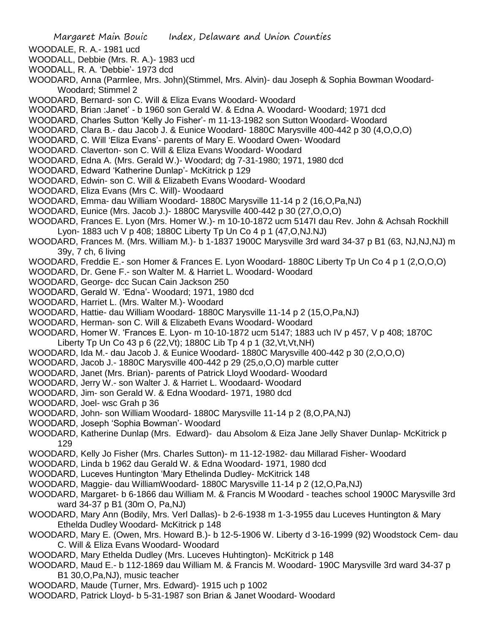- WOODALE, R. A.- 1981 ucd
- WOODALL, Debbie (Mrs. R. A.)- 1983 ucd
- WOODALL, R. A. 'Debbie'- 1973 dcd
- WOODARD, Anna (Parmlee, Mrs. John)(Stimmel, Mrs. Alvin)- dau Joseph & Sophia Bowman Woodard-Woodard; Stimmel 2
- WOODARD, Bernard- son C. Will & Eliza Evans Woodard- Woodard
- WOODARD, Brian :Janet' b 1960 son Gerald W. & Edna A. Woodard- Woodard; 1971 dcd
- WOODARD, Charles Sutton 'Kelly Jo Fisher'- m 11-13-1982 son Sutton Woodard- Woodard
- WOODARD, Clara B.- dau Jacob J. & Eunice Woodard- 1880C Marysville 400-442 p 30 (4,O,O,O)
- WOODARD, C. Will 'Eliza Evans'- parents of Mary E. Woodard Owen- Woodard
- WOODARD. Claverton- son C. Will & Eliza Evans Woodard- Woodard
- WOODARD, Edna A. (Mrs. Gerald W.)- Woodard; dg 7-31-1980; 1971, 1980 dcd
- WOODARD, Edward 'Katherine Dunlap'- McKitrick p 129
- WOODARD, Edwin- son C. Will & Elizabeth Evans Woodard- Woodard
- WOODARD, Eliza Evans (Mrs C. Will)- Woodaard
- WOODARD, Emma- dau William Woodard- 1880C Marysville 11-14 p 2 (16,O,Pa,NJ)
- WOODARD, Eunice (Mrs. Jacob J.)- 1880C Marysville 400-442 p 30 (27,O,O,O)
- WOODARD, Frances E. Lyon (Mrs. Homer W.)- m 10-10-1872 ucm 5147I dau Rev. John & Achsah Rockhill Lyon- 1883 uch V p 408; 1880C Liberty Tp Un Co 4 p 1 (47,O,NJ.NJ)
- WOODARD, Frances M. (Mrs. William M.)- b 1-1837 1900C Marysville 3rd ward 34-37 p B1 (63, NJ,NJ,NJ) m 39y, 7 ch, 6 living
- WOODARD, Freddie E.- son Homer & Frances E. Lyon Woodard- 1880C Liberty Tp Un Co 4 p 1 (2,O,O,O)
- WOODARD, Dr. Gene F.- son Walter M. & Harriet L. Woodard- Woodard
- WOODARD, George- dcc Sucan Cain Jackson 250
- WOODARD, Gerald W. 'Edna'- Woodard; 1971, 1980 dcd
- WOODARD, Harriet L. (Mrs. Walter M.)- Woodard
- WOODARD, Hattie- dau William Woodard- 1880C Marysville 11-14 p 2 (15,O,Pa,NJ)
- WOODARD, Herman- son C. Will & Elizabeth Evans Woodard- Woodard
- WOODARD, Homer W. 'Frances E. Lyon- m 10-10-1872 ucm 5147; 1883 uch IV p 457, V p 408; 1870C Liberty Tp Un Co 43 p 6 (22,Vt); 1880C Lib Tp 4 p 1 (32,Vt,Vt,NH)
- WOODARD, Ida M.- dau Jacob J. & Eunice Woodard- 1880C Marysville 400-442 p 30 (2,O,O,O)
- WOODARD, Jacob J.- 1880C Marysville 400-442 p 29 (25,o,O,O) marble cutter
- WOODARD, Janet (Mrs. Brian)- parents of Patrick Lloyd Woodard- Woodard
- WOODARD, Jerry W.- son Walter J. & Harriet L. Woodaard- Woodard
- WOODARD, Jim- son Gerald W. & Edna Woodard- 1971, 1980 dcd
- WOODARD, Joel- wsc Grah p 36
- WOODARD, John- son William Woodard- 1880C Marysville 11-14 p 2 (8,O,PA,NJ)
- WOODARD, Joseph 'Sophia Bowman'- Woodard
- WOODARD, Katherine Dunlap (Mrs. Edward)- dau Absolom & Eiza Jane Jelly Shaver Dunlap- McKitrick p 129
- WOODARD, Kelly Jo Fisher (Mrs. Charles Sutton)- m 11-12-1982- dau Millarad Fisher- Woodard
- WOODARD, Linda b 1962 dau Gerald W. & Edna Woodard- 1971, 1980 dcd
- WOODARD, Luceves Huntington 'Mary Ethelinda Dudley- McKitrick 148
- WOODARD, Maggie- dau WilliamWoodard- 1880C Marysville 11-14 p 2 (12,O,Pa,NJ)
- WOODARD, Margaret- b 6-1866 dau William M. & Francis M Woodard teaches school 1900C Marysville 3rd ward 34-37 p B1 (30m O, Pa,NJ)
- WOODARD, Mary Ann (Bodily, Mrs. Verl Dallas)- b 2-6-1938 m 1-3-1955 dau Luceves Huntington & Mary Ethelda Dudley Woodard- McKitrick p 148
- WOODARD, Mary E. (Owen, Mrs. Howard B.)- b 12-5-1906 W. Liberty d 3-16-1999 (92) Woodstock Cem- dau C. Will & Eliza Evans Woodard- Woodard
- WOODARD, Mary Ethelda Dudley (Mrs. Luceves Huhtington)- McKitrick p 148
- WOODARD, Maud E.- b 112-1869 dau William M. & Francis M. Woodard- 190C Marysville 3rd ward 34-37 p B1 30,O,Pa,NJ), music teacher
- WOODARD, Maude (Turner, Mrs. Edward)- 1915 uch p 1002
- WOODARD, Patrick Lloyd- b 5-31-1987 son Brian & Janet Woodard- Woodard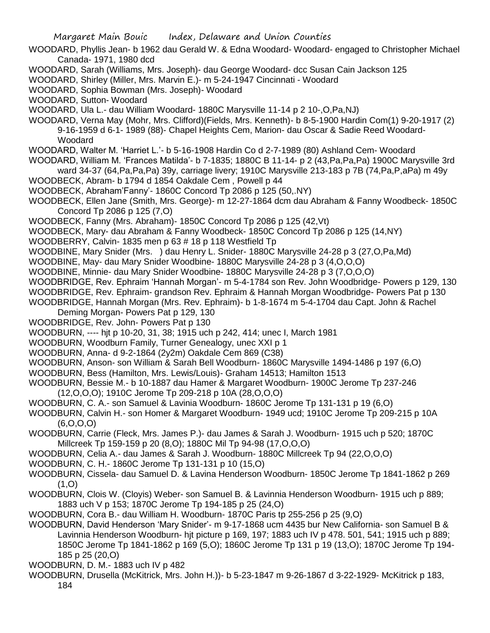WOODARD, Phyllis Jean- b 1962 dau Gerald W. & Edna Woodard- Woodard- engaged to Christopher Michael Canada- 1971, 1980 dcd

- WOODARD, Sarah (Williams, Mrs. Joseph)- dau George Woodard- dcc Susan Cain Jackson 125
- WOODARD, Shirley (Miller, Mrs. Marvin E.)- m 5-24-1947 Cincinnati Woodard
- WOODARD, Sophia Bowman (Mrs. Joseph)- Woodard
- WOODARD, Sutton- Woodard
- WOODARD, Ula L.- dau William Woodard- 1880C Marysville 11-14 p 2 10-,O,Pa,NJ)
- WOODARD, Verna May (Mohr, Mrs. Clifford)(Fields, Mrs. Kenneth)- b 8-5-1900 Hardin Com(1) 9-20-1917 (2) 9-16-1959 d 6-1- 1989 (88)- Chapel Heights Cem, Marion- dau Oscar & Sadie Reed Woodard-**Woodard**
- WOODARD, Walter M. 'Harriet L.'- b 5-16-1908 Hardin Co d 2-7-1989 (80) Ashland Cem- Woodard
- WOODARD, William M. 'Frances Matilda'- b 7-1835; 1880C B 11-14- p 2 (43,Pa,Pa,Pa) 1900C Marysville 3rd ward 34-37 (64,Pa,Pa,Pa) 39y, carriage livery; 1910C Marysville 213-183 p 7B (74,Pa,P,aPa) m 49y
- WOODBECK, Abram- b 1794 d 1854 Oakdale Cem , Powell p 44
- WOODBECK, Abraham'Fanny'- 1860C Concord Tp 2086 p 125 (50,.NY)
- WOODBECK, Ellen Jane (Smith, Mrs. George)- m 12-27-1864 dcm dau Abraham & Fanny Woodbeck- 1850C Concord Tp 2086 p 125 (7,O)
- WOODBECK, Fanny (Mrs. Abraham)- 1850C Concord Tp 2086 p 125 (42,Vt)
- WOODBECK, Mary- dau Abraham & Fanny Woodbeck- 1850C Concord Tp 2086 p 125 (14,NY)
- WOODBERRY, Calvin- 1835 men p 63 # 18 p 118 Westfield Tp
- WOODBINE, Mary Snider (Mrs. ) dau Henry L. Snider- 1880C Marysville 24-28 p 3 (27,O,Pa,Md)
- WOODBINE, May- dau Mary Snider Woodbine- 1880C Marysville 24-28 p 3 (4,O,O,O)
- WOODBINE, Minnie- dau Mary Snider Woodbine- 1880C Marysville 24-28 p 3 (7,O,O,O)
- WOODBRIDGE, Rev. Ephraim 'Hannah Morgan'- m 5-4-1784 son Rev. John Woodbridge- Powers p 129, 130
- WOODBRIDGE, Rev. Ephraim- grandson Rev. Ephraim & Hannah Morgan Woodbridge- Powers Pat p 130
- WOODBRIDGE, Hannah Morgan (Mrs. Rev. Ephraim)- b 1-8-1674 m 5-4-1704 dau Capt. John & Rachel
- Deming Morgan- Powers Pat p 129, 130
- WOODBRIDGE, Rev. John- Powers Pat p 130
- WOODBURN, ---- hjt p 10-20, 31, 38; 1915 uch p 242, 414; unec I, March 1981
- WOODBURN, Woodburn Family, Turner Genealogy, unec XXI p 1
- WOODBURN, Anna- d 9-2-1864 (2y2m) Oakdale Cem 869 (C38)
- WOODBURN, Anson- son William & Sarah Bell Woodburn- 1860C Marysville 1494-1486 p 197 (6,O)
- WOODBURN, Bess (Hamilton, Mrs. Lewis/Louis)- Graham 14513; Hamilton 1513
- WOODBURN, Bessie M.- b 10-1887 dau Hamer & Margaret Woodburn- 1900C Jerome Tp 237-246 (12,O,O,O); 1910C Jerome Tp 209-218 p 10A (28,O,O,O)
- WOODBURN, C. A.- son Samuel & Lavinia Woodburn- 1860C Jerome Tp 131-131 p 19 (6,O)
- WOODBURN, Calvin H.- son Homer & Margaret Woodburn- 1949 ucd; 1910C Jerome Tp 209-215 p 10A (6,O,O,O)
- WOODBURN, Carrie (Fleck, Mrs. James P.)- dau James & Sarah J. Woodburn- 1915 uch p 520; 1870C Millcreek Tp 159-159 p 20 (8,O); 1880C Mil Tp 94-98 (17,O,O,O)
- WOODBURN, Celia A.- dau James & Sarah J. Woodburn- 1880C Millcreek Tp 94 (22,O,O,O)
- WOODBURN, C. H.- 1860C Jerome Tp 131-131 p 10 (15,O)
- WOODBURN, Cissela- dau Samuel D. & Lavina Henderson Woodburn- 1850C Jerome Tp 1841-1862 p 269  $(1,0)$
- WOODBURN, Clois W. (Cloyis) Weber- son Samuel B. & Lavinnia Henderson Woodburn- 1915 uch p 889; 1883 uch V p 153; 1870C Jerome Tp 194-185 p 25 (24,O)
- WOODBURN, Cora B.- dau William H. Woodburn- 1870C Paris tp 255-256 p 25 (9,O)
- WOODBURN, David Henderson 'Mary Snider'- m 9-17-1868 ucm 4435 bur New California- son Samuel B & Lavinnia Henderson Woodburn- hjt picture p 169, 197; 1883 uch IV p 478. 501, 541; 1915 uch p 889; 1850C Jerome Tp 1841-1862 p 169 (5,O); 1860C Jerome Tp 131 p 19 (13,O); 1870C Jerome Tp 194- 185 p 25 (20,O)
- WOODBURN, D. M.- 1883 uch IV p 482
- WOODBURN, Drusella (McKitrick, Mrs. John H.))- b 5-23-1847 m 9-26-1867 d 3-22-1929- McKitrick p 183, 184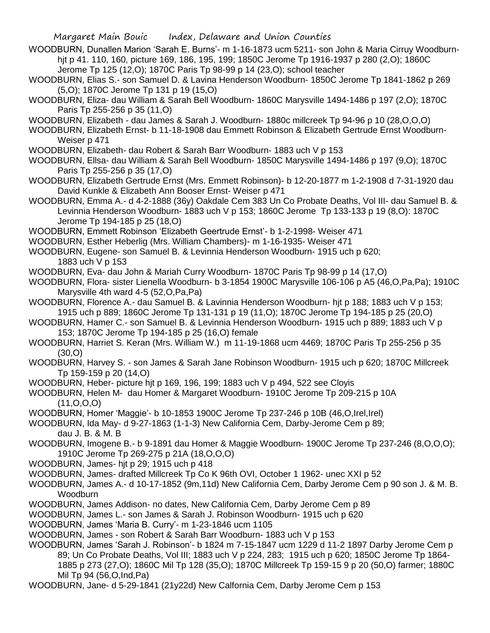WOODBURN, Dunallen Marion 'Sarah E. Burns'- m 1-16-1873 ucm 5211- son John & Maria Cirruy Woodburnhjt p 41. 110, 160, picture 169, 186, 195, 199; 1850C Jerome Tp 1916-1937 p 280 (2,O); 1860C Jerome Tp 125 (12,O); 1870C Paris Tp 98-99 p 14 (23,O); school teacher

- WOODBURN, Elias S.- son Samuel D. & Lavina Henderson Woodburn- 1850C Jerome Tp 1841-1862 p 269 (5,O); 1870C Jerome Tp 131 p 19 (15,O)
- WOODBURN, Eliza- dau William & Sarah Bell Woodburn- 1860C Marysville 1494-1486 p 197 (2,O); 1870C Paris Tp 255-256 p 35 (11,O)
- WOODBURN, Elizabeth dau James & Sarah J. Woodburn- 1880c millcreek Tp 94-96 p 10 (28,O,O,O)
- WOODBURN, Elizabeth Ernst- b 11-18-1908 dau Emmett Robinson & Elizabeth Gertrude Ernst Woodburn-Weiser p 471
- WOODBURN, Elizabeth- dau Robert & Sarah Barr Woodburn- 1883 uch V p 153
- WOODBURN, Ellsa- dau William & Sarah Bell Woodburn- 1850C Marysville 1494-1486 p 197 (9,O); 1870C Paris Tp 255-256 p 35 (17,O)
- WOODBURN, Elizabeth Gertrude Ernst (Mrs. Emmett Robinson)- b 12-20-1877 m 1-2-1908 d 7-31-1920 dau David Kunkle & Elizabeth Ann Booser Ernst- Weiser p 471
- WOODBURN, Emma A.- d 4-2-1888 (36y) Oakdale Cem 383 Un Co Probate Deaths, Vol III- dau Samuel B. & Levinnia Henderson Woodburn- 1883 uch V p 153; 1860C Jerome Tp 133-133 p 19 (8,O): 1870C Jerome Tp 194-185 p 25 (18,O)
- WOODBURN, Emmett Robinson 'Elizabeth Geertrude Ernst'- b 1-2-1998- Weiser 471
- WOODBURN, Esther Heberlig (Mrs. William Chambers)- m 1-16-1935- Weiser 471
- WOODBURN, Eugene- son Samuel B. & Levinnia Henderson Woodburn- 1915 uch p 620; 1883 uch V p 153
- WOODBURN, Eva- dau John & Mariah Curry Woodburn- 1870C Paris Tp 98-99 p 14 (17,O)
- WOODBURN, Flora- sister Lienella Woodburn- b 3-1854 1900C Marysville 106-106 p A5 (46,O,Pa,Pa); 1910C Marysville 4th ward 4-5 (52,O,Pa,Pa)
- WOODBURN, Florence A.- dau Samuel B. & Lavinnia Henderson Woodburn- hjt p 188; 1883 uch V p 153; 1915 uch p 889; 1860C Jerome Tp 131-131 p 19 (11,O); 1870C Jerome Tp 194-185 p 25 (20,O)
- WOODBURN, Hamer C.- son Samuel B. & Levinnia Henderson Woodburn- 1915 uch p 889; 1883 uch V p 153; 1870C Jerome Tp 194-185 p 25 (16,O) female
- WOODBURN, Harriet S. Keran (Mrs. William W.) m 11-19-1868 ucm 4469; 1870C Paris Tp 255-256 p 35 (30,O)
- WOODBURN, Harvey S. son James & Sarah Jane Robinson Woodburn- 1915 uch p 620; 1870C Millcreek Tp 159-159 p 20 (14,O)
- WOODBURN, Heber- picture hjt p 169, 196, 199; 1883 uch V p 494, 522 see Cloyis
- WOODBURN, Helen M- dau Homer & Margaret Woodburn- 1910C Jerome Tp 209-215 p 10A (11,O,O,O)
- WOODBURN, Homer 'Maggie'- b 10-1853 1900C Jerome Tp 237-246 p 10B (46,O,Irel,Irel)
- WOODBURN, Ida May- d 9-27-1863 (1-1-3) New California Cem, Darby-Jerome Cem p 89; dau J. B. & M. B
- WOODBURN, Imogene B.- b 9-1891 dau Homer & Maggie Woodburn- 1900C Jerome Tp 237-246 (8,O,O,O); 1910C Jerome Tp 269-275 p 21A (18,O,O,O)
- WOODBURN, James- hjt p 29; 1915 uch p 418
- WOODBURN, James- drafted Millcreek Tp Co K 96th OVI, October 1 1962- unec XXI p 52
- WOODBURN, James A.- d 10-17-1852 (9m,11d) New California Cem, Darby Jerome Cem p 90 son J. & M. B. Woodburn
- WOODBURN, James Addison- no dates, New California Cem, Darby Jerome Cem p 89
- WOODBURN, James L.- son James & Sarah J. Robinson Woodburn- 1915 uch p 620
- WOODBURN, James 'Maria B. Curry'- m 1-23-1846 ucm 1105
- WOODBURN, James son Robert & Sarah Barr Woodburn- 1883 uch V p 153
- WOODBURN, James 'Sarah J. Robinson'- b 1824 m 7-15-1847 ucm 1229 d 11-2 1897 Darby Jerome Cem p 89; Un Co Probate Deaths, Vol III; 1883 uch V p 224, 283; 1915 uch p 620; 1850C Jerome Tp 1864- 1885 p 273 (27,O); 1860C Mil Tp 128 (35,O); 1870C Millcreek Tp 159-15 9 p 20 (50,O) farmer; 1880C Mil Tp 94 (56,O,Ind,Pa)
- WOODBURN, Jane- d 5-29-1841 (21y22d) New Calfornia Cem, Darby Jerome Cem p 153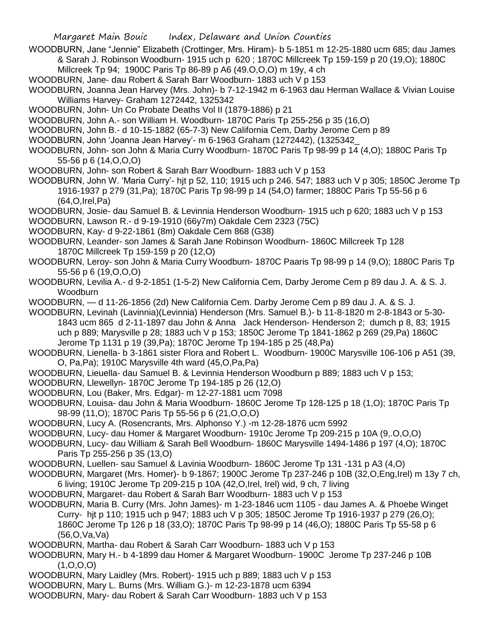WOODBURN, Jane "Jennie" Elizabeth (Crottinger, Mrs. Hiram)- b 5-1851 m 12-25-1880 ucm 685; dau James & Sarah J. Robinson Woodburn- 1915 uch p 620 ; 1870C Millcreek Tp 159-159 p 20 (19,O); 1880C Millcreek Tp 94; 1900C Paris Tp 86-89 p A6 (49.O,O,O) m 19y, 4 ch

WOODBURN, Jane- dau Robert & Sarah Barr Woodburn- 1883 uch V p 153

WOODBURN, Joanna Jean Harvey (Mrs. John)- b 7-12-1942 m 6-1963 dau Herman Wallace & Vivian Louise Williams Harvey- Graham 1272442, 1325342

- WOODBURN, John- Un Co Probate Deaths Vol II (1879-1886) p 21
- WOODBURN, John A.- son William H. Woodburn- 1870C Paris Tp 255-256 p 35 (16,O)
- WOODBURN, John B.- d 10-15-1882 (65-7-3) New California Cem, Darby Jerome Cem p 89

WOODBURN, John 'Joanna Jean Harvey'- m 6-1963 Graham (1272442), (1325342\_

- WOODBURN, John- son John & Maria Curry Woodburn- 1870C Paris Tp 98-99 p 14 (4,O); 1880C Paris Tp 55-56 p 6 (14,O,O,O)
- WOODBURN, John- son Robert & Sarah Barr Woodburn- 1883 uch V p 153

WOODBURN, John W. 'Maria Curry'- hjt p 52, 110; 1915 uch p 246. 547; 1883 uch V p 305; 1850C Jerome Tp 1916-1937 p 279 (31,Pa); 1870C Paris Tp 98-99 p 14 (54,O) farmer; 1880C Paris Tp 55-56 p 6 (64,O,Irel,Pa)

- WOODBURN, Josie- dau Samuel B. & Levinnia Henderson Woodburn- 1915 uch p 620; 1883 uch V p 153
- WOODBURN, Lawson R.- d 9-19-1910 (66y7m) Oakdale Cem 2323 (75C)
- WOODBURN, Kay- d 9-22-1861 (8m) Oakdale Cem 868 (G38)
- WOODBURN, Leander- son James & Sarah Jane Robinson Woodburn- 1860C Millcreek Tp 128 1870C Millcreek Tp 159-159 p 20 (12,O)
- WOODBURN, Leroy- son John & Maria Curry Woodburn- 1870C Paaris Tp 98-99 p 14 (9,O); 1880C Paris Tp 55-56 p 6 (19,O,O,O)
- WOODBURN, Levilia A.- d 9-2-1851 (1-5-2) New California Cem, Darby Jerome Cem p 89 dau J. A. & S. J. Woodburn
- WOODBURN, d 11-26-1856 (2d) New California Cem. Darby Jerome Cem p 89 dau J. A. & S. J.
- WOODBURN, Levinah (Lavinnia)(Levinnia) Henderson (Mrs. Samuel B.)- b 11-8-1820 m 2-8-1843 or 5-30- 1843 ucm 865 d 2-11-1897 dau John & Anna Jack Henderson- Henderson 2; dumch p 8, 83; 1915 uch p 889; Marysville p 28; 1883 uch V p 153; 1850C Jerome Tp 1841-1862 p 269 (29,Pa) 1860C Jerome Tp 1131 p 19 (39,Pa); 1870C Jerome Tp 194-185 p 25 (48,Pa)

WOODBURN, Lienella- b 3-1861 sister Flora and Robert L. Woodburn- 1900C Marysville 106-106 p A51 (39, O, Pa,Pa); 1910C Marysville 4th ward (45,O,Pa,Pa)

- WOODBURN, Lieuella- dau Samuel B. & Levinnia Henderson Woodburn p 889; 1883 uch V p 153;
- WOODBURN, Llewellyn- 1870C Jerome Tp 194-185 p 26 (12,O)
- WOODBURN, Lou (Baker, Mrs. Edgar)- m 12-27-1881 ucm 7098
- WOODBURN, Louisa- dau John & Maria Woodburn- 1860C Jerome Tp 128-125 p 18 (1,O); 1870C Paris Tp 98-99 (11,O); 1870C Paris Tp 55-56 p 6 (21,O,O,O)
- WOODBURN, Lucy A. (Rosencrants, Mrs. Alphonso Y.) -m 12-28-1876 ucm 5992
- WOODBURN, Lucy- dau Homer & Margaret Woodburn- 1910c Jerome Tp 209-215 p 10A (9,.O,O,O)
- WOODBURN, Lucy- dau William & Sarah Bell Woodburn- 1860C Marysville 1494-1486 p 197 (4,O); 1870C Paris Tp 255-256 p 35 (13,O)
- WOODBURN, Luellen- sau Samuel & Lavinia Woodburn- 1860C Jerome Tp 131 -131 p A3 (4,O)
- WOODBURN, Margaret (Mrs. Homer)- b 9-1867; 1900C Jerome Tp 237-246 p 10B (32,O,Eng,Irel) m 13y 7 ch, 6 living; 1910C Jerome Tp 209-215 p 10A (42,O,Irel, Irel) wid, 9 ch, 7 living
- WOODBURN, Margaret- dau Robert & Sarah Barr Woodburn- 1883 uch V p 153
- WOODBURN, Maria B. Curry (Mrs. John James)- m 1-23-1846 ucm 1105 dau James A. & Phoebe Winget Curry- hjt p 110; 1915 uch p 947; 1883 uch V p 305; 1850C Jerome Tp 1916-1937 p 279 (26,O); 1860C Jerome Tp 126 p 18 (33,O); 1870C Paris Tp 98-99 p 14 (46,O); 1880C Paris Tp 55-58 p 6 (56,O,Va,Va)
- WOODBURN, Martha- dau Robert & Sarah Carr Woodburn- 1883 uch V p 153
- WOODBURN, Mary H.- b 4-1899 dau Homer & Margaret Woodburn- 1900C Jerome Tp 237-246 p 10B  $(1, 0, 0, 0)$
- WOODBURN, Mary Laidley (Mrs. Robert)- 1915 uch p 889; 1883 uch V p 153
- WOODBURN, Mary L. Burns (Mrs. William G.)- m 12-23-1878 ucm 6394
- WOODBURN, Mary- dau Robert & Sarah Carr Woodburn- 1883 uch V p 153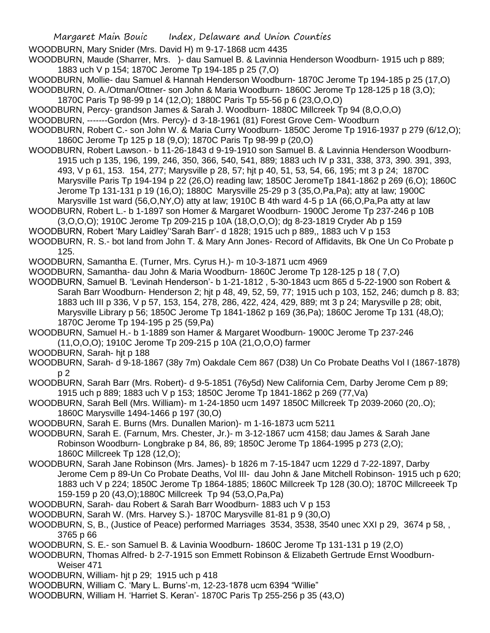WOODBURN, Mary Snider (Mrs. David H) m 9-17-1868 ucm 4435

WOODBURN, Maude (Sharrer, Mrs. )- dau Samuel B. & Lavinnia Henderson Woodburn- 1915 uch p 889; 1883 uch V p 154; 1870C Jerome Tp 194-185 p 25 (7,O)

- WOODBURN, Mollie- dau Samuel & Hannah Henderson Woodburn- 1870C Jerome Tp 194-185 p 25 (17,O)
- WOODBURN, O. A./Otman/Ottner- son John & Maria Woodburn- 1860C Jerome Tp 128-125 p 18 (3,O);
- 1870C Paris Tp 98-99 p 14 (12,O); 1880C Paris Tp 55-56 p 6 (23,O,O,O)
- WOODBURN, Percy- grandson James & Sarah J. Woodburn- 1880C Millcreek Tp 94 (8,O,O,O)
- WOODBURN, -------Gordon (Mrs. Percy)- d 3-18-1961 (81) Forest Grove Cem- Woodburn
- WOODBURN, Robert C.- son John W. & Maria Curry Woodburn- 1850C Jerome Tp 1916-1937 p 279 (6/12,O); 1860C Jerome Tp 125 p 18 (9,O); 1870C Paris Tp 98-99 p (20,O)
- WOODBURN, Robert Lawson.- b 11-26-1843 d 9-19-1910 son Samuel B. & Lavinnia Henderson Woodburn-1915 uch p 135, 196, 199, 246, 350, 366, 540, 541, 889; 1883 uch IV p 331, 338, 373, 390. 391, 393, 493, V p 61, 153. 154, 277; Marysville p 28, 57; hjt p 40, 51, 53, 54, 66, 195; mt 3 p 24; 1870C Marysville Paris Tp 194-194 p 22 (26,O) reading law; 1850C JeromeTp 1841-1862 p 269 (6,O); 1860C Jerome Tp 131-131 p 19 (16,O); 1880C Marysville 25-29 p 3 (35,O,Pa,Pa); atty at law; 1900C Marysville 1st ward (56,O,NY,O) atty at law; 1910C B 4th ward 4-5 p 1A (66,O,Pa,Pa atty at law
- WOODBURN, Robert L.- b 1-1897 son Homer & Margaret Woodburn- 1900C Jerome Tp 237-246 p 10B
- (3,O,O,O); 1910C Jerome Tp 209-215 p 10A (18,O,O,O); dg 8-23-1819 Cryder Ab p 159
- WOODBURN, Robert 'Mary Laidley''Sarah Barr'- d 1828; 1915 uch p 889,, 1883 uch V p 153
- WOODBURN, R. S.- bot land from John T. & Mary Ann Jones- Record of Affidavits, Bk One Un Co Probate p 125.
- WOODBURN, Samantha E. (Turner, Mrs. Cyrus H.)- m 10-3-1871 ucm 4969
- WOODBURN, Samantha- dau John & Maria Woodburn- 1860C Jerome Tp 128-125 p 18 ( 7,O)
- WOODBURN, Samuel B. 'Levinah Henderson'- b 1-21-1812 , 5-30-1843 ucm 865 d 5-22-1900 son Robert & Sarah Barr Woodburn- Henderson 2; hjt p 48, 49, 52, 59, 77; 1915 uch p 103, 152, 246; dumch p 8. 83; 1883 uch III p 336, V p 57, 153, 154, 278, 286, 422, 424, 429, 889; mt 3 p 24; Marysville p 28; obit, Marysville Library p 56; 1850C Jerome Tp 1841-1862 p 169 (36,Pa); 1860C Jerome Tp 131 (48,O); 1870C Jerome Tp 194-195 p 25 (59,Pa)
- WOODBURN, Samuel H.- b 1-1889 son Hamer & Margaret Woodburn- 1900C Jerome Tp 237-246 (11,O,O,O); 1910C Jerome Tp 209-215 p 10A (21,O,O,O) farmer
- WOODBURN, Sarah- hjt p 188
- WOODBURN, Sarah- d 9-18-1867 (38y 7m) Oakdale Cem 867 (D38) Un Co Probate Deaths Vol I (1867-1878) p 2
- WOODBURN, Sarah Barr (Mrs. Robert)- d 9-5-1851 (76y5d) New California Cem, Darby Jerome Cem p 89; 1915 uch p 889; 1883 uch V p 153; 1850C Jerome Tp 1841-1862 p 269 (77,Va)
- WOODBURN, Sarah Bell (Mrs. William)- m 1-24-1850 ucm 1497 1850C Millcreek Tp 2039-2060 (20,.O); 1860C Marysville 1494-1466 p 197 (30,O)
- WOODBURN, Sarah E. Burns (Mrs. Dunallen Marion)- m 1-16-1873 ucm 5211
- WOODBURN, Sarah E. (Farnum, Mrs. Chester, Jr.)- m 3-12-1867 ucm 4158; dau James & Sarah Jane Robinson Woodburn- Longbrake p 84, 86, 89; 1850C Jerome Tp 1864-1995 p 273 (2,O); 1860C Millcreek Tp 128 (12,O);
- WOODBURN, Sarah Jane Robinson (Mrs. James)- b 1826 m 7-15-1847 ucm 1229 d 7-22-1897, Darby Jerome Cem p 89-Un Co Probate Deaths, Vol III- dau John & Jane Mitchell Robinson- 1915 uch p 620; 1883 uch V p 224; 1850C Jerome Tp 1864-1885; 1860C Millcreek Tp 128 (30.O); 1870C Millcreeek Tp 159-159 p 20 (43,O);1880C Millcreek Tp 94 (53,O,Pa,Pa)
- WOODBURN, Sarah- dau Robert & Sarah Barr Woodburn- 1883 uch V p 153
- WOODBURN, Sarah W. (Mrs. Harvey S.)- 1870C Marysville 81-81 p 9 (30,O)
- WOODBURN, S, B., (Justice of Peace) performed Marriages 3534, 3538, 3540 unec XXI p 29, 3674 p 58, , 3765 p 66
- WOODBURN, S. E.- son Samuel B. & Lavinia Woodburn- 1860C Jerome Tp 131-131 p 19 (2,O)
- WOODBURN, Thomas Alfred- b 2-7-1915 son Emmett Robinson & Elizabeth Gertrude Ernst Woodburn-Weiser 471
- WOODBURN, William- hjt p 29; 1915 uch p 418
- WOODBURN, William C. 'Mary L. Burns'-m, 12-23-1878 ucm 6394 "Willie"
- WOODBURN, William H. 'Harriet S. Keran'- 1870C Paris Tp 255-256 p 35 (43,O)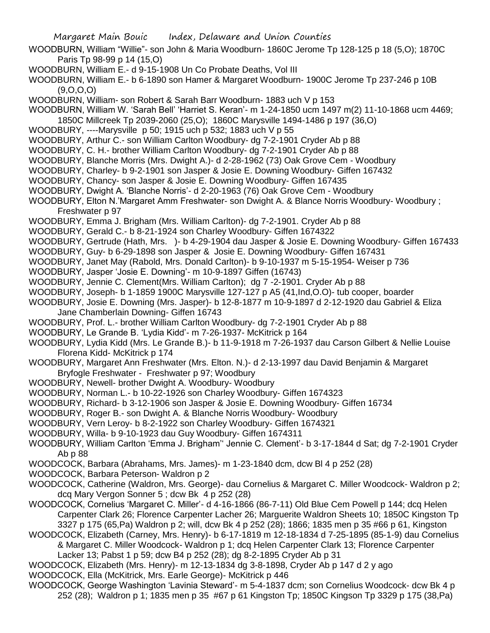WOODBURN, William "Willie"- son John & Maria Woodburn- 1860C Jerome Tp 128-125 p 18 (5,O); 1870C Paris Tp 98-99 p 14 (15,O)

- WOODBURN, William E.- d 9-15-1908 Un Co Probate Deaths, Vol III
- WOODBURN, William E.- b 6-1890 son Hamer & Margaret Woodburn- 1900C Jerome Tp 237-246 p 10B  $(9,0,0,0)$
- WOODBURN, William- son Robert & Sarah Barr Woodburn- 1883 uch V p 153
- WOODBURN, William W. 'Sarah Bell' 'Harriet S. Keran'- m 1-24-1850 ucm 1497 m(2) 11-10-1868 ucm 4469;
- 1850C Millcreek Tp 2039-2060 (25,O); 1860C Marysville 1494-1486 p 197 (36,O)
- WOODBURY, ----Marysville p 50; 1915 uch p 532; 1883 uch V p 55
- WOODBURY, Arthur C.- son William Carlton Woodbury- dg 7-2-1901 Cryder Ab p 88
- WOODBURY, C. H.- brother William Carlton Woodbury- dg 7-2-1901 Cryder Ab p 88
- WOODBURY, Blanche Morris (Mrs. Dwight A.)- d 2-28-1962 (73) Oak Grove Cem Woodbury
- WOODBURY, Charley- b 9-2-1901 son Jasper & Josie E. Downing Woodbury- Giffen 167432
- WOODBURY, Chancy- son Jasper & Josie E. Downing Woodbury- Giffen 167435
- WOODBURY, Dwight A. 'Blanche Norris'- d 2-20-1963 (76) Oak Grove Cem Woodbury
- WOODBURY, Elton N.'Margaret Amm Freshwater- son Dwight A. & Blance Norris Woodbury- Woodbury ; Freshwater p 97
- WOODBURY, Emma J. Brigham (Mrs. William Carlton)- dg 7-2-1901. Cryder Ab p 88
- WOODBURY, Gerald C.- b 8-21-1924 son Charley Woodbury- Giffen 1674322
- WOODBURY, Gertrude (Hath, Mrs. )- b 4-29-1904 dau Jasper & Josie E. Downing Woodbury- Giffen 167433
- WOODBURY, Guy- b 6-29-1898 son Jasper & Josie E. Downing Woodbury- Giffen 167431
- WOODBURY, Janet May (Rabold, Mrs. Donald Carlton)- b 9-10-1937 m 5-15-1954- Weiser p 736
- WOODBURY, Jasper 'Josie E. Downing'- m 10-9-1897 Giffen (16743)
- WOODBURY, Jennie C. Clement(Mrs. William Carlton); dg 7 -2-1901. Cryder Ab p 88
- WOODBURY, Joseph- b 1-1859 1900C Marysville 127-127 p A5 (41,Ind,O.O)- tub cooper, boarder
- WOODBURY, Josie E. Downing (Mrs. Jasper)- b 12-8-1877 m 10-9-1897 d 2-12-1920 dau Gabriel & Eliza Jane Chamberlain Downing- Giffen 16743
- WOODBURY, Prof. L.- brother William Carlton Woodbury- dg 7-2-1901 Cryder Ab p 88
- WOODBURY, Le Grande B. 'Lydia Kidd'- m 7-26-1937- McKitrick p 164
- WOODBURY, Lydia Kidd (Mrs. Le Grande B.)- b 11-9-1918 m 7-26-1937 dau Carson Gilbert & Nellie Louise Florena Kidd- McKitrick p 174
- WOODBURY, Margaret Ann Freshwater (Mrs. Elton. N.)- d 2-13-1997 dau David Benjamin & Margaret Bryfogle Freshwater - Freshwater p 97; Woodbury
- WOODBURY, Newell- brother Dwight A. Woodbury- Woodbury
- WOODBURY, Norman L.- b 10-22-1926 son Charley Woodbury- Giffen 1674323
- WOODBURY, Richard- b 3-12-1906 son Jasper & Josie E. Downing Woodbury- Giffen 16734
- WOODBURY, Roger B.- son Dwight A. & Blanche Norris Woodbury- Woodbury
- WOODBURY, Vern Leroy- b 8-2-1922 son Charley Woodbury- Giffen 1674321
- WOODBURY, Willa- b 9-10-1923 dau Guy Woodbury- Giffen 1674311
- WOODBURY, William Carlton 'Emma J. Brigham'' Jennie C. Clement'- b 3-17-1844 d Sat; dg 7-2-1901 Cryder Ab p 88
- WOODCOCK, Barbara (Abrahams, Mrs. James)- m 1-23-1840 dcm, dcw Bl 4 p 252 (28)
- WOODCOCK, Barbara Peterson- Waldron p 2
- WOODCOCK, Catherine (Waldron, Mrs. George)- dau Cornelius & Margaret C. Miller Woodcock- Waldron p 2; dcq Mary Vergon Sonner 5 ; dcw Bk 4 p 252 (28)
- WOODCOCK, Cornelius 'Margaret C. Miller'- d 4-16-1866 (86-7-11) Old Blue Cem Powell p 144; dcq Helen Carpenter Clark 26; Florence Carpenter Lacher 26; Marguerite Waldron Sheets 10; 1850C Kingston Tp 3327 p 175 (65,Pa) Waldron p 2; will, dcw Bk 4 p 252 (28); 1866; 1835 men p 35 #66 p 61, Kingston
- WOODCOCK, Elizabeth (Carney, Mrs. Henry)- b 6-17-1819 m 12-18-1834 d 7-25-1895 (85-1-9) dau Cornelius & Margaret C. Miller Woodcock- Waldron p 1; dcq Helen Carpenter Clark 13; Florence Carpenter Lacker 13; Pabst 1 p 59; dcw B4 p 252 (28); dg 8-2-1895 Cryder Ab p 31
- WOODCOCK, Elizabeth (Mrs. Henry)- m 12-13-1834 dg 3-8-1898, Cryder Ab p 147 d 2 y ago
- WOODCOCK, Ella (McKitrick, Mrs. Earle George)- McKitrick p 446
- WOODCOCK, George Washington 'Lavinia Steward'- m 5-4-1837 dcm; son Cornelius Woodcock- dcw Bk 4 p 252 (28); Waldron p 1; 1835 men p 35 #67 p 61 Kingston Tp; 1850C Kingson Tp 3329 p 175 (38,Pa)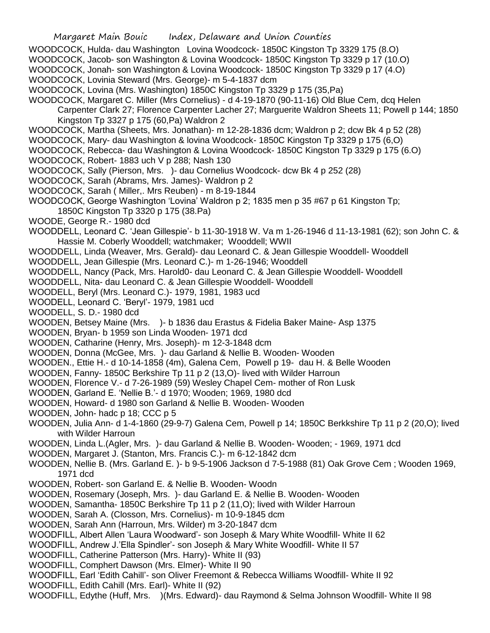- WOODCOCK, Hulda- dau Washington Lovina Woodcock- 1850C Kingston Tp 3329 175 (8.O) WOODCOCK, Jacob- son Washington & Lovina Woodcock- 1850C Kingston Tp 3329 p 17 (10.O) WOODCOCK, Jonah- son Washington & Lovina Woodcock- 1850C Kingston Tp 3329 p 17 (4.O) WOODCOCK, Lovinia Steward (Mrs. George)- m 5-4-1837 dcm WOODCOCK, Lovina (Mrs. Washington) 1850C Kingston Tp 3329 p 175 (35,Pa)
- 
- WOODCOCK, Margaret C. Miller (Mrs Cornelius) d 4-19-1870 (90-11-16) Old Blue Cem, dcq Helen Carpenter Clark 27; Florence Carpenter Lacher 27; Marguerite Waldron Sheets 11; Powell p 144; 1850 Kingston Tp 3327 p 175 (60,Pa) Waldron 2
- WOODCOCK, Martha (Sheets, Mrs. Jonathan)- m 12-28-1836 dcm; Waldron p 2; dcw Bk 4 p 52 (28)
- WOODCOCK, Mary- dau Washington & lovina Woodcock- 1850C Kingston Tp 3329 p 175 (6,O)
- WOODCOCK, Rebecca- dau Washington & Lovina Woodcock- 1850C Kingston Tp 3329 p 175 (6.O)
- WOODCOCK, Robert- 1883 uch V p 288; Nash 130
- WOODCOCK, Sally (Pierson, Mrs. )- dau Cornelius Woodcock- dcw Bk 4 p 252 (28)
- WOODCOCK, Sarah (Abrams, Mrs. James)- Waldron p 2
- WOODCOCK, Sarah ( Miller,. Mrs Reuben) m 8-19-1844
- WOODCOCK, George Washington 'Lovina' Waldron p 2; 1835 men p 35 #67 p 61 Kingston Tp; 1850C Kingston Tp 3320 p 175 (38.Pa)
- WOODE, George R.- 1980 dcd
- WOODDELL, Leonard C. 'Jean Gillespie'- b 11-30-1918 W. Va m 1-26-1946 d 11-13-1981 (62); son John C. & Hassie M. Coberly Wooddell; watchmaker; Wooddell; WWII
- WOODDELL, Linda (Weaver, Mrs. Gerald)- dau Leonard C. & Jean Gillespie Wooddell- Wooddell
- WOODDELL, Jean Gillespie (Mrs. Leonard C.)- m 1-26-1946; Wooddell
- WOODDELL, Nancy (Pack, Mrs. Harold0- dau Leonard C. & Jean Gillespie Wooddell- Wooddell
- WOODDELL, Nita- dau Leonard C. & Jean Gillespie Wooddell- Wooddell
- WOODELL, Beryl (Mrs. Leonard C.)- 1979, 1981, 1983 ucd
- WOODELL, Leonard C. 'Beryl'- 1979, 1981 ucd
- WOODELL, S. D.- 1980 dcd
- WOODEN, Betsey Maine (Mrs. )- b 1836 dau Erastus & Fidelia Baker Maine- Asp 1375
- WOODEN, Bryan- b 1959 son Linda Wooden- 1971 dcd
- WOODEN, Catharine (Henry, Mrs. Joseph)- m 12-3-1848 dcm
- WOODEN, Donna (McGee, Mrs. )- dau Garland & Nellie B. Wooden- Wooden
- WOODEN., Ettie H.- d 10-14-1858 (4m), Galena Cem, Powell p 19- dau H. & Belle Wooden
- WOODEN, Fanny- 1850C Berkshire Tp 11 p 2 (13,O)- lived with Wilder Harroun
- WOODEN, Florence V.- d 7-26-1989 (59) Wesley Chapel Cem- mother of Ron Lusk
- WOODEN, Garland E. 'Nellie B.'- d 1970; Wooden; 1969, 1980 dcd
- WOODEN, Howard- d 1980 son Garland & Nellie B. Wooden- Wooden
- WOODEN, John- hadc p 18; CCC p 5
- WOODEN, Julia Ann- d 1-4-1860 (29-9-7) Galena Cem, Powell p 14; 1850C Berkkshire Tp 11 p 2 (20,O); lived with Wilder Harroun
- WOODEN, Linda L.(Agler, Mrs. )- dau Garland & Nellie B. Wooden- Wooden; 1969, 1971 dcd
- WOODEN, Margaret J. (Stanton, Mrs. Francis C.)- m 6-12-1842 dcm
- WOODEN, Nellie B. (Mrs. Garland E. )- b 9-5-1906 Jackson d 7-5-1988 (81) Oak Grove Cem ; Wooden 1969, 1971 dcd
- WOODEN, Robert- son Garland E. & Nellie B. Wooden- Woodn
- WOODEN, Rosemary (Joseph, Mrs. )- dau Garland E. & Nellie B. Wooden- Wooden
- WOODEN, Samantha- 1850C Berkshire Tp 11 p 2 (11,O); lived with Wilder Harroun
- WOODEN, Sarah A. (Closson, Mrs. Cornelius)- m 10-9-1845 dcm
- WOODEN, Sarah Ann (Harroun, Mrs. Wilder) m 3-20-1847 dcm
- WOODFILL, Albert Allen 'Laura Woodward'- son Joseph & Mary White Woodfill- White II 62
- WOODFILL, Andrew J.'Ella Spindler'- son Joseph & Mary White Woodfill- White II 57
- WOODFILL, Catherine Patterson (Mrs. Harry)- White II (93)
- WOODFILL, Comphert Dawson (Mrs. Elmer)- White II 90
- WOODFILL, Earl 'Edith Cahill'- son Oliver Freemont & Rebecca Williams Woodfill- White II 92
- WOODFILL, Edith Cahill (Mrs. Earl)- White II (92)
- WOODFILL, Edythe (Huff, Mrs. )(Mrs. Edward)- dau Raymond & Selma Johnson Woodfill- White II 98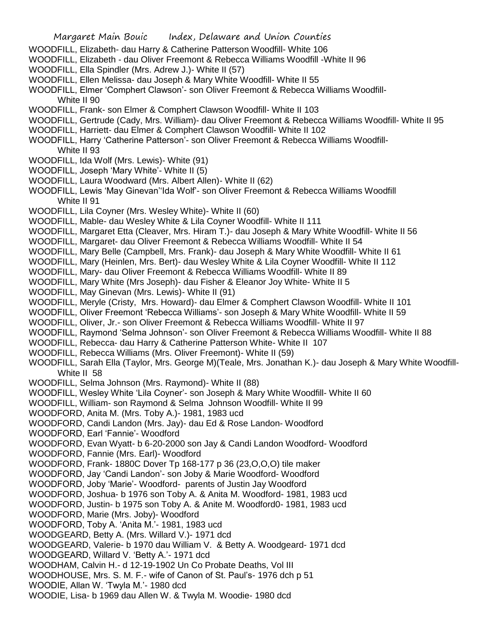- WOODFILL, Elizabeth- dau Harry & Catherine Patterson Woodfill- White 106
- WOODFILL, Elizabeth dau Oliver Freemont & Rebecca Williams Woodfill -White II 96
- WOODFILL, Ella Spindler (Mrs. Adrew J.)- White II (57)
- WOODFILL, Ellen Melissa- dau Joseph & Mary White Woodfill- White II 55
- WOODFILL, Elmer 'Comphert Clawson'- son Oliver Freemont & Rebecca Williams Woodfill-White II 90
- WOODFILL, Frank- son Elmer & Comphert Clawson Woodfill- White II 103
- WOODFILL, Gertrude (Cady, Mrs. William)- dau Oliver Freemont & Rebecca Williams Woodfill- White II 95
- WOODFILL, Harriett- dau Elmer & Comphert Clawson Woodfill- White II 102
- WOODFILL, Harry 'Catherine Patterson'- son Oliver Freemont & Rebecca Williams Woodfill-White II 93
- WOODFILL, Ida Wolf (Mrs. Lewis)- White (91)
- WOODFILL, Joseph 'Mary White'- White II (5)
- WOODFILL, Laura Woodward (Mrs. Albert Allen)- White II (62)
- WOODFILL, Lewis 'May Ginevan''Ida Wolf'- son Oliver Freemont & Rebecca Williams Woodfill White II 91
- WOODFILL, Lila Coyner (Mrs. Wesley White)- White II (60)
- WOODFILL, Mable- dau Wesley White & Lila Coyner Woodfill- White II 111
- WOODFILL, Margaret Etta (Cleaver, Mrs. Hiram T.)- dau Joseph & Mary White Woodfill- White II 56
- WOODFILL, Margaret- dau Oliver Freemont & Rebecca Williams Woodfill- White II 54
- WOODFILL, Mary Belle (Campbell, Mrs. Frank)- dau Joseph & Mary White Woodfill- White II 61
- WOODFILL, Mary (Heinlen, Mrs. Bert)- dau Wesley White & Lila Coyner Woodfill- White II 112
- WOODFILL, Mary- dau Oliver Freemont & Rebecca Williams Woodfill- White II 89
- WOODFILL, Mary White (Mrs Joseph)- dau Fisher & Eleanor Joy White- White II 5
- WOODFILL, May Ginevan (Mrs. Lewis)- White II (91)
- WOODFILL, Meryle (Cristy, Mrs. Howard)- dau Elmer & Comphert Clawson Woodfill- White II 101
- WOODFILL, Oliver Freemont 'Rebecca Williams'- son Joseph & Mary White Woodfill- White II 59
- WOODFILL, Oliver, Jr.- son Oliver Freemont & Rebecca Williams Woodfill- White II 97
- WOODFILL, Raymond 'Selma Johnson'- son Oliver Freemont & Rebecca Williams Woodfill- White II 88
- WOODFILL, Rebecca- dau Harry & Catherine Patterson White- White II 107
- WOODFILL, Rebecca Williams (Mrs. Oliver Freemont)- White II (59)
- WOODFILL, Sarah Ella (Taylor, Mrs. George M)(Teale, Mrs. Jonathan K.)- dau Joseph & Mary White Woodfill-White II 58
- WOODFILL, Selma Johnson (Mrs. Raymond)- White II (88)
- WOODFILL, Wesley White 'Lila Coyner'- son Joseph & Mary White Woodfill- White II 60
- WOODFILL, William- son Raymond & Selma Johnson Woodfill- White II 99
- WOODFORD, Anita M. (Mrs. Toby A.)- 1981, 1983 ucd
- WOODFORD, Candi Landon (Mrs. Jay)- dau Ed & Rose Landon- Woodford
- WOODFORD, Earl 'Fannie'- Woodford
- WOODFORD, Evan Wyatt- b 6-20-2000 son Jay & Candi Landon Woodford- Woodford
- WOODFORD, Fannie (Mrs. Earl)- Woodford
- WOODFORD, Frank- 1880C Dover Tp 168-177 p 36 (23,O,O,O) tile maker
- WOODFORD, Jay 'Candi Landon'- son Joby & Marie Woodford- Woodford
- WOODFORD, Joby 'Marie'- Woodford- parents of Justin Jay Woodford
- WOODFORD, Joshua- b 1976 son Toby A. & Anita M. Woodford- 1981, 1983 ucd
- WOODFORD, Justin- b 1975 son Toby A. & Anite M. Woodford0- 1981, 1983 ucd
- WOODFORD, Marie (Mrs. Joby)- Woodford
- WOODFORD, Toby A. 'Anita M.'- 1981, 1983 ucd
- WOODGEARD, Betty A. (Mrs. Willard V.)- 1971 dcd
- WOODGEARD, Valerie- b 1970 dau William V. & Betty A. Woodgeard- 1971 dcd
- WOODGEARD, Willard V. 'Betty A.'- 1971 dcd
- WOODHAM, Calvin H.- d 12-19-1902 Un Co Probate Deaths, Vol III
- WOODHOUSE, Mrs. S. M. F.- wife of Canon of St. Paul's- 1976 dch p 51
- WOODIE, Allan W. 'Twyla M.'- 1980 dcd
- WOODIE, Lisa- b 1969 dau Allen W. & Twyla M. Woodie- 1980 dcd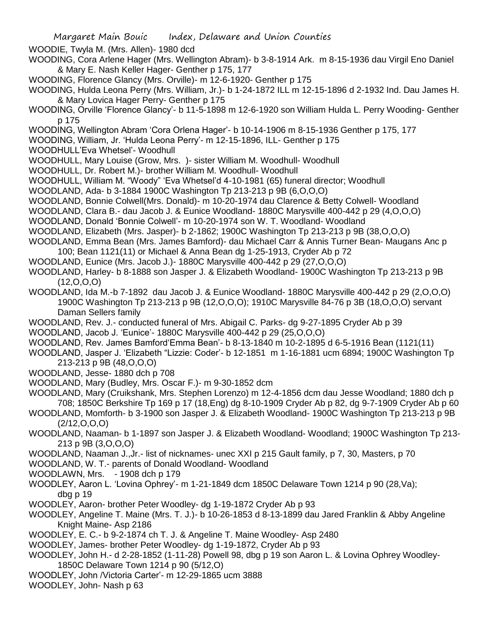WOODIE, Twyla M. (Mrs. Allen)- 1980 dcd

- WOODING, Cora Arlene Hager (Mrs. Wellington Abram)- b 3-8-1914 Ark. m 8-15-1936 dau Virgil Eno Daniel & Mary E. Nash Keller Hager- Genther p 175, 177
- WOODING, Florence Glancy (Mrs. Orville)- m 12-6-1920- Genther p 175
- WOODING, Hulda Leona Perry (Mrs. William, Jr.)- b 1-24-1872 ILL m 12-15-1896 d 2-1932 Ind. Dau James H. & Mary Lovica Hager Perry- Genther p 175
- WOODING, Orville 'Florence Glancy'- b 11-5-1898 m 12-6-1920 son William Hulda L. Perry Wooding- Genther p 175
- WOODING, Wellington Abram 'Cora Orlena Hager'- b 10-14-1906 m 8-15-1936 Genther p 175, 177
- WOODING, William, Jr. 'Hulda Leona Perry'- m 12-15-1896, ILL- Genther p 175
- WOODHULL'Eva Whetsel'- Woodhull
- WOODHULL, Mary Louise (Grow, Mrs. )- sister William M. Woodhull- Woodhull
- WOODHULL, Dr. Robert M.)- brother William M. Woodhull- Woodhull
- WOODHULL, William M. "Woody" 'Eva Whetsel'd 4-10-1981 (65) funeral director; Woodhull
- WOODLAND, Ada- b 3-1884 1900C Washington Tp 213-213 p 9B (6,O,O,O)
- WOODLAND, Bonnie Colwell(Mrs. Donald)- m 10-20-1974 dau Clarence & Betty Colwell- Woodland
- WOODLAND, Clara B.- dau Jacob J. & Eunice Woodland- 1880C Marysville 400-442 p 29 (4,O,O,O)
- WOODLAND, Donald 'Bonnie Colwell'- m 10-20-1974 son W. T. Woodland- Woodland
- WOODLAND, Elizabeth (Mrs. Jasper)- b 2-1862; 1900C Washington Tp 213-213 p 9B (38,O,O,O)
- WOODLAND, Emma Bean (Mrs. James Bamford)- dau Michael Carr & Annis Turner Bean- Maugans Anc p 100; Bean 1121(11) or Michael & Anna Bean dg 1-25-1913, Cryder Ab p 72
- WOODLAND, Eunice (Mrs. Jacob J.)- 1880C Marysville 400-442 p 29 (27,O,O,O)
- WOODLAND, Harley- b 8-1888 son Jasper J. & Elizabeth Woodland- 1900C Washington Tp 213-213 p 9B  $(12, 0, 0, 0)$
- WOODLAND, Ida M.-b 7-1892 dau Jacob J. & Eunice Woodland- 1880C Marysville 400-442 p 29 (2,O,O,O) 1900C Washington Tp 213-213 p 9B (12,O,O,O); 1910C Marysville 84-76 p 3B (18,O,O,O) servant Daman Sellers family
- WOODLAND, Rev. J.- conducted funeral of Mrs. Abigail C. Parks- dg 9-27-1895 Cryder Ab p 39
- WOODLAND, Jacob J. 'Eunice'- 1880C Marysville 400-442 p 29 (25,O,O,O)
- WOODLAND, Rev. James Bamford'Emma Bean'- b 8-13-1840 m 10-2-1895 d 6-5-1916 Bean (1121(11)
- WOODLAND, Jasper J. 'Elizabeth "Lizzie: Coder'- b 12-1851 m 1-16-1881 ucm 6894; 1900C Washington Tp 213-213 p 9B (48,O,O,O)
- WOODLAND, Jesse- 1880 dch p 708
- WOODLAND, Mary (Budley, Mrs. Oscar F.)- m 9-30-1852 dcm
- WOODLAND, Mary (Cruikshank, Mrs. Stephen Lorenzo) m 12-4-1856 dcm dau Jesse Woodland; 1880 dch p 708; 1850C Berkshire Tp 169 p 17 (18,Eng) dg 8-10-1909 Cryder Ab p 82, dg 9-7-1909 Cryder Ab p 60
- WOODLAND, Momforth- b 3-1900 son Jasper J. & Elizabeth Woodland- 1900C Washington Tp 213-213 p 9B  $(2/12, 0, 0, 0)$
- WOODLAND, Naaman- b 1-1897 son Jasper J. & Elizabeth Woodland- Woodland; 1900C Washington Tp 213- 213 p 9B (3,O,O,O)
- WOODLAND, Naaman J.,Jr.- list of nicknames- unec XXI p 215 Gault family, p 7, 30, Masters, p 70
- WOODLAND, W. T.- parents of Donald Woodland- Woodland
- WOODLAWN, Mrs. 1908 dch p 179
- WOODLEY, Aaron L. 'Lovina Ophrey'- m 1-21-1849 dcm 1850C Delaware Town 1214 p 90 (28,Va); dbg p 19
- WOODLEY, Aaron- brother Peter Woodley- dg 1-19-1872 Cryder Ab p 93
- WOODLEY, Angeline T. Maine (Mrs. T. J.)- b 10-26-1853 d 8-13-1899 dau Jared Franklin & Abby Angeline Knight Maine- Asp 2186
- WOODLEY, E. C.- b 9-2-1874 ch T. J. & Angeline T. Maine Woodley- Asp 2480
- WOODLEY, James- brother Peter Woodley- dg 1-19-1872, Cryder Ab p 93
- WOODLEY, John H.- d 2-28-1852 (1-11-28) Powell 98, dbg p 19 son Aaron L. & Lovina Ophrey Woodley-1850C Delaware Town 1214 p 90 (5/12,O)
- WOODLEY, John /Victoria Carter'- m 12-29-1865 ucm 3888
- WOODLEY, John- Nash p 63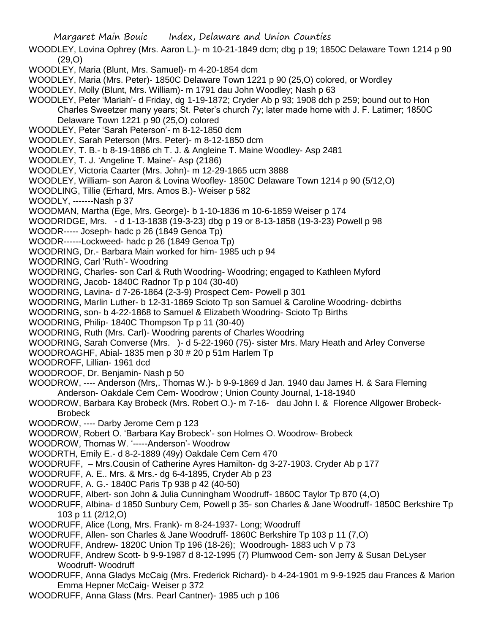- WOODLEY, Lovina Ophrey (Mrs. Aaron L.)- m 10-21-1849 dcm; dbg p 19; 1850C Delaware Town 1214 p 90 (29,O)
- WOODLEY, Maria (Blunt, Mrs. Samuel)- m 4-20-1854 dcm
- WOODLEY, Maria (Mrs. Peter)- 1850C Delaware Town 1221 p 90 (25,O) colored, or Wordley
- WOODLEY, Molly (Blunt, Mrs. William)- m 1791 dau John Woodley; Nash p 63
- WOODLEY, Peter 'Mariah'- d Friday, dg 1-19-1872; Cryder Ab p 93; 1908 dch p 259; bound out to Hon Charles Sweetzer many years; St. Peter's church 7y; later made home with J. F. Latimer; 1850C Delaware Town 1221 p 90 (25,O) colored
- WOODLEY, Peter 'Sarah Peterson'- m 8-12-1850 dcm
- WOODLEY, Sarah Peterson (Mrs. Peter)- m 8-12-1850 dcm
- WOODLEY, T. B.- b 8-19-1886 ch T. J. & Angleine T. Maine Woodley- Asp 2481
- WOODLEY, T. J. 'Angeline T. Maine'- Asp (2186)
- WOODLEY, Victoria Caarter (Mrs. John)- m 12-29-1865 ucm 3888
- WOODLEY, William- son Aaron & Lovina Woofley- 1850C Delaware Town 1214 p 90 (5/12,O)
- WOODLING, Tillie (Erhard, Mrs. Amos B.)- Weiser p 582
- WOODLY, -------Nash p 37
- WOODMAN, Martha (Ege, Mrs. George)- b 1-10-1836 m 10-6-1859 Weiser p 174
- WOODRIDGE, Mrs. d 1-13-1838 (19-3-23) dbg p 19 or 8-13-1858 (19-3-23) Powell p 98
- WOODR----- Joseph- hadc p 26 (1849 Genoa Tp)
- WOODR------Lockweed- hadc p 26 (1849 Genoa Tp)
- WOODRING, Dr.- Barbara Main worked for him- 1985 uch p 94
- WOODRING, Carl 'Ruth'- Woodring
- WOODRING, Charles- son Carl & Ruth Woodring- Woodring; engaged to Kathleen Myford
- WOODRING, Jacob- 1840C Radnor Tp p 104 (30-40)
- WOODRING, Lavina- d 7-26-1864 (2-3-9) Prospect Cem- Powell p 301
- WOODRING, Marlin Luther- b 12-31-1869 Scioto Tp son Samuel & Caroline Woodring- dcbirths
- WOODRING, son- b 4-22-1868 to Samuel & Elizabeth Woodring- Scioto Tp Births
- WOODRING, Philip- 1840C Thompson Tp p 11 (30-40)
- WOODRING, Ruth (Mrs. Carl)- Woodring parents of Charles Woodring
- WOODRING, Sarah Converse (Mrs. )- d 5-22-1960 (75)- sister Mrs. Mary Heath and Arley Converse
- WOODROAGHF, Abial- 1835 men p 30 # 20 p 51m Harlem Tp
- WOODROFF, Lillian- 1961 dcd
- WOODROOF, Dr. Benjamin- Nash p 50
- WOODROW, ---- Anderson (Mrs,. Thomas W.)- b 9-9-1869 d Jan. 1940 dau James H. & Sara Fleming Anderson- Oakdale Cem Cem- Woodrow ; Union County Journal, 1-18-1940
- WOODROW, Barbara Kay Brobeck (Mrs. Robert O.)- m 7-16- dau John I. & Florence Allgower Brobeck-Brobeck
- WOODROW, ---- Darby Jerome Cem p 123
- WOODROW, Robert O. 'Barbara Kay Brobeck'- son Holmes O. Woodrow- Brobeck
- WOODROW, Thomas W. '-----Anderson'- Woodrow
- WOODRTH, Emily E.- d 8-2-1889 (49y) Oakdale Cem Cem 470
- WOODRUFF, Mrs.Cousin of Catherine Ayres Hamilton- dg 3-27-1903. Cryder Ab p 177
- WOODRUFF, A. E.. Mrs. & Mrs.- dg 6-4-1895, Cryder Ab p 23
- WOODRUFF, A. G.- 1840C Paris Tp 938 p 42 (40-50)
- WOODRUFF, Albert- son John & Julia Cunningham Woodruff- 1860C Taylor Tp 870 (4,O)
- WOODRUFF, Albina- d 1850 Sunbury Cem, Powell p 35- son Charles & Jane Woodruff- 1850C Berkshire Tp 103 p 11 (2/12,O)
- WOODRUFF, Alice (Long, Mrs. Frank)- m 8-24-1937- Long; Woodruff
- WOODRUFF, Allen- son Charles & Jane Woodruff- 1860C Berkshire Tp 103 p 11 (7,O)
- WOODRUFF, Andrew- 1820C Union Tp 196 (18-26); Woodrough- 1883 uch V p 73
- WOODRUFF, Andrew Scott- b 9-9-1987 d 8-12-1995 (7) Plumwood Cem- son Jerry & Susan DeLyser Woodruff- Woodruff
- WOODRUFF, Anna Gladys McCaig (Mrs. Frederick Richard)- b 4-24-1901 m 9-9-1925 dau Frances & Marion Emma Hepner McCaig- Weiser p 372
- WOODRUFF, Anna Glass (Mrs. Pearl Cantner)- 1985 uch p 106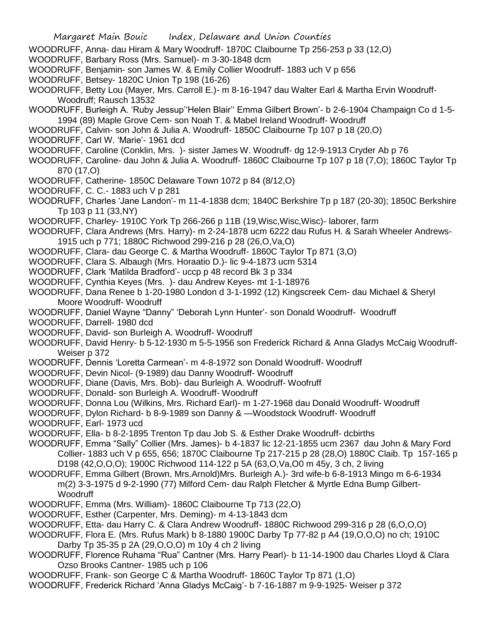- WOODRUFF, Anna- dau Hiram & Mary Woodruff- 1870C Claibourne Tp 256-253 p 33 (12,O)
- WOODRUFF, Barbary Ross (Mrs. Samuel)- m 3-30-1848 dcm
- WOODRUFF, Benjamin- son James W. & Emily Collier Woodruff- 1883 uch V p 656
- WOODRUFF, Betsey- 1820C Union Tp 198 (16-26)
- WOODRUFF, Betty Lou (Mayer, Mrs. Carroll E.)- m 8-16-1947 dau Walter Earl & Martha Ervin Woodruff-Woodruff; Rausch 13532
- WOODRUFF, Burleigh A. 'Ruby Jessup''Helen Blair'' Emma Gilbert Brown'- b 2-6-1904 Champaign Co d 1-5- 1994 (89) Maple Grove Cem- son Noah T. & Mabel Ireland Woodruff- Woodruff
- WOODRUFF, Calvin- son John & Julia A. Woodruff- 1850C Claibourne Tp 107 p 18 (20,O)
- WOODRUFF, Carl W. 'Marie'- 1961 dcd
- WOODRUFF, Caroline (Conklin, Mrs. )- sister James W. Woodruff- dg 12-9-1913 Cryder Ab p 76
- WOODRUFF, Caroline- dau John & Julia A. Woodruff- 1860C Claibourne Tp 107 p 18 (7,O); 1860C Taylor Tp 870 (17,O)
- WOODRUFF, Catherine- 1850C Delaware Town 1072 p 84 (8/12,O)
- WOODRUFF, C. C.- 1883 uch V p 281
- WOODRUFF, Charles 'Jane Landon'- m 11-4-1838 dcm; 1840C Berkshire Tp p 187 (20-30); 1850C Berkshire Tp 103 p 11 (33,NY)
- WOODRUFF, Charley- 1910C York Tp 266-266 p 11B (19,Wisc,Wisc,Wisc)- laborer, farm
- WOODRUFF, Clara Andrews (Mrs. Harry)- m 2-24-1878 ucm 6222 dau Rufus H. & Sarah Wheeler Andrews-1915 uch p 771; 1880C Richwood 299-216 p 28 (26,O,Va,O)
- WOODRUFF, Clara- dau George C. & Martha Woodruff- 1860C Taylor Tp 871 (3,O)
- WOODRUFF, Clara S. Albaugh (Mrs. Horaatio D.)- lic 9-4-1873 ucm 5314
- WOODRUFF, Clark 'Matilda Bradford'- uccp p 48 record Bk 3 p 334
- WOODRUFF, Cynthia Keyes (Mrs. )- dau Andrew Keyes- mt 1-1-18976
- WOODRUFF, Dana Renee b 1-20-1980 London d 3-1-1992 (12) Kingscreek Cem- dau Michael & Sheryl Moore Woodruff- Woodruff
- WOODRUFF, Daniel Wayne "Danny" 'Deborah Lynn Hunter'- son Donald Woodruff- Woodruff
- WOODRUFF, Darrell- 1980 dcd
- WOODRUFF, David- son Burleigh A. Woodruff- Woodruff
- WOODRUFF, David Henry- b 5-12-1930 m 5-5-1956 son Frederick Richard & Anna Gladys McCaig Woodruff-Weiser p 372
- WOODRUFF, Dennis 'Loretta Carmean'- m 4-8-1972 son Donald Woodruff- Woodruff
- WOODRUFF, Devin Nicol- (9-1989) dau Danny Woodruff- Woodruff
- WOODRUFF, Diane (Davis, Mrs. Bob)- dau Burleigh A. Woodruff- Woofruff
- WOODRUFF, Donald- son Burleigh A. Woodruff- Woodruff
- WOODRUFF, Donna Lou (Wilkins, Mrs. Richard Earl)- m 1-27-1968 dau Donald Woodruff- Woodruff
- WOODRUFF, Dylon Richard- b 8-9-1989 son Danny & —Woodstock Woodruff- Woodruff
- WOODRUFF, Earl- 1973 ucd
- WOODRUFF, Ella- b 8-2-1895 Trenton Tp dau Job S. & Esther Drake Woodruff- dcbirths
- WOODRUFF, Emma "Sally" Collier (Mrs. James)- b 4-1837 lic 12-21-1855 ucm 2367 dau John & Mary Ford Collier- 1883 uch V p 655, 656; 1870C Claibourne Tp 217-215 p 28 (28,O) 1880C Claib. Tp 157-165 p D198 (42,O,O,O); 1900C Richwood 114-122 p 5A (63,O,Va,O0 m 45y, 3 ch, 2 living
- WOODRUFF, Emma Gilbert (Brown, Mrs.Arnold)Mrs. Burleigh A.)- 3rd wife-b 6-8-1913 Mingo m 6-6-1934 m(2) 3-3-1975 d 9-2-1990 (77) Milford Cem- dau Ralph Fletcher & Myrtle Edna Bump Gilbert-**Woodruff**
- WOODRUFF, Emma (Mrs. William)- 1860C Claibourne Tp 713 (22,O)
- WOODRUFF, Esther (Carpenter, Mrs. Deming)- m 4-13-1843 dcm
- WOODRUFF, Etta- dau Harry C. & Clara Andrew Woodruff- 1880C Richwood 299-316 p 28 (6,O,O,O)
- WOODRUFF, Flora E. (Mrs. Rufus Mark) b 8-1880 1900C Darby Tp 77-82 p A4 (19,O,O,O) no ch; 1910C Darby Tp 35-35 p 2A (29,O,O,O) m 10y 4 ch 2 living
- WOODRUFF, Florence Ruhama "Rua" Cantner (Mrs. Harry Pearl)- b 11-14-1900 dau Charles Lloyd & Clara Ozso Brooks Cantner- 1985 uch p 106
- WOODRUFF, Frank- son George C & Martha Woodruff- 1860C Taylor Tp 871 (1,O)
- WOODRUFF, Frederick Richard 'Anna Gladys McCaig'- b 7-16-1887 m 9-9-1925- Weiser p 372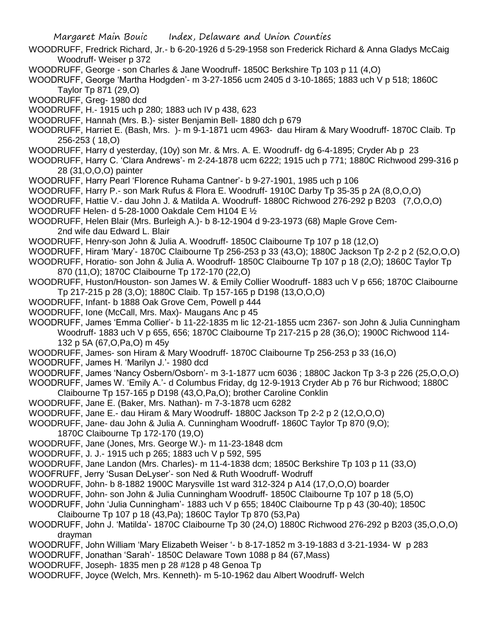- WOODRUFF, Fredrick Richard, Jr.- b 6-20-1926 d 5-29-1958 son Frederick Richard & Anna Gladys McCaig Woodruff- Weiser p 372
- WOODRUFF, George son Charles & Jane Woodruff- 1850C Berkshire Tp 103 p 11 (4,O)
- WOODRUFF, George 'Martha Hodgden'- m 3-27-1856 ucm 2405 d 3-10-1865; 1883 uch V p 518; 1860C Taylor Tp 871 (29,O)
- WOODRUFF, Greg- 1980 dcd
- WOODRUFF, H.- 1915 uch p 280; 1883 uch IV p 438, 623
- WOODRUFF, Hannah (Mrs. B.)- sister Benjamin Bell- 1880 dch p 679
- WOODRUFF, Harriet E. (Bash, Mrs. )- m 9-1-1871 ucm 4963- dau Hiram & Mary Woodruff- 1870C Claib. Tp 256-253 ( 18,O)
- WOODRUFF, Harry d yesterday, (10y) son Mr. & Mrs. A. E. Woodruff- dg 6-4-1895; Cryder Ab p 23
- WOODRUFF, Harry C. 'Clara Andrews'- m 2-24-1878 ucm 6222; 1915 uch p 771; 1880C Richwood 299-316 p 28 (31,O,O,O) painter
- WOODRUFF, Harry Pearl 'Florence Ruhama Cantner'- b 9-27-1901, 1985 uch p 106
- WOODRUFF, Harry P.- son Mark Rufus & Flora E. Woodruff- 1910C Darby Tp 35-35 p 2A (8,O,O,O)
- WOODRUFF, Hattie V.- dau John J. & Matilda A. Woodruff- 1880C Richwood 276-292 p B203 (7,O,O,O)
- WOODRUFF Helen- d 5-28-1000 Oakdale Cem H104 E ½
- WOODRUFF, Helen Blair (Mrs. Burleigh A.)- b 8-12-1904 d 9-23-1973 (68) Maple Grove Cem-2nd wife dau Edward L. Blair
- WOODRUFF, Henry-son John & Julia A. Woodruff- 1850C Claibourne Tp 107 p 18 (12,O)
- WOODRUFF, Hiram 'Mary'- 1870C Claibourne Tp 256-253 p 33 (43,O); 1880C Jackson Tp 2-2 p 2 (52,O,O,O)
- WOODRUFF, Horatio- son John & Julia A. Woodruff- 1850C Claibourne Tp 107 p 18 (2,O); 1860C Taylor Tp 870 (11,O); 1870C Claibourne Tp 172-170 (22,O)
- WOODRUFF, Huston/Houston- son James W. & Emily Collier Woodruff- 1883 uch V p 656; 1870C Claibourne Tp 217-215 p 28 (3,O); 1880C Claib. Tp 157-165 p D198 (13,O,O,O)
- WOODRUFF, Infant- b 1888 Oak Grove Cem, Powell p 444
- WOODRUFF, Ione (McCall, Mrs. Max)- Maugans Anc p 45
- WOODRUFF, James 'Emma Collier'- b 11-22-1835 m lic 12-21-1855 ucm 2367- son John & Julia Cunningham Woodruff- 1883 uch V p 655, 656; 1870C Claibourne Tp 217-215 p 28 (36,O); 1900C Richwood 114- 132 p 5A (67,O,Pa,O) m 45y
- WOODRUFF, James- son Hiram & Mary Woodruff- 1870C Claibourne Tp 256-253 p 33 (16,O)
- WOODRUFF, James H. 'Marilyn J.'- 1980 dcd
- WOODRUFF, James 'Nancy Osbern/Osborn'- m 3-1-1877 ucm 6036 ; 1880C Jackon Tp 3-3 p 226 (25,O,O,O)
- WOODRUFF, James W. 'Emily A.'- d Columbus Friday, dg 12-9-1913 Cryder Ab p 76 bur Richwood; 1880C
- Claibourne Tp 157-165 p D198 (43,O,Pa,O); brother Caroline Conklin
- WOODRUFF, Jane E. (Baker, Mrs. Nathan)- m 7-3-1878 ucm 6282
- WOODRUFF, Jane E.- dau Hiram & Mary Woodruff- 1880C Jackson Tp 2-2 p 2 (12,O,O,O)
- WOODRUFF, Jane- dau John & Julia A. Cunningham Woodruff- 1860C Taylor Tp 870 (9,O);
	- 1870C Claibourne Tp 172-170 (19,O)
- WOODRUFF, Jane (Jones, Mrs. George W.)- m 11-23-1848 dcm
- WOODRUFF, J. J.- 1915 uch p 265; 1883 uch V p 592, 595
- WOODRUFF, Jane Landon (Mrs. Charles)- m 11-4-1838 dcm; 1850C Berkshire Tp 103 p 11 (33,O)
- WOOFRUFF, Jerry 'Susan DeLyser'- son Ned & Ruth Woodruff- Wodruff
- WOODRUFF, John- b 8-1882 1900C Marysville 1st ward 312-324 p A14 (17,O,O,O) boarder
- WOODRUFF, John- son John & Julia Cunningham Woodruff- 1850C Claibourne Tp 107 p 18 (5,O)
- WOODRUFF, John 'Julia Cunningham'- 1883 uch V p 655; 1840C Claibourne Tp p 43 (30-40); 1850C Claibourne Tp 107 p 18 (43,Pa); 1860C Taylor Tp 870 (53,Pa)
- WOODRUFF, John J. 'Matilda'- 1870C Claibourne Tp 30 (24,O) 1880C Richwood 276-292 p B203 (35,O,O,O) drayman
- WOODRUFF, John William 'Mary Elizabeth Weiser '- b 8-17-1852 m 3-19-1883 d 3-21-1934- W p 283
- WOODRUFF, Jonathan 'Sarah'- 1850C Delaware Town 1088 p 84 (67,Mass)
- WOODRUFF, Joseph- 1835 men p 28 #128 p 48 Genoa Tp
- WOODRUFF, Joyce (Welch, Mrs. Kenneth)- m 5-10-1962 dau Albert Woodruff- Welch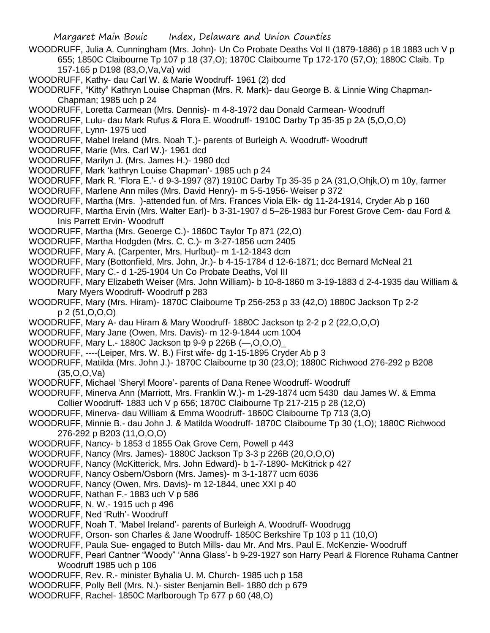WOODRUFF, Julia A. Cunningham (Mrs. John)- Un Co Probate Deaths Vol II (1879-1886) p 18 1883 uch V p 655; 1850C Claibourne Tp 107 p 18 (37,O); 1870C Claibourne Tp 172-170 (57,O); 1880C Claib. Tp 157-165 p D198 (83,O,Va,Va) wid

WOODRUFF, Kathy- dau Carl W. & Marie Woodruff- 1961 (2) dcd

WOODRUFF, "Kitty" Kathryn Louise Chapman (Mrs. R. Mark)- dau George B. & Linnie Wing Chapman-Chapman; 1985 uch p 24

WOODRUFF, Loretta Carmean (Mrs. Dennis)- m 4-8-1972 dau Donald Carmean- Woodruff

WOODRUFF, Lulu- dau Mark Rufus & Flora E. Woodruff- 1910C Darby Tp 35-35 p 2A (5,O,O,O) WOODRUFF, Lynn- 1975 ucd

- WOODRUFF, Mabel Ireland (Mrs. Noah T.)- parents of Burleigh A. Woodruff- Woodruff
- WOODRUFF, Marie (Mrs. Carl W.)- 1961 dcd
- WOODRUFF, Marilyn J. (Mrs. James H.)- 1980 dcd
- WOODRUFF, Mark 'kathryn Louise Chapman'- 1985 uch p 24
- WOODRUFF, Mark R. 'Flora E.'- d 9-3-1997 (87) 1910C Darby Tp 35-35 p 2A (31,O,Ohjk,O) m 10y, farmer
- WOODRUFF, Marlene Ann miles (Mrs. David Henry)- m 5-5-1956- Weiser p 372
- WOODRUFF, Martha (Mrs. )-attended fun. of Mrs. Frances Viola Elk- dg 11-24-1914, Cryder Ab p 160
- WOODRUFF, Martha Ervin (Mrs. Walter Earl)- b 3-31-1907 d 5–26-1983 bur Forest Grove Cem- dau Ford & Inis Parrett Ervin- Woodruff
- WOODRUFF, Martha (Mrs. Geoerge C.)- 1860C Taylor Tp 871 (22,O)
- WOODRUFF, Martha Hodgden (Mrs. C. C.)- m 3-27-1856 ucm 2405
- WOODRUFF, Mary A. (Carpenter, Mrs. Hurlbut)- m 1-12-1843 dcm
- WOODRUFF, Mary (Bottonfield, Mrs. John, Jr.)- b 4-15-1784 d 12-6-1871; dcc Bernard McNeal 21
- WOODRUFF, Mary C.- d 1-25-1904 Un Co Probate Deaths, Vol III
- WOODRUFF, Mary Elizabeth Weiser (Mrs. John William)- b 10-8-1860 m 3-19-1883 d 2-4-1935 dau William & Mary Myers Woodruff- Woodruff p 283
- WOODRUFF, Mary (Mrs. Hiram)- 1870C Claibourne Tp 256-253 p 33 (42,O) 1880C Jackson Tp 2-2 p 2 (51,O,O,O)
- WOODRUFF, Mary A- dau Hiram & Mary Woodruff- 1880C Jackson tp 2-2 p 2 (22,O,O,O)
- WOODRUFF, Mary Jane (Owen, Mrs. Davis)- m 12-9-1844 ucm 1004
- WOODRUFF, Mary L.- 1880C Jackson tp 9-9 p 226B (—,O,O,O)\_
- WOODRUFF, ----(Leiper, Mrs. W. B.) First wife- dg 1-15-1895 Cryder Ab p 3
- WOODRUFF, Matilda (Mrs. John J.)- 1870C Claibourne tp 30 (23,O); 1880C Richwood 276-292 p B208 (35,O,O,Va)
- WOODRUFF, Michael 'Sheryl Moore'- parents of Dana Renee Woodruff- Woodruff
- WOODRUFF, Minerva Ann (Marriott, Mrs. Franklin W.)- m 1-29-1874 ucm 5430 dau James W. & Emma Collier Woodruff- 1883 uch V p 656; 1870C Claibourne Tp 217-215 p 28 (12,O)
- WOODRUFF, Minerva- dau William & Emma Woodruff- 1860C Claibourne Tp 713 (3,O)
- WOODRUFF, Minnie B.- dau John J. & Matilda Woodruff- 1870C Claibourne Tp 30 (1,O); 1880C Richwood
	- 276-292 p B203 (11,O,O,O)
- WOODRUFF, Nancy- b 1853 d 1855 Oak Grove Cem, Powell p 443
- WOODRUFF, Nancy (Mrs. James)- 1880C Jackson Tp 3-3 p 226B (20,O,O,O)
- WOODRUFF, Nancy (McKitterick, Mrs. John Edward)- b 1-7-1890- McKitrick p 427
- WOODRUFF, Nancy Osbern/Osborn (Mrs. James)- m 3-1-1877 ucm 6036
- WOODRUFF, Nancy (Owen, Mrs. Davis)- m 12-1844, unec XXI p 40
- WOODRUFF, Nathan F.- 1883 uch V p 586
- WOODRUFF, N. W.- 1915 uch p 496
- WOODRUFF, Ned 'Ruth'- Woodruff
- WOODRUFF, Noah T. 'Mabel Ireland'- parents of Burleigh A. Woodruff- Woodrugg
- WOODRUFF, Orson- son Charles & Jane Woodruff- 1850C Berkshire Tp 103 p 11 (10,O)
- WOODRUFF, Paula Sue- engaged to Butch Mills- dau Mr. And Mrs. Paul E. McKenzie- Woodruff
- WOODRUFF, Pearl Cantner "Woody" 'Anna Glass'- b 9-29-1927 son Harry Pearl & Florence Ruhama Cantner Woodruff 1985 uch p 106
- WOODRUFF, Rev. R.- minister Byhalia U. M. Church- 1985 uch p 158
- WOODRUFF, Polly Bell (Mrs. N.)- sister Benjamin Bell- 1880 dch p 679
- WOODRUFF, Rachel- 1850C Marlborough Tp 677 p 60 (48,O)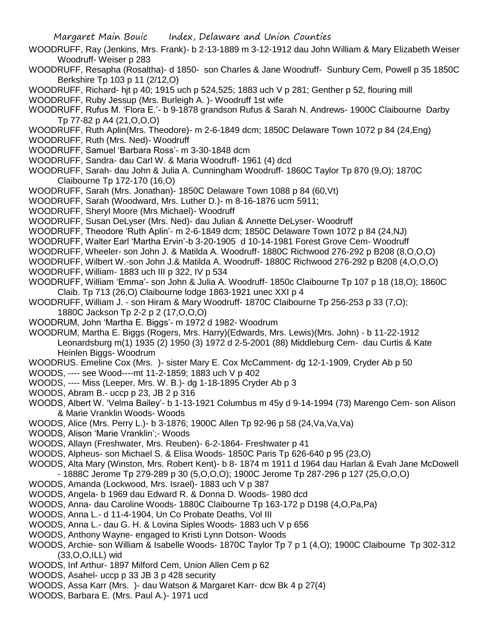- WOODRUFF, Ray (Jenkins, Mrs. Frank)- b 2-13-1889 m 3-12-1912 dau John William & Mary Elizabeth Weiser Woodruff- Weiser p 283
- WOODRUFF, Resapha (Rosaltha)- d 1850- son Charles & Jane Woodruff- Sunbury Cem, Powell p 35 1850C Berkshire Tp 103 p 11 (2/12,O)
- WOODRUFF, Richard- hjt p 40; 1915 uch p 524,525; 1883 uch V p 281; Genther p 52, flouring mill
- WOODRUFF, Ruby Jessup (Mrs. Burleigh A. )- Woodruff 1st wife
- WOODRUFF, Rufus M. 'Flora E.'- b 9-1878 grandson Rufus & Sarah N. Andrews- 1900C Claibourne Darby Tp 77-82 p A4 (21,O,O,O)
- WOODRUFF, Ruth Aplin(Mrs. Theodore)- m 2-6-1849 dcm; 1850C Delaware Town 1072 p 84 (24,Eng)
- WOODRUFF, Ruth (Mrs. Ned)- Woodruff
- WOODRUFF, Samuel 'Barbara Ross'- m 3-30-1848 dcm
- WOODRUFF, Sandra- dau Carl W. & Maria Woodruff- 1961 (4) dcd
- WOODRUFF, Sarah- dau John & Julia A. Cunningham Woodruff- 1860C Taylor Tp 870 (9,O); 1870C Claibourne Tp 172-170 (16,O)
- WOODRUFF, Sarah (Mrs. Jonathan)- 1850C Delaware Town 1088 p 84 (60,Vt)
- WOODRUFF, Sarah (Woodward, Mrs. Luther D.)- m 8-16-1876 ucm 5911;
- WOODRUFF, Sheryl Moore (Mrs Michael)- Woodruff
- WOODRUFF, Susan DeLyser (Mrs. Ned)- dau Julian & Annette DeLyser- Woodruff
- WOODRUFF, Theodore 'Ruth Aplin'- m 2-6-1849 dcm; 1850C Delaware Town 1072 p 84 (24,NJ)
- WOODRUFF, Walter Earl 'Martha Ervin'-b 3-20-1905 d 10-14-1981 Forest Grove Cem- Woodruff
- WOODRUFF, Wheeler- son John J. & Matilda A. Woodruff- 1880C Richwood 276-292 p B208 (8,O,O,O)
- WOODRUFF, Wilbert W.-son John J.& Matilda A. Woodruff- 1880C Richwood 276-292 p B208 (4,O,O,O)
- WOODRUFF, William- 1883 uch III p 322, IV p 534
- WOODRUFF, William 'Emma'- son John & Julia A. Woodruff- 1850c Claibourne Tp 107 p 18 (18,O); 1860C Claib. Tp 713 (26,O) Claibourne lodge 1863-1921 unec XXI p 4
- WOODRUFF, William J. son Hiram & Mary Woodruff- 1870C Claibourne Tp 256-253 p 33 (7,O); 1880C Jackson Tp 2-2 p 2 (17,O,O,O)
- WOODRUM, John 'Martha E. Biggs'- m 1972 d 1982- Woodrum
- WOODRUM, Martha E. Biggs (Rogers, Mrs. Harry)(Edwards, Mrs. Lewis)(Mrs. John) b 11-22-1912 Leonardsburg m(1) 1935 (2) 1950 (3) 1972 d 2-5-2001 (88) Middleburg Cem- dau Curtis & Kate Heinlen Biggs- Woodrum
- WOODRUS. Emeline Cox (Mrs. )- sister Mary E. Cox McCamment- dg 12-1-1909, Cryder Ab p 50
- WOODS, ---- see Wood----mt 11-2-1859; 1883 uch V p 402
- WOODS, ---- Miss (Leeper, Mrs. W. B.)- dg 1-18-1895 Cryder Ab p 3
- WOODS, Abram B.- uccp p 23, JB 2 p 316
- WOODS, Albert W. 'Velma Bailey'- b 1-13-1921 Columbus m 45y d 9-14-1994 (73) Marengo Cem- son Alison & Marie Vranklin Woods- Woods
- WOODS, Alice (Mrs. Perry L.)- b 3-1876; 1900C Allen Tp 92-96 p 58 (24,Va,Va,Va)
- WOODS, Alison 'Marie Vranklin';- Woods
- WOODS, Allayn (Freshwater, Mrs. Reuben)- 6-2-1864- Freshwater p 41
- WOODS, Alpheus- son Michael S. & Elisa Woods- 1850C Paris Tp 626-640 p 95 (23,O)
- WOODS, Alta Mary (Winston, Mrs. Robert Kent)- b 8- 1874 m 1911 d 1964 dau Harlan & Evah Jane McDowell - 1888C Jerome Tp 279-289 p 30 (5,O,O,O); 1900C Jerome Tp 287-296 p 127 (25,O,O,O)
- WOODS, Amanda (Lockwood, Mrs. Israel)- 1883 uch V p 387
- WOODS, Angela- b 1969 dau Edward R. & Donna D. Woods- 1980 dcd
- WOODS, Anna- dau Caroline Woods- 1880C Claibourne Tp 163-172 p D198 (4,O,Pa,Pa)
- WOODS, Anna L.- d 11-4-1904, Un Co Probate Deaths, Vol III
- WOODS, Anna L.- dau G. H. & Lovina Siples Woods- 1883 uch V p 656
- WOODS, Anthony Wayne- engaged to Kristi Lynn Dotson- Woods
- WOODS, Archie- son William & Isabelle Woods- 1870C Taylor Tp 7 p 1 (4,O); 1900C Claibourne Tp 302-312 (33,O,O,ILL) wid
- WOODS, Inf Arthur- 1897 Milford Cem, Union Allen Cem p 62
- WOODS, Asahel- uccp p 33 JB 3 p 428 security
- WOODS, Assa Karr (Mrs. )- dau Watson & Margaret Karr- dcw Bk 4 p 27(4)
- WOODS, Barbara E. (Mrs. Paul A.)- 1971 ucd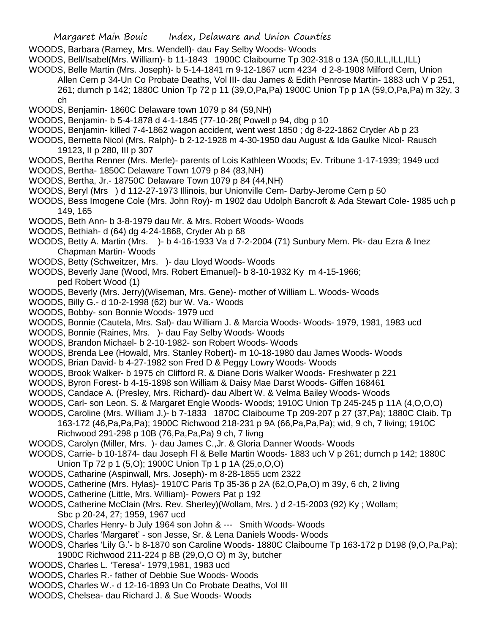- WOODS, Barbara (Ramey, Mrs. Wendell)- dau Fay Selby Woods- Woods
- WOODS, Bell/Isabel(Mrs. William)- b 11-1843 1900C Claibourne Tp 302-318 o 13A (50, ILL, ILL, ILL)
- WOODS, Belle Martin (Mrs. Joseph)- b 5-14-1841 m 9-12-1867 ucm 4234 d 2-8-1908 Milford Cem, Union Allen Cem p 34-Un Co Probate Deaths, Vol III- dau James & Edith Penrose Martin- 1883 uch V p 251, 261; dumch p 142; 1880C Union Tp 72 p 11 (39,O,Pa,Pa) 1900C Union Tp p 1A (59,O,Pa,Pa) m 32y, 3 ch
- WOODS, Benjamin- 1860C Delaware town 1079 p 84 (59,NH)
- WOODS, Benjamin- b 5-4-1878 d 4-1-1845 (77-10-28( Powell p 94, dbg p 10
- WOODS, Benjamin- killed 7-4-1862 wagon accident, went west 1850 ; dg 8-22-1862 Cryder Ab p 23
- WOODS, Bernetta Nicol (Mrs. Ralph)- b 2-12-1928 m 4-30-1950 dau August & Ida Gaulke Nicol- Rausch 19123, II p 280, III p 307
- WOODS, Bertha Renner (Mrs. Merle)- parents of Lois Kathleen Woods; Ev. Tribune 1-17-1939; 1949 ucd WOODS, Bertha- 1850C Delaware Town 1079 p 84 (83,NH)
- WOODS, Bertha, Jr.- 18750C Delaware Town 1079 p 84 (44,NH)
- 
- WOODS, Beryl (Mrs ) d 112-27-1973 Illinois, bur Unionville Cem- Darby-Jerome Cem p 50 WOODS, Bess Imogene Cole (Mrs. John Roy)- m 1902 dau Udolph Bancroft & Ada Stewart Cole- 1985 uch p
- 149, 165
- WOODS, Beth Ann- b 3-8-1979 dau Mr. & Mrs. Robert Woods- Woods
- WOODS, Bethiah- d (64) dg 4-24-1868, Cryder Ab p 68
- WOODS, Betty A. Martin (Mrs. )- b 4-16-1933 Va d 7-2-2004 (71) Sunbury Mem. Pk- dau Ezra & Inez Chapman Martin- Woods
- WOODS, Betty (Schweitzer, Mrs. )- dau Lloyd Woods- Woods
- WOODS, Beverly Jane (Wood, Mrs. Robert Emanuel)- b 8-10-1932 Ky m 4-15-1966; ped Robert Wood (1)
- WOODS, Beverly (Mrs. Jerry)(Wiseman, Mrs. Gene)- mother of William L. Woods- Woods
- WOODS, Billy G.- d 10-2-1998 (62) bur W. Va.- Woods
- WOODS, Bobby- son Bonnie Woods- 1979 ucd
- WOODS, Bonnie (Cautela, Mrs. Sal)- dau William J. & Marcia Woods- Woods- 1979, 1981, 1983 ucd
- WOODS, Bonnie (Raines, Mrs. )- dau Fay Selby Woods- Woods
- WOODS, Brandon Michael- b 2-10-1982- son Robert Woods- Woods
- WOODS, Brenda Lee (Howald, Mrs. Stanley Robert)- m 10-18-1980 dau James Woods- Woods
- WOODS, Brian David- b 4-27-1982 son Fred D & Peggy Lowry Woods- Woods
- WOODS, Brook Walker- b 1975 ch Clifford R. & Diane Doris Walker Woods- Freshwater p 221
- WOODS, Byron Forest- b 4-15-1898 son William & Daisy Mae Darst Woods- Giffen 168461
- WOODS, Candace A. (Presley, Mrs. Richard)- dau Albert W. & Velma Bailey Woods- Woods
- WOODS, Carl- son Leon. S. & Margaret Engle Woods- Woods; 1910C Union Tp 245-245 p 11A (4,O,O,O)
- WOODS, Caroline (Mrs. William J.)- b 7-1833 1870C Claibourne Tp 209-207 p 27 (37,Pa); 1880C Claib. Tp

163-172 (46,Pa,Pa,Pa); 1900C Richwood 218-231 p 9A (66,Pa,Pa,Pa); wid, 9 ch, 7 living; 1910C Richwood 291-298 p 10B (76,Pa,Pa,Pa) 9 ch, 7 livng

- WOODS, Carolyn (Miller, Mrs. )- dau James C.,Jr. & Gloria Danner Woods- Woods
- WOODS, Carrie- b 10-1874- dau Joseph Fl & Belle Martin Woods- 1883 uch V p 261; dumch p 142; 1880C Union Tp 72 p 1 (5,O); 1900C Union Tp 1 p 1A (25,o,O,O)
- WOODS, Catharine (Aspinwall, Mrs. Joseph)- m 8-28-1855 ucm 2322
- WOODS, Catherine (Mrs. Hylas)- 1910'C Paris Tp 35-36 p 2A (62,O,Pa,O) m 39y, 6 ch, 2 living
- WOODS, Catherine (Little, Mrs. William)- Powers Pat p 192
- WOODS, Catherine McClain (Mrs. Rev. Sherley)(Wollam, Mrs. ) d 2-15-2003 (92) Ky ; Wollam; Sbc p 20-24, 27; 1959, 1967 ucd
- WOODS, Charles Henry- b July 1964 son John & --- Smith Woods- Woods
- WOODS, Charles 'Margaret' son Jesse, Sr. & Lena Daniels Woods- Woods
- WOODS, Charles 'Lily G.'- b 8-1870 son Caroline Woods- 1880C Claibourne Tp 163-172 p D198 (9,O,Pa,Pa); 1900C Richwood 211-224 p 8B (29,O,O O) m 3y, butcher
- WOODS, Charles L. 'Teresa'- 1979,1981, 1983 ucd
- WOODS, Charles R.- father of Debbie Sue Woods- Woods
- WOODS, Charles W.- d 12-16-1893 Un Co Probate Deaths, Vol III
- WOODS, Chelsea- dau Richard J. & Sue Woods- Woods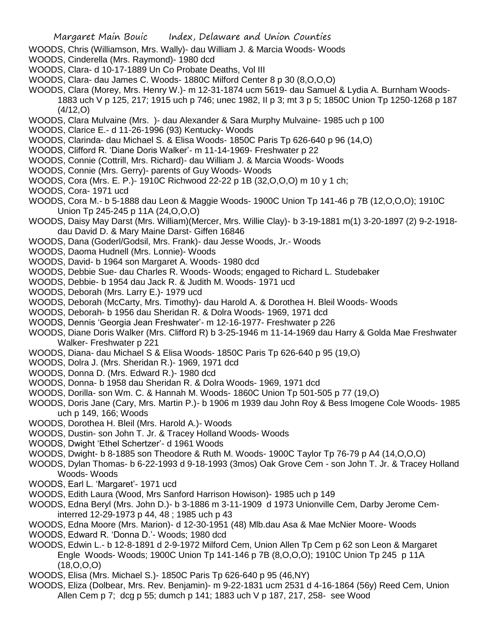- WOODS, Chris (Williamson, Mrs. Wally)- dau William J. & Marcia Woods- Woods
- WOODS, Cinderella (Mrs. Raymond)- 1980 dcd
- WOODS, Clara- d 10-17-1889 Un Co Probate Deaths, Vol III
- WOODS, Clara- dau James C. Woods- 1880C Milford Center 8 p 30 (8,O,O,O)
- WOODS, Clara (Morey, Mrs. Henry W.)- m 12-31-1874 ucm 5619- dau Samuel & Lydia A. Burnham Woods-1883 uch V p 125, 217; 1915 uch p 746; unec 1982, II p 3; mt 3 p 5; 1850C Union Tp 1250-1268 p 187 (4/12,O)
- WOODS, Clara Mulvaine (Mrs. )- dau Alexander & Sara Murphy Mulvaine- 1985 uch p 100
- WOODS, Clarice E.- d 11-26-1996 (93) Kentucky- Woods
- WOODS, Clarinda- dau Michael S. & Elisa Woods- 1850C Paris Tp 626-640 p 96 (14,O)
- WOODS, Clifford R. 'Diane Doris Walker'- m 11-14-1969- Freshwater p 22
- WOODS, Connie (Cottrill, Mrs. Richard)- dau William J. & Marcia Woods- Woods
- WOODS, Connie (Mrs. Gerry)- parents of Guy Woods- Woods
- WOODS, Cora (Mrs. E. P.)- 1910C Richwood 22-22 p 1B (32,O,O,O) m 10 y 1 ch;
- WOODS, Cora- 1971 ucd
- WOODS, Cora M.- b 5-1888 dau Leon & Maggie Woods- 1900C Union Tp 141-46 p 7B (12,O,O,O); 1910C Union Tp 245-245 p 11A (24,O,O,O)
- WOODS, Daisy May Darst (Mrs. William)(Mercer, Mrs. Willie Clay)- b 3-19-1881 m(1) 3-20-1897 (2) 9-2-1918 dau David D. & Mary Maine Darst- Giffen 16846
- WOODS, Dana (Goderl/Godsil, Mrs. Frank)- dau Jesse Woods, Jr.- Woods
- WOODS, Daoma Hudnell (Mrs. Lonnie)- Woods
- WOODS, David- b 1964 son Margaret A. Woods- 1980 dcd
- WOODS, Debbie Sue- dau Charles R. Woods- Woods; engaged to Richard L. Studebaker
- WOODS, Debbie- b 1954 dau Jack R. & Judith M. Woods- 1971 ucd
- WOODS, Deborah (Mrs. Larry E.)- 1979 ucd
- WOODS, Deborah (McCarty, Mrs. Timothy)- dau Harold A. & Dorothea H. Bleil Woods- Woods
- WOODS, Deborah- b 1956 dau Sheridan R. & Dolra Woods- 1969, 1971 dcd
- WOODS, Dennis 'Georgia Jean Freshwater'- m 12-16-1977- Freshwater p 226
- WOODS, Diane Doris Walker (Mrs. Clifford R) b 3-25-1946 m 11-14-1969 dau Harry & Golda Mae Freshwater Walker- Freshwater p 221
- WOODS, Diana- dau Michael S & Elisa Woods- 1850C Paris Tp 626-640 p 95 (19,O)
- WOODS, Dolra J. (Mrs. Sheridan R.)- 1969, 1971 dcd
- WOODS, Donna D. (Mrs. Edward R.)- 1980 dcd
- WOODS, Donna- b 1958 dau Sheridan R. & Dolra Woods- 1969, 1971 dcd
- WOODS, Dorilla- son Wm. C. & Hannah M. Woods- 1860C Union Tp 501-505 p 77 (19,O)
- WOODS, Doris Jane (Cary, Mrs. Martin P.)- b 1906 m 1939 dau John Roy & Bess Imogene Cole Woods- 1985 uch p 149, 166; Woods
- WOODS, Dorothea H. Bleil (Mrs. Harold A.)- Woods
- WOODS, Dustin- son John T. Jr. & Tracey Holland Woods- Woods
- WOODS, Dwight 'Ethel Schertzer'- d 1961 Woods
- WOODS, Dwight- b 8-1885 son Theodore & Ruth M. Woods- 1900C Taylor Tp 76-79 p A4 (14,O,O,O)
- WOODS, Dylan Thomas- b 6-22-1993 d 9-18-1993 (3mos) Oak Grove Cem son John T. Jr. & Tracey Holland Woods- Woods
- WOODS, Earl L. 'Margaret'- 1971 ucd
- WOODS, Edith Laura (Wood, Mrs Sanford Harrison Howison)- 1985 uch p 149
- WOODS, Edna Beryl (Mrs. John D.)- b 3-1886 m 3-11-1909 d 1973 Unionville Cem, Darby Jerome Ceminterred 12-29-1973 p 44, 48 ; 1985 uch p 43
- WOODS, Edna Moore (Mrs. Marion)- d 12-30-1951 (48) Mlb.dau Asa & Mae McNier Moore- Woods
- WOODS, Edward R. 'Donna D.'- Woods; 1980 dcd
- WOODS, Edwin L.- b 12-8-1891 d 2-9-1972 Milford Cem, Union Allen Tp Cem p 62 son Leon & Margaret Engle Woods- Woods; 1900C Union Tp 141-146 p 7B (8,O,O,O); 1910C Union Tp 245 p 11A  $(18, 0, 0, 0)$
- WOODS, Elisa (Mrs. Michael S.)- 1850C Paris Tp 626-640 p 95 (46,NY)
- WOODS, Eliza (Dolbear, Mrs. Rev. Benjamin)- m 9-22-1831 ucm 2531 d 4-16-1864 (56y) Reed Cem, Union Allen Cem p 7; dcg p 55; dumch p 141; 1883 uch V p 187, 217, 258- see Wood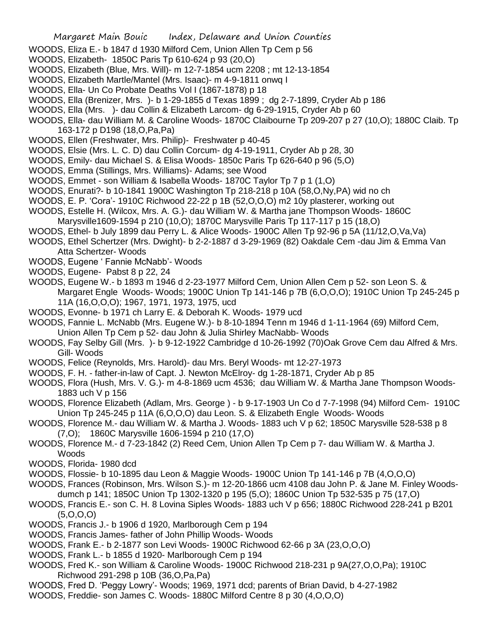- WOODS, Eliza E.- b 1847 d 1930 Milford Cem, Union Allen Tp Cem p 56
- WOODS, Elizabeth- 1850C Paris Tp 610-624 p 93 (20,O)
- WOODS, Elizabeth (Blue, Mrs. Will)- m 12-7-1854 ucm 2208 ; mt 12-13-1854
- WOODS, Elizabeth Martle/Mantel (Mrs. Isaac)- m 4-9-1811 onwq I
- WOODS, Ella- Un Co Probate Deaths Vol I (1867-1878) p 18
- WOODS, Ella (Brenizer, Mrs. )- b 1-29-1855 d Texas 1899 ; dg 2-7-1899, Cryder Ab p 186
- WOODS, Ella (Mrs. )- dau Collin & Elizabeth Larcom- dg 6-29-1915, Cryder Ab p 60
- WOODS, Ella- dau William M. & Caroline Woods- 1870C Claibourne Tp 209-207 p 27 (10,O); 1880C Claib. Tp 163-172 p D198 (18,O,Pa,Pa)
- WOODS, Ellen (Freshwater, Mrs. Philip)- Freshwater p 40-45
- WOODS, Elsie (Mrs. L. C. D) dau Collin Corcum- dg 4-19-1911, Cryder Ab p 28, 30
- WOODS, Emily- dau Michael S. & Elisa Woods- 1850c Paris Tp 626-640 p 96 (5,O)
- WOODS, Emma (Stillings, Mrs. Williams)- Adams; see Wood
- WOODS, Emmet son William & Isabella Woods- 1870C Taylor Tp 7 p 1 (1,O)
- WOODS, Enurati?- b 10-1841 1900C Washington Tp 218-218 p 10A (58,O,Ny,PA) wid no ch
- WOODS, E. P. 'Cora'- 1910C Richwood 22-22 p 1B (52,O,O,O) m2 10y plasterer, working out
- WOODS, Estelle H. (Wilcox, Mrs. A. G.)- dau William W. & Martha jane Thompson Woods- 1860C
- Marysville1609-1594 p 210 (10,O); 1870C Marysville Paris Tp 117-117 p 15 (18,O)
- WOODS, Ethel- b July 1899 dau Perry L. & Alice Woods- 1900C Allen Tp 92-96 p 5A (11/12,O,Va,Va)
- WOODS, Ethel Schertzer (Mrs. Dwight)- b 2-2-1887 d 3-29-1969 (82) Oakdale Cem -dau Jim & Emma Van Atta Schertzer- Woods
- WOODS, Eugene ' Fannie McNabb'- Woods
- WOODS, Eugene- Pabst 8 p 22, 24
- WOODS, Eugene W.- b 1893 m 1946 d 2-23-1977 Milford Cem, Union Allen Cem p 52- son Leon S. & Margaret Engle Woods- Woods; 1900C Union Tp 141-146 p 7B (6,O,O,O); 1910C Union Tp 245-245 p 11A (16,O,O,O); 1967, 1971, 1973, 1975, ucd
- WOODS, Evonne- b 1971 ch Larry E. & Deborah K. Woods- 1979 ucd
- WOODS, Fannie L. McNabb (Mrs. Eugene W.)- b 8-10-1894 Tenn m 1946 d 1-11-1964 (69) Milford Cem, Union Allen Tp Cem p 52- dau John & Julia Shirley MacNabb- Woods
- WOODS, Fay Selby Gill (Mrs. )- b 9-12-1922 Cambridge d 10-26-1992 (70)Oak Grove Cem dau Alfred & Mrs. Gill- Woods
- WOODS, Felice (Reynolds, Mrs. Harold)- dau Mrs. Beryl Woods- mt 12-27-1973
- WOODS, F. H. father-in-law of Capt. J. Newton McElroy- dg 1-28-1871, Cryder Ab p 85
- WOODS, Flora (Hush, Mrs. V. G.)- m 4-8-1869 ucm 4536; dau William W. & Martha Jane Thompson Woods-1883 uch V p 156
- WOODS, Florence Elizabeth (Adlam, Mrs. George ) b 9-17-1903 Un Co d 7-7-1998 (94) Milford Cem- 1910C Union Tp 245-245 p 11A (6,O,O,O) dau Leon. S. & Elizabeth Engle Woods- Woods
- WOODS, Florence M.- dau William W. & Martha J. Woods- 1883 uch V p 62; 1850C Marysville 528-538 p 8 (7,O); 1860C Marysville 1606-1594 p 210 (17,O)
- WOODS, Florence M.- d 7-23-1842 (2) Reed Cem, Union Allen Tp Cem p 7- dau William W. & Martha J. Woods
- WOODS, Florida- 1980 dcd
- WOODS, Flossie- b 10-1895 dau Leon & Maggie Woods- 1900C Union Tp 141-146 p 7B (4,O,O,O)
- WOODS, Frances (Robinson, Mrs. Wilson S.)- m 12-20-1866 ucm 4108 dau John P. & Jane M. Finley Woodsdumch p 141; 1850C Union Tp 1302-1320 p 195 (5,O); 1860C Union Tp 532-535 p 75 (17,O)
- WOODS, Francis E.- son C. H. 8 Lovina Siples Woods- 1883 uch V p 656; 1880C Richwood 228-241 p B201  $(5,0,0,0)$
- WOODS, Francis J.- b 1906 d 1920, Marlborough Cem p 194
- WOODS, Francis James- father of John Phillip Woods- Woods
- WOODS, Frank E.- b 2-1877 son Levi Woods- 1900C Richwood 62-66 p 3A (23,O,O,O)
- WOODS, Frank L.- b 1855 d 1920- Marlborough Cem p 194
- WOODS, Fred K.- son William & Caroline Woods- 1900C Richwood 218-231 p 9A(27,O,O,Pa); 1910C Richwood 291-298 p 10B (36,O,Pa,Pa)
- WOODS, Fred D. 'Peggy Lowry'- Woods; 1969, 1971 dcd; parents of Brian David, b 4-27-1982
- WOODS, Freddie- son James C. Woods- 1880C Milford Centre 8 p 30 (4,O,O,O)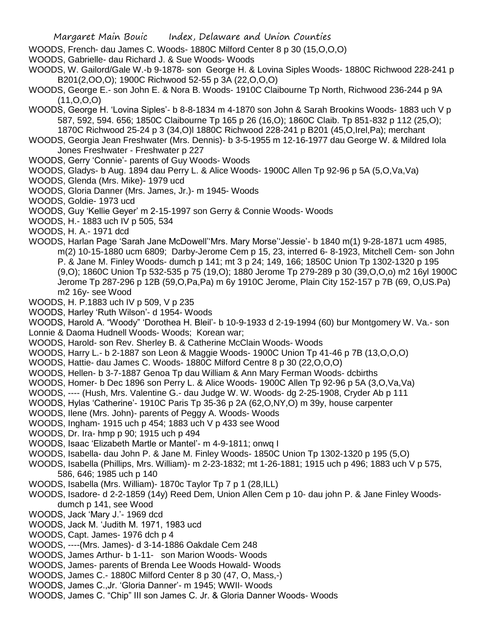- WOODS, French- dau James C. Woods- 1880C Milford Center 8 p 30 (15,O,O,O)
- WOODS, Gabrielle- dau Richard J. & Sue Woods- Woods
- WOODS, W. Gailord/Gale W.-b 9-1878- son George H. & Lovina Siples Woods- 1880C Richwood 228-241 p B201(2,OO,O); 1900C Richwood 52-55 p 3A (22,O,O,O)
- WOODS, George E.- son John E. & Nora B. Woods- 1910C Claibourne Tp North, Richwood 236-244 p 9A  $(11, 0, 0, 0)$
- WOODS, George H. 'Lovina Siples'- b 8-8-1834 m 4-1870 son John & Sarah Brookins Woods- 1883 uch V p 587, 592, 594. 656; 1850C Claibourne Tp 165 p 26 (16,O); 1860C Claib. Tp 851-832 p 112 (25,O); 1870C Richwood 25-24 p 3 (34,O)l 1880C Richwood 228-241 p B201 (45,O,Irel,Pa); merchant
- WOODS, Georgia Jean Freshwater (Mrs. Dennis)- b 3-5-1955 m 12-16-1977 dau George W. & Mildred Iola Jones Freshwater - Freshwater p 227
- WOODS, Gerry 'Connie'- parents of Guy Woods- Woods
- WOODS, Gladys- b Aug. 1894 dau Perry L. & Alice Woods- 1900C Allen Tp 92-96 p 5A (5,O,Va,Va)
- WOODS, Glenda (Mrs. Mike)- 1979 ucd
- WOODS, Gloria Danner (Mrs. James, Jr.)- m 1945- Woods
- WOODS, Goldie- 1973 ucd
- WOODS, Guy 'Kellie Geyer' m 2-15-1997 son Gerry & Connie Woods- Woods
- WOODS, H.- 1883 uch IV p 505, 534
- WOODS, H. A.- 1971 dcd
- WOODS, Harlan Page 'Sarah Jane McDowell''Mrs. Mary Morse''Jessie'- b 1840 m(1) 9-28-1871 ucm 4985, m(2) 10-15-1880 ucm 6809; Darby-Jerome Cem p 15, 23, interred 6- 8-1923, Mitchell Cem- son John P. & Jane M. Finley Woods- dumch p 141; mt 3 p 24; 149, 166; 1850C Union Tp 1302-1320 p 195 (9,O); 1860C Union Tp 532-535 p 75 (19,O); 1880 Jerome Tp 279-289 p 30 (39,O,O,o) m2 16yl 1900C Jerome Tp 287-296 p 12B (59,O,Pa,Pa) m 6y 1910C Jerome, Plain City 152-157 p 7B (69, O,US.Pa) m2 16y- see Wood
- WOODS, H. P.1883 uch IV p 509, V p 235
- WOODS, Harley 'Ruth Wilson'- d 1954- Woods
- WOODS, Harold A. "Woody" 'Dorothea H. Bleil'- b 10-9-1933 d 2-19-1994 (60) bur Montgomery W. Va.- son
- Lonnie & Daoma Hudnell Woods- Woods; Korean war;
- WOODS, Harold- son Rev. Sherley B. & Catherine McClain Woods- Woods
- WOODS, Harry L.- b 2-1887 son Leon & Maggie Woods- 1900C Union Tp 41-46 p 7B (13,O,O,O)
- WOODS, Hattie- dau James C. Woods- 1880C Milford Centre 8 p 30 (22,O,O,O)
- WOODS, Hellen- b 3-7-1887 Genoa Tp dau William & Ann Mary Ferman Woods- dcbirths
- WOODS, Homer- b Dec 1896 son Perry L. & Alice Woods- 1900C Allen Tp 92-96 p 5A (3,O,Va,Va)
- WOODS, ---- (Hush, Mrs. Valentine G.- dau Judge W. W. Woods- dg 2-25-1908, Cryder Ab p 111
- WOODS, Hylas 'Catherine'- 1910C Paris Tp 35-36 p 2A (62,O,NY,O) m 39y, house carpenter
- WOODS, Ilene (Mrs. John)- parents of Peggy A. Woods- Woods
- WOODS, Ingham- 1915 uch p 454; 1883 uch V p 433 see Wood
- WOODS, Dr. Ira- hmp p 90; 1915 uch p 494
- WOODS, Isaac 'Elizabeth Martle or Mantel'- m 4-9-1811; onwq I
- WOODS, Isabella- dau John P. & Jane M. Finley Woods- 1850C Union Tp 1302-1320 p 195 (5,O)
- WOODS, Isabella (Phillips, Mrs. William)- m 2-23-1832; mt 1-26-1881; 1915 uch p 496; 1883 uch V p 575, 586, 646; 1985 uch p 140
- WOODS, Isabella (Mrs. William)- 1870c Taylor Tp 7 p 1 (28,ILL)
- WOODS, Isadore- d 2-2-1859 (14y) Reed Dem, Union Allen Cem p 10- dau john P. & Jane Finley Woodsdumch p 141, see Wood
- WOODS, Jack 'Mary J.'- 1969 dcd
- WOODS, Jack M. 'Judith M. 1971, 1983 ucd
- WOODS, Capt. James- 1976 dch p 4
- WOODS, ----(Mrs. James)- d 3-14-1886 Oakdale Cem 248
- WOODS, James Arthur- b 1-11- son Marion Woods- Woods
- WOODS, James- parents of Brenda Lee Woods Howald- Woods
- WOODS, James C.- 1880C Milford Center 8 p 30 (47, O, Mass,-)
- WOODS, James C.,Jr. 'Gloria Danner'- m 1945; WWII- Woods
- WOODS, James C. "Chip" III son James C. Jr. & Gloria Danner Woods- Woods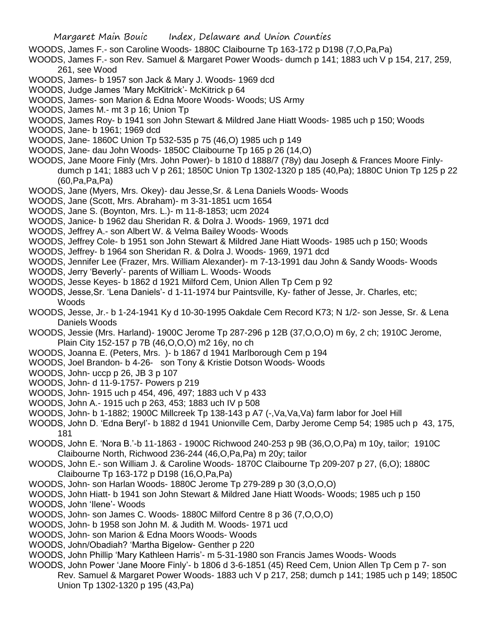- WOODS, James F.- son Caroline Woods- 1880C Claibourne Tp 163-172 p D198 (7,O,Pa,Pa)
- WOODS, James F.- son Rev. Samuel & Margaret Power Woods- dumch p 141; 1883 uch V p 154, 217, 259, 261, see Wood
- WOODS, James- b 1957 son Jack & Mary J. Woods- 1969 dcd
- WOODS, Judge James 'Mary McKitrick'- McKitrick p 64
- WOODS, James- son Marion & Edna Moore Woods- Woods; US Army
- WOODS, James M.- mt 3 p 16; Union Tp
- WOODS, James Roy- b 1941 son John Stewart & Mildred Jane Hiatt Woods- 1985 uch p 150; Woods
- WOODS, Jane- b 1961; 1969 dcd
- WOODS, Jane- 1860C Union Tp 532-535 p 75 (46,O) 1985 uch p 149
- WOODS, Jane- dau John Woods- 1850C Claibourne Tp 165 p 26 (14,O)
- WOODS, Jane Moore Finly (Mrs. John Power)- b 1810 d 1888/7 (78y) dau Joseph & Frances Moore Finlydumch p 141; 1883 uch V p 261; 1850C Union Tp 1302-1320 p 185 (40,Pa); 1880C Union Tp 125 p 22 (60,Pa,Pa,Pa)
- WOODS, Jane (Myers, Mrs. Okey)- dau Jesse,Sr. & Lena Daniels Woods- Woods
- WOODS, Jane (Scott, Mrs. Abraham)- m 3-31-1851 ucm 1654
- WOODS, Jane S. (Boynton, Mrs. L.)- m 11-8-1853; ucm 2024
- WOODS, Janice- b 1962 dau Sheridan R. & Dolra J. Woods- 1969, 1971 dcd
- WOODS, Jeffrey A.- son Albert W. & Velma Bailey Woods- Woods
- WOODS, Jeffrey Cole- b 1951 son John Stewart & Mildred Jane Hiatt Woods- 1985 uch p 150; Woods
- WOODS, Jeffrey- b 1964 son Sheridan R. & Dolra J. Woods- 1969, 1971 dcd
- WOODS, Jennifer Lee (Frazer, Mrs. William Alexander)- m 7-13-1991 dau John & Sandy Woods- Woods
- WOODS, Jerry 'Beverly'- parents of William L. Woods- Woods
- WOODS, Jesse Keyes- b 1862 d 1921 Milford Cem, Union Allen Tp Cem p 92
- WOODS, Jesse,Sr. 'Lena Daniels'- d 1-11-1974 bur Paintsville, Ky- father of Jesse, Jr. Charles, etc; Woods
- WOODS, Jesse, Jr.- b 1-24-1941 Ky d 10-30-1995 Oakdale Cem Record K73; N 1/2- son Jesse, Sr. & Lena Daniels Woods
- WOODS, Jessie (Mrs. Harland)- 1900C Jerome Tp 287-296 p 12B (37,O,O,O) m 6y, 2 ch; 1910C Jerome, Plain City 152-157 p 7B (46,O,O,O) m2 16y, no ch
- WOODS, Joanna E. (Peters, Mrs. )- b 1867 d 1941 Marlborough Cem p 194
- WOODS, Joel Brandon- b 4-26- son Tony & Kristie Dotson Woods- Woods
- WOODS, John- uccp p 26, JB 3 p 107
- WOODS, John- d 11-9-1757- Powers p 219
- WOODS, John- 1915 uch p 454, 496, 497; 1883 uch V p 433
- WOODS, John A.- 1915 uch p 263, 453; 1883 uch IV p 508
- WOODS, John- b 1-1882; 1900C Millcreek Tp 138-143 p A7 (-,Va,Va,Va) farm labor for Joel Hill
- WOODS, John D. 'Edna Beryl'- b 1882 d 1941 Unionville Cem, Darby Jerome Cemp 54; 1985 uch p 43, 175, 181
- WOODS, John E. 'Nora B.'-b 11-1863 1900C Richwood 240-253 p 9B (36,O,O,Pa) m 10y, tailor; 1910C Claibourne North, Richwood 236-244 (46,O,Pa,Pa) m 20y; tailor
- WOODS, John E.- son William J. & Caroline Woods- 1870C Claibourne Tp 209-207 p 27, (6,O); 1880C Claibourne Tp 163-172 p D198 (16,O,Pa,Pa)
- WOODS, John- son Harlan Woods- 1880C Jerome Tp 279-289 p 30 (3,O,O,O)
- WOODS, John Hiatt- b 1941 son John Stewart & Mildred Jane Hiatt Woods- Woods; 1985 uch p 150 WOODS, John 'Ilene'- Woods
- WOODS, John- son James C. Woods- 1880C Milford Centre 8 p 36 (7,O,O,O)
- WOODS, John- b 1958 son John M. & Judith M. Woods- 1971 ucd
- WOODS, John- son Marion & Edna Moors Woods- Woods
- WOODS, John/Obadiah? 'Martha Bigelow- Genther p 220
- WOODS, John Phillip 'Mary Kathleen Harris'- m 5-31-1980 son Francis James Woods- Woods
- WOODS, John Power 'Jane Moore Finly'- b 1806 d 3-6-1851 (45) Reed Cem, Union Allen Tp Cem p 7- son Rev. Samuel & Margaret Power Woods- 1883 uch V p 217, 258; dumch p 141; 1985 uch p 149; 1850C Union Tp 1302-1320 p 195 (43,Pa)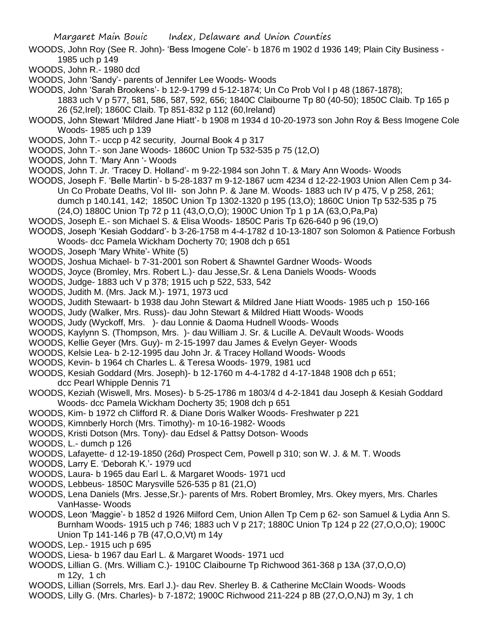WOODS, John Roy (See R. John)- 'Bess Imogene Cole'- b 1876 m 1902 d 1936 149; Plain City Business - 1985 uch p 149

WOODS, John R.- 1980 dcd

WOODS, John 'Sandy'- parents of Jennifer Lee Woods- Woods

WOODS, John 'Sarah Brookens'- b 12-9-1799 d 5-12-1874; Un Co Prob Vol I p 48 (1867-1878);

1883 uch V p 577, 581, 586, 587, 592, 656; 1840C Claibourne Tp 80 (40-50); 1850C Claib. Tp 165 p 26 (52,Irel); 1860C Claib. Tp 851-832 p 112 (60,Ireland)

- WOODS, John Stewart 'Mildred Jane Hiatt'- b 1908 m 1934 d 10-20-1973 son John Roy & Bess Imogene Cole Woods- 1985 uch p 139
- WOODS, John T.- uccp p 42 security, Journal Book 4 p 317
- WOODS, John T.- son Jane Woods- 1860C Union Tp 532-535 p 75 (12,O)
- WOODS, John T. 'Mary Ann '- Woods

WOODS, John T. Jr. 'Tracey D. Holland'- m 9-22-1984 son John T. & Mary Ann Woods- Woods

WOODS, Joseph F. 'Belle Martin'- b 5-28-1837 m 9-12-1867 ucm 4234 d 12-22-1903 Union Allen Cem p 34- Un Co Probate Deaths, Vol III- son John P. & Jane M. Woods- 1883 uch IV p 475, V p 258, 261; dumch p 140.141, 142; 1850C Union Tp 1302-1320 p 195 (13,O); 1860C Union Tp 532-535 p 75 (24,O) 1880C Union Tp 72 p 11 (43,O,O,O); 1900C Union Tp 1 p 1A (63,O,Pa,Pa)

WOODS, Joseph E.- son Michael S. & Elisa Woods- 1850C Paris Tp 626-640 p 96 (19,O)

WOODS, Joseph 'Kesiah Goddard'- b 3-26-1758 m 4-4-1782 d 10-13-1807 son Solomon & Patience Forbush Woods- dcc Pamela Wickham Docherty 70; 1908 dch p 651

- WOODS, Joseph 'Mary White'- White (5)
- WOODS, Joshua Michael- b 7-31-2001 son Robert & Shawntel Gardner Woods- Woods
- WOODS, Joyce (Bromley, Mrs. Robert L.)- dau Jesse,Sr. & Lena Daniels Woods- Woods
- WOODS, Judge- 1883 uch V p 378; 1915 uch p 522, 533, 542
- WOODS, Judith M. (Mrs. Jack M.)- 1971, 1973 ucd
- WOODS, Judith Stewaart- b 1938 dau John Stewart & Mildred Jane Hiatt Woods- 1985 uch p 150-166

WOODS, Judy (Walker, Mrs. Russ)- dau John Stewart & Mildred Hiatt Woods- Woods

- WOODS, Judy (Wyckoff, Mrs. )- dau Lonnie & Daoma Hudnell Woods- Woods
- WOODS, Kaylynn S. (Thompson, Mrs. )- dau William J. Sr. & Lucille A. DeVault Woods- Woods
- WOODS, Kellie Geyer (Mrs. Guy)- m 2-15-1997 dau James & Evelyn Geyer- Woods
- WOODS, Kelsie Lea- b 2-12-1995 dau John Jr. & Tracey Holland Woods- Woods
- WOODS, Kevin- b 1964 ch Charles L. & Teresa Woods- 1979, 1981 ucd
- WOODS, Kesiah Goddard (Mrs. Joseph)- b 12-1760 m 4-4-1782 d 4-17-1848 1908 dch p 651; dcc Pearl Whipple Dennis 71
- WOODS, Keziah (Wiswell, Mrs. Moses)- b 5-25-1786 m 1803/4 d 4-2-1841 dau Joseph & Kesiah Goddard Woods- dcc Pamela Wickham Docherty 35; 1908 dch p 651
- WOODS, Kim- b 1972 ch Clifford R. & Diane Doris Walker Woods- Freshwater p 221
- WOODS, Kimnberly Horch (Mrs. Timothy)- m 10-16-1982- Woods
- WOODS, Kristi Dotson (Mrs. Tony)- dau Edsel & Pattsy Dotson- Woods
- WOODS, L.- dumch p 126
- WOODS, Lafayette- d 12-19-1850 (26d) Prospect Cem, Powell p 310; son W. J. & M. T. Woods
- WOODS, Larry E. 'Deborah K.'- 1979 ucd
- WOODS, Laura- b 1965 dau Earl L. & Margaret Woods- 1971 ucd
- WOODS, Lebbeus- 1850C Marysville 526-535 p 81 (21,O)
- WOODS, Lena Daniels (Mrs. Jesse,Sr.)- parents of Mrs. Robert Bromley, Mrs. Okey myers, Mrs. Charles VanHasse- Woods
- WOODS, Leon 'Maggie'- b 1852 d 1926 Milford Cem, Union Allen Tp Cem p 62- son Samuel & Lydia Ann S. Burnham Woods- 1915 uch p 746; 1883 uch V p 217; 1880C Union Tp 124 p 22 (27,O,O,O); 1900C Union Tp 141-146 p 7B (47,O,O,Vt) m 14y
- WOODS, Lep.- 1915 uch p 695
- WOODS, Liesa- b 1967 dau Earl L. & Margaret Woods- 1971 ucd
- WOODS, Lillian G. (Mrs. William C.)- 1910C Claibourne Tp Richwood 361-368 p 13A (37,O,O,O) m 12y, 1 ch
- WOODS, Lillian (Sorrels, Mrs. Earl J.)- dau Rev. Sherley B. & Catherine McClain Woods- Woods
- WOODS, Lilly G. (Mrs. Charles)- b 7-1872; 1900C Richwood 211-224 p 8B (27,O,O,NJ) m 3y, 1 ch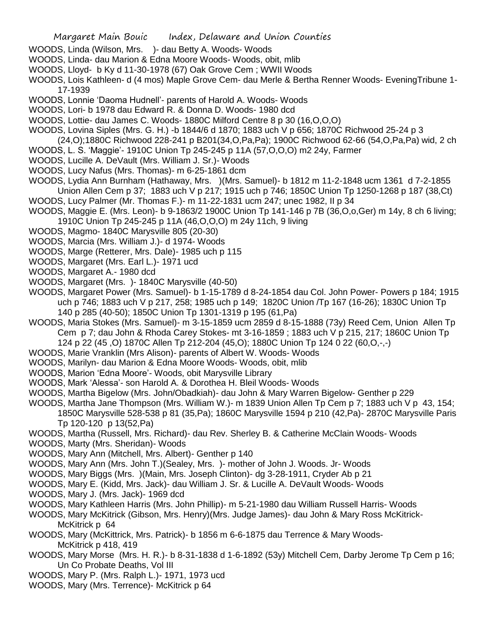- WOODS, Linda (Wilson, Mrs. )- dau Betty A. Woods- Woods
- WOODS, Linda- dau Marion & Edna Moore Woods- Woods, obit, mlib
- WOODS, Lloyd- b Ky d 11-30-1978 (67) Oak Grove Cem ; WWII Woods
- WOODS, Lois Kathleen- d (4 mos) Maple Grove Cem- dau Merle & Bertha Renner Woods- EveningTribune 1- 17-1939
- WOODS, Lonnie 'Daoma Hudnell'- parents of Harold A. Woods- Woods
- WOODS, Lori- b 1978 dau Edward R. & Donna D. Woods- 1980 dcd
- WOODS, Lottie- dau James C. Woods- 1880C Milford Centre 8 p 30 (16,O,O,O)
- WOODS, Lovina Siples (Mrs. G. H.) -b 1844/6 d 1870; 1883 uch V p 656; 1870C Richwood 25-24 p 3
- (24,O);1880C Richwood 228-241 p B201(34,O,Pa,Pa); 1900C Richwood 62-66 (54,O,Pa,Pa) wid, 2 ch
- WOODS, L. S. 'Maggie'- 1910C Union Tp 245-245 p 11A (57,O,O,O) m2 24y, Farmer
- WOODS, Lucille A. DeVault (Mrs. William J. Sr.)- Woods
- WOODS, Lucy Nafus (Mrs. Thomas)- m 6-25-1861 dcm
- WOODS, Lydia Ann Burnham (Hathaway, Mrs. )(Mrs. Samuel)- b 1812 m 11-2-1848 ucm 1361 d 7-2-1855
- Union Allen Cem p 37; 1883 uch V p 217; 1915 uch p 746; 1850C Union Tp 1250-1268 p 187 (38,Ct) WOODS, Lucy Palmer (Mr. Thomas F.)- m 11-22-1831 ucm 247; unec 1982, II p 34
- WOODS, Maggie E. (Mrs. Leon)- b 9-1863/2 1900C Union Tp 141-146 p 7B (36,O,o,Ger) m 14y, 8 ch 6 living; 1910C Union Tp 245-245 p 11A (46,O,O,O) m 24y 11ch, 9 living
- WOODS, Magmo- 1840C Marysville 805 (20-30)
- WOODS, Marcia (Mrs. William J.)- d 1974- Woods
- WOODS, Marge (Retterer, Mrs. Dale)- 1985 uch p 115
- WOODS, Margaret (Mrs. Earl L.)- 1971 ucd
- WOODS, Margaret A.- 1980 dcd
- WOODS, Margaret (Mrs. )- 1840C Marysville (40-50)
- WOODS, Margaret Power (Mrs. Samuel)- b 1-15-1789 d 8-24-1854 dau Col. John Power- Powers p 184; 1915 uch p 746; 1883 uch V p 217, 258; 1985 uch p 149; 1820C Union /Tp 167 (16-26); 1830C Union Tp 140 p 285 (40-50); 1850C Union Tp 1301-1319 p 195 (61,Pa)
- WOODS, Maria Stokes (Mrs. Samuel)- m 3-15-1859 ucm 2859 d 8-15-1888 (73y) Reed Cem, Union Allen Tp Cem p 7; dau John & Rhoda Carey Stokes- mt 3-16-1859 ; 1883 uch V p 215, 217; 1860C Union Tp 124 p 22 (45 ,O) 1870C Allen Tp 212-204 (45,O); 1880C Union Tp 124 0 22 (60,O,-,-)
- WOODS, Marie Vranklin (Mrs Alison)- parents of Albert W. Woods- Woods
- WOODS, Marilyn- dau Marion & Edna Moore Woods- Woods, obit, mlib
- WOODS, Marion 'Edna Moore'- Woods, obit Marysville Library
- WOODS, Mark 'Alessa'- son Harold A. & Dorothea H. Bleil Woods- Woods
- WOODS, Martha Bigelow (Mrs. John/Obadkiah)- dau John & Mary Warren Bigelow- Genther p 229
- WOODS, Martha Jane Thompson (Mrs. William W.)- m 1839 Union Allen Tp Cem p 7; 1883 uch V p 43, 154; 1850C Marysville 528-538 p 81 (35,Pa); 1860C Marysville 1594 p 210 (42,Pa)- 2870C Marysville Paris Tp 120-120 p 13(52,Pa)
- WOODS, Martha (Russell, Mrs. Richard)- dau Rev. Sherley B. & Catherine McClain Woods- Woods
- WOODS, Marty (Mrs. Sheridan)- Woods
- WOODS, Mary Ann (Mitchell, Mrs. Albert)- Genther p 140
- WOODS, Mary Ann (Mrs. John T.)(Sealey, Mrs. )- mother of John J. Woods. Jr- Woods
- WOODS, Mary Biggs (Mrs. )(Main, Mrs. Joseph Clinton)- dg 3-28-1911, Cryder Ab p 21
- WOODS, Mary E. (Kidd, Mrs. Jack)- dau William J. Sr. & Lucille A. DeVault Woods- Woods
- WOODS, Mary J. (Mrs. Jack)- 1969 dcd
- WOODS, Mary Kathleen Harris (Mrs. John Phillip)- m 5-21-1980 dau William Russell Harris- Woods
- WOODS, Mary McKitrick (Gibson, Mrs. Henry)(Mrs. Judge James)- dau John & Mary Ross McKitrick-McKitrick p 64
- WOODS, Mary (McKittrick, Mrs. Patrick)- b 1856 m 6-6-1875 dau Terrence & Mary Woods-McKitrick p 418, 419
- WOODS, Mary Morse (Mrs. H. R.)- b 8-31-1838 d 1-6-1892 (53y) Mitchell Cem, Darby Jerome Tp Cem p 16; Un Co Probate Deaths, Vol III
- WOODS, Mary P. (Mrs. Ralph L.)- 1971, 1973 ucd
- WOODS, Mary (Mrs. Terrence)- McKitrick p 64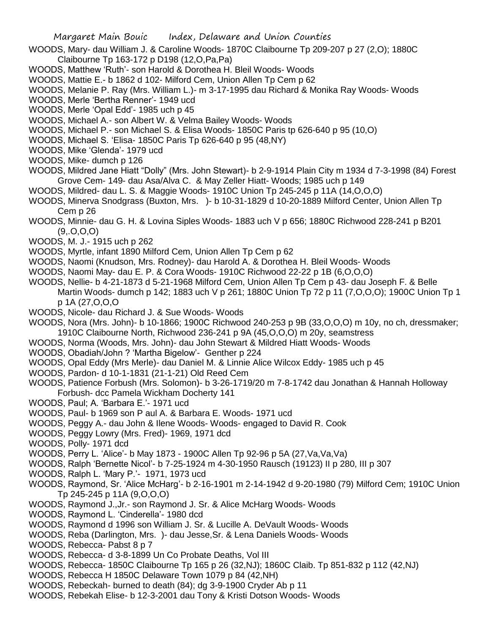- WOODS, Mary- dau William J. & Caroline Woods- 1870C Claibourne Tp 209-207 p 27 (2,O); 1880C Claibourne Tp 163-172 p D198 (12,O,Pa,Pa)
- WOODS, Matthew 'Ruth'- son Harold & Dorothea H. Bleil Woods- Woods
- WOODS, Mattie E.- b 1862 d 102- Milford Cem, Union Allen Tp Cem p 62
- WOODS, Melanie P. Ray (Mrs. William L.)- m 3-17-1995 dau Richard & Monika Ray Woods- Woods
- WOODS, Merle 'Bertha Renner'- 1949 ucd
- WOODS, Merle 'Opal Edd'- 1985 uch p 45
- WOODS, Michael A.- son Albert W. & Velma Bailey Woods- Woods
- WOODS, Michael P.- son Michael S. & Elisa Woods- 1850C Paris tp 626-640 p 95 (10,O)
- WOODS, Michael S. 'Elisa- 1850C Paris Tp 626-640 p 95 (48,NY)
- WOODS, Mike 'Glenda'- 1979 ucd
- WOODS, Mike- dumch p 126
- WOODS, Mildred Jane Hiatt "Dolly" (Mrs. John Stewart)- b 2-9-1914 Plain City m 1934 d 7-3-1998 (84) Forest Grove Cem- 149- dau Asa/Alva C. & May Zeller Hiatt- Woods; 1985 uch p 149
- WOODS, Mildred- dau L. S. & Maggie Woods- 1910C Union Tp 245-245 p 11A (14,O,O,O)
- WOODS, Minerva Snodgrass (Buxton, Mrs. )- b 10-31-1829 d 10-20-1889 Milford Center, Union Allen Tp Cem p 26
- WOODS, Minnie- dau G. H. & Lovina Siples Woods- 1883 uch V p 656; 1880C Richwood 228-241 p B201  $(9, 0, 0, 0)$
- WOODS, M. J.- 1915 uch p 262
- WOODS, Myrtle, infant 1890 Milford Cem, Union Allen Tp Cem p 62
- WOODS, Naomi (Knudson, Mrs. Rodney)- dau Harold A. & Dorothea H. Bleil Woods- Woods
- WOODS, Naomi May- dau E. P. & Cora Woods- 1910C Richwood 22-22 p 1B (6,O,O,O)
- WOODS, Nellie- b 4-21-1873 d 5-21-1968 Milford Cem, Union Allen Tp Cem p 43- dau Joseph F. & Belle
	- Martin Woods- dumch p 142; 1883 uch V p 261; 1880C Union Tp 72 p 11 (7,O,O,O); 1900C Union Tp 1 p 1A (27,O,O,O
- WOODS, Nicole- dau Richard J. & Sue Woods- Woods
- WOODS, Nora (Mrs. John)- b 10-1866; 1900C Richwood 240-253 p 9B (33,O,O,O) m 10y, no ch, dressmaker; 1910C Claibourne North, Richwood 236-241 p 9A (45,O,O,O) m 20y, seamstress
- WOODS, Norma (Woods, Mrs. John)- dau John Stewart & Mildred Hiatt Woods- Woods
- WOODS, Obadiah/John ? 'Martha Bigelow'- Genther p 224
- WOODS, Opal Eddy (Mrs Merle)- dau Daniel M. & Linnie Alice Wilcox Eddy- 1985 uch p 45
- WOODS, Pardon- d 10-1-1831 (21-1-21) Old Reed Cem
- WOODS, Patience Forbush (Mrs. Solomon)- b 3-26-1719/20 m 7-8-1742 dau Jonathan & Hannah Holloway Forbush- dcc Pamela Wickham Docherty 141
- WOODS, Paul; A. 'Barbara E.'- 1971 ucd
- WOODS, Paul- b 1969 son P aul A. & Barbara E. Woods- 1971 ucd
- WOODS, Peggy A.- dau John & Ilene Woods- Woods- engaged to David R. Cook
- WOODS, Peggy Lowry (Mrs. Fred)- 1969, 1971 dcd
- WOODS, Polly- 1971 dcd
- WOODS, Perry L. 'Alice'- b May 1873 1900C Allen Tp 92-96 p 5A (27,Va,Va,Va)
- WOODS, Ralph 'Bernette Nicol'- b 7-25-1924 m 4-30-1950 Rausch (19123) II p 280, III p 307
- WOODS, Ralph L. 'Mary P.'- 1971, 1973 ucd
- WOODS, Raymond, Sr. 'Alice McHarg'- b 2-16-1901 m 2-14-1942 d 9-20-1980 (79) Milford Cem; 1910C Union Tp 245-245 p 11A (9,O,O,O)
- WOODS, Raymond J.,Jr.- son Raymond J. Sr. & Alice McHarg Woods- Woods
- WOODS, Raymond L. 'Cinderella'- 1980 dcd
- WOODS, Raymond d 1996 son William J. Sr. & Lucille A. DeVault Woods- Woods
- WOODS, Reba (Darlington, Mrs. )- dau Jesse,Sr. & Lena Daniels Woods- Woods
- WOODS, Rebecca- Pabst 8 p 7
- WOODS, Rebecca- d 3-8-1899 Un Co Probate Deaths, Vol III
- WOODS, Rebecca- 1850C Claibourne Tp 165 p 26 (32,NJ); 1860C Claib. Tp 851-832 p 112 (42,NJ)
- WOODS, Rebecca H 1850C Delaware Town 1079 p 84 (42,NH)
- WOODS, Rebeckah- burned to death (84); dg 3-9-1900 Cryder Ab p 11
- WOODS, Rebekah Elise- b 12-3-2001 dau Tony & Kristi Dotson Woods- Woods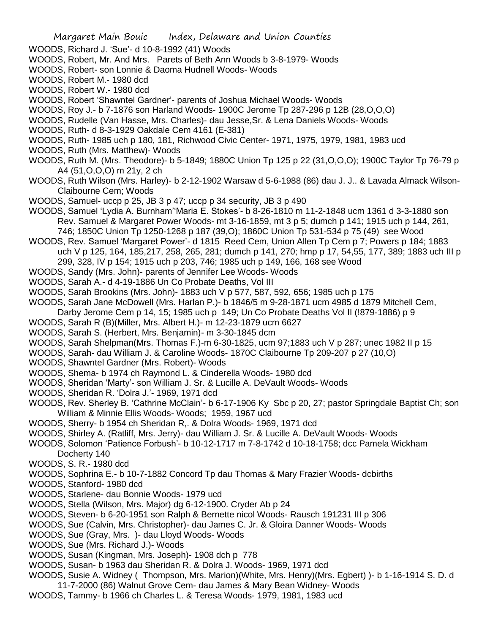- WOODS, Richard J. 'Sue'- d 10-8-1992 (41) Woods
- WOODS, Robert, Mr. And Mrs. Parets of Beth Ann Woods b 3-8-1979- Woods
- WOODS, Robert- son Lonnie & Daoma Hudnell Woods- Woods
- WOODS, Robert M.- 1980 dcd
- WOODS, Robert W.- 1980 dcd
- WOODS, Robert 'Shawntel Gardner'- parents of Joshua Michael Woods- Woods
- WOODS, Roy J.- b 7-1876 son Harland Woods- 1900C Jerome Tp 287-296 p 12B (28,O,O,O)
- WOODS, Rudelle (Van Hasse, Mrs. Charles)- dau Jesse,Sr. & Lena Daniels Woods- Woods
- WOODS, Ruth- d 8-3-1929 Oakdale Cem 4161 (E-381)
- WOODS, Ruth- 1985 uch p 180, 181, Richwood Civic Center- 1971, 1975, 1979, 1981, 1983 ucd
- WOODS, Ruth (Mrs. Matthew)- Woods
- WOODS, Ruth M. (Mrs. Theodore)- b 5-1849; 1880C Union Tp 125 p 22 (31,O,O,O); 1900C Taylor Tp 76-79 p A4 (51,O,O,O) m 21y, 2 ch
- WOODS, Ruth Wilson (Mrs. Harley)- b 2-12-1902 Warsaw d 5-6-1988 (86) dau J. J.. & Lavada Almack Wilson-Claibourne Cem; Woods
- WOODS, Samuel- uccp p 25, JB 3 p 47; uccp p 34 security, JB 3 p 490
- WOODS, Samuel 'Lydia A. Burnham''Maria E. Stokes'- b 8-26-1810 m 11-2-1848 ucm 1361 d 3-3-1880 son Rev. Samuel & Margaret Power Woods- mt 3-16-1859, mt 3 p 5; dumch p 141; 1915 uch p 144, 261, 746; 1850C Union Tp 1250-1268 p 187 (39,O); 1860C Union Tp 531-534 p 75 (49) see Wood
- WOODS, Rev. Samuel 'Margaret Power'- d 1815 Reed Cem, Union Allen Tp Cem p 7; Powers p 184; 1883 uch V p 125, 164, 185,217, 258, 265, 281; dumch p 141, 270; hmp p 17, 54,55, 177, 389; 1883 uch III p 299, 328, IV p 154; 1915 uch p 203, 746; 1985 uch p 149, 166, 168 see Wood
- WOODS, Sandy (Mrs. John)- parents of Jennifer Lee Woods- Woods
- WOODS, Sarah A.- d 4-19-1886 Un Co Probate Deaths, Vol III
- WOODS, Sarah Brookins (Mrs. John)- 1883 uch V p 577, 587, 592, 656; 1985 uch p 175
- WOODS, Sarah Jane McDowell (Mrs. Harlan P.)- b 1846/5 m 9-28-1871 ucm 4985 d 1879 Mitchell Cem,
	- Darby Jerome Cem p 14, 15; 1985 uch p 149; Un Co Probate Deaths Vol II (!879-1886) p 9
- WOODS, Sarah R (B)(Miller, Mrs. Albert H.)- m 12-23-1879 ucm 6627
- WOODS, Sarah S. (Herbert, Mrs. Benjamin)- m 3-30-1845 dcm
- WOODS, Sarah Shelpman(Mrs. Thomas F.)-m 6-30-1825, ucm 97;1883 uch V p 287; unec 1982 II p 15
- WOODS, Sarah- dau William J. & Caroline Woods- 1870C Claibourne Tp 209-207 p 27 (10,O)
- WOODS, Shawntel Gardner (Mrs. Robert)- Woods
- WOODS, Shema- b 1974 ch Raymond L. & Cinderella Woods- 1980 dcd
- WOODS, Sheridan 'Marty'- son William J. Sr. & Lucille A. DeVault Woods- Woods
- WOODS, Sheridan R. 'Dolra J.'- 1969, 1971 dcd
- WOODS, Rev. Sherley B. 'Cathrine McClain'- b 6-17-1906 Ky Sbc p 20, 27; pastor Springdale Baptist Ch; son William & Minnie Ellis Woods- Woods; 1959, 1967 ucd
- WOODS, Sherry- b 1954 ch Sheridan R,. & Dolra Woods- 1969, 1971 dcd
- WOODS, Shirley A. (Ratliff, Mrs. Jerry)- dau William J. Sr. & Lucille A. DeVault Woods- Woods
- WOODS, Solomon 'Patience Forbush'- b 10-12-1717 m 7-8-1742 d 10-18-1758; dcc Pamela Wickham Docherty 140
- WOODS, S. R.- 1980 dcd
- WOODS, Sophrina E.- b 10-7-1882 Concord Tp dau Thomas & Mary Frazier Woods- dcbirths
- WOODS, Stanford- 1980 dcd
- WOODS, Starlene- dau Bonnie Woods- 1979 ucd
- WOODS, Stella (Wilson, Mrs. Major) dg 6-12-1900. Cryder Ab p 24
- WOODS, Steven- b 6-20-1951 son Ralph & Bernette nicol Woods- Rausch 191231 III p 306
- WOODS, Sue (Calvin, Mrs. Christopher)- dau James C. Jr. & Gloira Danner Woods- Woods
- WOODS, Sue (Gray, Mrs. )- dau Lloyd Woods- Woods
- WOODS, Sue (Mrs. Richard J.)- Woods
- WOODS, Susan (Kingman, Mrs. Joseph)- 1908 dch p 778
- WOODS, Susan- b 1963 dau Sheridan R. & Dolra J. Woods- 1969, 1971 dcd
- WOODS, Susie A. Widney ( Thompson, Mrs. Marion)(White, Mrs. Henry)(Mrs. Egbert) )- b 1-16-1914 S. D. d
- 11-7-2000 (86) Walnut Grove Cem- dau James & Mary Bean Widney- Woods
- WOODS, Tammy- b 1966 ch Charles L. & Teresa Woods- 1979, 1981, 1983 ucd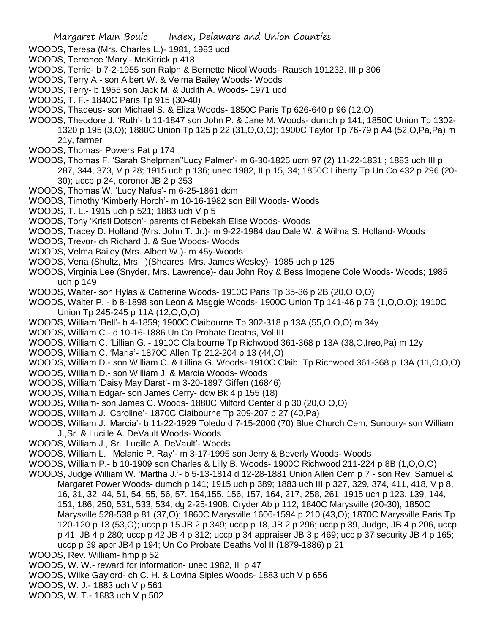- WOODS, Teresa (Mrs. Charles L.)- 1981, 1983 ucd
- WOODS, Terrence 'Mary'- McKitrick p 418
- WOODS, Terrie- b 7-2-1955 son Ralph & Bernette Nicol Woods- Rausch 191232. III p 306
- WOODS, Terry A.- son Albert W. & Velma Bailey Woods- Woods
- WOODS, Terry- b 1955 son Jack M. & Judith A. Woods- 1971 ucd
- WOODS, T. F.- 1840C Paris Tp 915 (30-40)
- WOODS, Thadeus- son Michael S. & Eliza Woods- 1850C Paris Tp 626-640 p 96 (12,O)
- WOODS, Theodore J. 'Ruth'- b 11-1847 son John P. & Jane M. Woods- dumch p 141; 1850C Union Tp 1302- 1320 p 195 (3,O); 1880C Union Tp 125 p 22 (31,O,O,O); 1900C Taylor Tp 76-79 p A4 (52,O,Pa,Pa) m 21y, farmer
- WOODS, Thomas- Powers Pat p 174
- WOODS, Thomas F. 'Sarah Shelpman''Lucy Palmer'- m 6-30-1825 ucm 97 (2) 11-22-1831 ; 1883 uch III p 287, 344, 373, V p 28; 1915 uch p 136; unec 1982, II p 15, 34; 1850C Liberty Tp Un Co 432 p 296 (20- 30); uccp p 24, coronor JB 2 p 353
- WOODS, Thomas W. 'Lucy Nafus'- m 6-25-1861 dcm
- WOODS, Timothy 'Kimberly Horch'- m 10-16-1982 son Bill Woods- Woods
- WOODS, T. L.- 1915 uch p 521; 1883 uch V p 5
- WOODS, Tony 'Kristi Dotson'- parents of Rebekah Elise Woods- Woods
- WOODS, Tracey D. Holland (Mrs. John T. Jr.)- m 9-22-1984 dau Dale W. & Wilma S. Holland- Woods
- WOODS, Trevor- ch Richard J. & Sue Woods- Woods
- WOODS, Velma Bailey (Mrs. Albert W.)- m 45y-Woods
- WOODS, Vena (Shultz, Mrs. )(Sheares, Mrs. James Wesley)- 1985 uch p 125
- WOODS, Virginia Lee (Snyder, Mrs. Lawrence)- dau John Roy & Bess Imogene Cole Woods- Woods; 1985 uch p 149
- WOODS, Walter- son Hylas & Catherine Woods- 1910C Paris Tp 35-36 p 2B (20,O,O,O)
- WOODS, Walter P. b 8-1898 son Leon & Maggie Woods- 1900C Union Tp 141-46 p 7B (1,O,O,O); 1910C Union Tp 245-245 p 11A (12,O,O,O)
- WOODS, William 'Bell'- b 4-1859; 1900C Claibourne Tp 302-318 p 13A (55,O,O,O) m 34y
- WOODS, William C.- d 10-16-1886 Un Co Probate Deaths, Vol III
- WOODS, William C. 'Lillian G.'- 1910C Claibourne Tp Richwood 361-368 p 13A (38,O,Ireo,Pa) m 12y
- WOODS, William C. 'Maria'- 1870C Allen Tp 212-204 p 13 (44,O)
- WOODS, William D.- son William C. & Lillina G. Woods- 1910C Claib. Tp Richwood 361-368 p 13A (11,O,O,O)
- WOODS, William D.- son William J. & Marcia Woods- Woods
- WOODS, William 'Daisy May Darst'- m 3-20-1897 Giffen (16846)
- WOODS, William Edgar- son James Cerry- dcw Bk 4 p 155 (18)
- WOODS, William- son James C. Woods- 1880C Milford Center 8 p 30 (20,O,O,O)
- WOODS, William J. 'Caroline'- 1870C Claibourne Tp 209-207 p 27 (40,Pa)
- WOODS, William J. 'Marcia'- b 11-22-1929 Toledo d 7-15-2000 (70) Blue Church Cem, Sunbury- son William J.,Sr. & Lucille A. DeVault Woods- Woods
- WOODS, William J., Sr. 'Lucille A. DeVault'- Woods
- WOODS, William L. 'Melanie P. Ray'- m 3-17-1995 son Jerry & Beverly Woods- Woods
- WOODS, William P.- b 10-1909 son Charles & Lilly B. Woods- 1900C Richwood 211-224 p 8B (1,O,O,O)
- WOODS, Judge William W. 'Martha J.'- b 5-13-1814 d 12-28-1881 Union Allen Cem p 7 son Rev. Samuel & Margaret Power Woods- dumch p 141; 1915 uch p 389; 1883 uch III p 327, 329, 374, 411, 418, V p 8, 16, 31, 32, 44, 51, 54, 55, 56, 57, 154,155, 156, 157, 164, 217, 258, 261; 1915 uch p 123, 139, 144, 151, 186, 250, 531, 533, 534; dg 2-25-1908. Cryder Ab p 112; 1840C Marysville (20-30); 1850C Marysville 528-538 p 81 (37,O); 1860C Marysville 1606-1594 p 210 (43,O); 1870C Marysville Paris Tp 120-120 p 13 (53,O); uccp p 15 JB 2 p 349; uccp p 18, JB 2 p 296; uccp p 39, Judge, JB 4 p 206, uccp p 41, JB 4 p 280; uccp p 42 JB 4 p 312; uccp p 34 appraiser JB 3 p 469; ucc p 37 security JB 4 p 165; uccp p 39 appr JB4 p 194; Un Co Probate Deaths Vol II (1879-1886) p 21
- WOODS, Rev. William- hmp p 52
- WOODS, W. W.- reward for information- unec 1982, II p 47
- WOODS, Wilke Gaylord- ch C. H. & Lovina Siples Woods- 1883 uch V p 656
- WOODS, W. J.- 1883 uch V p 561
- WOODS, W. T.- 1883 uch V p 502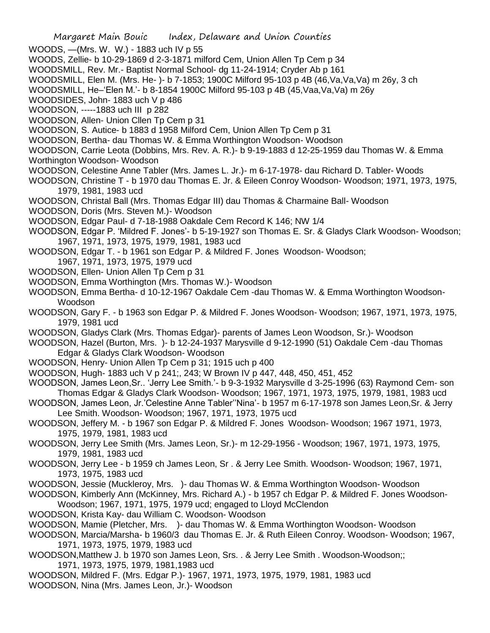WOODS, —(Mrs. W. W.) - 1883 uch IV p 55

- WOODS, Zellie- b 10-29-1869 d 2-3-1871 milford Cem, Union Allen Tp Cem p 34
- WOODSMILL, Rev. Mr.- Baptist Normal School- dg 11-24-1914; Cryder Ab p 161
- WOODSMILL, Elen M. (Mrs. He- )- b 7-1853; 1900C Milford 95-103 p 4B (46,Va,Va,Va) m 26y, 3 ch
- WOODSMILL, He–'Elen M.'- b 8-1854 1900C Milford 95-103 p 4B (45,Vaa,Va,Va) m 26y
- WOODSIDES, John- 1883 uch V p 486
- WOODSON, -----1883 uch III p 282
- WOODSON, Allen- Union Cllen Tp Cem p 31
- WOODSON, S. Autice- b 1883 d 1958 Milford Cem, Union Allen Tp Cem p 31
- WOODSON, Bertha- dau Thomas W. & Emma Worthington Woodson- Woodson
- WOODSON, Carrie Leota (Dobbins, Mrs. Rev. A. R.)- b 9-19-1883 d 12-25-1959 dau Thomas W. & Emma Worthington Woodson- Woodson
- WOODSON, Celestine Anne Tabler (Mrs. James L. Jr.)- m 6-17-1978- dau Richard D. Tabler- Woods
- WOODSON, Christine T b 1970 dau Thomas E. Jr. & Eileen Conroy Woodson- Woodson; 1971, 1973, 1975, 1979, 1981, 1983 ucd
- WOODSON, Christal Ball (Mrs. Thomas Edgar III) dau Thomas & Charmaine Ball- Woodson
- WOODSON, Doris (Mrs. Steven M.)- Woodson
- WOODSON, Edgar Paul- d 7-18-1988 Oakdale Cem Record K 146; NW 1/4
- WOODSON, Edgar P. 'Mildred F. Jones'- b 5-19-1927 son Thomas E. Sr. & Gladys Clark Woodson- Woodson; 1967, 1971, 1973, 1975, 1979, 1981, 1983 ucd
- WOODSON, Edgar T. b 1961 son Edgar P. & Mildred F. Jones Woodson- Woodson;
	- 1967, 1971, 1973, 1975, 1979 ucd
- WOODSON, Ellen- Union Allen Tp Cem p 31
- WOODSON, Emma Worthington (Mrs. Thomas W.)- Woodson
- WOODSON, Emma Bertha- d 10-12-1967 Oakdale Cem -dau Thomas W. & Emma Worthington Woodson-Woodson
- WOODSON, Gary F. b 1963 son Edgar P. & Mildred F. Jones Woodson- Woodson; 1967, 1971, 1973, 1975, 1979, 1981 ucd
- WOODSON, Gladys Clark (Mrs. Thomas Edgar)- parents of James Leon Woodson, Sr.)- Woodson
- WOODSON, Hazel (Burton, Mrs. )- b 12-24-1937 Marysville d 9-12-1990 (51) Oakdale Cem -dau Thomas Edgar & Gladys Clark Woodson- Woodson
- WOODSON, Henry- Union Allen Tp Cem p 31; 1915 uch p 400
- WOODSON, Hugh- 1883 uch V p 241;, 243; W Brown IV p 447, 448, 450, 451, 452
- WOODSON, James Leon,Sr.. 'Jerry Lee Smith.'- b 9-3-1932 Marysville d 3-25-1996 (63) Raymond Cem- son Thomas Edgar & Gladys Clark Woodson- Woodson; 1967, 1971, 1973, 1975, 1979, 1981, 1983 ucd
- WOODSON, James Leon, Jr.'Celestine Anne Tabler''Nina'- b 1957 m 6-17-1978 son James Leon,Sr. & Jerry Lee Smith. Woodson- Woodson; 1967, 1971, 1973, 1975 ucd
- WOODSON, Jeffery M. b 1967 son Edgar P. & Mildred F. Jones Woodson- Woodson; 1967 1971, 1973, 1975, 1979, 1981, 1983 ucd
- WOODSON, Jerry Lee Smith (Mrs. James Leon, Sr.)- m 12-29-1956 Woodson; 1967, 1971, 1973, 1975, 1979, 1981, 1983 ucd
- WOODSON, Jerry Lee b 1959 ch James Leon, Sr . & Jerry Lee Smith. Woodson- Woodson; 1967, 1971, 1973, 1975, 1983 ucd
- WOODSON, Jessie (Muckleroy, Mrs. )- dau Thomas W. & Emma Worthington Woodson- Woodson
- WOODSON, Kimberly Ann (McKinney, Mrs. Richard A.) b 1957 ch Edgar P. & Mildred F. Jones Woodson-
- Woodson; 1967, 1971, 1975, 1979 ucd; engaged to Lloyd McClendon
- WOODSON, Krista Kay- dau William C. Woodson- Woodson
- WOODSON, Mamie (Pletcher, Mrs. )- dau Thomas W. & Emma Worthington Woodson- Woodson
- WOODSON, Marcia/Marsha- b 1960/3 dau Thomas E. Jr. & Ruth Eileen Conroy. Woodson- Woodson; 1967, 1971, 1973, 1975, 1979, 1983 ucd
- WOODSON,Matthew J. b 1970 son James Leon, Srs. . & Jerry Lee Smith . Woodson-Woodson;; 1971, 1973, 1975, 1979, 1981,1983 ucd
- WOODSON, Mildred F. (Mrs. Edgar P.)- 1967, 1971, 1973, 1975, 1979, 1981, 1983 ucd WOODSON, Nina (Mrs. James Leon, Jr.)- Woodson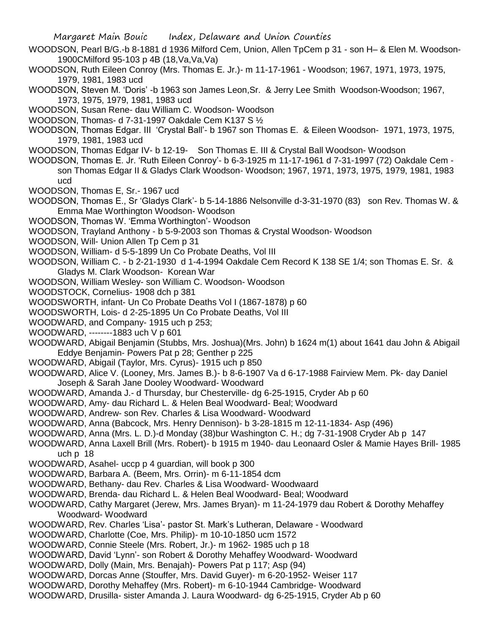- WOODSON, Pearl B/G.-b 8-1881 d 1936 Milford Cem, Union, Allen TpCem p 31 son H– & Elen M. Woodson-1900CMilford 95-103 p 4B (18,Va,Va,Va)
- WOODSON, Ruth Eileen Conroy (Mrs. Thomas E. Jr.)- m 11-17-1961 Woodson; 1967, 1971, 1973, 1975, 1979, 1981, 1983 ucd
- WOODSON, Steven M. 'Doris' -b 1963 son James Leon,Sr. & Jerry Lee Smith Woodson-Woodson; 1967, 1973, 1975, 1979, 1981, 1983 ucd
- WOODSON, Susan Rene- dau William C. Woodson- Woodson
- WOODSON, Thomas- d 7-31-1997 Oakdale Cem K137 S ½
- WOODSON, Thomas Edgar. III 'Crystal Ball'- b 1967 son Thomas E. & Eileen Woodson- 1971, 1973, 1975, 1979, 1981, 1983 ucd
- WOODSON, Thomas Edgar IV- b 12-19- Son Thomas E. III & Crystal Ball Woodson- Woodson
- WOODSON, Thomas E. Jr. 'Ruth Eileen Conroy'- b 6-3-1925 m 11-17-1961 d 7-31-1997 (72) Oakdale Cem son Thomas Edgar II & Gladys Clark Woodson- Woodson; 1967, 1971, 1973, 1975, 1979, 1981, 1983 ucd
- WOODSON, Thomas E, Sr.- 1967 ucd
- WOODSON, Thomas E., Sr 'Gladys Clark'- b 5-14-1886 Nelsonville d-3-31-1970 (83) son Rev. Thomas W. & Emma Mae Worthington Woodson- Woodson
- WOODSON, Thomas W. 'Emma Worthington'- Woodson
- WOODSON, Trayland Anthony b 5-9-2003 son Thomas & Crystal Woodson- Woodson
- WOODSON, Will- Union Allen Tp Cem p 31
- WOODSON, William- d 5-5-1899 Un Co Probate Deaths, Vol III
- WOODSON, William C. b 2-21-1930 d 1-4-1994 Oakdale Cem Record K 138 SE 1/4; son Thomas E. Sr. & Gladys M. Clark Woodson- Korean War
- WOODSON, William Wesley- son William C. Woodson- Woodson
- WOODSTOCK, Cornelius- 1908 dch p 381
- WOODSWORTH, infant- Un Co Probate Deaths Vol I (1867-1878) p 60
- WOODSWORTH, Lois- d 2-25-1895 Un Co Probate Deaths, Vol III
- WOODWARD, and Company- 1915 uch p 253;
- WOODWARD, --------1883 uch V p 601
- WOODWARD, Abigail Benjamin (Stubbs, Mrs. Joshua)(Mrs. John) b 1624 m(1) about 1641 dau John & Abigail Eddye Benjamin- Powers Pat p 28; Genther p 225
- WOODWARD, Abigail (Taylor, Mrs. Cyrus)- 1915 uch p 850
- WOODWARD, Alice V. (Looney, Mrs. James B.)- b 8-6-1907 Va d 6-17-1988 Fairview Mem. Pk- day Daniel Joseph & Sarah Jane Dooley Woodward- Woodward
- WOODWARD, Amanda J.- d Thursday, bur Chesterville- dg 6-25-1915, Cryder Ab p 60
- WOODWARD, Amy- dau Richard L. & Helen Beal Woodward- Beal; Woodward
- WOODWARD, Andrew- son Rev. Charles & Lisa Woodward- Woodward
- WOODWARD, Anna (Babcock, Mrs. Henry Dennison)- b 3-28-1815 m 12-11-1834- Asp (496)
- WOODWARD, Anna (Mrs. L. D.)-d Monday (38)bur Washington C. H.; dg 7-31-1908 Cryder Ab p 147
- WOODWARD, Anna Laxell Brill (Mrs. Robert)- b 1915 m 1940- dau Leonaard Osler & Mamie Hayes Brill- 1985 uch p 18
- WOODWARD, Asahel- uccp p 4 guardian, will book p 300
- WOODWARD, Barbara A. (Beem, Mrs. Orrin)- m 6-11-1854 dcm
- WOODWARD, Bethany- dau Rev. Charles & Lisa Woodward- Woodwaard
- WOODWARD, Brenda- dau Richard L. & Helen Beal Woodward- Beal; Woodward
- WOODWARD, Cathy Margaret (Jerew, Mrs. James Bryan)- m 11-24-1979 dau Robert & Dorothy Mehaffey Woodward- Woodward
- WOODWARD, Rev. Charles 'Lisa'- pastor St. Mark's Lutheran, Delaware Woodward
- WOODWARD, Charlotte (Coe, Mrs. Philip)- m 10-10-1850 ucm 1572
- WOODWARD, Connie Steele (Mrs. Robert, Jr.)- m 1962- 1985 uch p 18
- WOODWARD, David 'Lynn'- son Robert & Dorothy Mehaffey Woodward- Woodward
- WOODWARD, Dolly (Main, Mrs. Benajah)- Powers Pat p 117; Asp (94)
- WOODWARD, Dorcas Anne (Stouffer, Mrs. David Guyer)- m 6-20-1952- Weiser 117
- WOODWARD, Dorothy Mehaffey (Mrs. Robert)- m 6-10-1944 Cambridge- Woodward
- WOODWARD, Drusilla- sister Amanda J. Laura Woodward- dg 6-25-1915, Cryder Ab p 60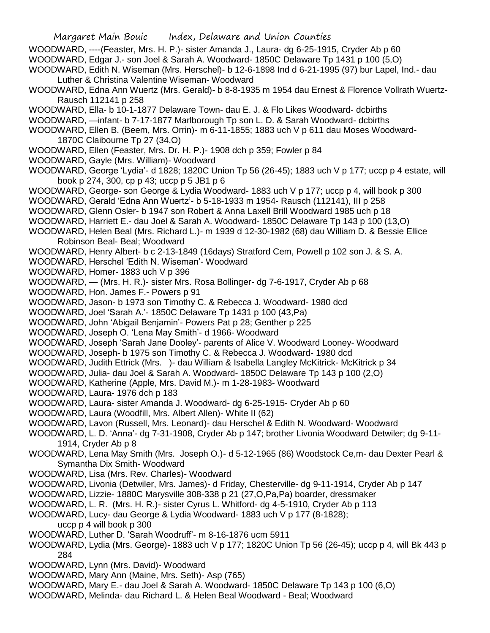- WOODWARD, ----(Feaster, Mrs. H. P.)- sister Amanda J., Laura- dg 6-25-1915, Cryder Ab p 60 WOODWARD, Edgar J.- son Joel & Sarah A. Woodward- 1850C Delaware Tp 1431 p 100 (5,O)
- WOODWARD, Edith N. Wiseman (Mrs. Herschel)- b 12-6-1898 Ind d 6-21-1995 (97) bur Lapel, Ind.- dau Luther & Christina Valentine Wiseman- Woodward
- WOODWARD, Edna Ann Wuertz (Mrs. Gerald)- b 8-8-1935 m 1954 dau Ernest & Florence Vollrath Wuertz-Rausch 112141 p 258
- WOODWARD, Ella- b 10-1-1877 Delaware Town- dau E. J. & Flo Likes Woodward- dcbirths
- WOODWARD, —infant- b 7-17-1877 Marlborough Tp son L. D. & Sarah Woodward- dcbirths
- WOODWARD, Ellen B. (Beem, Mrs. Orrin)- m 6-11-1855; 1883 uch V p 611 dau Moses Woodward-1870C Claibourne Tp 27 (34,O)
- WOODWARD, Ellen (Feaster, Mrs. Dr. H. P.)- 1908 dch p 359; Fowler p 84
- WOODWARD, Gayle (Mrs. William)- Woodward
- WOODWARD, George 'Lydia'- d 1828; 1820C Union Tp 56 (26-45); 1883 uch V p 177; uccp p 4 estate, will book p 274, 300, cp p 43; uccp p 5 JB1 p 6
- WOODWARD, George- son George & Lydia Woodward- 1883 uch V p 177; uccp p 4, will book p 300
- WOODWARD, Gerald 'Edna Ann Wuertz'- b 5-18-1933 m 1954- Rausch (112141), III p 258
- WOODWARD, Glenn Osler- b 1947 son Robert & Anna Laxell Brill Woodward 1985 uch p 18
- WOODWARD, Harriett E.- dau Joel & Sarah A. Woodward- 1850C Delaware Tp 143 p 100 (13,O)
- WOODWARD, Helen Beal (Mrs. Richard L.)- m 1939 d 12-30-1982 (68) dau William D. & Bessie Ellice Robinson Beal- Beal; Woodward
- WOODWARD, Henry Albert- b c 2-13-1849 (16days) Stratford Cem, Powell p 102 son J. & S. A.
- WOODWARD, Herschel 'Edith N. Wiseman'- Woodward
- WOODWARD, Homer- 1883 uch V p 396
- WOODWARD, (Mrs. H. R.)- sister Mrs. Rosa Bollinger- dg 7-6-1917, Cryder Ab p 68
- WOODWARD, Hon. James F.- Powers p 91
- WOODWARD, Jason- b 1973 son Timothy C. & Rebecca J. Woodward- 1980 dcd
- WOODWARD, Joel 'Sarah A.'- 1850C Delaware Tp 1431 p 100 (43,Pa)
- WOODWARD, John 'Abigail Benjamin'- Powers Pat p 28; Genther p 225
- WOODWARD, Joseph O. 'Lena May Smith'- d 1966- Woodward
- WOODWARD, Joseph 'Sarah Jane Dooley'- parents of Alice V. Woodward Looney- Woodward
- WOODWARD, Joseph- b 1975 son Timothy C. & Rebecca J. Woodward- 1980 dcd
- WOODWARD, Judith Ettrick (Mrs. )- dau William & Isabella Langley McKitrick- McKitrick p 34
- WOODWARD, Julia- dau Joel & Sarah A. Woodward- 1850C Delaware Tp 143 p 100 (2,O)
- WOODWARD, Katherine (Apple, Mrs. David M.)- m 1-28-1983- Woodward
- WOODWARD, Laura- 1976 dch p 183
- WOODWARD, Laura- sister Amanda J. Woodward- dg 6-25-1915- Cryder Ab p 60
- WOODWARD, Laura (Woodfill, Mrs. Albert Allen)- White II (62)
- WOODWARD, Lavon (Russell, Mrs. Leonard)- dau Herschel & Edith N. Woodward- Woodward
- WOODWARD, L. D. 'Anna'- dg 7-31-1908, Cryder Ab p 147; brother Livonia Woodward Detwiler; dg 9-11- 1914, Cryder Ab p 8
- WOODWARD, Lena May Smith (Mrs. Joseph O.)- d 5-12-1965 (86) Woodstock Ce,m- dau Dexter Pearl & Symantha Dix Smith- Woodward
- WOODWARD, Lisa (Mrs. Rev. Charles)- Woodward
- WOODWARD, Livonia (Detwiler, Mrs. James)- d Friday, Chesterville- dg 9-11-1914, Cryder Ab p 147
- WOODWARD, Lizzie- 1880C Marysville 308-338 p 21 (27,O,Pa,Pa) boarder, dressmaker
- WOODWARD, L. R. (Mrs. H. R.)- sister Cyrus L. Whitford- dg 4-5-1910, Cryder Ab p 113
- WOODWARD, Lucy- dau George & Lydia Woodward- 1883 uch V p 177 (8-1828);
- uccp p 4 will book p 300
- WOODWARD, Luther D. 'Sarah Woodruff'- m 8-16-1876 ucm 5911
- WOODWARD, Lydia (Mrs. George)- 1883 uch V p 177; 1820C Union Tp 56 (26-45); uccp p 4, will Bk 443 p 284
- WOODWARD, Lynn (Mrs. David)- Woodward
- WOODWARD, Mary Ann (Maine, Mrs. Seth)- Asp (765)
- WOODWARD, Mary E.- dau Joel & Sarah A. Woodward- 1850C Delaware Tp 143 p 100 (6,O)
- WOODWARD, Melinda- dau Richard L. & Helen Beal Woodward Beal; Woodward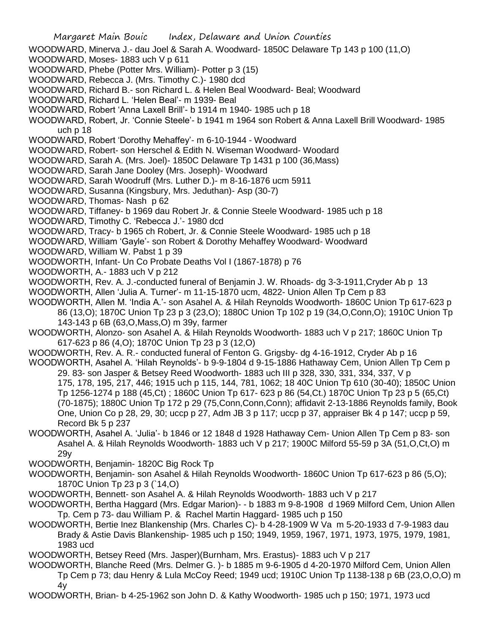WOODWARD, Minerva J.- dau Joel & Sarah A. Woodward- 1850C Delaware Tp 143 p 100 (11,O)

- WOODWARD, Moses- 1883 uch V p 611
- WOODWARD, Phebe (Potter Mrs. William)- Potter p 3 (15)
- WOODWARD, Rebecca J. (Mrs. Timothy C.)- 1980 dcd
- WOODWARD, Richard B.- son Richard L. & Helen Beal Woodward- Beal; Woodward
- WOODWARD, Richard L. 'Helen Beal'- m 1939- Beal
- WOODWARD, Robert 'Anna Laxell Brill'- b 1914 m 1940- 1985 uch p 18
- WOODWARD, Robert, Jr. 'Connie Steele'- b 1941 m 1964 son Robert & Anna Laxell Brill Woodward- 1985 uch p 18
- WOODWARD, Robert 'Dorothy Mehaffey'- m 6-10-1944 Woodward
- WOODWARD, Robert- son Herschel & Edith N. Wiseman Woodward- Woodard
- WOODWARD, Sarah A. (Mrs. Joel)- 1850C Delaware Tp 1431 p 100 (36,Mass)
- WOODWARD, Sarah Jane Dooley (Mrs. Joseph)- Woodward
- WOODWARD, Sarah Woodruff (Mrs. Luther D.)- m 8-16-1876 ucm 5911
- WOODWARD, Susanna (Kingsbury, Mrs. Jeduthan)- Asp (30-7)
- WOODWARD, Thomas- Nash p 62
- WOODWARD, Tiffaney- b 1969 dau Robert Jr. & Connie Steele Woodward- 1985 uch p 18
- WOODWARD, Timothy C. 'Rebecca J.'- 1980 dcd
- WOODWARD, Tracy- b 1965 ch Robert, Jr. & Connie Steele Woodward- 1985 uch p 18
- WOODWARD, William 'Gayle'- son Robert & Dorothy Mehaffey Woodward- Woodward
- WOODWARD, William W. Pabst 1 p 39
- WOODWORTH, Infant- Un Co Probate Deaths Vol I (1867-1878) p 76
- WOODWORTH, A.- 1883 uch V p 212
- WOODWORTH, Rev. A. J.-conducted funeral of Benjamin J. W. Rhoads- dg 3-3-1911,Cryder Ab p 13
- WOODWORTH, Allen 'Julia A. Turner'- m 11-15-1870 ucm, 4822- Union Allen Tp Cem p 83
- WOODWORTH, Allen M. 'India A.'- son Asahel A. & Hilah Reynolds Woodworth- 1860C Union Tp 617-623 p 86 (13,O); 1870C Union Tp 23 p 3 (23,O); 1880C Union Tp 102 p 19 (34,O,Conn,O); 1910C Union Tp 143-143 p 6B (63,O,Mass,O) m 39y, farmer
- WOODWORTH, Alonzo- son Asahel A. & Hilah Reynolds Woodworth- 1883 uch V p 217; 1860C Union Tp 617-623 p 86 (4,O); 1870C Union Tp 23 p 3 (12,O)
- WOODWORTH, Rev. A. R.- conducted funeral of Fenton G. Grigsby- dg 4-16-1912, Cryder Ab p 16
- WOODWORTH, Asahel A. 'Hilah Reynolds'- b 9-9-1804 d 9-15-1886 Hathaway Cem, Union Allen Tp Cem p 29. 83- son Jasper & Betsey Reed Woodworth- 1883 uch III p 328, 330, 331, 334, 337, V p 175, 178, 195, 217, 446; 1915 uch p 115, 144, 781, 1062; 18 40C Union Tp 610 (30-40); 1850C Union Tp 1256-1274 p 188 (45,Ct) ; 1860C Union Tp 617- 623 p 86 (54,Ct.) 1870C Union Tp 23 p 5 (65,Ct) (70-1875); 1880C Union Tp 172 p 29 (75,Conn,Conn,Conn); affidavit 2-13-1886 Reynolds family, Book One, Union Co p 28, 29, 30; uccp p 27, Adm JB 3 p 117; uccp p 37, appraiser Bk 4 p 147; uccp p 59,
	- Record Bk 5 p 237
- WOODWORTH, Asahel A. 'Julia'- b 1846 or 12 1848 d 1928 Hathaway Cem- Union Allen Tp Cem p 83- son Asahel A. & Hilah Reynolds Woodworth- 1883 uch V p 217; 1900C Milford 55-59 p 3A (51,O,Ct,O) m 29y
- WOODWORTH, Benjamin- 1820C Big Rock Tp
- WOODWORTH, Benjamin- son Asahel & Hilah Reynolds Woodworth- 1860C Union Tp 617-623 p 86 (5,O); 1870C Union Tp 23 p 3 (`14,O)
- WOODWORTH, Bennett- son Asahel A. & Hilah Reynolds Woodworth- 1883 uch V p 217
- WOODWORTH, Bertha Haggard (Mrs. Edgar Marion)- b 1883 m 9-8-1908 d 1969 Milford Cem, Union Allen Tp. Cem p 73- dau William P. & Rachel Martin Haggard- 1985 uch p 150
- WOODWORTH, Bertie Inez Blankenship (Mrs. Charles C)- b 4-28-1909 W Va m 5-20-1933 d 7-9-1983 dau Brady & Astie Davis Blankenship- 1985 uch p 150; 1949, 1959, 1967, 1971, 1973, 1975, 1979, 1981, 1983 ucd
- WOODWORTH, Betsey Reed (Mrs. Jasper)(Burnham, Mrs. Erastus)- 1883 uch V p 217
- WOODWORTH, Blanche Reed (Mrs. Delmer G. )- b 1885 m 9-6-1905 d 4-20-1970 Milford Cem, Union Allen Tp Cem p 73; dau Henry & Lula McCoy Reed; 1949 ucd; 1910C Union Tp 1138-138 p 6B (23,O,O,O) m 4y
- WOODWORTH, Brian- b 4-25-1962 son John D. & Kathy Woodworth- 1985 uch p 150; 1971, 1973 ucd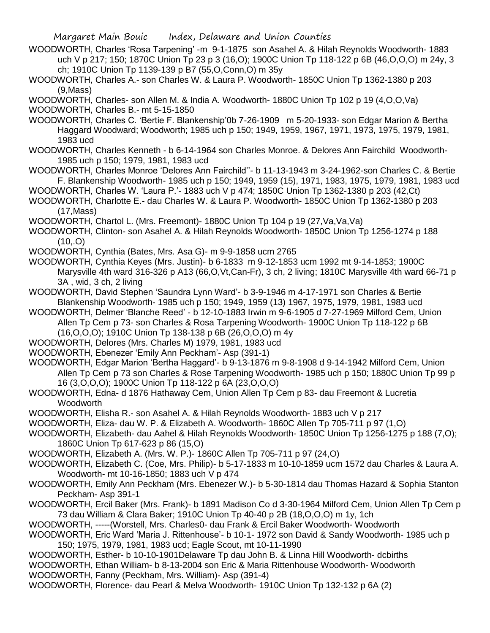WOODWORTH, Charles 'Rosa Tarpening' -m 9-1-1875 son Asahel A. & Hilah Reynolds Woodworth- 1883 uch V p 217; 150; 1870C Union Tp 23 p 3 (16,O); 1900C Union Tp 118-122 p 6B (46,O,O,O) m 24y, 3 ch; 1910C Union Tp 1139-139 p B7 (55,O,Conn,O) m 35y

WOODWORTH, Charles A.- son Charles W. & Laura P. Woodworth- 1850C Union Tp 1362-1380 p 203 (9,Mass)

WOODWORTH, Charles- son Allen M. & India A. Woodworth- 1880C Union Tp 102 p 19 (4,O,O,Va)

WOODWORTH, Charles B.- mt 5-15-1850

WOODWORTH, Charles C. 'Bertie F. Blankenship'0b 7-26-1909 m 5-20-1933- son Edgar Marion & Bertha Haggard Woodward; Woodworth; 1985 uch p 150; 1949, 1959, 1967, 1971, 1973, 1975, 1979, 1981, 1983 ucd

- WOODWORTH, Charles Kenneth b 6-14-1964 son Charles Monroe. & Delores Ann Fairchild Woodworth-1985 uch p 150; 1979, 1981, 1983 ucd
- WOODWORTH, Charles Monroe 'Delores Ann Fairchild''- b 11-13-1943 m 3-24-1962-son Charles C. & Bertie F. Blankenship Woodworth- 1985 uch p 150; 1949, 1959 (15), 1971, 1983, 1975, 1979, 1981, 1983 ucd
- WOODWORTH, Charles W. 'Laura P.'- 1883 uch V p 474; 1850C Union Tp 1362-1380 p 203 (42,Ct)
- WOODWORTH, Charlotte E.- dau Charles W. & Laura P. Woodworth- 1850C Union Tp 1362-1380 p 203 (17,Mass)

WOODWORTH, Chartol L. (Mrs. Freemont)- 1880C Union Tp 104 p 19 (27,Va,Va,Va)

WOODWORTH, Clinton- son Asahel A. & Hilah Reynolds Woodworth- 1850C Union Tp 1256-1274 p 188  $(10, .0)$ 

WOODWORTH, Cynthia (Bates, Mrs. Asa G)- m 9-9-1858 ucm 2765

- WOODWORTH, Cynthia Keyes (Mrs. Justin)- b 6-1833 m 9-12-1853 ucm 1992 mt 9-14-1853; 1900C Marysville 4th ward 316-326 p A13 (66,O,Vt,Can-Fr), 3 ch, 2 living; 1810C Marysville 4th ward 66-71 p 3A , wid, 3 ch, 2 living
- WOODWORTH, David Stephen 'Saundra Lynn Ward'- b 3-9-1946 m 4-17-1971 son Charles & Bertie Blankenship Woodworth- 1985 uch p 150; 1949, 1959 (13) 1967, 1975, 1979, 1981, 1983 ucd

WOODWORTH, Delmer 'Blanche Reed' - b 12-10-1883 Irwin m 9-6-1905 d 7-27-1969 Milford Cem, Union Allen Tp Cem p 73- son Charles & Rosa Tarpening Woodworth- 1900C Union Tp 118-122 p 6B (16,O,O,O); 1910C Union Tp 138-138 p 6B (26,O,O,O) m 4y

WOODWORTH, Delores (Mrs. Charles M) 1979, 1981, 1983 ucd

WOODWORTH, Ebenezer 'Emily Ann Peckham'- Asp (391-1)

WOODWORTH, Edgar Marion 'Bertha Haggard'- b 9-13-1876 m 9-8-1908 d 9-14-1942 Milford Cem, Union Allen Tp Cem p 73 son Charles & Rose Tarpening Woodworth- 1985 uch p 150; 1880C Union Tp 99 p 16 (3,O,O,O); 1900C Union Tp 118-122 p 6A (23,O,O,O)

WOODWORTH, Edna- d 1876 Hathaway Cem, Union Allen Tp Cem p 83- dau Freemont & Lucretia Woodworth

WOODWORTH, Elisha R.- son Asahel A. & Hilah Reynolds Woodworth- 1883 uch V p 217

WOODWORTH, Eliza- dau W. P. & Elizabeth A. Woodworth- 1860C Allen Tp 705-711 p 97 (1,O)

WOODWORTH, Elizabeth- dau Aahel & Hilah Reynolds Woodworth- 1850C Union Tp 1256-1275 p 188 (7,O); 1860C Union Tp 617-623 p 86 (15,O)

WOODWORTH, Elizabeth A. (Mrs. W. P.)- 1860C Allen Tp 705-711 p 97 (24,O)

WOODWORTH, Elizabeth C. (Coe, Mrs. Philip)- b 5-17-1833 m 10-10-1859 ucm 1572 dau Charles & Laura A. Woodworth- mt 10-16-1850; 1883 uch V p 474

WOODWORTH, Emily Ann Peckham (Mrs. Ebenezer W.)- b 5-30-1814 dau Thomas Hazard & Sophia Stanton Peckham- Asp 391-1

WOODWORTH, Ercil Baker (Mrs. Frank)- b 1891 Madison Co d 3-30-1964 Milford Cem, Union Allen Tp Cem p 73 dau William & Clara Baker; 1910C Union Tp 40-40 p 2B (18,O,O,O) m 1y, 1ch

WOODWORTH, -----(Worstell, Mrs. Charles0- dau Frank & Ercil Baker Woodworth- Woodworth

- WOODWORTH, Eric Ward 'Maria J. Rittenhouse'- b 10-1- 1972 son David & Sandy Woodworth- 1985 uch p 150; 1975, 1979, 1981, 1983 ucd; Eagle Scout, mt 10-11-1990
- WOODWORTH, Esther- b 10-10-1901Delaware Tp dau John B. & Linna Hill Woodworth- dcbirths

WOODWORTH, Ethan William- b 8-13-2004 son Eric & Maria Rittenhouse Woodworth- Woodworth

WOODWORTH, Fanny (Peckham, Mrs. William)- Asp (391-4)

WOODWORTH, Florence- dau Pearl & Melva Woodworth- 1910C Union Tp 132-132 p 6A (2)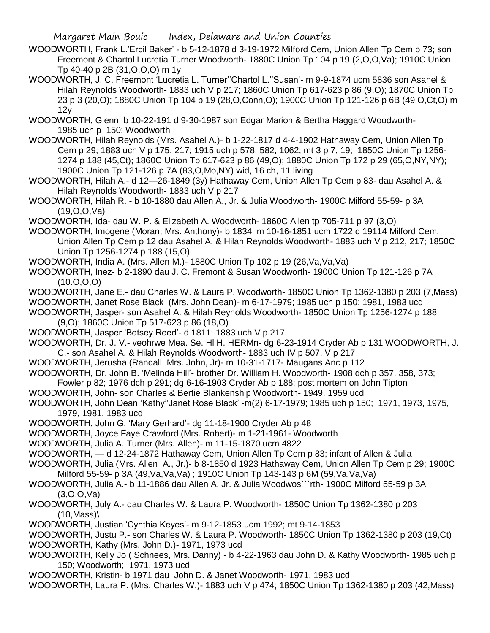- WOODWORTH, Frank L.'Ercil Baker' b 5-12-1878 d 3-19-1972 Milford Cem, Union Allen Tp Cem p 73; son Freemont & Chartol Lucretia Turner Woodworth- 1880C Union Tp 104 p 19 (2,O,O,Va); 1910C Union Tp 40-40 p 2B (31,O,O,O) m 1y
- WOODWORTH, J. C. Freemont 'Lucretia L. Turner''Chartol L.''Susan'- m 9-9-1874 ucm 5836 son Asahel & Hilah Reynolds Woodworth- 1883 uch V p 217; 1860C Union Tp 617-623 p 86 (9,O); 1870C Union Tp 23 p 3 (20,O); 1880C Union Tp 104 p 19 (28,O,Conn,O); 1900C Union Tp 121-126 p 6B (49,O,Ct,O) m 12y

WOODWORTH, Glenn b 10-22-191 d 9-30-1987 son Edgar Marion & Bertha Haggard Woodworth-1985 uch p 150; Woodworth

WOODWORTH, Hilah Reynolds (Mrs. Asahel A.)- b 1-22-1817 d 4-4-1902 Hathaway Cem, Union Allen Tp Cem p 29; 1883 uch V p 175, 217; 1915 uch p 578, 582, 1062; mt 3 p 7, 19; 1850C Union Tp 1256- 1274 p 188 (45,Ct); 1860C Union Tp 617-623 p 86 (49,O); 1880C Union Tp 172 p 29 (65,O,NY,NY); 1900C Union Tp 121-126 p 7A (83,O,Mo,NY) wid, 16 ch, 11 living

WOODWORTH, Hilah A.- d 12—26-1849 (3y) Hathaway Cem, Union Allen Tp Cem p 83- dau Asahel A. & Hilah Reynolds Woodworth- 1883 uch V p 217

WOODWORTH, Hilah R. - b 10-1880 dau Allen A., Jr. & Julia Woodworth- 1900C Milford 55-59- p 3A (19,O,O,Va)

WOODWORTH, Ida- dau W. P. & Elizabeth A. Woodworth- 1860C Allen tp 705-711 p 97 (3,O)

WOODWORTH, Imogene (Moran, Mrs. Anthony)- b 1834 m 10-16-1851 ucm 1722 d 19114 Milford Cem, Union Allen Tp Cem p 12 dau Asahel A. & Hilah Reynolds Woodworth- 1883 uch V p 212, 217; 1850C Union Tp 1256-1274 p 188 (15,O)

WOODWORTH, India A. (Mrs. Allen M.)- 1880C Union Tp 102 p 19 (26,Va,Va,Va)

WOODWORTH, Inez- b 2-1890 dau J. C. Fremont & Susan Woodworth- 1900C Union Tp 121-126 p 7A (10.O,O,O)

WOODWORTH, Jane E.- dau Charles W. & Laura P. Woodworth- 1850C Union Tp 1362-1380 p 203 (7,Mass) WOODWORTH, Janet Rose Black (Mrs. John Dean)- m 6-17-1979; 1985 uch p 150; 1981, 1983 ucd

WOODWORTH, Jasper- son Asahel A. & Hilah Reynolds Woodworth- 1850C Union Tp 1256-1274 p 188 (9,O); 1860C Union Tp 517-623 p 86 (18,O)

WOODWORTH, Jasper 'Betsey Reed'- d 1811; 1883 uch V p 217

WOODWORTH, Dr. J. V.- veohrwe Mea. Se. Hl H. HERMn- dg 6-23-1914 Cryder Ab p 131 WOODWORTH, J. C.- son Asahel A. & Hilah Reynolds Woodworth- 1883 uch IV p 507, V p 217

WOODWORTH, Jerusha (Randall, Mrs. John, Jr)- m 10-31-1717- Maugans Anc p 112

WOODWORTH, Dr. John B. 'Melinda Hill'- brother Dr. William H. Woodworth- 1908 dch p 357, 358, 373; Fowler p 82; 1976 dch p 291; dg 6-16-1903 Cryder Ab p 188; post mortem on John Tipton

WOODWORTH, John- son Charles & Bertie Blankenship Woodworth- 1949, 1959 ucd

WOODWORTH, John Dean 'Kathy''Janet Rose Black' -m(2) 6-17-1979; 1985 uch p 150; 1971, 1973, 1975, 1979, 1981, 1983 ucd

WOODWORTH, John G. 'Mary Gerhard'- dg 11-18-1900 Cryder Ab p 48

WOODWORTH, Joyce Faye Crawford (Mrs. Robert)- m 1-21-1961- Woodworth

WOODWORTH, Julia A. Turner (Mrs. Allen)- m 11-15-1870 ucm 4822

WOODWORTH, — d 12-24-1872 Hathaway Cem, Union Allen Tp Cem p 83; infant of Allen & Julia

WOODWORTH, Julia (Mrs. Allen A., Jr.)- b 8-1850 d 1923 Hathaway Cem, Union Allen Tp Cem p 29; 1900C Milford 55-59- p 3A (49,Va,Va,Va) ; 1910C Union Tp 143-143 p 6M (59,Va,Va,Va)

WOODWORTH, Julia A.- b 11-1886 dau Allen A. Jr. & Julia Woodwos```rth- 1900C Milford 55-59 p 3A (3,O,O,Va)

WOODWORTH, July A.- dau Charles W. & Laura P. Woodworth- 1850C Union Tp 1362-1380 p 203 (10,Mass)\

WOODWORTH, Justian 'Cynthia Keyes'- m 9-12-1853 ucm 1992; mt 9-14-1853

WOODWORTH, Justu P.- son Charles W. & Laura P. Woodworth- 1850C Union Tp 1362-1380 p 203 (19,Ct) WOODWORTH, Kathy (Mrs. John D.)- 1971, 1973 ucd

WOODWORTH, Kelly Jo ( Schnees, Mrs. Danny) - b 4-22-1963 dau John D. & Kathy Woodworth- 1985 uch p 150; Woodworth; 1971, 1973 ucd

WOODWORTH, Kristin- b 1971 dau John D. & Janet Woodworth- 1971, 1983 ucd

WOODWORTH, Laura P. (Mrs. Charles W.)- 1883 uch V p 474; 1850C Union Tp 1362-1380 p 203 (42,Mass)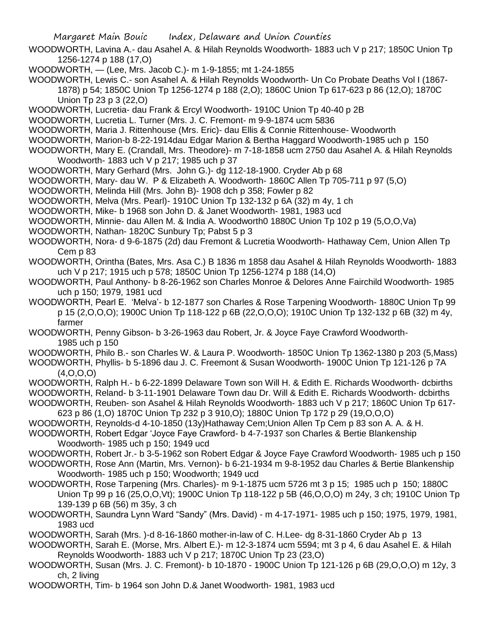- WOODWORTH, Lavina A.- dau Asahel A. & Hilah Reynolds Woodworth- 1883 uch V p 217; 1850C Union Tp 1256-1274 p 188 (17,O)
- WOODWORTH, (Lee, Mrs. Jacob C.)- m 1-9-1855; mt 1-24-1855
- WOODWORTH, Lewis C.- son Asahel A. & Hilah Reynolds Woodworth- Un Co Probate Deaths Vol I (1867- 1878) p 54; 1850C Union Tp 1256-1274 p 188 (2,O); 1860C Union Tp 617-623 p 86 (12,O); 1870C Union Tp 23 p 3 (22,O)
- WOODWORTH, Lucretia- dau Frank & Ercyl Woodworth- 1910C Union Tp 40-40 p 2B
- WOODWORTH, Lucretia L. Turner (Mrs. J. C. Fremont- m 9-9-1874 ucm 5836
- WOODWORTH, Maria J. Rittenhouse (Mrs. Eric)- dau Ellis & Connie Rittenhouse- Woodworth
- WOODWORTH, Marion-b 8-22-1914dau Edgar Marion & Bertha Haggard Woodworth-1985 uch p 150
- WOODWORTH, Mary E. (Crandall, Mrs. Theodore)- m 7-18-1858 ucm 2750 dau Asahel A. & Hilah Reynolds Woodworth- 1883 uch V p 217; 1985 uch p 37
- WOODWORTH, Mary Gerhard (Mrs. John G.)- dg 112-18-1900. Cryder Ab p 68
- WOODWORTH, Mary- dau W. P & Elizabeth A. Woodworth- 1860C Allen Tp 705-711 p 97 (5,O)
- WOODWORTH, Melinda Hill (Mrs. John B)- 1908 dch p 358; Fowler p 82
- WOODWORTH, Melva (Mrs. Pearl)- 1910C Union Tp 132-132 p 6A (32) m 4y, 1 ch
- WOODWORTH, Mike- b 1968 son John D. & Janet Woodworth- 1981, 1983 ucd
- WOODWORTH, Minnie- dau Allen M. & India A. Woodworth0 1880C Union Tp 102 p 19 (5,O,O,Va)
- WOODWORTH, Nathan- 1820C Sunbury Tp; Pabst 5 p 3
- WOODWORTH, Nora- d 9-6-1875 (2d) dau Fremont & Lucretia Woodworth- Hathaway Cem, Union Allen Tp Cem p 83
- WOODWORTH, Orintha (Bates, Mrs. Asa C.) B 1836 m 1858 dau Asahel & Hilah Reynolds Woodworth- 1883 uch V p 217; 1915 uch p 578; 1850C Union Tp 1256-1274 p 188 (14,O)
- WOODWORTH, Paul Anthony- b 8-26-1962 son Charles Monroe & Delores Anne Fairchild Woodworth- 1985 uch p 150; 1979, 1981 ucd
- WOODWORTH, Pearl E. 'Melva'- b 12-1877 son Charles & Rose Tarpening Woodworth- 1880C Union Tp 99 p 15 (2,O,O,O); 1900C Union Tp 118-122 p 6B (22,O,O,O); 1910C Union Tp 132-132 p 6B (32) m 4y, farmer
- WOODWORTH, Penny Gibson- b 3-26-1963 dau Robert, Jr. & Joyce Faye Crawford Woodworth-1985 uch p 150
- WOODWORTH, Philo B.- son Charles W. & Laura P. Woodworth- 1850C Union Tp 1362-1380 p 203 (5,Mass)
- WOODWORTH, Phyllis- b 5-1896 dau J. C. Freemont & Susan Woodworth- 1900C Union Tp 121-126 p 7A (4,O,O,O)
- WOODWORTH, Ralph H.- b 6-22-1899 Delaware Town son Will H. & Edith E. Richards Woodworth- dcbirths
- WOODWORTH, Reland- b 3-11-1901 Delaware Town dau Dr. Will & Edith E. Richards Woodworth- dcbirths
- WOODWORTH, Reuben- son Asahel & Hilah Reynolds Woodworth- 1883 uch V p 217; 1860C Union Tp 617- 623 p 86 (1,O) 1870C Union Tp 232 p 3 910,O); 1880C Union Tp 172 p 29 (19,O,O,O)
- WOODWORTH, Reynolds-d 4-10-1850 (13y)Hathaway Cem;Union Allen Tp Cem p 83 son A. A. & H.
- WOODWORTH, Robert Edgar 'Joyce Faye Crawford- b 4-7-1937 son Charles & Bertie Blankenship Woodworth- 1985 uch p 150; 1949 ucd
- WOODWORTH, Robert Jr.- b 3-5-1962 son Robert Edgar & Joyce Faye Crawford Woodworth- 1985 uch p 150
- WOODWORTH, Rose Ann (Martin, Mrs. Vernon)- b 6-21-1934 m 9-8-1952 dau Charles & Bertie Blankenship Woodworth- 1985 uch p 150; Woodworth; 1949 ucd
- WOODWORTH, Rose Tarpening (Mrs. Charles)- m 9-1-1875 ucm 5726 mt 3 p 15; 1985 uch p 150; 1880C Union Tp 99 p 16 (25,O,O,Vt); 1900C Union Tp 118-122 p 5B (46,O,O,O) m 24y, 3 ch; 1910C Union Tp 139-139 p 6B (56) m 35y, 3 ch
- WOODWORTH, Saundra Lynn Ward "Sandy" (Mrs. David) m 4-17-1971- 1985 uch p 150; 1975, 1979, 1981, 1983 ucd
- WOODWORTH, Sarah (Mrs. )-d 8-16-1860 mother-in-law of C. H.Lee- dg 8-31-1860 Cryder Ab p 13
- WOODWORTH, Sarah E. (Morse, Mrs. Albert E.)- m 12-3-1874 ucm 5594; mt 3 p 4, 6 dau Asahel E. & Hilah Reynolds Woodworth- 1883 uch V p 217; 1870C Union Tp 23 (23,O)
- WOODWORTH, Susan (Mrs. J. C. Fremont)- b 10-1870 1900C Union Tp 121-126 p 6B (29,O,O,O) m 12y, 3 ch, 2 living
- WOODWORTH, Tim- b 1964 son John D.& Janet Woodworth- 1981, 1983 ucd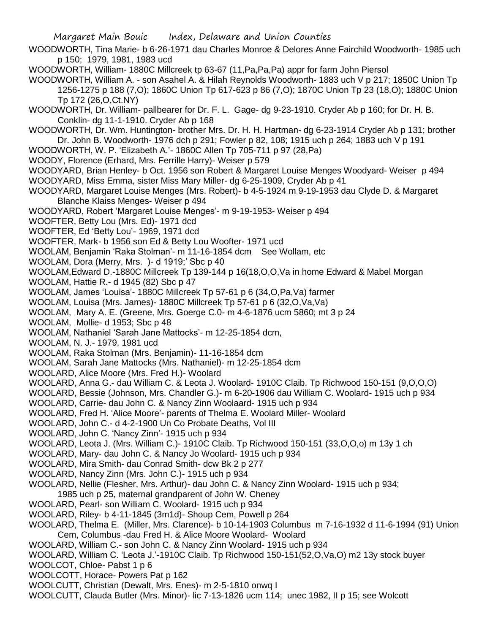- WOODWORTH, Tina Marie- b 6-26-1971 dau Charles Monroe & Delores Anne Fairchild Woodworth- 1985 uch p 150; 1979, 1981, 1983 ucd
- WOODWORTH, William- 1880C Millcreek tp 63-67 (11,Pa,Pa,Pa) appr for farm John Piersol
- WOODWORTH, William A. son Asahel A. & Hilah Reynolds Woodworth- 1883 uch V p 217; 1850C Union Tp 1256-1275 p 188 (7,O); 1860C Union Tp 617-623 p 86 (7,O); 1870C Union Tp 23 (18,O); 1880C Union Tp 172 (26,O,Ct.NY)
- WOODWORTH, Dr. William- pallbearer for Dr. F. L. Gage- dg 9-23-1910. Cryder Ab p 160; for Dr. H. B. Conklin- dg 11-1-1910. Cryder Ab p 168
- WOODWORTH, Dr. Wm. Huntington- brother Mrs. Dr. H. H. Hartman- dg 6-23-1914 Cryder Ab p 131; brother Dr. John B. Woodworth- 1976 dch p 291; Fowler p 82, 108; 1915 uch p 264; 1883 uch V p 191
- WOODWORTH, W. P. 'Elizabeth A.'- 1860C Allen Tp 705-711 p 97 (28,Pa)
- WOODY, Florence (Erhard, Mrs. Ferrille Harry)- Weiser p 579
- WOODYARD, Brian Henley- b Oct. 1956 son Robert & Margaret Louise Menges Woodyard- Weiser p 494 WOODYARD, Miss Emma, sister Miss Mary Miller- dg 6-25-1909, Cryder Ab p 41
- WOODYARD, Margaret Louise Menges (Mrs. Robert)- b 4-5-1924 m 9-19-1953 dau Clyde D. & Margaret Blanche Klaiss Menges- Weiser p 494
- WOODYARD, Robert 'Margaret Louise Menges'- m 9-19-1953- Weiser p 494
- WOOFTER, Betty Lou (Mrs. Ed)- 1971 dcd
- WOOFTER, Ed 'Betty Lou'- 1969, 1971 dcd
- WOOFTER, Mark- b 1956 son Ed & Betty Lou Woofter- 1971 ucd
- WOOLAM, Benjamin 'Raka Stolman'- m 11-16-1854 dcm See Wollam, etc
- WOOLAM, Dora (Merry, Mrs. )- d 1919;' Sbc p 40
- WOOLAM,Edward D.-1880C Millcreek Tp 139-144 p 16(18,O,O,Va in home Edward & Mabel Morgan
- WOOLAM, Hattie R.- d 1945 (82) Sbc p 47
- WOOLAM, James 'Louisa'- 1880C Millcreek Tp 57-61 p 6 (34,O,Pa,Va) farmer
- WOOLAM, Louisa (Mrs. James)- 1880C Millcreek Tp 57-61 p 6 (32,O,Va,Va)
- WOOLAM, Mary A. E. (Greene, Mrs. Goerge C.0- m 4-6-1876 ucm 5860; mt 3 p 24
- WOOLAM, Mollie- d 1953; Sbc p 48
- WOOLAM, Nathaniel 'Sarah Jane Mattocks'- m 12-25-1854 dcm,
- WOOLAM, N. J.- 1979, 1981 ucd
- WOOLAM, Raka Stolman (Mrs. Benjamin)- 11-16-1854 dcm
- WOOLAM, Sarah Jane Mattocks (Mrs. Nathaniel)- m 12-25-1854 dcm
- WOOLARD, Alice Moore (Mrs. Fred H.)- Woolard
- WOOLARD, Anna G.- dau William C. & Leota J. Woolard- 1910C Claib. Tp Richwood 150-151 (9,O,O,O)
- WOOLARD, Bessie (Johnson, Mrs. Chandler G.)- m 6-20-1906 dau William C. Woolard- 1915 uch p 934
- WOOLARD, Carrie- dau John C. & Nancy Zinn Woolaard- 1915 uch p 934
- WOOLARD, Fred H. 'Alice Moore'- parents of Thelma E. Woolard Miller- Woolard
- WOOLARD, John C.- d 4-2-1900 Un Co Probate Deaths, Vol III
- WOOLARD, John C. 'Nancy Zinn'- 1915 uch p 934
- WOOLARD, Leota J. (Mrs. William C.)- 1910C Claib. Tp Richwood 150-151 (33,O,O,o) m 13y 1 ch
- WOOLARD, Mary- dau John C. & Nancy Jo Woolard- 1915 uch p 934
- WOOLARD, Mira Smith- dau Conrad Smith- dcw Bk 2 p 277
- WOOLARD, Nancy Zinn (Mrs. John C.)- 1915 uch p 934
- WOOLARD, Nellie (Flesher, Mrs. Arthur)- dau John C. & Nancy Zinn Woolard- 1915 uch p 934;
- 1985 uch p 25, maternal grandparent of John W. Cheney
- WOOLARD, Pearl- son William C. Woolard- 1915 uch p 934
- WOOLARD, Riley- b 4-11-1845 (3m1d)- Shoup Cem, Powell p 264
- WOOLARD, Thelma E. (Miller, Mrs. Clarence)- b 10-14-1903 Columbus m 7-16-1932 d 11-6-1994 (91) Union Cem, Columbus -dau Fred H. & Alice Moore Woolard- Woolard
- WOOLARD, William C.- son John C. & Nancy Zinn Woolard- 1915 uch p 934
- WOOLARD, William C. 'Leota J.'-1910C Claib. Tp Richwood 150-151(52,O,Va,O) m2 13y stock buyer
- WOOLCOT, Chloe- Pabst 1 p 6
- WOOLCOTT, Horace- Powers Pat p 162
- WOOLCUTT, Christian (Dewalt, Mrs. Enes)- m 2-5-1810 onwq I
- WOOLCUTT, Clauda Butler (Mrs. Minor)- lic 7-13-1826 ucm 114; unec 1982, II p 15; see Wolcott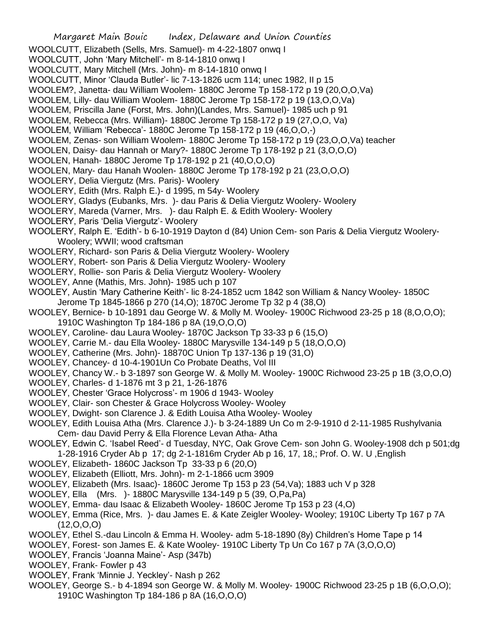- Margaret Main Bouic Index, Delaware and Union Counties WOOLCUTT, Elizabeth (Sells, Mrs. Samuel)- m 4-22-1807 onwq I WOOLCUTT, John 'Mary Mitchell'- m 8-14-1810 onwq I WOOLCUTT, Mary Mitchell (Mrs. John)- m 8-14-1810 onwq I WOOLCUTT, Minor 'Clauda Butler'- lic 7-13-1826 ucm 114; unec 1982, II p 15 WOOLEM?, Janetta- dau William Woolem- 1880C Jerome Tp 158-172 p 19 (20,O,O,Va) WOOLEM, Lilly- dau William Woolem- 1880C Jerome Tp 158-172 p 19 (13,O,O,Va) WOOLEM, Priscilla Jane (Forst, Mrs. John)(Landes, Mrs. Samuel)- 1985 uch p 91 WOOLEM, Rebecca (Mrs. William)- 1880C Jerome Tp 158-172 p 19 (27,O,O, Va) WOOLEM, William 'Rebecca'- 1880C Jerome Tp 158-172 p 19 (46,O,O,-) WOOLEM, Zenas- son William Woolem- 1880C Jerome Tp 158-172 p 19 (23,O,O,Va) teacher WOOLEN, Daisy- dau Hannah or Mary?- 1880C Jerome Tp 178-192 p 21 (3,O,O,O) WOOLEN, Hanah- 1880C Jerome Tp 178-192 p 21 (40,O,O,O) WOOLEN, Mary- dau Hanah Woolen- 1880C Jerome Tp 178-192 p 21 (23,O,O,O) WOOLERY, Delia Viergutz (Mrs. Paris)- Woolery WOOLERY, Edith (Mrs. Ralph E.)- d 1995, m 54y- Woolery WOOLERY, Gladys (Eubanks, Mrs. )- dau Paris & Delia Viergutz Woolery- Woolery WOOLERY, Mareda (Varner, Mrs. )- dau Ralph E. & Edith Woolery- Woolery WOOLERY, Paris 'Delia Viergutz'- Woolery WOOLERY, Ralph E. 'Edith'- b 6-10-1919 Dayton d (84) Union Cem- son Paris & Delia Viergutz Woolery-Woolery; WWII; wood craftsman WOOLERY, Richard- son Paris & Delia Viergutz Woolery- Woolery WOOLERY, Robert- son Paris & Delia Viergutz Woolery- Woolery WOOLERY, Rollie- son Paris & Delia Viergutz Woolery- Woolery WOOLEY, Anne (Mathis, Mrs. John)- 1985 uch p 107 WOOLEY, Austin 'Mary Catherine Keith'- lic 8-24-1852 ucm 1842 son William & Nancy Wooley- 1850C Jerome Tp 1845-1866 p 270 (14,O); 1870C Jerome Tp 32 p 4 (38,O) WOOLEY, Bernice- b 10-1891 dau George W. & Molly M. Wooley- 1900C Richwood 23-25 p 18 (8,O,O,O); 1910C Washington Tp 184-186 p 8A (19,O,O,O) WOOLEY, Caroline- dau Laura Wooley- 1870C Jackson Tp 33-33 p 6 (15,O) WOOLEY, Carrie M.- dau Ella Wooley- 1880C Marysville 134-149 p 5 (18,O,O,O) WOOLEY, Catherine (Mrs. John)- 18870C Union Tp 137-136 p 19 (31,O) WOOLEY, Chancey- d 10-4-1901Un Co Probate Deaths, Vol III WOOLEY, Chancy W.- b 3-1897 son George W. & Molly M. Wooley- 1900C Richwood 23-25 p 1B (3,O,O,O) WOOLEY, Charles- d 1-1876 mt 3 p 21, 1-26-1876 WOOLEY, Chester 'Grace Holycross'- m 1906 d 1943- Wooley WOOLEY, Clair- son Chester & Grace Holycross Wooley- Wooley WOOLEY, Dwight- son Clarence J. & Edith Louisa Atha Wooley- Wooley WOOLEY, Edith Louisa Atha (Mrs. Clarence J.)- b 3-24-1889 Un Co m 2-9-1910 d 2-11-1985 Rushylvania Cem- dau David Perry & Ella Florence Levan Atha- Atha WOOLEY, Edwin C. 'Isabel Reed'- d Tuesday, NYC, Oak Grove Cem- son John G. Wooley-1908 dch p 501;dg 1-28-1916 Cryder Ab p 17; dg 2-1-1816m Cryder Ab p 16, 17, 18,; Prof. O. W. U ,English WOOLEY, Elizabeth- 1860C Jackson Tp 33-33 p 6 (20,O) WOOLEY, Elizabeth (Elliott, Mrs. John)- m 2-1-1866 ucm 3909 WOOLEY, Elizabeth (Mrs. Isaac)- 1860C Jerome Tp 153 p 23 (54,Va); 1883 uch V p 328 WOOLEY, Ella (Mrs. )- 1880C Marysville 134-149 p 5 (39, O,Pa,Pa) WOOLEY, Emma- dau Isaac & Elizabeth Wooley- 1860C Jerome Tp 153 p 23 (4,O)
- WOOLEY, Emma (Rice, Mrs. )- dau James E. & Kate Zeigler Wooley- Wooley; 1910C Liberty Tp 167 p 7A  $(12,0,0,0)$
- WOOLEY, Ethel S.-dau Lincoln & Emma H. Wooley- adm 5-18-1890 (8y) Children's Home Tape p 14
- WOOLEY, Forest- son James E. & Kate Wooley- 1910C Liberty Tp Un Co 167 p 7A (3,O,O,O)
- WOOLEY, Francis 'Joanna Maine'- Asp (347b)
- WOOLEY, Frank- Fowler p 43
- WOOLEY, Frank 'Minnie J. Yeckley'- Nash p 262
- WOOLEY, George S.- b 4-1894 son George W. & Molly M. Wooley- 1900C Richwood 23-25 p 1B (6,O,O,O); 1910C Washington Tp 184-186 p 8A (16,O,O,O)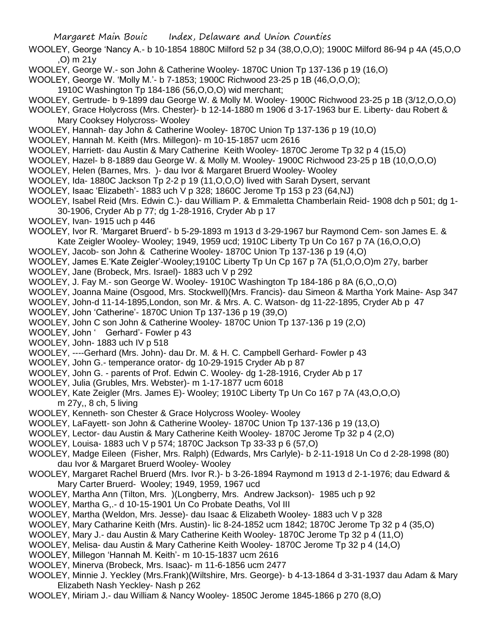- WOOLEY, George 'Nancy A.- b 10-1854 1880C Milford 52 p 34 (38,O,O,O); 1900C Milford 86-94 p 4A (45,O,O ,O) m 21y
- WOOLEY, George W.- son John & Catherine Wooley- 1870C Union Tp 137-136 p 19 (16,O)
- WOOLEY, George W. 'Molly M.'- b 7-1853; 1900C Richwood 23-25 p 1B (46,O,O,O);
	- 1910C Washington Tp 184-186 (56,O,O,O) wid merchant;
- WOOLEY, Gertrude- b 9-1899 dau George W. & Molly M. Wooley- 1900C Richwood 23-25 p 1B (3/12,O,O,O)
- WOOLEY, Grace Holycross (Mrs. Chester)- b 12-14-1880 m 1906 d 3-17-1963 bur E. Liberty- dau Robert & Mary Cooksey Holycross- Wooley
- WOOLEY, Hannah- day John & Catherine Wooley- 1870C Union Tp 137-136 p 19 (10,O)
- WOOLEY, Hannah M. Keith (Mrs. Millegon)- m 10-15-1857 ucm 2616
- WOOLEY, Harriett- dau Austin & Mary Catherine Keith Wooley- 1870C Jerome Tp 32 p 4 (15,O)
- WOOLEY, Hazel- b 8-1889 dau George W. & Molly M. Wooley- 1900C Richwood 23-25 p 1B (10,O,O,O)
- WOOLEY, Helen (Barnes, Mrs. )- dau Ivor & Margaret Bruerd Wooley- Wooley
- WOOLEY, Ida- 1880C Jackson Tp 2-2 p 19 (11,O,O,O) lived with Sarah Dysert, servant
- WOOLEY, Isaac 'Elizabeth'- 1883 uch V p 328; 1860C Jerome Tp 153 p 23 (64,NJ)
- WOOLEY, Isabel Reid (Mrs. Edwin C.)- dau William P. & Emmaletta Chamberlain Reid- 1908 dch p 501; dg 1- 30-1906, Cryder Ab p 77; dg 1-28-1916, Cryder Ab p 17
- WOOLEY, Ivan- 1915 uch p 446
- WOOLEY, Ivor R. 'Margaret Bruerd'- b 5-29-1893 m 1913 d 3-29-1967 bur Raymond Cem- son James E. & Kate Zeigler Wooley- Wooley; 1949, 1959 ucd; 1910C Liberty Tp Un Co 167 p 7A (16,O,O,O)
- WOOLEY, Jacob- son John & Catherine Wooley- 1870C Union Tp 137-136 p 19 (4,O)
- WOOLEY, James E.'Kate Zeigler'-Wooley;1910C Liberty Tp Un Cp 167 p 7A (51,O,O,O)m 27y, barber
- WOOLEY, Jane (Brobeck, Mrs. Israel)- 1883 uch V p 292
- WOOLEY, J. Fay M.- son George W. Wooley- 1910C Washington Tp 184-186 p 8A (6,O,,O,O)
- WOOLEY, Joanna Maine (Osgood, Mrs. Stockwell)(Mrs. Francis)- dau Simeon & Martha York Maine- Asp 347
- WOOLEY, John-d 11-14-1895,London, son Mr. & Mrs. A. C. Watson- dg 11-22-1895, Cryder Ab p 47
- WOOLEY, John 'Catherine'- 1870C Union Tp 137-136 p 19 (39,O)
- WOOLEY, John C son John & Catherine Wooley- 1870C Union Tp 137-136 p 19 (2,O)
- WOOLEY, John ' Gerhard'- Fowler p 43
- WOOLEY, John- 1883 uch IV p 518
- WOOLEY, ----Gerhard (Mrs. John)- dau Dr. M. & H. C. Campbell Gerhard- Fowler p 43
- WOOLEY, John G.- temperance orator- dg 10-29-1915 Cryder Ab p 87
- WOOLEY, John G. parents of Prof. Edwin C. Wooley- dg 1-28-1916, Cryder Ab p 17
- WOOLEY, Julia (Grubles, Mrs. Webster)- m 1-17-1877 ucm 6018
- WOOLEY, Kate Zeigler (Mrs. James E)- Wooley; 1910C Liberty Tp Un Co 167 p 7A (43,O,O,O) m 27y,, 8 ch, 5 living
- WOOLEY, Kenneth- son Chester & Grace Holycross Wooley- Wooley
- WOOLEY, LaFayett- son John & Catherine Wooley- 1870C Union Tp 137-136 p 19 (13,O)
- WOOLEY, Lector- dau Austin & Mary Catherine Keith Wooley- 1870C Jerome Tp 32 p 4 (2,O)
- WOOLEY, Louisa- 1883 uch V p 574; 1870C Jackson Tp 33-33 p 6 (57,O)
- WOOLEY, Madge Eileen (Fisher, Mrs. Ralph) (Edwards, Mrs Carlyle)- b 2-11-1918 Un Co d 2-28-1998 (80) dau Ivor & Margaret Bruerd Wooley- Wooley
- WOOLEY, Margaret Rachel Bruerd (Mrs. Ivor R.)- b 3-26-1894 Raymond m 1913 d 2-1-1976; dau Edward & Mary Carter Bruerd- Wooley; 1949, 1959, 1967 ucd
- WOOLEY, Martha Ann (Tilton, Mrs. )(Longberry, Mrs. Andrew Jackson)- 1985 uch p 92
- WOOLEY, Martha G,.- d 10-15-1901 Un Co Probate Deaths, Vol III
- WOOLEY, Martha (Weldon, Mrs. Jesse)- dau Isaac & Elizabeth Wooley- 1883 uch V p 328
- WOOLEY, Mary Catharine Keith (Mrs. Austin)- lic 8-24-1852 ucm 1842; 1870C Jerome Tp 32 p 4 (35,O)
- WOOLEY, Mary J.- dau Austin & Mary Catherine Keith Wooley- 1870C Jerome Tp 32 p 4 (11,O)
- WOOLEY, Melisa- dau Austin & Mary Catherine Keith Wooley- 1870C Jerome Tp 32 p 4 (14,O)
- WOOLEY, Millegon 'Hannah M. Keith'- m 10-15-1837 ucm 2616
- WOOLEY, Minerva (Brobeck, Mrs. Isaac)- m 11-6-1856 ucm 2477
- WOOLEY, Minnie J. Yeckley (Mrs.Frank)(Wiltshire, Mrs. George)- b 4-13-1864 d 3-31-1937 dau Adam & Mary Elizabeth Nash Yeckley- Nash p 262
- WOOLEY, Miriam J.- dau William & Nancy Wooley- 1850C Jerome 1845-1866 p 270 (8,O)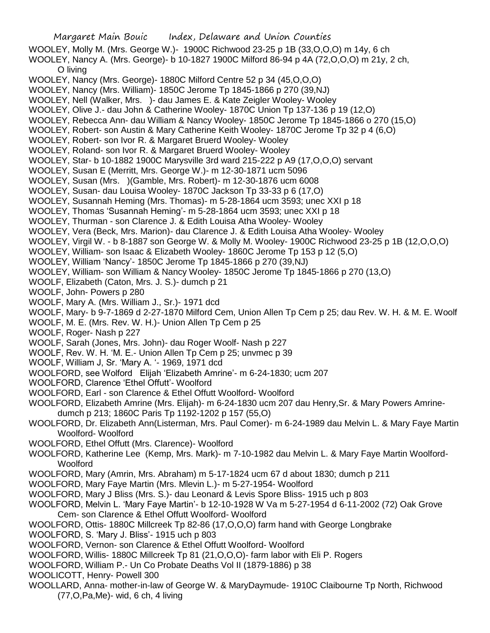Margaret Main Bouic Index, Delaware and Union Counties WOOLEY, Molly M. (Mrs. George W.)- 1900C Richwood 23-25 p 1B (33,O,O,O) m 14y, 6 ch WOOLEY, Nancy A. (Mrs. George)- b 10-1827 1900C Milford 86-94 p 4A (72,O,O,O) m 21y, 2 ch, O living WOOLEY, Nancy (Mrs. George)- 1880C Milford Centre 52 p 34 (45,O,O,O) WOOLEY, Nancy (Mrs. William)- 1850C Jerome Tp 1845-1866 p 270 (39,NJ) WOOLEY, Nell (Walker, Mrs. )- dau James E. & Kate Zeigler Wooley- Wooley WOOLEY, Olive J.- dau John & Catherine Wooley- 1870C Union Tp 137-136 p 19 (12,O) WOOLEY, Rebecca Ann- dau William & Nancy Wooley- 1850C Jerome Tp 1845-1866 o 270 (15,O) WOOLEY, Robert- son Austin & Mary Catherine Keith Wooley- 1870C Jerome Tp 32 p 4 (6,O) WOOLEY, Robert- son Ivor R. & Margaret Bruerd Wooley- Wooley WOOLEY, Roland- son Ivor R. & Margaret Bruerd Wooley- Wooley WOOLEY, Star- b 10-1882 1900C Marysville 3rd ward 215-222 p A9 (17,O,O,O) servant WOOLEY, Susan E (Merritt, Mrs. George W.)- m 12-30-1871 ucm 5096 WOOLEY, Susan (Mrs. )(Gamble, Mrs. Robert)- m 12-30-1876 ucm 6008 WOOLEY, Susan- dau Louisa Wooley- 1870C Jackson Tp 33-33 p 6 (17,O) WOOLEY, Susannah Heming (Mrs. Thomas)- m 5-28-1864 ucm 3593; unec XXI p 18 WOOLEY, Thomas 'Susannah Heming'- m 5-28-1864 ucm 3593; unec XXI p 18 WOOLEY, Thurman - son Clarence J. & Edith Louisa Atha Wooley- Wooley WOOLEY, Vera (Beck, Mrs. Marion)- dau Clarence J. & Edith Louisa Atha Wooley- Wooley WOOLEY, Virgil W. - b 8-1887 son George W. & Molly M. Wooley- 1900C Richwood 23-25 p 1B (12,O,O,O) WOOLEY, William- son Isaac & Elizabeth Wooley- 1860C Jerome Tp 153 p 12 (5,O) WOOLEY, William 'Nancy'- 1850C Jerome Tp 1845-1866 p 270 (39,NJ) WOOLEY, William- son William & Nancy Wooley- 1850C Jerome Tp 1845-1866 p 270 (13,O) WOOLF, Elizabeth (Caton, Mrs. J. S.)- dumch p 21 WOOLF, John- Powers p 280 WOOLF, Mary A. (Mrs. William J., Sr.)- 1971 dcd WOOLF, Mary- b 9-7-1869 d 2-27-1870 Milford Cem, Union Allen Tp Cem p 25; dau Rev. W. H. & M. E. Woolf WOOLF, M. E. (Mrs. Rev. W. H.) - Union Allen To Cem p 25 WOOLF, Roger- Nash p 227 WOOLF, Sarah (Jones, Mrs. John)- dau Roger Woolf- Nash p 227 WOOLF, Rev. W. H. 'M. E.- Union Allen Tp Cem p 25; unvmec p 39 WOOLF, William J, Sr. 'Mary A. '- 1969, 1971 dcd WOOLFORD, see Wolford Elijah 'Elizabeth Amrine'- m 6-24-1830; ucm 207 WOOLFORD, Clarence 'Ethel Offutt'- Woolford WOOLFORD, Earl - son Clarence & Ethel Offutt Woolford- Woolford WOOLFORD, Elizabeth Amrine (Mrs. Elijah)- m 6-24-1830 ucm 207 dau Henry,Sr. & Mary Powers Amrinedumch p 213; 1860C Paris Tp 1192-1202 p 157 (55,O) WOOLFORD, Dr. Elizabeth Ann(Listerman, Mrs. Paul Comer)- m 6-24-1989 dau Melvin L. & Mary Faye Martin Woolford- Woolford WOOLFORD, Ethel Offutt (Mrs. Clarence)- Woolford WOOLFORD, Katherine Lee (Kemp, Mrs. Mark)- m 7-10-1982 dau Melvin L. & Mary Faye Martin Woolford-

**Woolford** 

WOOLFORD, Mary (Amrin, Mrs. Abraham) m 5-17-1824 ucm 67 d about 1830; dumch p 211

- WOOLFORD, Mary Faye Martin (Mrs. Mlevin L.)- m 5-27-1954- Woolford
- WOOLFORD, Mary J Bliss (Mrs. S.)- dau Leonard & Levis Spore Bliss- 1915 uch p 803
- WOOLFORD, Melvin L. 'Mary Faye Martin'- b 12-10-1928 W Va m 5-27-1954 d 6-11-2002 (72) Oak Grove Cem- son Clarence & Ethel Offutt Woolford- Woolford
- WOOLFORD, Ottis- 1880C Millcreek Tp 82-86 (17,O,O,O) farm hand with George Longbrake
- WOOLFORD, S. 'Mary J. Bliss'- 1915 uch p 803
- WOOLFORD, Vernon- son Clarence & Ethel Offutt Woolford- Woolford
- WOOLFORD, Willis- 1880C Millcreek Tp 81 (21,O,O,O)- farm labor with Eli P. Rogers
- WOOLFORD, William P.- Un Co Probate Deaths Vol II (1879-1886) p 38
- WOOLICOTT, Henry- Powell 300
- WOOLLARD, Anna- mother-in-law of George W. & MaryDaymude- 1910C Claibourne Tp North, Richwood (77,O,Pa,Me)- wid, 6 ch, 4 living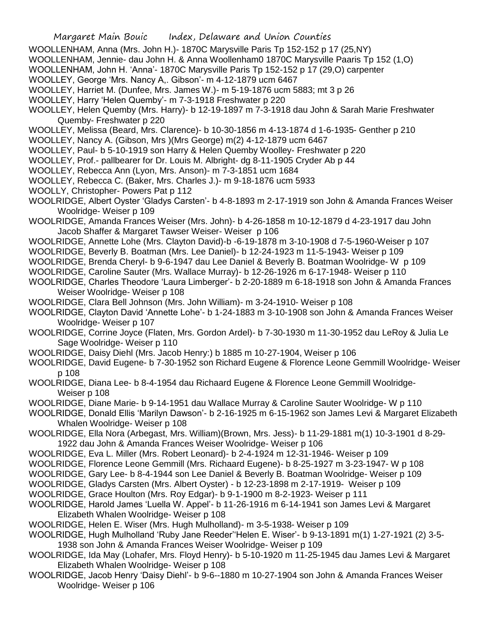- WOOLLENHAM, Anna (Mrs. John H.)- 1870C Marysville Paris Tp 152-152 p 17 (25,NY)
- WOOLLENHAM, Jennie- dau John H. & Anna Woollenham0 1870C Marysville Paaris Tp 152 (1,O)
- WOOLLENHAM, John H. 'Anna'- 1870C Marysville Paris Tp 152-152 p 17 (29,O) carpenter
- WOOLLEY, George 'Mrs. Nancy A,. Gibson'- m 4-12-1879 ucm 6467
- WOOLLEY, Harriet M. (Dunfee, Mrs. James W.)- m 5-19-1876 ucm 5883; mt 3 p 26
- WOOLLEY, Harry 'Helen Quemby'- m 7-3-1918 Freshwater p 220
- WOOLLEY, Helen Quemby (Mrs. Harry)- b 12-19-1897 m 7-3-1918 dau John & Sarah Marie Freshwater Quemby- Freshwater p 220
- WOOLLEY, Melissa (Beard, Mrs. Clarence)- b 10-30-1856 m 4-13-1874 d 1-6-1935- Genther p 210
- WOOLLEY, Nancy A. (Gibson, Mrs )(Mrs George) m(2) 4-12-1879 ucm 6467
- WOOLLEY, Paul- b 5-10-1919 son Harry & Helen Quemby Woolley- Freshwater p 220
- WOOLLEY, Prof.- pallbearer for Dr. Louis M. Albright- dg 8-11-1905 Cryder Ab p 44
- WOOLLEY, Rebecca Ann (Lyon, Mrs. Anson)- m 7-3-1851 ucm 1684
- WOOLLEY, Rebecca C. (Baker, Mrs. Charles J.)- m 9-18-1876 ucm 5933
- WOOLLY, Christopher- Powers Pat p 112
- WOOLRIDGE, Albert Oyster 'Gladys Carsten'- b 4-8-1893 m 2-17-1919 son John & Amanda Frances Weiser Woolridge- Weiser p 109
- WOOLRIDGE, Amanda Frances Weiser (Mrs. John)- b 4-26-1858 m 10-12-1879 d 4-23-1917 dau John Jacob Shaffer & Margaret Tawser Weiser- Weiser p 106
- WOOLRIDGE, Annette Lohe (Mrs. Clayton David)-b -6-19-1878 m 3-10-1908 d 7-5-1960-Weiser p 107
- WOOLRIDGE, Beverly B. Boatman (Mrs. Lee Daniel)- b 12-24-1923 m 11-5-1943- Weiser p 109
- WOOLRIDGE, Brenda Cheryl- b 9-6-1947 dau Lee Daniel & Beverly B. Boatman Woolridge- W p 109
- WOOLRIDGE, Caroline Sauter (Mrs. Wallace Murray)- b 12-26-1926 m 6-17-1948- Weiser p 110
- WOOLRIDGE, Charles Theodore 'Laura Limberger'- b 2-20-1889 m 6-18-1918 son John & Amanda Frances Weiser Woolridge- Weiser p 108
- WOOLRIDGE, Clara Bell Johnson (Mrs. John William)- m 3-24-1910- Weiser p 108
- WOOLRIDGE, Clayton David 'Annette Lohe'- b 1-24-1883 m 3-10-1908 son John & Amanda Frances Weiser Woolridge- Weiser p 107
- WOOLRIDGE, Corrine Joyce (Flaten, Mrs. Gordon Ardel)- b 7-30-1930 m 11-30-1952 dau LeRoy & Julia Le Sage Woolridge- Weiser p 110
- WOOLRIDGE, Daisy Diehl (Mrs. Jacob Henry:) b 1885 m 10-27-1904, Weiser p 106
- WOOLRIDGE, David Eugene- b 7-30-1952 son Richard Eugene & Florence Leone Gemmill Woolridge- Weiser p 108
- WOOLRIDGE, Diana Lee- b 8-4-1954 dau Richaard Eugene & Florence Leone Gemmill Woolridge- Weiser p 108
- WOOLRIDGE, Diane Marie- b 9-14-1951 dau Wallace Murray & Caroline Sauter Woolridge- W p 110
- WOOLRIDGE, Donald Ellis 'Marilyn Dawson'- b 2-16-1925 m 6-15-1962 son James Levi & Margaret Elizabeth Whalen Woolridge- Weiser p 108
- WOOLRIDGE, Ella Nora (Arbegast, Mrs. William)(Brown, Mrs. Jess)- b 11-29-1881 m(1) 10-3-1901 d 8-29- 1922 dau John & Amanda Frances Weiser Woolridge- Weiser p 106
- WOOLRIDGE, Eva L. Miller (Mrs. Robert Leonard)- b 2-4-1924 m 12-31-1946- Weiser p 109
- WOOLRIDGE, Florence Leone Gemmill (Mrs. Richaard Eugene)- b 8-25-1927 m 3-23-1947- W p 108
- WOOLRIDGE, Gary Lee- b 8-4-1944 son Lee Daniel & Beverly B. Boatman Woolridge- Weiser p 109
- WOOLRIDGE, Gladys Carsten (Mrs. Albert Oyster) b 12-23-1898 m 2-17-1919- Weiser p 109
- WOOLRIDGE, Grace Houlton (Mrs. Roy Edgar)- b 9-1-1900 m 8-2-1923- Weiser p 111
- WOOLRIDGE, Harold James 'Luella W. Appel'- b 11-26-1916 m 6-14-1941 son James Levi & Margaret Elizabeth Whalen Woolridge- Weiser p 108
- WOOLRIDGE, Helen E. Wiser (Mrs. Hugh Mulholland)- m 3-5-1938- Weiser p 109
- WOOLRIDGE, Hugh Mulholland 'Ruby Jane Reeder''Helen E. Wiser'- b 9-13-1891 m(1) 1-27-1921 (2) 3-5- 1938 son John & Amanda Frances Weiser Woolridge- Weiser p 109
- WOOLRIDGE, Ida May (Lohafer, Mrs. Floyd Henry)- b 5-10-1920 m 11-25-1945 dau James Levi & Margaret Elizabeth Whalen Woolridge- Weiser p 108
- WOOLRIDGE, Jacob Henry 'Daisy Diehl'- b 9-6--1880 m 10-27-1904 son John & Amanda Frances Weiser Woolridge- Weiser p 106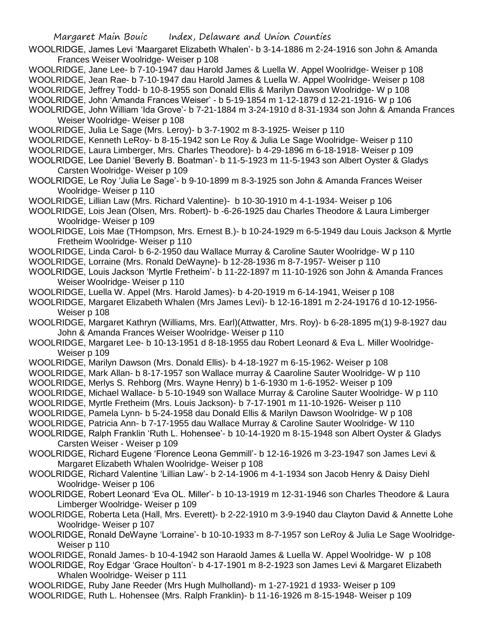- WOOLRIDGE, James Levi 'Maargaret Elizabeth Whalen'- b 3-14-1886 m 2-24-1916 son John & Amanda Frances Weiser Woolridge- Weiser p 108
- WOOLRIDGE, Jane Lee- b 7-10-1947 dau Harold James & Luella W. Appel Woolridge- Weiser p 108
- WOOLRIDGE, Jean Rae- b 7-10-1947 dau Harold James & Luella W. Appel Woolridge- Weiser p 108
- WOOLRIDGE, Jeffrey Todd- b 10-8-1955 son Donald Ellis & Marilyn Dawson Woolridge- W p 108
- WOOLRIDGE, John 'Amanda Frances Weiser' b 5-19-1854 m 1-12-1879 d 12-21-1916- W p 106
- WOOLRIDGE, John William 'Ida Grove'- b 7-21-1884 m 3-24-1910 d 8-31-1934 son John & Amanda Frances Weiser Woolridge- Weiser p 108
- WOOLRIDGE, Julia Le Sage (Mrs. Leroy)- b 3-7-1902 m 8-3-1925- Weiser p 110
- WOOLRIDGE, Kenneth LeRoy- b 8-15-1942 son Le Roy & Julia Le Sage Woolridge- Weiser p 110
- WOOLRIDGE, Laura Limberger, Mrs. Charles Theodore)- b 4-29-1896 m 6-18-1918- Weiser p 109
- WOOLRIDGE, Lee Daniel 'Beverly B. Boatman'- b 11-5-1923 m 11-5-1943 son Albert Oyster & Gladys Carsten Woolridge- Weiser p 109
- WOOLRIDGE, Le Roy 'Julia Le Sage'- b 9-10-1899 m 8-3-1925 son John & Amanda Frances Weiser Woolridge- Weiser p 110
- WOOLRIDGE, Lillian Law (Mrs. Richard Valentine)- b 10-30-1910 m 4-1-1934- Weiser p 106
- WOOLRIDGE, Lois Jean (Olsen, Mrs. Robert)- b -6-26-1925 dau Charles Theodore & Laura Limberger Woolridge- Weiser p 109
- WOOLRIDGE, Lois Mae (THompson, Mrs. Ernest B.)- b 10-24-1929 m 6-5-1949 dau Louis Jackson & Myrtle Fretheim Woolridge- Weiser p 110
- WOOLRIDGE, Linda Carol- b 6-2-1950 dau Wallace Murray & Caroline Sauter Woolridge- W p 110
- WOOLRIDGE, Lorraine (Mrs. Ronald DeWayne)- b 12-28-1936 m 8-7-1957- Weiser p 110
- WOOLRIDGE, Louis Jackson 'Myrtle Fretheim'- b 11-22-1897 m 11-10-1926 son John & Amanda Frances Weiser Woolridge- Weiser p 110
- WOOLRIDGE, Luella W. Appel (Mrs. Harold James)- b 4-20-1919 m 6-14-1941, Weiser p 108
- WOOLRIDGE, Margaret Elizabeth Whalen (Mrs James Levi)- b 12-16-1891 m 2-24-19176 d 10-12-1956- Weiser p 108
- WOOLRIDGE, Margaret Kathryn (Williams, Mrs. Earl)(Attwatter, Mrs. Roy)- b 6-28-1895 m(1) 9-8-1927 dau John & Amanda Frances Weiser Woolridge- Weiser p 110
- WOOLRIDGE, Margaret Lee- b 10-13-1951 d 8-18-1955 dau Robert Leonard & Eva L. Miller Woolridge-Weiser p 109
- WOOLRIDGE, Marilyn Dawson (Mrs. Donald Ellis)- b 4-18-1927 m 6-15-1962- Weiser p 108
- WOOLRIDGE, Mark Allan- b 8-17-1957 son Wallace murray & Caaroline Sauter Woolridge- W p 110
- WOOLRIDGE, Merlys S. Rehborg (Mrs. Wayne Henry) b 1-6-1930 m 1-6-1952- Weiser p 109
- WOOLRIDGE, Michael Wallace- b 5-10-1949 son Wallace Murray & Caroline Sauter Woolridge- W p 110
- WOOLRIDGE, Myrtle Fretheim (Mrs. Louis Jackson)- b 7-17-1901 m 11-10-1926- Weiser p 110
- WOOLRIDGE, Pamela Lynn- b 5-24-1958 dau Donald Ellis & Marilyn Dawson Woolridge- W p 108
- WOOLRIDGE, Patricia Ann- b 7-17-1955 dau Wallace Murray & Caroline Sauter Woolridge- W 110
- WOOLRIDGE, Ralph Franklin 'Ruth L. Hohensee'- b 10-14-1920 m 8-15-1948 son Albert Oyster & Gladys Carsten Weiser - Weiser p 109
- WOOLRIDGE, Richard Eugene 'Florence Leona Gemmill'- b 12-16-1926 m 3-23-1947 son James Levi & Margaret Elizabeth Whalen Woolridge- Weiser p 108
- WOOLRIDGE, Richard Valentine 'Lillian Law'- b 2-14-1906 m 4-1-1934 son Jacob Henry & Daisy Diehl Woolridge- Weiser p 106
- WOOLRIDGE, Robert Leonard 'Eva OL. Miller'- b 10-13-1919 m 12-31-1946 son Charles Theodore & Laura Limberger Woolridge- Weiser p 109
- WOOLRIDGE, Roberta Leta (Hall, Mrs. Everett)- b 2-22-1910 m 3-9-1940 dau Clayton David & Annette Lohe Woolridge- Weiser p 107
- WOOLRIDGE, Ronald DeWayne 'Lorraine'- b 10-10-1933 m 8-7-1957 son LeRoy & Julia Le Sage Woolridge-Weiser p 110
- WOOLRIDGE, Ronald James- b 10-4-1942 son Haraold James & Luella W. Appel Woolridge- W p 108
- WOOLRIDGE, Roy Edgar 'Grace Houlton'- b 4-17-1901 m 8-2-1923 son James Levi & Margaret Elizabeth Whalen Woolridge- Weiser p 111
- WOOLRIDGE, Ruby Jane Reeder (Mrs Hugh Mulholland)- m 1-27-1921 d 1933- Weiser p 109
- WOOLRIDGE, Ruth L. Hohensee (Mrs. Ralph Franklin)- b 11-16-1926 m 8-15-1948- Weiser p 109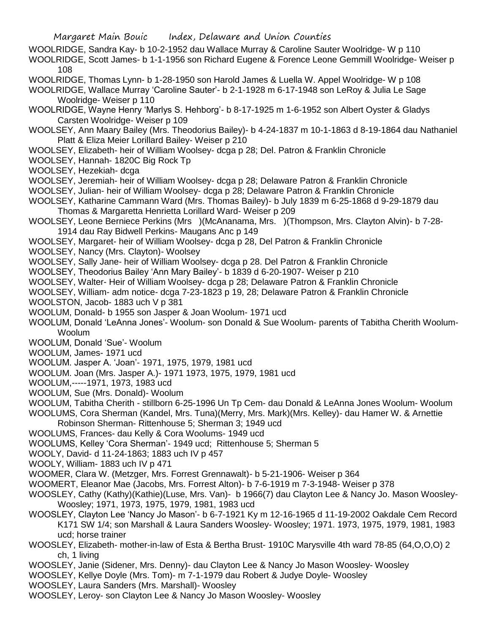- WOOLRIDGE, Sandra Kay- b 10-2-1952 dau Wallace Murray & Caroline Sauter Woolridge- W p 110
- WOOLRIDGE, Scott James- b 1-1-1956 son Richard Eugene & Forence Leone Gemmill Woolridge- Weiser p 108
- WOOLRIDGE, Thomas Lynn- b 1-28-1950 son Harold James & Luella W. Appel Woolridge- W p 108
- WOOLRIDGE, Wallace Murray 'Caroline Sauter'- b 2-1-1928 m 6-17-1948 son LeRoy & Julia Le Sage Woolridge- Weiser p 110
- WOOLRIDGE, Wayne Henry 'Marlys S. Hehborg'- b 8-17-1925 m 1-6-1952 son Albert Oyster & Gladys Carsten Woolridge- Weiser p 109
- WOOLSEY, Ann Maary Bailey (Mrs. Theodorius Bailey)- b 4-24-1837 m 10-1-1863 d 8-19-1864 dau Nathaniel Platt & Eliza Meier Lorillard Bailey- Weiser p 210
- WOOLSEY, Elizabeth- heir of William Woolsey- dcga p 28; Del. Patron & Franklin Chronicle
- WOOLSEY, Hannah- 1820C Big Rock Tp
- WOOLSEY, Hezekiah- dcga
- WOOLSEY, Jeremiah- heir of William Woolsey- dcga p 28; Delaware Patron & Franklin Chronicle
- WOOLSEY, Julian- heir of William Woolsey- dcga p 28; Delaware Patron & Franklin Chronicle
- WOOLSEY, Katharine Cammann Ward (Mrs. Thomas Bailey)- b July 1839 m 6-25-1868 d 9-29-1879 dau Thomas & Margaretta Henrietta Lorillard Ward- Weiser p 209
- WOOLSEY, Leone Berniece Perkins (Mrs )(McAnanama, Mrs. )(Thompson, Mrs. Clayton Alvin)- b 7-28- 1914 dau Ray Bidwell Perkins- Maugans Anc p 149
- WOOLSEY, Margaret- heir of William Woolsey- dcga p 28, Del Patron & Franklin Chronicle
- WOOLSEY, Nancy (Mrs. Clayton)- Woolsey
- WOOLSEY, Sally Jane- heir of William Woolsey- dcga p 28. Del Patron & Franklin Chronicle
- WOOLSEY, Theodorius Bailey 'Ann Mary Bailey'- b 1839 d 6-20-1907- Weiser p 210
- WOOLSEY, Walter- Heir of William Woolsey- dcga p 28; Delaware Patron & Franklin Chronicle
- WOOLSEY, William- adm notice- dcga 7-23-1823 p 19, 28; Delaware Patron & Franklin Chronicle
- WOOLSTON, Jacob- 1883 uch V p 381
- WOOLUM, Donald- b 1955 son Jasper & Joan Woolum- 1971 ucd
- WOOLUM, Donald 'LeAnna Jones'- Woolum- son Donald & Sue Woolum- parents of Tabitha Cherith Woolum-Woolum
- WOOLUM, Donald 'Sue'- Woolum
- WOOLUM, James- 1971 ucd
- WOOLUM. Jasper A. 'Joan'- 1971, 1975, 1979, 1981 ucd
- WOOLUM. Joan (Mrs. Jasper A.)- 1971 1973, 1975, 1979, 1981 ucd
- WOOLUM,-----1971, 1973, 1983 ucd
- WOOLUM, Sue (Mrs. Donald)- Woolum
- WOOLUM, Tabitha Cherith stillborn 6-25-1996 Un Tp Cem- dau Donald & LeAnna Jones Woolum- Woolum
- WOOLUMS, Cora Sherman (Kandel, Mrs. Tuna)(Merry, Mrs. Mark)(Mrs. Kelley)- dau Hamer W. & Arnettie Robinson Sherman- Rittenhouse 5; Sherman 3; 1949 ucd
- WOOLUMS, Frances- dau Kelly & Cora Woolums- 1949 ucd
- WOOLUMS, Kelley 'Cora Sherman'- 1949 ucd; Rittenhouse 5; Sherman 5
- WOOLY, David- d 11-24-1863; 1883 uch IV p 457
- WOOLY, William- 1883 uch IV p 471
- WOOMER, Clara W. (Metzger, Mrs. Forrest Grennawalt)- b 5-21-1906- Weiser p 364
- WOOMERT, Eleanor Mae (Jacobs, Mrs. Forrest Alton)- b 7-6-1919 m 7-3-1948- Weiser p 378
- WOOSLEY, Cathy (Kathy)(Kathie)(Luse, Mrs. Van)- b 1966(7) dau Clayton Lee & Nancy Jo. Mason Woosley-Woosley; 1971, 1973, 1975, 1979, 1981, 1983 ucd
- WOOSLEY, Clayton Lee 'Nancy Jo Mason'- b 6-7-1921 Ky m 12-16-1965 d 11-19-2002 Oakdale Cem Record K171 SW 1/4; son Marshall & Laura Sanders Woosley- Woosley; 1971. 1973, 1975, 1979, 1981, 1983 ucd; horse trainer
- WOOSLEY, Elizabeth- mother-in-law of Esta & Bertha Brust- 1910C Marysville 4th ward 78-85 (64,O,O,O) 2 ch, 1 living
- WOOSLEY, Janie (Sidener, Mrs. Denny)- dau Clayton Lee & Nancy Jo Mason Woosley- Woosley
- WOOSLEY, Kellye Doyle (Mrs. Tom)- m 7-1-1979 dau Robert & Judye Doyle- Woosley
- WOOSLEY, Laura Sanders (Mrs. Marshall)- Woosley
- WOOSLEY, Leroy- son Clayton Lee & Nancy Jo Mason Woosley- Woosley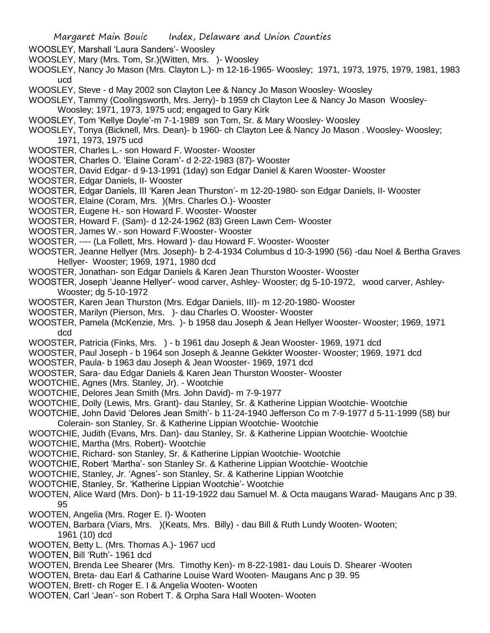- WOOSLEY, Marshall 'Laura Sanders'- Woosley
- WOOSLEY, Mary (Mrs. Tom, Sr.)(Witten, Mrs. )- Woosley
- WOOSLEY, Nancy Jo Mason (Mrs. Clayton L.)- m 12-16-1965- Woosley; 1971, 1973, 1975, 1979, 1981, 1983 ucd
- WOOSLEY, Steve d May 2002 son Clayton Lee & Nancy Jo Mason Woosley- Woosley

WOOSLEY, Tammy (Coolingsworth, Mrs. Jerry)- b 1959 ch Clayton Lee & Nancy Jo Mason Woosley-

- Woosley; 1971, 1973, 1975 ucd; engaged to Gary Kirk
- WOOSLEY, Tom 'Kellye Doyle'-m 7-1-1989 son Tom, Sr. & Mary Woosley- Woosley
- WOOSLEY, Tonya (Bicknell, Mrs. Dean)- b 1960- ch Clayton Lee & Nancy Jo Mason . Woosley- Woosley; 1971, 1973, 1975 ucd
- WOOSTER, Charles L.- son Howard F. Wooster- Wooster
- WOOSTER, Charles O. 'Elaine Coram'- d 2-22-1983 (87)- Wooster
- WOOSTER, David Edgar- d 9-13-1991 (1day) son Edgar Daniel & Karen Wooster- Wooster
- WOOSTER, Edgar Daniels, II- Wooster
- WOOSTER, Edgar Daniels, III 'Karen Jean Thurston'- m 12-20-1980- son Edgar Daniels, II- Wooster
- WOOSTER, Elaine (Coram, Mrs. )(Mrs. Charles O.)- Wooster
- WOOSTER, Eugene H.- son Howard F. Wooster- Wooster
- WOOSTER, Howard F. (Sam)- d 12-24-1962 (83) Green Lawn Cem- Wooster
- WOOSTER, James W.- son Howard F.Wooster- Wooster
- WOOSTER, ---- (La Follett, Mrs. Howard )- dau Howard F. Wooster- Wooster
- WOOSTER, Jeanne Hellyer (Mrs. Joseph)- b 2-4-1934 Columbus d 10-3-1990 (56) -dau Noel & Bertha Graves Hellyer- Wooster; 1969, 1971, 1980 dcd
- WOOSTER, Jonathan- son Edgar Daniels & Karen Jean Thurston Wooster- Wooster
- WOOSTER, Joseph 'Jeanne Hellyer'- wood carver, Ashley- Wooster; dg 5-10-1972, wood carver, Ashley-Wooster; dg 5-10-1972
- WOOSTER, Karen Jean Thurston (Mrs. Edgar Daniels, III)- m 12-20-1980- Wooster
- WOOSTER, Marilyn (Pierson, Mrs. )- dau Charles O. Wooster- Wooster
- WOOSTER, Pamela (McKenzie, Mrs. )- b 1958 dau Joseph & Jean Hellyer Wooster- Wooster; 1969, 1971 dcd
- WOOSTER, Patricia (Finks, Mrs. ) b 1961 dau Joseph & Jean Wooster- 1969, 1971 dcd
- WOOSTER, Paul Joseph b 1964 son Joseph & Jeanne Gekkter Wooster- Wooster; 1969, 1971 dcd
- WOOSTER, Paula- b 1963 dau Joseph & Jean Wooster- 1969, 1971 dcd
- WOOSTER, Sara- dau Edgar Daniels & Karen Jean Thurston Wooster- Wooster
- WOOTCHIE, Agnes (Mrs. Stanley, Jr). Wootchie
- WOOTCHIE, Delores Jean Smith (Mrs. John David)- m 7-9-1977
- WOOTCHIE, Dolly (Lewis, Mrs. Grant)- dau Stanley, Sr. & Katherine Lippian Wootchie- Wootchie
- WOOTCHIE, John David 'Delores Jean Smith'- b 11-24-1940 Jefferson Co m 7-9-1977 d 5-11-1999 (58) bur Colerain- son Stanley, Sr. & Katherine Lippian Wootchie- Wootchie
- 
- WOOTCHIE, Judith (Evans, Mrs. Dan)- dau Stanley, Sr. & Katherine Lippian Wootchie- Wootchie
- WOOTCHIE, Martha (Mrs. Robert)- Wootchie
- WOOTCHIE, Richard- son Stanley, Sr. & Katherine Lippian Wootchie- Wootchie
- WOOTCHIE, Robert 'Martha'- son Stanley Sr. & Katherine Lippian Wootchie- Wootchie
- WOOTCHIE, Stanley, Jr. 'Agnes'- son Stanley, Sr. & Katherine Lippian Wootchie
- WOOTCHIE, Stanley, Sr. 'Katherine Lippian Wootchie'- Wootchie
- WOOTEN, Alice Ward (Mrs. Don)- b 11-19-1922 dau Samuel M. & Octa maugans Warad- Maugans Anc p 39. 95
- WOOTEN, Angelia (Mrs. Roger E. I)- Wooten
- WOOTEN, Barbara (Viars, Mrs. )(Keats, Mrs. Billy) dau Bill & Ruth Lundy Wooten- Wooten; 1961 (10) dcd
- WOOTEN, Betty L. (Mrs. Thomas A.)- 1967 ucd
- WOOTEN, Bill 'Ruth'- 1961 dcd
- WOOTEN, Brenda Lee Shearer (Mrs. Timothy Ken)- m 8-22-1981- dau Louis D. Shearer -Wooten
- WOOTEN, Breta- dau Earl & Catharine Louise Ward Wooten- Maugans Anc p 39. 95
- WOOTEN, Brett- ch Roger E. I & Angelia Wooten- Wooten
- WOOTEN, Carl 'Jean'- son Robert T. & Orpha Sara Hall Wooten- Wooten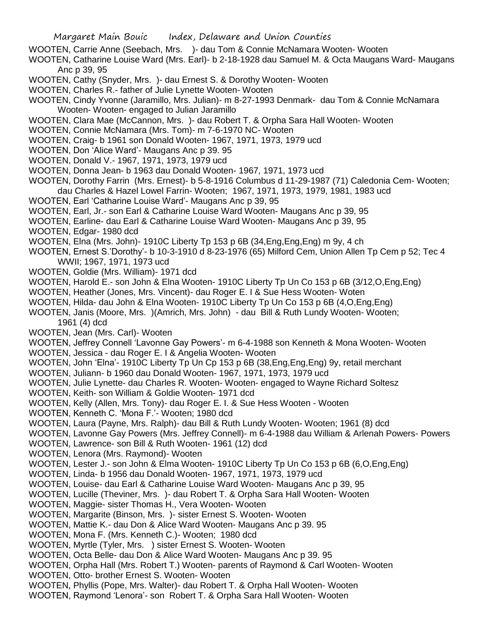- WOOTEN, Carrie Anne (Seebach, Mrs. )- dau Tom & Connie McNamara Wooten- Wooten
- WOOTEN, Catharine Louise Ward (Mrs. Earl)- b 2-18-1928 dau Samuel M. & Octa Maugans Ward- Maugans Anc p 39, 95
- WOOTEN, Cathy (Snyder, Mrs. )- dau Ernest S. & Dorothy Wooten- Wooten
- WOOTEN, Charles R.- father of Julie Lynette Wooten- Wooten
- WOOTEN, Cindy Yvonne (Jaramillo, Mrs. Julian)- m 8-27-1993 Denmark- dau Tom & Connie McNamara Wooten- Wooten- engaged to Julian Jaramillo
- WOOTEN, Clara Mae (McCannon, Mrs. )- dau Robert T. & Orpha Sara Hall Wooten- Wooten
- WOOTEN, Connie McNamara (Mrs. Tom)- m 7-6-1970 NC- Wooten
- WOOTEN, Craig- b 1961 son Donald Wooten- 1967, 1971, 1973, 1979 ucd
- WOOTEN, Don 'Alice Ward'- Maugans Anc p 39. 95
- WOOTEN, Donald V.- 1967, 1971, 1973, 1979 ucd
- WOOTEN, Donna Jean- b 1963 dau Donald Wooten- 1967, 1971, 1973 ucd
- WOOTEN, Dorothy Farrin (Mrs. Ernest)- b 5-8-1916 Columbus d 11-29-1987 (71) Caledonia Cem- Wooten;
- dau Charles & Hazel Lowel Farrin- Wooten; 1967, 1971, 1973, 1979, 1981, 1983 ucd
- WOOTEN, Earl 'Catharine Louise Ward'- Maugans Anc p 39, 95
- WOOTEN, Earl, Jr.- son Earl & Catharine Louise Ward Wooten- Maugans Anc p 39, 95
- WOOTEN, Earline- dau Earl & Catharine Louise Ward Wooten- Maugans Anc p 39, 95
- WOOTEN, Edgar- 1980 dcd
- WOOTEN, Elna (Mrs. John)- 1910C Liberty Tp 153 p 6B (34,Eng,Eng,Eng) m 9y, 4 ch
- WOOTEN, Ernest S.'Dorothy'- b 10-3-1910 d 8-23-1976 (65) Milford Cem, Union Allen Tp Cem p 52; Tec 4 WWII; 1967, 1971, 1973 ucd
- WOOTEN, Goldie (Mrs. William)- 1971 dcd
- WOOTEN, Harold E.- son John & Elna Wooten- 1910C Liberty Tp Un Co 153 p 6B (3/12,O,Eng,Eng)
- WOOTEN, Heather (Jones, Mrs. Vincent)- dau Roger E. I & Sue Hess Wooten- Woten
- WOOTEN, Hilda- dau John & Elna Wooten- 1910C Liberty Tp Un Co 153 p 6B (4,O,Eng,Eng)
- WOOTEN, Janis (Moore, Mrs. )(Amrich, Mrs. John) dau Bill & Ruth Lundy Wooten- Wooten;
	- 1961 (4) dcd
- WOOTEN, Jean (Mrs. Carl)- Wooten
- WOOTEN, Jeffrey Connell 'Lavonne Gay Powers'- m 6-4-1988 son Kenneth & Mona Wooten- Wooten WOOTEN, Jessica - dau Roger E. I & Angelia Wooten- Wooten
- WOOTEN, John 'Elna'- 1910C Liberty Tp Un Cp 153 p 6B (38,Eng,Eng,Eng) 9y, retail merchant
- WOOTEN, Juliann- b 1960 dau Donald Wooten- 1967, 1971, 1973, 1979 ucd
- WOOTEN, Julie Lynette- dau Charles R. Wooten- Wooten- engaged to Wayne Richard Soltesz
- WOOTEN, Keith- son William & Goldie Wooten- 1971 dcd
- WOOTEN, Kelly (Allen, Mrs. Tony)- dau Roger E. I. & Sue Hess Wooten Wooten
- WOOTEN, Kenneth C. 'Mona F.'- Wooten; 1980 dcd
- WOOTEN, Laura (Payne, Mrs. Ralph)- dau Bill & Ruth Lundy Wooten- Wooten; 1961 (8) dcd
- WOOTEN, Lavonne Gay Powers (Mrs. Jeffrey Connell)- m 6-4-1988 dau William & Arlenah Powers- Powers
- WOOTEN, Lawrence- son Bill & Ruth Wooten- 1961 (12) dcd
- WOOTEN, Lenora (Mrs. Raymond)- Wooten
- WOOTEN, Lester J.- son John & Elma Wooten- 1910C Liberty Tp Un Co 153 p 6B (6,O,Eng,Eng)
- WOOTEN, Linda- b 1956 dau Donald Wooten- 1967, 1971, 1973, 1979 ucd
- WOOTEN, Louise- dau Earl & Catharine Louise Ward Wooten- Maugans Anc p 39, 95
- WOOTEN, Lucille (Theviner, Mrs. )- dau Robert T. & Orpha Sara Hall Wooten- Wooten
- WOOTEN, Maggie- sister Thomas H., Vera Wooten- Wooten
- WOOTEN, Margarite (Binson, Mrs. )- sister Ernest S. Wooten- Wooten
- WOOTEN, Mattie K.- dau Don & Alice Ward Wooten- Maugans Anc p 39. 95
- WOOTEN, Mona F. (Mrs. Kenneth C.)- Wooten; 1980 dcd
- WOOTEN, Myrtle (Tyler, Mrs. ) sister Ernest S. Wooten- Wooten
- WOOTEN, Octa Belle- dau Don & Alice Ward Wooten- Maugans Anc p 39. 95
- WOOTEN, Orpha Hall (Mrs. Robert T.) Wooten- parents of Raymond & Carl Wooten- Wooten
- WOOTEN, Otto- brother Ernest S. Wooten- Wooten
- WOOTEN, Phyllis (Pope, Mrs. Walter)- dau Robert T. & Orpha Hall Wooten- Wooten
- WOOTEN, Raymond 'Lenora'- son Robert T. & Orpha Sara Hall Wooten- Wooten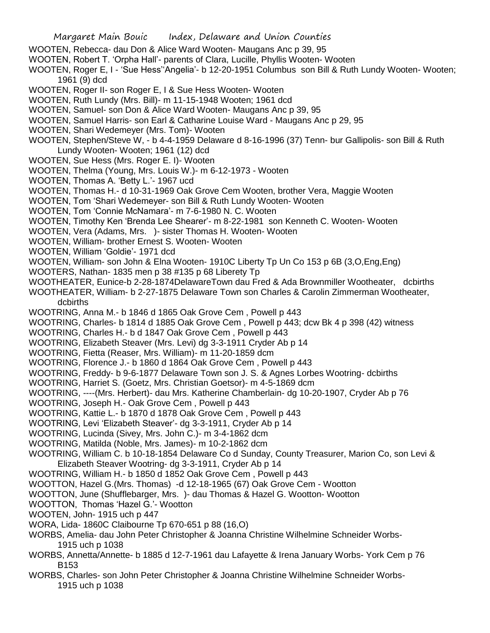- WOOTEN, Rebecca- dau Don & Alice Ward Wooten- Maugans Anc p 39, 95
- WOOTEN, Robert T. 'Orpha Hall'- parents of Clara, Lucille, Phyllis Wooten- Wooten
- WOOTEN, Roger E, I 'Sue Hess''Angelia'- b 12-20-1951 Columbus son Bill & Ruth Lundy Wooten- Wooten; 1961 (9) dcd
- WOOTEN, Roger II- son Roger E, I & Sue Hess Wooten- Wooten
- WOOTEN, Ruth Lundy (Mrs. Bill)- m 11-15-1948 Wooten; 1961 dcd
- WOOTEN, Samuel- son Don & Alice Ward Wooten- Maugans Anc p 39, 95
- WOOTEN, Samuel Harris- son Earl & Catharine Louise Ward Maugans Anc p 29, 95
- WOOTEN, Shari Wedemeyer (Mrs. Tom)- Wooten
- WOOTEN, Stephen/Steve W, b 4-4-1959 Delaware d 8-16-1996 (37) Tenn- bur Gallipolis- son Bill & Ruth Lundy Wooten- Wooten; 1961 (12) dcd
- WOOTEN, Sue Hess (Mrs. Roger E. I)- Wooten
- WOOTEN, Thelma (Young, Mrs. Louis W.)- m 6-12-1973 Wooten
- WOOTEN, Thomas A. 'Betty L.'- 1967 ucd
- WOOTEN, Thomas H.- d 10-31-1969 Oak Grove Cem Wooten, brother Vera, Maggie Wooten
- WOOTEN, Tom 'Shari Wedemeyer- son Bill & Ruth Lundy Wooten- Wooten
- WOOTEN, Tom 'Connie McNamara'- m 7-6-1980 N. C. Wooten
- WOOTEN, Timothy Ken 'Brenda Lee Shearer'- m 8-22-1981 son Kenneth C. Wooten- Wooten
- WOOTEN, Vera (Adams, Mrs. )- sister Thomas H. Wooten- Wooten
- WOOTEN, William- brother Ernest S. Wooten- Wooten
- WOOTEN, William 'Goldie'- 1971 dcd
- WOOTEN, William- son John & Elna Wooten- 1910C Liberty Tp Un Co 153 p 6B (3,O,Eng,Eng)
- WOOTERS, Nathan- 1835 men p 38 #135 p 68 Liberety Tp
- WOOTHEATER, Eunice-b 2-28-1874DelawareTown dau Fred & Ada Brownmiller Wootheater, dcbirths
- WOOTHEATER, William- b 2-27-1875 Delaware Town son Charles & Carolin Zimmerman Wootheater, dcbirths
- WOOTRING, Anna M.- b 1846 d 1865 Oak Grove Cem , Powell p 443
- WOOTRING, Charles- b 1814 d 1885 Oak Grove Cem , Powell p 443; dcw Bk 4 p 398 (42) witness
- WOOTRING, Charles H.- b d 1847 Oak Grove Cem , Powell p 443
- WOOTRING, Elizabeth Steaver (Mrs. Levi) dg 3-3-1911 Cryder Ab p 14
- WOOTRING, Fietta (Reaser, Mrs. William)- m 11-20-1859 dcm
- WOOTRING, Florence J.- b 1860 d 1864 Oak Grove Cem , Powell p 443
- WOOTRING, Freddy- b 9-6-1877 Delaware Town son J. S. & Agnes Lorbes Wootring- dcbirths
- WOOTRING, Harriet S. (Goetz, Mrs. Christian Goetsor)- m 4-5-1869 dcm
- WOOTRING, ----(Mrs. Herbert)- dau Mrs. Katherine Chamberlain- dg 10-20-1907, Cryder Ab p 76
- WOOTRING, Joseph H.- Oak Grove Cem , Powell p 443
- WOOTRING, Kattie L.- b 1870 d 1878 Oak Grove Cem , Powell p 443
- WOOTRING, Levi 'Elizabeth Steaver'- dg 3-3-1911, Cryder Ab p 14
- WOOTRING, Lucinda (Sivey, Mrs. John C.)- m 3-4-1862 dcm
- WOOTRING, Matilda (Noble, Mrs. James)- m 10-2-1862 dcm
- WOOTRING, William C. b 10-18-1854 Delaware Co d Sunday, County Treasurer, Marion Co, son Levi & Elizabeth Steaver Wootring- dg 3-3-1911, Cryder Ab p 14
- WOOTRING, William H.- b 1850 d 1852 Oak Grove Cem , Powell p 443
- WOOTTON, Hazel G.(Mrs. Thomas) -d 12-18-1965 (67) Oak Grove Cem Wootton
- WOOTTON, June (Shufflebarger, Mrs. )- dau Thomas & Hazel G. Wootton- Wootton
- WOOTTON, Thomas 'Hazel G.'- Wootton
- WOOTEN, John- 1915 uch p 447
- WORA, Lida- 1860C Claibourne Tp 670-651 p 88 (16,O)
- WORBS, Amelia- dau John Peter Christopher & Joanna Christine Wilhelmine Schneider Worbs-1915 uch p 1038
- WORBS, Annetta/Annette- b 1885 d 12-7-1961 dau Lafayette & Irena January Worbs- York Cem p 76 B153
- WORBS, Charles- son John Peter Christopher & Joanna Christine Wilhelmine Schneider Worbs-1915 uch p 1038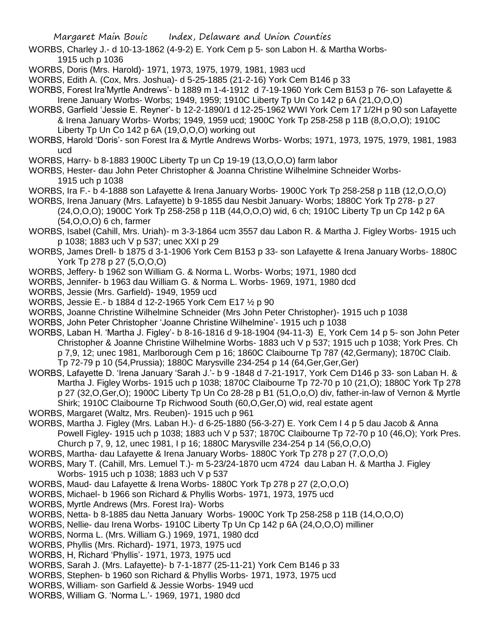- WORBS, Charley J.- d 10-13-1862 (4-9-2) E. York Cem p 5- son Labon H. & Martha Worbs-1915 uch p 1036
- WORBS, Doris (Mrs. Harold)- 1971, 1973, 1975, 1979, 1981, 1983 ucd
- WORBS, Edith A. (Cox, Mrs. Joshua)- d 5-25-1885 (21-2-16) York Cem B146 p 33
- WORBS, Forest Ira'Myrtle Andrews'- b 1889 m 1-4-1912 d 7-19-1960 York Cem B153 p 76- son Lafayette & Irene January Worbs- Worbs; 1949, 1959; 1910C Liberty Tp Un Co 142 p 6A (21,O,O,O)
- WORBS, Garfield 'Jessie E. Reyner'- b 12-2-1890/1 d 12-25-1962 WWI York Cem 17 1/2H p 90 son Lafayette & Irena January Worbs- Worbs; 1949, 1959 ucd; 1900C York Tp 258-258 p 11B (8,O,O,O); 1910C Liberty Tp Un Co 142 p 6A (19,O,O,O) working out
- WORBS, Harold 'Doris'- son Forest Ira & Myrtle Andrews Worbs- Worbs; 1971, 1973, 1975, 1979, 1981, 1983 ucd
- WORBS, Harry- b 8-1883 1900C Liberty Tp un Cp 19-19 (13,O,O,O) farm labor
- WORBS, Hester- dau John Peter Christopher & Joanna Christine Wilhelmine Schneider Worbs-1915 uch p 1038
- WORBS, Ira F.- b 4-1888 son Lafayette & Irena January Worbs- 1900C York Tp 258-258 p 11B (12,O,O,O)
- WORBS, Irena January (Mrs. Lafayette) b 9-1855 dau Nesbit January- Worbs; 1880C York Tp 278- p 27 (24,O,O,O); 1900C York Tp 258-258 p 11B (44,O,O,O) wid, 6 ch; 1910C Liberty Tp un Cp 142 p 6A (54,O,O,O) 6 ch, farmer
- WORBS, Isabel (Cahill, Mrs. Uriah)- m 3-3-1864 ucm 3557 dau Labon R. & Martha J. Figley Worbs- 1915 uch p 1038; 1883 uch V p 537; unec XXI p 29
- WORBS, James Drell- b 1875 d 3-1-1906 York Cem B153 p 33- son Lafayette & Irena January Worbs- 1880C York Tp 278 p 27 (5,O,O,O)
- WORBS, Jeffery- b 1962 son William G. & Norma L. Worbs- Worbs; 1971, 1980 dcd
- WORBS, Jennifer- b 1963 dau William G. & Norma L. Worbs- 1969, 1971, 1980 dcd
- WORBS, Jessie (Mrs. Garfield)- 1949, 1959 ucd
- WORBS, Jessie E.- b 1884 d 12-2-1965 York Cem E17 ½ p 90
- WORBS, Joanne Christine Wilhelmine Schneider (Mrs John Peter Christopher)- 1915 uch p 1038
- WORBS, John Peter Christopher 'Joanne Christine Wilhelmine'- 1915 uch p 1038
- WORBS, Laban H. 'Martha J. Figley'- b 8-16-1816 d 9-18-1904 (94-11-3) E, York Cem 14 p 5- son John Peter Christopher & Joanne Christine Wilhelmine Worbs- 1883 uch V p 537; 1915 uch p 1038; York Pres. Ch p 7,9, 12; unec 1981, Marlborough Cem p 16; 1860C Claibourne Tp 787 (42,Germany); 1870C Claib. Tp 72-79 p 10 (54,Prussia); 1880C Marysville 234-254 p 14 (64,Ger,Ger,Ger)
- WORBS, Lafayette D. 'Irena January 'Sarah J.'- b 9 -1848 d 7-21-1917, York Cem D146 p 33- son Laban H. & Martha J. Figley Worbs- 1915 uch p 1038; 1870C Claibourne Tp 72-70 p 10 (21,O); 1880C York Tp 278 p 27 (32,O,Ger,O); 1900C Liberty Tp Un Co 28-28 p B1 (51,O,o,O) div, father-in-law of Vernon & Myrtle Shirk; 1910C Claibourne Tp Richwood South (60,O,Ger,O) wid, real estate agent
- WORBS, Margaret (Waltz, Mrs. Reuben)- 1915 uch p 961
- WORBS, Martha J. Figley (Mrs. Laban H.)- d 6-25-1880 (56-3-27) E. York Cem I 4 p 5 dau Jacob & Anna Powell Figley- 1915 uch p 1038; 1883 uch V p 537; 1870C Claibourne Tp 72-70 p 10 (46,O); York Pres. Church p 7, 9, 12, unec 1981, I p 16; 1880C Marysville 234-254 p 14 (56,O,O,O)
- WORBS, Martha- dau Lafayette & Irena January Worbs- 1880C York Tp 278 p 27 (7,O,O,O)
- WORBS, Mary T. (Cahill, Mrs. Lemuel T.)- m 5-23/24-1870 ucm 4724 dau Laban H. & Martha J. Figley Worbs- 1915 uch p 1038; 1883 uch V p 537
- WORBS, Maud- dau Lafayette & Irena Worbs- 1880C York Tp 278 p 27 (2,O,O,O)
- WORBS, Michael- b 1966 son Richard & Phyllis Worbs- 1971, 1973, 1975 ucd
- WORBS, Myrtle Andrews (Mrs. Forest Ira)- Worbs
- WORBS, Netta- b 8-1885 dau Netta January Worbs- 1900C York Tp 258-258 p 11B (14,O,O,O)
- WORBS, Nellie- dau Irena Worbs- 1910C Liberty Tp Un Cp 142 p 6A (24,O,O,O) milliner
- WORBS, Norma L. (Mrs. William G.) 1969, 1971, 1980 dcd
- WORBS, Phyllis (Mrs. Richard)- 1971, 1973, 1975 ucd
- WORBS, H, Richard 'Phyllis'- 1971, 1973, 1975 ucd
- WORBS, Sarah J. (Mrs. Lafayette)- b 7-1-1877 (25-11-21) York Cem B146 p 33
- WORBS, Stephen- b 1960 son Richard & Phyllis Worbs- 1971, 1973, 1975 ucd
- WORBS, William- son Garfield & Jessie Worbs- 1949 ucd
- WORBS, William G. 'Norma L.'- 1969, 1971, 1980 dcd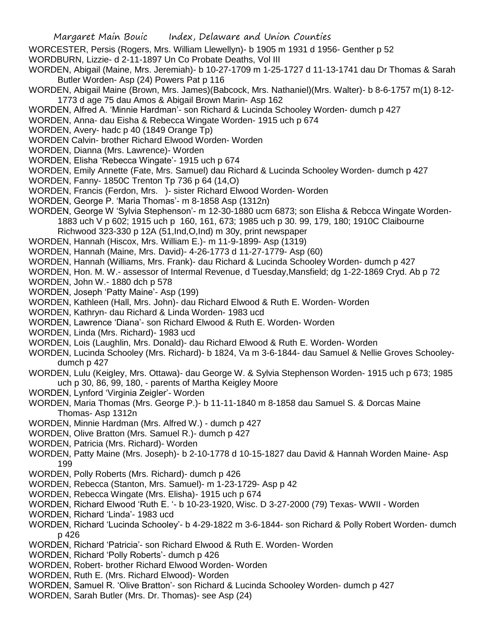- WORCESTER, Persis (Rogers, Mrs. William Llewellyn)- b 1905 m 1931 d 1956- Genther p 52
- WORDBURN, Lizzie- d 2-11-1897 Un Co Probate Deaths, Vol III
- WORDEN, Abigail (Maine, Mrs. Jeremiah)- b 10-27-1709 m 1-25-1727 d 11-13-1741 dau Dr Thomas & Sarah Butler Worden- Asp (24) Powers Pat p 116
- WORDEN, Abigail Maine (Brown, Mrs. James)(Babcock, Mrs. Nathaniel)(Mrs. Walter)- b 8-6-1757 m(1) 8-12- 1773 d age 75 dau Amos & Abigail Brown Marin- Asp 162
- WORDEN, Alfred A. 'Minnie Hardman'- son Richard & Lucinda Schooley Worden- dumch p 427
- WORDEN, Anna- dau Eisha & Rebecca Wingate Worden- 1915 uch p 674
- WORDEN, Avery- hadc p 40 (1849 Orange Tp)
- WORDEN Calvin- brother Richard Elwood Worden- Worden
- WORDEN, Dianna (Mrs. Lawrence)- Worden
- WORDEN, Elisha 'Rebecca Wingate'- 1915 uch p 674
- WORDEN, Emily Annette (Fate, Mrs. Samuel) dau Richard & Lucinda Schooley Worden- dumch p 427
- WORDEN, Fanny- 1850C Trenton Tp 736 p 64 (14,O)
- WORDEN, Francis (Ferdon, Mrs. )- sister Richard Elwood Worden- Worden
- WORDEN, George P. 'Maria Thomas'- m 8-1858 Asp (1312n)
- WORDEN, George W 'Sylvia Stephenson'- m 12-30-1880 ucm 6873; son Elisha & Rebcca Wingate Worden-1883 uch V p 602; 1915 uch p 160, 161, 673; 1985 uch p 30. 99, 179, 180; 1910C Claibourne Richwood 323-330 p 12A (51,Ind,O,Ind) m 30y, print newspaper
- WORDEN, Hannah (Hiscox, Mrs. William E.)- m 11-9-1899- Asp (1319)
- WORDEN, Hannah (Maine, Mrs. David)- 4-26-1773 d 11-27-1779- Asp (60)
- WORDEN, Hannah (Williams, Mrs. Frank)- dau Richard & Lucinda Schooley Worden- dumch p 427
- WORDEN, Hon. M. W.- assessor of Intermal Revenue, d Tuesday,Mansfield; dg 1-22-1869 Cryd. Ab p 72
- WORDEN, John W.- 1880 dch p 578
- WORDEN, Joseph 'Patty Maine'- Asp (199)
- WORDEN, Kathleen (Hall, Mrs. John)- dau Richard Elwood & Ruth E. Worden- Worden
- WORDEN, Kathryn- dau Richard & Linda Worden- 1983 ucd
- WORDEN, Lawrence 'Diana'- son Richard Elwood & Ruth E. Worden- Worden
- WORDEN, Linda (Mrs. Richard)- 1983 ucd
- WORDEN, Lois (Laughlin, Mrs. Donald)- dau Richard Elwood & Ruth E. Worden- Worden
- WORDEN, Lucinda Schooley (Mrs. Richard)- b 1824, Va m 3-6-1844- dau Samuel & Nellie Groves Schooleydumch p 427
- WORDEN, Lulu (Keigley, Mrs. Ottawa)- dau George W. & Sylvia Stephenson Worden- 1915 uch p 673; 1985 uch p 30, 86, 99, 180, - parents of Martha Keigley Moore
- WORDEN, Lynford 'Virginia Zeigler'- Worden
- WORDEN, Maria Thomas (Mrs. George P.)- b 11-11-1840 m 8-1858 dau Samuel S. & Dorcas Maine Thomas- Asp 1312n
- WORDEN, Minnie Hardman (Mrs. Alfred W.) dumch p 427
- WORDEN, Olive Bratton (Mrs. Samuel R.)- dumch p 427
- WORDEN, Patricia (Mrs. Richard)- Worden
- WORDEN, Patty Maine (Mrs. Joseph)- b 2-10-1778 d 10-15-1827 dau David & Hannah Worden Maine- Asp 199
- WORDEN, Polly Roberts (Mrs. Richard)- dumch p 426
- WORDEN, Rebecca (Stanton, Mrs. Samuel)- m 1-23-1729- Asp p 42
- WORDEN, Rebecca Wingate (Mrs. Elisha)- 1915 uch p 674
- WORDEN, Richard Elwood 'Ruth E. '- b 10-23-1920, Wisc. D 3-27-2000 (79) Texas- WWII Worden
- WORDEN, Richard 'Linda'- 1983 ucd
- WORDEN, Richard 'Lucinda Schooley'- b 4-29-1822 m 3-6-1844- son Richard & Polly Robert Worden- dumch p 426
- WORDEN, Richard 'Patricia'- son Richard Elwood & Ruth E. Worden- Worden
- WORDEN, Richard 'Polly Roberts'- dumch p 426
- WORDEN, Robert- brother Richard Elwood Worden- Worden
- WORDEN, Ruth E. (Mrs. Richard Elwood)- Worden
- WORDEN, Samuel R. 'Olive Bratton'- son Richard & Lucinda Schooley Worden- dumch p 427
- WORDEN, Sarah Butler (Mrs. Dr. Thomas)- see Asp (24)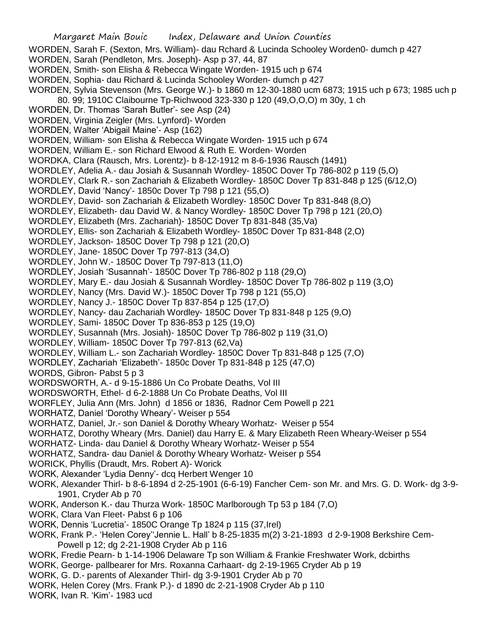- WORDEN, Sarah F. (Sexton, Mrs. William)- dau Rchard & Lucinda Schooley Worden0- dumch p 427
- WORDEN, Sarah (Pendleton, Mrs. Joseph)- Asp p 37, 44, 87
- WORDEN, Smith- son Elisha & Rebecca Wingate Worden- 1915 uch p 674
- WORDEN, Sophia- dau Richard & Lucinda Schooley Worden- dumch p 427
- WORDEN, Sylvia Stevenson (Mrs. George W.)- b 1860 m 12-30-1880 ucm 6873; 1915 uch p 673; 1985 uch p
- 80. 99; 1910C Claibourne Tp-Richwood 323-330 p 120 (49,O,O,O) m 30y, 1 ch
- WORDEN, Dr. Thomas 'Sarah Butler'- see Asp (24)
- WORDEN, Virginia Zeigler (Mrs. Lynford)- Worden
- WORDEN, Walter 'Abigail Maine'- Asp (162)
- WORDEN, William- son Elisha & Rebecca Wingate Worden- 1915 uch p 674
- WORDEN, William E.- son Richard Elwood & Ruth E. Worden- Worden
- WORDKA, Clara (Rausch, Mrs. Lorentz)- b 8-12-1912 m 8-6-1936 Rausch (1491)
- WORDLEY, Adelia A.- dau Josiah & Susannah Wordley- 1850C Dover Tp 786-802 p 119 (5,O)
- WORDLEY, Clark R.- son Zachariah & Elizabeth Wordley- 1850C Dover Tp 831-848 p 125 (6/12,O)
- WORDLEY, David 'Nancy'- 1850c Dover Tp 798 p 121 (55,O)
- WORDLEY, David- son Zachariah & Elizabeth Wordley- 1850C Dover Tp 831-848 (8,O)
- WORDLEY, Elizabeth- dau David W. & Nancy Wordley- 1850C Dover Tp 798 p 121 (20,O)
- WORDLEY, Elizabeth (Mrs. Zachariah)- 1850C Dover Tp 831-848 (35.Va)
- WORDLEY, Ellis- son Zachariah & Elizabeth Wordley- 1850C Dover Tp 831-848 (2,O)
- WORDLEY, Jackson- 1850C Dover Tp 798 p 121 (20,O)
- WORDLEY, Jane- 1850C Dover Tp 797-813 (34,O)
- WORDLEY, John W.- 1850C Dover Tp 797-813 (11,O)
- WORDLEY, Josiah 'Susannah'- 1850C Dover Tp 786-802 p 118 (29,O)
- WORDLEY, Mary E.- dau Josiah & Susannah Wordley- 1850C Dover Tp 786-802 p 119 (3,O)
- WORDLEY, Nancy (Mrs. David W.)- 1850C Dover Tp 798 p 121 (55,O)
- WORDLEY, Nancy J.- 1850C Dover Tp 837-854 p 125 (17,O)
- WORDLEY, Nancy- dau Zachariah Wordley- 1850C Dover Tp 831-848 p 125 (9,O)
- WORDLEY, Sami- 1850C Dover Tp 836-853 p 125 (19,O)
- WORDLEY, Susannah (Mrs. Josiah)- 1850C Dover Tp 786-802 p 119 (31,O)
- WORDLEY, William- 1850C Dover Tp 797-813 (62,Va)
- WORDLEY, William L.- son Zachariah Wordley- 1850C Dover Tp 831-848 p 125 (7,O)
- WORDLEY, Zachariah 'Elizabeth'- 1850c Dover Tp 831-848 p 125 (47,O)
- WORDS, Gibron- Pabst 5 p 3
- WORDSWORTH, A.- d 9-15-1886 Un Co Probate Deaths, Vol III
- WORDSWORTH, Ethel- d 6-2-1888 Un Co Probate Deaths, Vol III
- WORFLEY, Julia Ann (Mrs. John) d 1856 or 1836, Radnor Cem Powell p 221
- WORHATZ, Daniel 'Dorothy Wheary'- Weiser p 554
- WORHATZ, Daniel, Jr.- son Daniel & Dorothy Wheary Worhatz- Weiser p 554
- WORHATZ, Dorothy Wheary (Mrs. Daniel) dau Harry E. & Mary Elizabeth Reen Wheary-Weiser p 554
- WORHATZ- Linda- dau Daniel & Dorothy Wheary Worhatz- Weiser p 554
- WORHATZ, Sandra- dau Daniel & Dorothy Wheary Worhatz- Weiser p 554
- WORICK, Phyllis (Draudt, Mrs. Robert A)- Worick
- WORK, Alexander 'Lydia Denny'- dcq Herbert Wenger 10
- WORK, Alexander Thirl- b 8-6-1894 d 2-25-1901 (6-6-19) Fancher Cem- son Mr. and Mrs. G. D. Work- dg 3-9- 1901, Cryder Ab p 70
- WORK, Anderson K.- dau Thurza Work- 1850C Marlborough Tp 53 p 184 (7,O)
- WORK, Clara Van Fleet- Pabst 6 p 106
- WORK, Dennis 'Lucretia'- 1850C Orange Tp 1824 p 115 (37,Irel)
- WORK, Frank P.- 'Helen Corey''Jennie L. Hall' b 8-25-1835 m(2) 3-21-1893 d 2-9-1908 Berkshire Cem-Powell p 12; dg 2-21-1908 Cryder Ab p 116
- WORK, Fredie Pearn- b 1-14-1906 Delaware Tp son William & Frankie Freshwater Work, dcbirths
- WORK, George- pallbearer for Mrs. Roxanna Carhaart- dg 2-19-1965 Cryder Ab p 19
- WORK, G. D.- parents of Alexander Thirl- dg 3-9-1901 Cryder Ab p 70
- WORK, Helen Corey (Mrs. Frank P.)- d 1890 dc 2-21-1908 Cryder Ab p 110
- WORK, Ivan R. 'Kim'- 1983 ucd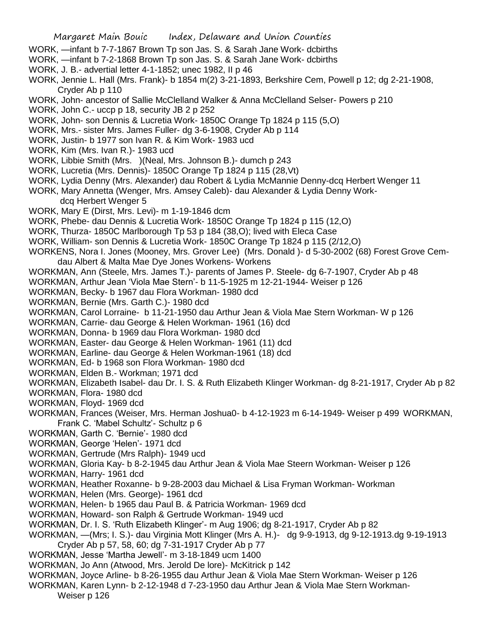- WORK, —infant b 7-7-1867 Brown Tp son Jas. S. & Sarah Jane Work- dcbirths
- WORK, —infant b 7-2-1868 Brown Tp son Jas. S. & Sarah Jane Work- dcbirths
- WORK, J. B.- advertial letter 4-1-1852; unec 1982, II p 46
- WORK, Jennie L. Hall (Mrs. Frank)- b 1854 m(2) 3-21-1893, Berkshire Cem, Powell p 12; dg 2-21-1908, Cryder Ab p 110
- WORK, John- ancestor of Sallie McClelland Walker & Anna McClelland Selser- Powers p 210
- WORK, John C.- uccp p 18, security JB 2 p 252
- WORK, John- son Dennis & Lucretia Work- 1850C Orange Tp 1824 p 115 (5,O)
- WORK, Mrs.- sister Mrs. James Fuller- dg 3-6-1908, Cryder Ab p 114
- WORK, Justin- b 1977 son Ivan R. & Kim Work- 1983 ucd
- WORK, Kim (Mrs. Ivan R.)- 1983 ucd
- WORK, Libbie Smith (Mrs. )(Neal, Mrs. Johnson B.)- dumch p 243
- WORK, Lucretia (Mrs. Dennis)- 1850C Orange Tp 1824 p 115 (28,Vt)
- WORK, Lydia Denny (Mrs. Alexander) dau Robert & Lydia McMannie Denny-dcq Herbert Wenger 11
- WORK, Mary Annetta (Wenger, Mrs. Amsey Caleb)- dau Alexander & Lydia Denny Workdcq Herbert Wenger 5
- WORK, Mary E (Dirst, Mrs. Levi)- m 1-19-1846 dcm
- WORK, Phebe- dau Dennis & Lucretia Work- 1850C Orange Tp 1824 p 115 (12,O)
- WORK, Thurza- 1850C Marlborough Tp 53 p 184 (38,O); lived with Eleca Case
- WORK, William- son Dennis & Lucretia Work- 1850C Orange Tp 1824 p 115 (2/12,O)
- WORKENS, Nora I. Jones (Mooney, Mrs. Grover Lee) (Mrs. Donald )- d 5-30-2002 (68) Forest Grove Cemdau Albert & Malta Mae Dye Jones Workens- Workens
- WORKMAN, Ann (Steele, Mrs. James T.)- parents of James P. Steele- dg 6-7-1907, Cryder Ab p 48
- WORKMAN, Arthur Jean 'Viola Mae Stern'- b 11-5-1925 m 12-21-1944- Weiser p 126
- WORKMAN, Becky- b 1967 dau Flora Workman- 1980 dcd
- WORKMAN, Bernie (Mrs. Garth C.)- 1980 dcd
- WORKMAN, Carol Lorraine- b 11-21-1950 dau Arthur Jean & Viola Mae Stern Workman- W p 126
- WORKMAN, Carrie- dau George & Helen Workman- 1961 (16) dcd
- WORKMAN, Donna- b 1969 dau Flora Workman- 1980 dcd
- WORKMAN, Easter- dau George & Helen Workman- 1961 (11) dcd
- WORKMAN, Earline- dau George & Helen Workman-1961 (18) dcd
- WORKMAN, Ed- b 1968 son Flora Workman- 1980 dcd
- WORKMAN, Elden B.- Workman; 1971 dcd
- WORKMAN, Elizabeth Isabel- dau Dr. I. S. & Ruth Elizabeth Klinger Workman- dg 8-21-1917, Cryder Ab p 82
- WORKMAN, Flora- 1980 dcd
- WORKMAN, Floyd- 1969 dcd
- WORKMAN, Frances (Weiser, Mrs. Herman Joshua0- b 4-12-1923 m 6-14-1949- Weiser p 499 WORKMAN, Frank C. 'Mabel Schultz'- Schultz p 6
- WORKMAN, Garth C. 'Bernie'- 1980 dcd
- WORKMAN, George 'Helen'- 1971 dcd
- WORKMAN, Gertrude (Mrs Ralph)- 1949 ucd
- WORKMAN, Gloria Kay- b 8-2-1945 dau Arthur Jean & Viola Mae Steern Workman- Weiser p 126
- WORKMAN, Harry- 1961 dcd
- WORKMAN, Heather Roxanne- b 9-28-2003 dau Michael & Lisa Fryman Workman- Workman
- WORKMAN, Helen (Mrs. George)- 1961 dcd
- WORKMAN, Helen- b 1965 dau Paul B. & Patricia Workman- 1969 dcd
- WORKMAN, Howard- son Ralph & Gertrude Workman- 1949 ucd
- WORKMAN, Dr. I. S. 'Ruth Elizabeth Klinger'- m Aug 1906; dg 8-21-1917, Cryder Ab p 82
- WORKMAN, —(Mrs; I. S.)- dau Virginia Mott Klinger (Mrs A. H.)- dg 9-9-1913, dg 9-12-1913.dg 9-19-1913 Cryder Ab p 57, 58, 60; dg 7-31-1917 Cryder Ab p 77
- WORKMAN, Jesse 'Martha Jewell'- m 3-18-1849 ucm 1400
- WORKMAN, Jo Ann (Atwood, Mrs. Jerold De lore)- McKitrick p 142
- WORKMAN, Joyce Arline- b 8-26-1955 dau Arthur Jean & Viola Mae Stern Workman- Weiser p 126
- WORKMAN, Karen Lynn- b 2-12-1948 d 7-23-1950 dau Arthur Jean & Viola Mae Stern Workman-Weiser p 126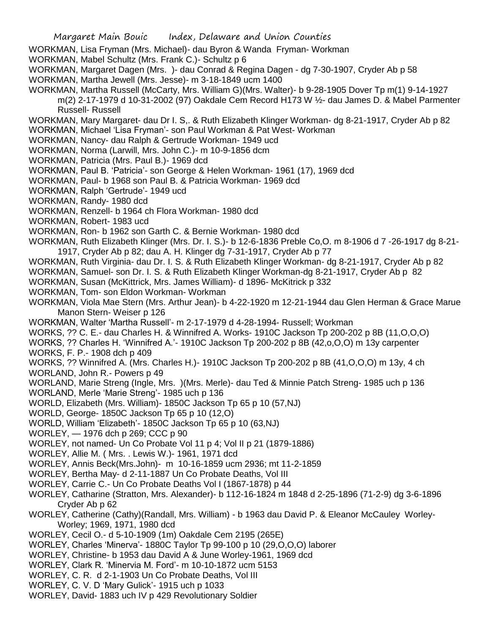- WORKMAN, Lisa Fryman (Mrs. Michael)- dau Byron & Wanda Fryman- Workman
- WORKMAN, Mabel Schultz (Mrs. Frank C.)- Schultz p 6
- WORKMAN, Margaret Dagen (Mrs. )- dau Conrad & Regina Dagen dg 7-30-1907, Cryder Ab p 58
- WORKMAN, Martha Jewell (Mrs. Jesse)- m 3-18-1849 ucm 1400
- WORKMAN, Martha Russell (McCarty, Mrs. William G)(Mrs. Walter)- b 9-28-1905 Dover Tp m(1) 9-14-1927
	- m(2) 2-17-1979 d 10-31-2002 (97) Oakdale Cem Record H173 W ½- dau James D. & Mabel Parmenter Russell- Russell
- WORKMAN, Mary Margaret- dau Dr I. S,. & Ruth Elizabeth Klinger Workman- dg 8-21-1917, Cryder Ab p 82 WORKMAN, Michael 'Lisa Fryman'- son Paul Workman & Pat West- Workman
- WORKMAN, Nancy- dau Ralph & Gertrude Workman- 1949 ucd
- WORKMAN, Norma (Larwill, Mrs. John C.)- m 10-9-1856 dcm
- WORKMAN, Patricia (Mrs. Paul B.)- 1969 dcd
- WORKMAN, Paul B. 'Patricia'- son George & Helen Workman- 1961 (17), 1969 dcd
- WORKMAN, Paul- b 1968 son Paul B. & Patricia Workman- 1969 dcd
- WORKMAN, Ralph 'Gertrude'- 1949 ucd
- WORKMAN, Randy- 1980 dcd
- WORKMAN, Renzell- b 1964 ch Flora Workman- 1980 dcd
- WORKMAN, Robert- 1983 ucd
- WORKMAN, Ron- b 1962 son Garth C. & Bernie Workman- 1980 dcd
- WORKMAN, Ruth Elizabeth Klinger (Mrs. Dr. I. S.)- b 12-6-1836 Preble Co,O. m 8-1906 d 7 -26-1917 dg 8-21- 1917, Cryder Ab p 82; dau A. H. Klinger dg 7-31-1917, Cryder Ab p 77
- WORKMAN, Ruth Virginia- dau Dr. I. S. & Ruth Elizabeth Klinger Workman- dg 8-21-1917, Cryder Ab p 82
- WORKMAN, Samuel- son Dr. I. S. & Ruth Elizabeth Klinger Workman-dg 8-21-1917, Cryder Ab p 82
- WORKMAN, Susan (McKittrick, Mrs. James William)- d 1896- McKitrick p 332
- WORKMAN, Tom- son Eldon Workman- Workman
- WORKMAN, Viola Mae Stern (Mrs. Arthur Jean)- b 4-22-1920 m 12-21-1944 dau Glen Herman & Grace Marue Manon Stern- Weiser p 126
- WORKMAN, Walter 'Martha Russell'- m 2-17-1979 d 4-28-1994- Russell; Workman
- WORKS, ?? C. E.- dau Charles H. & Winnifred A. Works- 1910C Jackson Tp 200-202 p 8B (11,O,O,O)
- WORKS, ?? Charles H. 'Winnifred A.'- 1910C Jackson Tp 200-202 p 8B (42,o,O,O) m 13y carpenter
- WORKS, F. P.- 1908 dch p 409
- WORKS, ?? Winnifred A. (Mrs. Charles H.)- 1910C Jackson Tp 200-202 p 8B (41,O,O,O) m 13y, 4 ch WORLAND, John R.- Powers p 49
- WORLAND, Marie Streng (Ingle, Mrs. )(Mrs. Merle)- dau Ted & Minnie Patch Streng- 1985 uch p 136 WORLAND, Merle 'Marie Streng'- 1985 uch p 136
- WORLD, Elizabeth (Mrs. William)- 1850C Jackson Tp 65 p 10 (57,NJ)
- WORLD, George- 1850C Jackson Tp 65 p 10 (12,O)
- WORLD, William 'Elizabeth'- 1850C Jackson Tp 65 p 10 (63,NJ)
- WORLEY, 1976 dch p 269; CCC p 90
- WORLEY, not named- Un Co Probate Vol 11 p 4; Vol II p 21 (1879-1886)
- WORLEY, Allie M. ( Mrs. . Lewis W.)- 1961, 1971 dcd
- WORLEY, Annis Beck(Mrs.John)- m 10-16-1859 ucm 2936; mt 11-2-1859
- WORLEY, Bertha May- d 2-11-1887 Un Co Probate Deaths, Vol III
- WORLEY, Carrie C.- Un Co Probate Deaths Vol I (1867-1878) p 44
- WORLEY, Catharine (Stratton, Mrs. Alexander)- b 112-16-1824 m 1848 d 2-25-1896 (71-2-9) dg 3-6-1896 Cryder Ab p 62
- WORLEY, Catherine (Cathy)(Randall, Mrs. William) b 1963 dau David P. & Eleanor McCauley Worley-Worley; 1969, 1971, 1980 dcd
- WORLEY, Cecil O.- d 5-10-1909 (1m) Oakdale Cem 2195 (265E)
- WORLEY, Charles 'Minerva'- 1880C Taylor Tp 99-100 p 10 (29,O,O,O) laborer
- WORLEY, Christine- b 1953 dau David A & June Worley-1961, 1969 dcd
- WORLEY, Clark R. 'Minervia M. Ford'- m 10-10-1872 ucm 5153
- WORLEY, C. R. d 2-1-1903 Un Co Probate Deaths, Vol III
- WORLEY, C. V. D 'Mary Gulick'- 1915 uch p 1033
- WORLEY, David- 1883 uch IV p 429 Revolutionary Soldier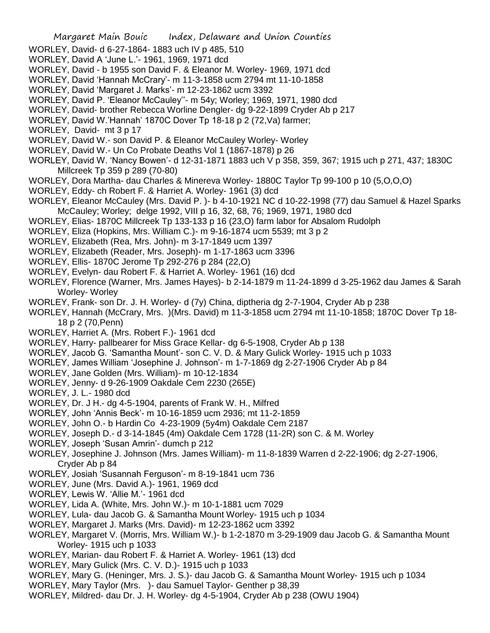- WORLEY, David- d 6-27-1864- 1883 uch IV p 485, 510
- WORLEY, David A 'June L.'- 1961, 1969, 1971 dcd
- WORLEY, David b 1955 son David F. & Eleanor M. Worley- 1969, 1971 dcd
- WORLEY, David 'Hannah McCrary'- m 11-3-1858 ucm 2794 mt 11-10-1858
- WORLEY, David 'Margaret J. Marks'- m 12-23-1862 ucm 3392
- WORLEY, David P. 'Eleanor McCauley''- m 54y; Worley; 1969, 1971, 1980 dcd
- WORLEY, David- brother Rebecca Worline Dengler- dg 9-22-1899 Cryder Ab p 217
- WORLEY, David W.'Hannah' 1870C Dover Tp 18-18 p 2 (72,Va) farmer;
- WORLEY, David- mt 3 p 17
- WORLEY, David W.- son David P. & Eleanor McCauley Worley- Worley
- WORLEY, David W.- Un Co Probate Deaths Vol 1 (1867-1878) p 26
- WORLEY, David W. 'Nancy Bowen'- d 12-31-1871 1883 uch V p 358, 359, 367; 1915 uch p 271, 437; 1830C Millcreek Tp 359 p 289 (70-80)
- WORLEY, Dora Martha- dau Charles & Minereva Worley- 1880C Taylor Tp 99-100 p 10 (5,O,O,O)
- WORLEY, Eddy- ch Robert F. & Harriet A. Worley- 1961 (3) dcd
- WORLEY, Eleanor McCauley (Mrs. David P. )- b 4-10-1921 NC d 10-22-1998 (77) dau Samuel & Hazel Sparks McCauley; Worley; delge 1992, VIII p 16, 32, 68, 76; 1969, 1971, 1980 dcd
- WORLEY, Elias- 1870C Millcreek Tp 133-133 p 16 (23,O) farm labor for Absalom Rudolph
- WORLEY, Eliza (Hopkins, Mrs. William C.)- m 9-16-1874 ucm 5539; mt 3 p 2
- WORLEY, Elizabeth (Rea, Mrs. John)- m 3-17-1849 ucm 1397
- WORLEY, Elizabeth (Reader, Mrs. Joseph)- m 1-17-1863 ucm 3396
- WORLEY, Ellis- 1870C Jerome Tp 292-276 p 284 (22,O)
- WORLEY, Evelyn- dau Robert F. & Harriet A. Worley- 1961 (16) dcd
- WORLEY, Florence (Warner, Mrs. James Hayes)- b 2-14-1879 m 11-24-1899 d 3-25-1962 dau James & Sarah Worley- Worley
- WORLEY, Frank- son Dr. J. H. Worley- d (7y) China, diptheria dg 2-7-1904, Cryder Ab p 238
- WORLEY, Hannah (McCrary, Mrs. )(Mrs. David) m 11-3-1858 ucm 2794 mt 11-10-1858; 1870C Dover Tp 18- 18 p 2 (70,Penn)
- WORLEY, Harriet A. (Mrs. Robert F.)- 1961 dcd
- WORLEY, Harry- pallbearer for Miss Grace Kellar- dg 6-5-1908, Cryder Ab p 138
- WORLEY, Jacob G. 'Samantha Mount'- son C. V. D. & Mary Gulick Worley- 1915 uch p 1033
- WORLEY, James William 'Josephine J. Johnson'- m 1-7-1869 dg 2-27-1906 Cryder Ab p 84
- WORLEY, Jane Golden (Mrs. William)- m 10-12-1834
- WORLEY, Jenny- d 9-26-1909 Oakdale Cem 2230 (265E)
- WORLEY, J. L.- 1980 dcd
- WORLEY, Dr. J H.- dg 4-5-1904, parents of Frank W. H., Milfred
- WORLEY, John 'Annis Beck'- m 10-16-1859 ucm 2936; mt 11-2-1859
- WORLEY, John O.- b Hardin Co 4-23-1909 (5y4m) Oakdale Cem 2187
- WORLEY, Joseph D.- d 3-14-1845 (4m) Oakdale Cem 1728 (11-2R) son C. & M. Worley
- WORLEY, Joseph 'Susan Amrin'- dumch p 212
- WORLEY, Josephine J. Johnson (Mrs. James William)- m 11-8-1839 Warren d 2-22-1906; dg 2-27-1906, Cryder Ab p 84
- WORLEY, Josiah 'Susannah Ferguson'- m 8-19-1841 ucm 736
- WORLEY, June (Mrs. David A.)- 1961, 1969 dcd
- WORLEY, Lewis W. 'Allie M.'- 1961 dcd
- WORLEY, Lida A. (White, Mrs. John W.)- m 10-1-1881 ucm 7029
- WORLEY, Lula- dau Jacob G. & Samantha Mount Worley- 1915 uch p 1034
- WORLEY, Margaret J. Marks (Mrs. David)- m 12-23-1862 ucm 3392
- WORLEY, Margaret V. (Morris, Mrs. William W.)- b 1-2-1870 m 3-29-1909 dau Jacob G. & Samantha Mount Worley- 1915 uch p 1033
- WORLEY, Marian- dau Robert F. & Harriet A. Worley- 1961 (13) dcd
- WORLEY, Mary Gulick (Mrs. C. V. D.)- 1915 uch p 1033
- WORLEY, Mary G. (Heninger, Mrs. J. S.)- dau Jacob G. & Samantha Mount Worley- 1915 uch p 1034
- WORLEY, Mary Taylor (Mrs. )- dau Samuel Taylor- Genther p 38,39
- WORLEY, Mildred- dau Dr. J. H. Worley- dg 4-5-1904, Cryder Ab p 238 (OWU 1904)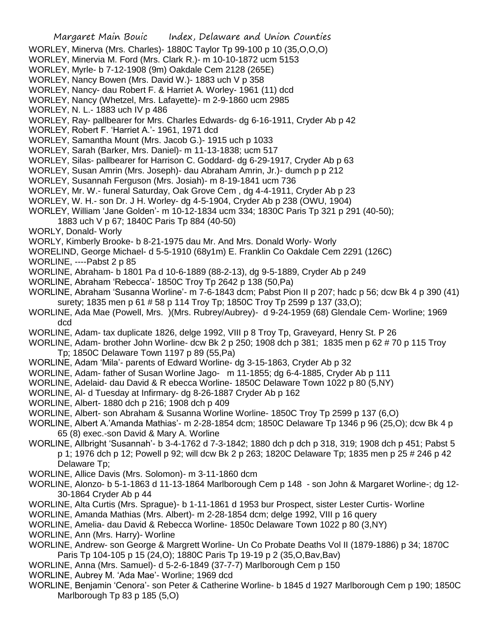- WORLEY, Minerva (Mrs. Charles)- 1880C Taylor Tp 99-100 p 10 (35,O,O,O)
- WORLEY, Minervia M. Ford (Mrs. Clark R.)- m 10-10-1872 ucm 5153
- WORLEY, Myrle- b 7-12-1908 (9m) Oakdale Cem 2128 (265E)
- WORLEY, Nancy Bowen (Mrs. David W.)- 1883 uch V p 358
- WORLEY, Nancy- dau Robert F. & Harriet A. Worley- 1961 (11) dcd
- WORLEY, Nancy (Whetzel, Mrs. Lafayette)- m 2-9-1860 ucm 2985
- WORLEY, N. L.- 1883 uch IV p 486
- WORLEY, Ray- pallbearer for Mrs. Charles Edwards- dg 6-16-1911, Cryder Ab p 42
- WORLEY, Robert F. 'Harriet A.'- 1961, 1971 dcd
- WORLEY, Samantha Mount (Mrs. Jacob G.)- 1915 uch p 1033
- WORLEY, Sarah (Barker, Mrs. Daniel)- m 11-13-1838; ucm 517
- WORLEY, Silas- pallbearer for Harrison C. Goddard- dg 6-29-1917, Cryder Ab p 63
- WORLEY, Susan Amrin (Mrs. Joseph)- dau Abraham Amrin, Jr.)- dumch p p 212
- WORLEY, Susannah Ferguson (Mrs. Josiah)- m 8-19-1841 ucm 736
- WORLEY, Mr. W.- funeral Saturday, Oak Grove Cem , dg 4-4-1911, Cryder Ab p 23
- WORLEY, W. H.- son Dr. J H. Worley- dg 4-5-1904, Cryder Ab p 238 (OWU, 1904)
- WORLEY, William 'Jane Golden'- m 10-12-1834 ucm 334; 1830C Paris Tp 321 p 291 (40-50);
- 1883 uch V p 67; 1840C Paris Tp 884 (40-50)
- WORLY, Donald- Worly
- WORLY, Kimberly Brooke- b 8-21-1975 dau Mr. And Mrs. Donald Worly- Worly
- WORELIND, George Michael- d 5-5-1910 (68y1m) E. Franklin Co Oakdale Cem 2291 (126C)
- WORLINE, ----Pabst 2 p 85
- WORLINE, Abraham- b 1801 Pa d 10-6-1889 (88-2-13), dg 9-5-1889, Cryder Ab p 249
- WORLINE, Abraham 'Rebecca'- 1850C Troy Tp 2642 p 138 (50,Pa)
- WORLINE, Abraham 'Susanna Worline'- m 7-6-1843 dcm; Pabst Pion II p 207; hadc p 56; dcw Bk 4 p 390 (41) surety; 1835 men p 61 # 58 p 114 Troy Tp; 1850C Troy Tp 2599 p 137 (33,O);
- WORLINE, Ada Mae (Powell, Mrs. )(Mrs. Rubrey/Aubrey)- d 9-24-1959 (68) Glendale Cem- Worline; 1969 dcd
- WORLINE, Adam- tax duplicate 1826, delge 1992, VIII p 8 Troy Tp, Graveyard, Henry St. P 26
- WORLINE, Adam- brother John Worline- dcw Bk 2 p 250; 1908 dch p 381; 1835 men p 62 # 70 p 115 Troy Tp; 1850C Delaware Town 1197 p 89 (55,Pa)
- WORLINE, Adam 'Mila'- parents of Edward Worline- dg 3-15-1863, Cryder Ab p 32
- WORLINE, Adam- father of Susan Worline Jago- m 11-1855; dg 6-4-1885, Cryder Ab p 111
- WORLINE, Adelaid- dau David & R ebecca Worline- 1850C Delaware Town 1022 p 80 (5,NY)
- WORLINE, Al- d Tuesday at Infirmary- dg 8-26-1887 Cryder Ab p 162
- WORLINE, Albert- 1880 dch p 216; 1908 dch p 409
- WORLINE, Albert- son Abraham & Susanna Worline Worline- 1850C Troy Tp 2599 p 137 (6,O)
- WORLINE, Albert A.'Amanda Mathias'- m 2-28-1854 dcm; 1850C Delaware Tp 1346 p 96 (25,O); dcw Bk 4 p 65 (8) exec.-son David & Mary A. Worline
- WORLINE, Allbright 'Susannah'- b 3-4-1762 d 7-3-1842; 1880 dch p dch p 318, 319; 1908 dch p 451; Pabst 5 p 1; 1976 dch p 12; Powell p 92; will dcw Bk 2 p 263; 1820C Delaware Tp; 1835 men p 25 # 246 p 42 Delaware Tp;
- WORLINE, Allice Davis (Mrs. Solomon)- m 3-11-1860 dcm
- WORLINE, Alonzo- b 5-1-1863 d 11-13-1864 Marlborough Cem p 148 son John & Margaret Worline-; dg 12- 30-1864 Cryder Ab p 44
- WORLINE, Alta Curtis (Mrs. Sprague)- b 1-11-1861 d 1953 bur Prospect, sister Lester Curtis- Worline
- WORLINE, Amanda Mathias (Mrs. Albert)- m 2-28-1854 dcm; delge 1992, VIII p 16 query
- WORLINE, Amelia- dau David & Rebecca Worline- 1850c Delaware Town 1022 p 80 (3,NY)
- WORLINE, Ann (Mrs. Harry)- Worline
- WORLINE, Andrew- son George & Margrett Worline- Un Co Probate Deaths Vol II (1879-1886) p 34; 1870C Paris Tp 104-105 p 15 (24,O); 1880C Paris Tp 19-19 p 2 (35,O,Bav,Bav)
- WORLINE, Anna (Mrs. Samuel)- d 5-2-6-1849 (37-7-7) Marlborough Cem p 150
- WORLINE, Aubrey M. 'Ada Mae'- Worline; 1969 dcd
- WORLINE, Benjamin 'Cenora'- son Peter & Catherine Worline- b 1845 d 1927 Marlborough Cem p 190; 1850C Marlborough Tp 83 p 185 (5,O)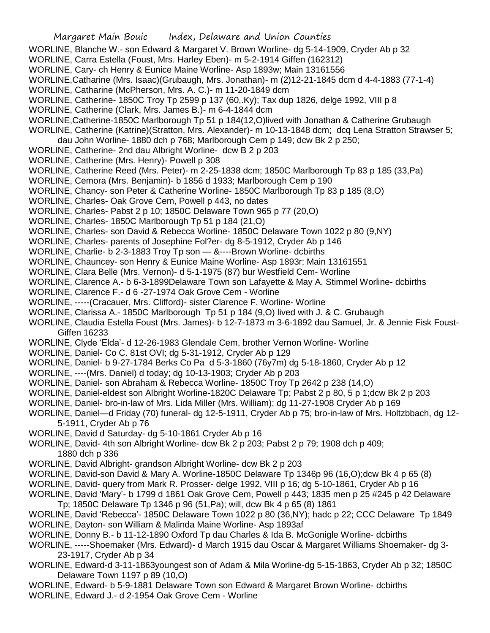- WORLINE, Blanche W.- son Edward & Margaret V. Brown Worline- dg 5-14-1909, Cryder Ab p 32
- WORLINE, Carra Estella (Foust, Mrs. Harley Eben)- m 5-2-1914 Giffen (162312)
- WORLINE, Cary- ch Henry & Eunice Maine Worline- Asp 1893w; Main 13161556
- WORLINE,Catharine (Mrs. Isaac)(Grubaugh, Mrs. Jonathan)- m (2)12-21-1845 dcm d 4-4-1883 (77-1-4)
- WORLINE, Catharine (McPherson, Mrs. A. C.)- m 11-20-1849 dcm
- WORLINE, Catherine- 1850C Troy Tp 2599 p 137 (60,.Ky); Tax dup 1826, delge 1992, VIII p 8
- WORLINE, Catherine (Clark, Mrs. James B.)- m 6-4-1844 dcm
- WORLINE,Catherine-1850C Marlborough Tp 51 p 184(12,O)lived with Jonathan & Catherine Grubaugh
- WORLINE, Catherine (Katrine)(Stratton, Mrs. Alexander)- m 10-13-1848 dcm; dcq Lena Stratton Strawser 5;
- dau John Worline- 1880 dch p 768; Marlborough Cem p 149; dcw Bk 2 p 250;
- WORLINE, Catherine- 2nd dau Albright Worline- dcw B 2 p 203
- WORLINE, Catherine (Mrs. Henry)- Powell p 308
- WORLINE, Catherine Reed (Mrs. Peter)- m 2-25-1838 dcm; 1850C Marlborough Tp 83 p 185 (33,Pa)
- WORLINE, Cemora (Mrs. Benjamin)- b 1856 d 1933; Marlborough Cem p 190
- WORLINE, Chancy- son Peter & Catherine Worline- 1850C Marlborough Tp 83 p 185 (8,O)
- WORLINE, Charles- Oak Grove Cem, Powell p 443, no dates
- WORLINE, Charles- Pabst 2 p 10; 1850C Delaware Town 965 p 77 (20,O)
- WORLINE, Charles- 1850C Marlborough Tp 51 p 184 (21,O)
- WORLINE, Charles- son David & Rebecca Worline- 1850C Delaware Town 1022 p 80 (9,NY)
- WORLINE, Charles- parents of Josephine Fol?er- dg 8-5-1912, Cryder Ab p 146
- WORLINE, Charlie- b 2-3-1883 Troy Tp son &----Brown Worline- dcbirths
- WORLINE, Chauncey- son Henry & Eunice Maine Worline- Asp 1893r; Main 13161551
- WORLINE, Clara Belle (Mrs. Vernon)- d 5-1-1975 (87) bur Westfield Cem- Worline
- WORLINE, Clarence A.- b 6-3-1899Delaware Town son Lafayette & May A. Stimmel Worline- dcbirths
- WORLINE, Clarence F.- d 6 -27-1974 Oak Grove Cem Worline
- WORLINE, -----(Cracauer, Mrs. Clifford)- sister Clarence F. Worline- Worline
- WORLINE, Clarissa A.- 1850C Marlborough Tp 51 p 184 (9,O) lived with J. & C. Grubaugh
- WORLINE, Claudia Estella Foust (Mrs. James)- b 12-7-1873 m 3-6-1892 dau Samuel, Jr. & Jennie Fisk Foust-Giffen 16233
- WORLINE, Clyde 'Elda'- d 12-26-1983 Glendale Cem, brother Vernon Worline- Worline
- WORLINE, Daniel- Co C. 81st OVI; dg 5-31-1912, Cryder Ab p 129
- WORLINE, Daniel- b 9-27-1784 Berks Co Pa d 5-3-1860 (76y7m) dg 5-18-1860, Cryder Ab p 12
- WORLINE, ----(Mrs. Daniel) d today; dg 10-13-1903; Cryder Ab p 203
- WORLINE, Daniel- son Abraham & Rebecca Worline- 1850C Troy Tp 2642 p 238 (14,O)
- WORLINE, Daniel-eldest son Albright Worline-1820C Delaware Tp; Pabst 2 p 80, 5 p 1;dcw Bk 2 p 203
- WORLINE, Daniel- bro-in-law of Mrs. Lida Miller (Mrs. William); dg 11-27-1908 Cryder Ab p 169
- WORLINE, Daniel—d Friday (70) funeral- dg 12-5-1911, Cryder Ab p 75; bro-in-law of Mrs. Holtzbbach, dg 12- 5-1911, Cryder Ab p 76
- WORLINE, David d Saturday- dg 5-10-1861 Cryder Ab p 16
- WORLINE, David- 4th son Albright Worline- dcw Bk 2 p 203; Pabst 2 p 79; 1908 dch p 409; 1880 dch p 336
- WORLINE, David Albright- grandson Albright Worline- dcw Bk 2 p 203
- WORLINE, David-son David & Mary A. Worline-1850C Delaware Tp 1346p 96 (16,O);dcw Bk 4 p 65 (8)
- WORLINE, David- query from Mark R. Prosser- delge 1992, VIII p 16; dg 5-10-1861, Cryder Ab p 16
- WORLINE, David 'Mary'- b 1799 d 1861 Oak Grove Cem, Powell p 443; 1835 men p 25 #245 p 42 Delaware Tp; 1850C Delaware Tp 1346 p 96 (51,Pa); will, dcw Bk 4 p 65 (8) 1861
- WORLINE, David 'Rebecca'- 1850C Delaware Town 1022 p 80 (36,NY); hadc p 22; CCC Delaware Tp 1849
- WORLINE, Dayton- son William & Malinda Maine Worline- Asp 1893af
- WORLINE, Donny B.- b 11-12-1890 Oxford Tp dau Charles & Ida B. McGonigle Worline- dcbirths
- WORLINE, -----Shoemaker (Mrs. Edward)- d March 1915 dau Oscar & Margaret Williams Shoemaker- dg 3- 23-1917, Cryder Ab p 34
- WORLINE, Edward-d 3-11-1863youngest son of Adam & Mila Worline-dg 5-15-1863, Cryder Ab p 32; 1850C Delaware Town 1197 p 89 (10,O)
- WORLINE, Edward- b 5-9-1881 Delaware Town son Edward & Margaret Brown Worline- dcbirths
- WORLINE, Edward J.- d 2-1954 Oak Grove Cem Worline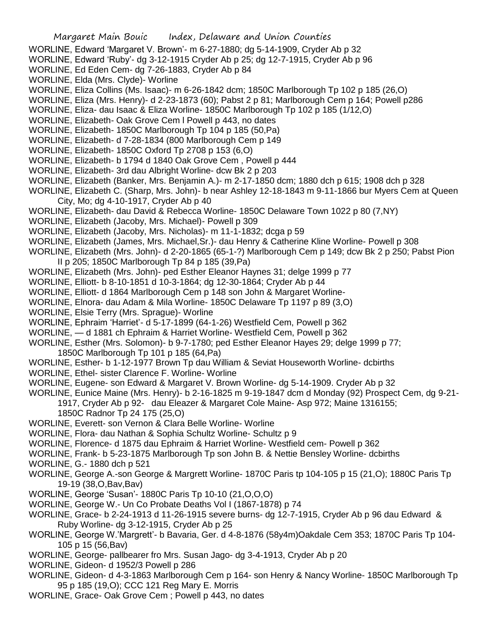- WORLINE, Edward 'Margaret V. Brown'- m 6-27-1880; dg 5-14-1909, Cryder Ab p 32
- WORLINE, Edward 'Ruby'- dg 3-12-1915 Cryder Ab p 25; dg 12-7-1915, Cryder Ab p 96
- WORLINE, Ed Eden Cem- dg 7-26-1883, Cryder Ab p 84
- WORLINE, Elda (Mrs. Clyde)- Worline
- WORLINE, Eliza Collins (Ms. Isaac)- m 6-26-1842 dcm; 1850C Marlborough Tp 102 p 185 (26,O)
- WORLINE, Eliza (Mrs. Henry)- d 2-23-1873 (60); Pabst 2 p 81; Marlborough Cem p 164; Powell p286
- WORLINE, Eliza- dau Isaac & Eliza Worline- 1850C Marlborough Tp 102 p 185 (1/12,O)
- WORLINE, Elizabeth- Oak Grove Cem l Powell p 443, no dates
- WORLINE, Elizabeth- 1850C Marlborough Tp 104 p 185 (50,Pa)
- WORLINE, Elizabeth- d 7-28-1834 (800 Marlborough Cem p 149
- WORLINE, Elizabeth- 1850C Oxford Tp 2708 p 153 (6,O)
- WORLINE, Elizabeth- b 1794 d 1840 Oak Grove Cem , Powell p 444
- WORLINE, Elizabeth- 3rd dau Albright Worline- dcw Bk 2 p 203
- WORLINE, Elizabeth (Banker, Mrs. Benjamin A.)- m 2-17-1850 dcm; 1880 dch p 615; 1908 dch p 328
- WORLINE, Elizabeth C. (Sharp, Mrs. John)- b near Ashley 12-18-1843 m 9-11-1866 bur Myers Cem at Queen City, Mo; dg 4-10-1917, Cryder Ab p 40
- WORLINE, Elizabeth- dau David & Rebecca Worline- 1850C Delaware Town 1022 p 80 (7,NY)
- WORLINE, Elizabeth (Jacoby, Mrs. Michael)- Powell p 309
- WORLINE, Elizabeth (Jacoby, Mrs. Nicholas)- m 11-1-1832; dcga p 59
- WORLINE, Elizabeth (James, Mrs. Michael,Sr.)- dau Henry & Catherine Kline Worline- Powell p 308
- WORLINE, Elizabeth (Mrs. John)- d 2-20-1865 (65-1-?) Marlborough Cem p 149; dcw Bk 2 p 250; Pabst Pion II p 205; 1850C Marlborough Tp 84 p 185 (39,Pa)
- WORLINE, Elizabeth (Mrs. John)- ped Esther Eleanor Haynes 31; delge 1999 p 77
- WORLINE, Elliott- b 8-10-1851 d 10-3-1864; dg 12-30-1864; Cryder Ab p 44
- WORLINE, Elliott- d 1864 Marlborough Cem p 148 son John & Margaret Worline-
- WORLINE, Elnora- dau Adam & Mila Worline- 1850C Delaware Tp 1197 p 89 (3,O)
- WORLINE, Elsie Terry (Mrs. Sprague)- Worline
- WORLINE, Ephraim 'Harriet'- d 5-17-1899 (64-1-26) Westfield Cem, Powell p 362
- WORLINE, d 1881 ch Ephraim & Harriet Worline- Westfield Cem, Powell p 362
- WORLINE, Esther (Mrs. Solomon)- b 9-7-1780; ped Esther Eleanor Hayes 29; delge 1999 p 77;
	- 1850C Marlborough Tp 101 p 185 (64,Pa)
- WORLINE, Esther- b 1-12-1977 Brown Tp dau William & Seviat Houseworth Worline- dcbirths
- WORLINE, Ethel- sister Clarence F. Worline- Worline
- WORLINE, Eugene- son Edward & Margaret V. Brown Worline- dg 5-14-1909. Cryder Ab p 32
- WORLINE, Eunice Maine (Mrs. Henry)- b 2-16-1825 m 9-19-1847 dcm d Monday (92) Prospect Cem, dg 9-21- 1917, Cryder Ab p 92- dau Eleazer & Margaret Cole Maine- Asp 972; Maine 1316155; 1850C Radnor Tp 24 175 (25,O)
- WORLINE, Everett- son Vernon & Clara Belle Worline- Worline
- WORLINE, Flora- dau Nathan & Sophia Schultz Worline- Schultz p 9
- WORLINE, Florence- d 1875 dau Ephraim & Harriet Worline- Westfield cem- Powell p 362
- WORLINE, Frank- b 5-23-1875 Marlborough Tp son John B. & Nettie Bensley Worline- dcbirths
- WORLINE, G.- 1880 dch p 521
- WORLINE, George A.-son George & Margrett Worline- 1870C Paris tp 104-105 p 15 (21,O); 1880C Paris Tp 19-19 (38,O,Bav,Bav)
- WORLINE, George 'Susan'- 1880C Paris Tp 10-10 (21,O,O,O)
- WORLINE, George W.- Un Co Probate Deaths Vol I (1867-1878) p 74
- WORLINE, Grace- b 2-24-1913 d 11-26-1915 severe burns- dg 12-7-1915, Cryder Ab p 96 dau Edward & Ruby Worline- dg 3-12-1915, Cryder Ab p 25
- WORLINE, George W.'Margrett'- b Bavaria, Ger. d 4-8-1876 (58y4m)Oakdale Cem 353; 1870C Paris Tp 104- 105 p 15 (56,Bav)
- WORLINE, George- pallbearer fro Mrs. Susan Jago- dg 3-4-1913, Cryder Ab p 20
- WORLINE, Gideon- d 1952/3 Powell p 286
- WORLINE, Gideon- d 4-3-1863 Marlborough Cem p 164- son Henry & Nancy Worline- 1850C Marlborough Tp 95 p 185 (19,O); CCC 121 Reg Mary E. Morris
- WORLINE, Grace- Oak Grove Cem ; Powell p 443, no dates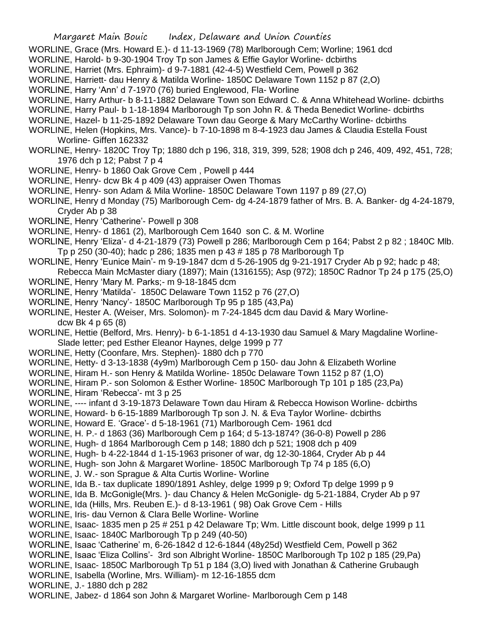- WORLINE, Grace (Mrs. Howard E.)- d 11-13-1969 (78) Marlborough Cem; Worline; 1961 dcd
- WORLINE, Harold- b 9-30-1904 Troy Tp son James & Effie Gaylor Worline- dcbirths
- WORLINE, Harriet (Mrs. Ephraim)- d 9-7-1881 (42-4-5) Westfield Cem, Powell p 362
- WORLINE, Harriett- dau Henry & Matilda Worline- 1850C Delaware Town 1152 p 87 (2,O)
- WORLINE, Harry 'Ann' d 7-1970 (76) buried Englewood, Fla- Worline
- WORLINE, Harry Arthur- b 8-11-1882 Delaware Town son Edward C. & Anna Whitehead Worline- dcbirths
- WORLINE, Harry Paul- b 1-18-1894 Marlborough Tp son John R. & Theda Benedict Worline- dcbirths
- WORLINE, Hazel- b 11-25-1892 Delaware Town dau George & Mary McCarthy Worline- dcbirths
- WORLINE, Helen (Hopkins, Mrs. Vance)- b 7-10-1898 m 8-4-1923 dau James & Claudia Estella Foust Worline- Giffen 162332
- WORLINE, Henry- 1820C Troy Tp; 1880 dch p 196, 318, 319, 399, 528; 1908 dch p 246, 409, 492, 451, 728; 1976 dch p 12; Pabst 7 p 4
- WORLINE, Henry- b 1860 Oak Grove Cem , Powell p 444
- WORLINE, Henry- dcw Bk 4 p 409 (43) appraiser Owen Thomas
- WORLINE, Henry- son Adam & Mila Worline- 1850C Delaware Town 1197 p 89 (27,O)
- WORLINE, Henry d Monday (75) Marlborough Cem- dg 4-24-1879 father of Mrs. B. A. Banker- dg 4-24-1879, Cryder Ab p 38
- WORLINE, Henry 'Catherine'- Powell p 308
- WORLINE, Henry- d 1861 (2), Marlborough Cem 1640 son C. & M. Worline
- WORLINE, Henry 'Eliza'- d 4-21-1879 (73) Powell p 286; Marlborough Cem p 164; Pabst 2 p 82 ; 1840C Mlb. Tp p 250 (30-40); hadc p 286; 1835 men p 43 # 185 p 78 Marlborough Tp
- WORLINE, Henry 'Eunice Main'- m 9-19-1847 dcm d 5-26-1905 dg 9-21-1917 Cryder Ab p 92; hadc p 48; Rebecca Main McMaster diary (1897); Main (1316155); Asp (972); 1850C Radnor Tp 24 p 175 (25,O)
- WORLINE, Henry 'Mary M. Parks;- m 9-18-1845 dcm
- WORLINE, Henry 'Matilda'- 1850C Delaware Town 1152 p 76 (27,O)
- WORLINE, Henry 'Nancy'- 1850C Marlborough Tp 95 p 185 (43,Pa)
- WORLINE, Hester A. (Weiser, Mrs. Solomon)- m 7-24-1845 dcm dau David & Mary Worlinedcw Bk 4 p 65 (8)
- WORLINE, Hettie (Belford, Mrs. Henry)- b 6-1-1851 d 4-13-1930 dau Samuel & Mary Magdaline Worline-Slade letter; ped Esther Eleanor Haynes, delge 1999 p 77
- WORLINE, Hetty (Coonfare, Mrs. Stephen)- 1880 dch p 770
- WORLINE, Hetty- d 3-13-1838 (4y9m) Marlborough Cem p 150- dau John & Elizabeth Worline
- WORLINE, Hiram H.- son Henry & Matilda Worline- 1850c Delaware Town 1152 p 87 (1,O)
- WORLINE, Hiram P.- son Solomon & Esther Worline- 1850C Marlborough Tp 101 p 185 (23,Pa)
- WORLINE, Hiram 'Rebecca'- mt 3 p 25
- WORLINE, ---- infant d 3-19-1873 Delaware Town dau Hiram & Rebecca Howison Worline- dcbirths
- WORLINE, Howard- b 6-15-1889 Marlborough Tp son J. N. & Eva Taylor Worline- dcbirths
- WORLINE, Howard E. 'Grace'- d 5-18-1961 (71) Marlborough Cem- 1961 dcd
- WORLINE, H. P.- d 1863 (36) Marlborough Cem p 164; d 5-13-1874? (36-0-8) Powell p 286
- WORLINE, Hugh- d 1864 Marlborough Cem p 148; 1880 dch p 521; 1908 dch p 409
- WORLINE, Hugh- b 4-22-1844 d 1-15-1963 prisoner of war, dg 12-30-1864, Cryder Ab p 44
- WORLINE, Hugh- son John & Margaret Worline- 1850C Marlborough Tp 74 p 185 (6,O)
- WORLINE, J. W.- son Sprague & Alta Curtis Worline- Worline
- WORLINE, Ida B.- tax duplicate 1890/1891 Ashley, delge 1999 p 9; Oxford Tp delge 1999 p 9
- WORLINE, Ida B. McGonigle(Mrs. )- dau Chancy & Helen McGonigle- dg 5-21-1884, Cryder Ab p 97
- WORLINE, Ida (Hills, Mrs. Reuben E.)- d 8-13-1961 ( 98) Oak Grove Cem Hills
- WORLINE, Iris- dau Vernon & Clara Belle Worline- Worline
- WORLINE, Isaac- 1835 men p 25 # 251 p 42 Delaware Tp; Wm. Little discount book, delge 1999 p 11 WORLINE, Isaac- 1840C Marlborough Tp p 249 (40-50)
- WORLINE, Isaac 'Catherine' m, 6-26-1842 d 12-6-1844 (48y25d) Westfield Cem, Powell p 362 WORLINE, Isaac 'Eliza Collins'- 3rd son Albright Worline- 1850C Marlborough Tp 102 p 185 (29,Pa) WORLINE, Isaac- 1850C Marlborough Tp 51 p 184 (3,O) lived with Jonathan & Catherine Grubaugh WORLINE, Isabella (Worline, Mrs. William)- m 12-16-1855 dcm

WORLINE, J.- 1880 dch p 282

WORLINE, Jabez- d 1864 son John & Margaret Worline- Marlborough Cem p 148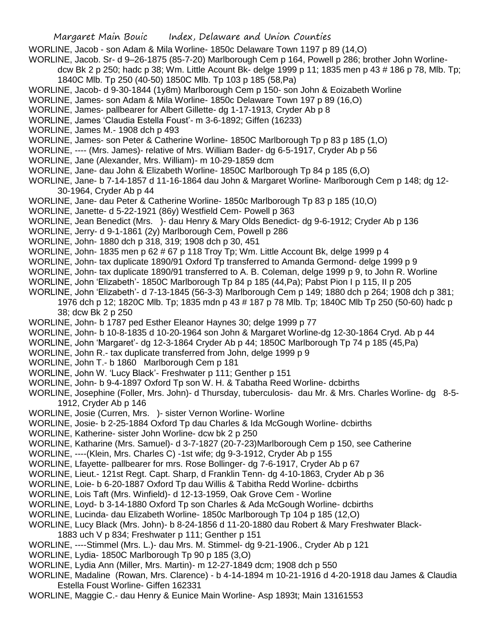WORLINE, Jacob - son Adam & Mila Worline- 1850c Delaware Town 1197 p 89 (14,O)

WORLINE, Jacob. Sr- d 9–26-1875 (85-7-20) Marlborough Cem p 164, Powell p 286; brother John Worline-

dcw Bk 2 p 250; hadc p 38; Wm. Little Acount Bk- delge 1999 p 11; 1835 men p 43 # 186 p 78, Mlb. Tp; 1840C Mlb. Tp 250 (40-50) 1850C Mlb. Tp 103 p 185 (58,Pa)

WORLINE, Jacob- d 9-30-1844 (1y8m) Marlborough Cem p 150- son John & Eoizabeth Worline

WORLINE, James- son Adam & Mila Worline- 1850c Delaware Town 197 p 89 (16,O)

- WORLINE, James- pallbearer for Albert Gillette- dg 1-17-1913, Cryder Ab p 8
- WORLINE, James 'Claudia Estella Foust'- m 3-6-1892; Giffen (16233)
- WORLINE, James M.- 1908 dch p 493
- WORLINE, James- son Peter & Catherine Worline- 1850C Marlborough Tp p 83 p 185 (1,O)
- WORLINE, ---- (Mrs. James)- relative of Mrs. William Bader- dg 6-5-1917, Cryder Ab p 56
- WORLINE, Jane (Alexander, Mrs. William)- m 10-29-1859 dcm
- WORLINE, Jane- dau John & Elizabeth Worline- 1850C Marlborough Tp 84 p 185 (6,O)
- WORLINE, Jane- b 7-14-1857 d 11-16-1864 dau John & Margaret Worline- Marlborough Cem p 148; dg 12- 30-1964, Cryder Ab p 44
- WORLINE, Jane- dau Peter & Catherine Worline- 1850c Marlborough Tp 83 p 185 (10,O)
- WORLINE, Janette- d 5-22-1921 (86y) Westfield Cem- Powell p 363
- WORLINE, Jean Benedict (Mrs. )- dau Henry & Mary Olds Benedict- dg 9-6-1912; Cryder Ab p 136
- WORLINE, Jerry- d 9-1-1861 (2y) Marlborough Cem, Powell p 286
- WORLINE, John- 1880 dch p 318, 319; 1908 dch p 30, 451
- WORLINE, John- 1835 men p 62 # 67 p 118 Troy Tp; Wm. Little Account Bk, delge 1999 p 4
- WORLINE, John- tax duplicate 1890/91 Oxford Tp transferred to Amanda Germond- delge 1999 p 9
- WORLINE, John- tax duplicate 1890/91 transferred to A. B. Coleman, delge 1999 p 9, to John R. Worline
- WORLINE, John 'Elizabeth'- 1850C Marlborough Tp 84 p 185 (44,Pa); Pabst Pion I p 115, II p 205
- WORLINE, John 'Elizabeth'- d 7-13-1845 (56-3-3) Marlborough Cem p 149; 1880 dch p 264; 1908 dch p 381; 1976 dch p 12; 1820C Mlb. Tp; 1835 mdn p 43 # 187 p 78 Mlb. Tp; 1840C Mlb Tp 250 (50-60) hadc p 38; dcw Bk 2 p 250
- WORLINE, John- b 1787 ped Esther Eleanor Haynes 30; delge 1999 p 77
- WORLINE, John- b 10-8-1835 d 10-20-1964 son John & Margaret Worline-dg 12-30-1864 Cryd. Ab p 44
- WORLINE, John 'Margaret'- dg 12-3-1864 Cryder Ab p 44; 1850C Marlborough Tp 74 p 185 (45,Pa)
- WORLINE, John R.- tax duplicate transferred from John, delge 1999 p 9
- WORLINE, John T.- b 1860 Marlborough Cem p 181
- WORLINE, John W. 'Lucy Black'- Freshwater p 111; Genther p 151
- WORLINE, John- b 9-4-1897 Oxford Tp son W. H. & Tabatha Reed Worline- dcbirths
- WORLINE, Josephine (Foller, Mrs. John)- d Thursday, tuberculosis- dau Mr. & Mrs. Charles Worline- dg 8-5- 1912, Cryder Ab p 146
- WORLINE, Josie (Curren, Mrs. )- sister Vernon Worline- Worline
- WORLINE, Josie- b 2-25-1884 Oxford Tp dau Charles & Ida McGough Worline- dcbirths
- WORLINE, Katherine- sister John Worline- dcw bk 2 p 250
- WORLINE, Katharine (Mrs. Samuel)- d 3-7-1827 (20-7-23)Marlborough Cem p 150, see Catherine
- WORLINE, ----(Klein, Mrs. Charles C) -1st wife; dg 9-3-1912, Cryder Ab p 155
- WORLINE, Lfayette- pallbearer for mrs. Rose Bollinger- dg 7-6-1917, Cryder Ab p 67
- WORLINE, Lieut.- 121st Regt. Capt. Sharp, d Franklin Tenn- dg 4-10-1863, Cryder Ab p 36
- WORLINE, Loie- b 6-20-1887 Oxford Tp dau Willis & Tabitha Redd Worline- dcbirths
- WORLINE, Lois Taft (Mrs. Winfield)- d 12-13-1959, Oak Grove Cem Worline
- WORLINE, Loyd- b 3-14-1880 Oxford Tp son Charles & Ada McGough Worline- dcbirths
- WORLINE, Lucinda- dau Elizabeth Worline- 1850c Marlborough Tp 104 p 185 (12,O)
- WORLINE, Lucy Black (Mrs. John)- b 8-24-1856 d 11-20-1880 dau Robert & Mary Freshwater Black-
- 1883 uch V p 834; Freshwater p 111; Genther p 151
- WORLINE, ----Stimmel (Mrs. L.)- dau Mrs. M. Stimmel- dg 9-21-1906., Cryder Ab p 121
- WORLINE, Lydia- 1850C Marlborough Tp 90 p 185 (3.O)
- WORLINE, Lydia Ann (Miller, Mrs. Martin)- m 12-27-1849 dcm; 1908 dch p 550
- WORLINE, Madaline (Rowan, Mrs. Clarence) b 4-14-1894 m 10-21-1916 d 4-20-1918 dau James & Claudia Estella Foust Worline- Giffen 162331
- WORLINE, Maggie C.- dau Henry & Eunice Main Worline- Asp 1893t; Main 13161553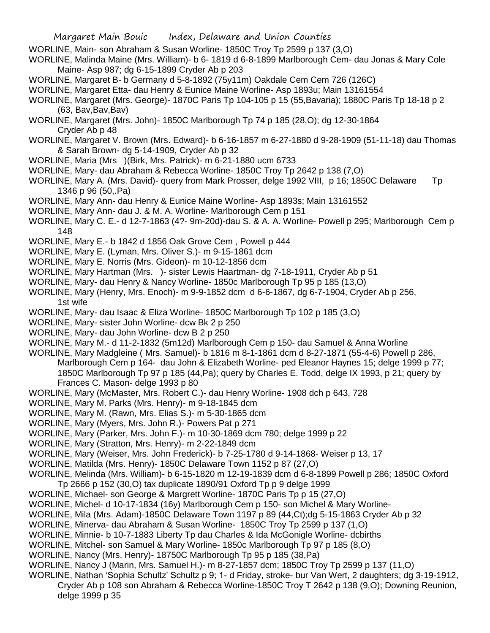- WORLINE, Main- son Abraham & Susan Worline- 1850C Troy Tp 2599 p 137 (3,O)
- WORLINE, Malinda Maine (Mrs. William)- b 6- 1819 d 6-8-1899 Marlborough Cem- dau Jonas & Mary Cole Maine- Asp 987; dg 6-15-1899 Cryder Ab p 203
- WORLINE, Margaret B- b Germany d 5-8-1892 (75y11m) Oakdale Cem Cem 726 (126C)
- WORLINE, Margaret Etta- dau Henry & Eunice Maine Worline- Asp 1893u; Main 13161554
- WORLINE, Margaret (Mrs. George)- 1870C Paris Tp 104-105 p 15 (55,Bavaria); 1880C Paris Tp 18-18 p 2 (63, Bav,Bav,Bav)
- WORLINE, Margaret (Mrs. John)- 1850C Marlborough Tp 74 p 185 (28,O); dg 12-30-1864 Cryder Ab p 48
- WORLINE, Margaret V. Brown (Mrs. Edward)- b 6-16-1857 m 6-27-1880 d 9-28-1909 (51-11-18) dau Thomas & Sarah Brown- dg 5-14-1909, Cryder Ab p 32
- WORLINE, Maria (Mrs )(Birk, Mrs. Patrick)- m 6-21-1880 ucm 6733
- WORLINE, Mary- dau Abraham & Rebecca Worline- 1850C Troy Tp 2642 p 138 (7,O)
- WORLINE, Mary A. (Mrs. David)- query from Mark Prosser, delge 1992 VIII, p 16; 1850C Delaware Tp 1346 p 96 (50,.Pa)
- WORLINE, Mary Ann- dau Henry & Eunice Maine Worline- Asp 1893s; Main 13161552
- WORLINE, Mary Ann- dau J. & M. A. Worline- Marlborough Cem p 151
- WORLINE, Mary C. E.- d 12-7-1863 (4?- 9m-20d)-dau S. & A. A. Worline- Powell p 295; Marlborough Cem p 148
- WORLINE, Mary E.- b 1842 d 1856 Oak Grove Cem , Powell p 444
- WORLINE, Mary E. (Lyman, Mrs. Oliver S.)- m 9-15-1861 dcm
- WORLINE, Mary E. Norris (Mrs. Gideon)- m 10-12-1856 dcm
- WORLINE, Mary Hartman (Mrs. )- sister Lewis Haartman- dg 7-18-1911, Cryder Ab p 51
- WORLINE, Mary- dau Henry & Nancy Worline- 1850c Marlborough Tp 95 p 185 (13,O)
- WORLINE, Mary (Henry, Mrs. Enoch)- m 9-9-1852 dcm d 6-6-1867, dg 6-7-1904, Cryder Ab p 256, 1st wife
- WORLINE, Mary- dau Isaac & Eliza Worline- 1850C Marlborough Tp 102 p 185 (3,O)
- WORLINE, Mary- sister John Worline- dcw Bk 2 p 250
- WORLINE, Mary- dau John Worline- dcw B 2 p 250
- WORLINE, Mary M.- d 11-2-1832 (5m12d) Marlborough Cem p 150- dau Samuel & Anna Worline
- WORLINE, Mary Madgleine ( Mrs. Samuel)- b 1816 m 8-1-1861 dcm d 8-27-1871 (55-4-6) Powell p 286, Marlborough Cem p 164- dau John & Elizabeth Worline- ped Eleanor Haynes 15; delge 1999 p 77; 1850C Marlborough Tp 97 p 185 (44,Pa); query by Charles E. Todd, delge IX 1993, p 21; query by Frances C. Mason- delge 1993 p 80
- WORLINE, Mary (McMaster, Mrs. Robert C.)- dau Henry Worline- 1908 dch p 643, 728
- WORLINE, Mary M. Parks (Mrs. Henry)- m 9-18-1845 dcm
- WORLINE, Mary M. (Rawn, Mrs. Elias S.)- m 5-30-1865 dcm
- WORLINE, Mary (Myers, Mrs. John R.)- Powers Pat p 271
- WORLINE, Mary (Parker, Mrs. John F.)- m 10-30-1869 dcm 780; delge 1999 p 22
- WORLINE, Mary (Stratton, Mrs. Henry)- m 2-22-1849 dcm
- WORLINE, Mary (Weiser, Mrs. John Frederick)- b 7-25-1780 d 9-14-1868- Weiser p 13, 17
- WORLINE, Matilda (Mrs. Henry)- 1850C Delaware Town 1152 p 87 (27,O)
- WORLINE, Melinda (Mrs. William)- b 6-15-1820 m 12-19-1839 dcm d 6-8-1899 Powell p 286; 1850C Oxford Tp 2666 p 152 (30,O) tax duplicate 1890/91 Oxford Tp p 9 delge 1999
- WORLINE, Michael- son George & Margrett Worline- 1870C Paris Tp p 15 (27,O)
- WORLINE, Michel- d 10-17-1834 (16y) Marlborough Cem p 150- son Michel & Mary Worline-
- WORLINE, Mila (Mrs. Adam)-1850C Delaware Town 1197 p 89 (44,Ct);dg 5-15-1863 Cryder Ab p 32
- WORLINE, Minerva- dau Abraham & Susan Worline- 1850C Troy Tp 2599 p 137 (1,O)
- WORLINE, Minnie- b 10-7-1883 Liberty Tp dau Charles & Ida McGonigle Worline- dcbirths
- WORLINE, Mitchel- son Samuel & Mary Worline- 1850c Marlborough Tp 97 p 185 (8,O)
- WORLINE, Nancy (Mrs. Henry)- 18750C Marlborough Tp 95 p 185 (38,Pa)
- WORLINE, Nancy J (Marin, Mrs. Samuel H.)- m 8-27-1857 dcm; 1850C Troy Tp 2599 p 137 (11,O)
- WORLINE, Nathan 'Sophia Schultz' Schultz p 9; 1- d Friday, stroke- bur Van Wert, 2 daughters; dg 3-19-1912, Cryder Ab p 108 son Abraham & Rebecca Worline-1850C Troy T 2642 p 138 (9,O); Downing Reunion,
	- delge 1999 p 35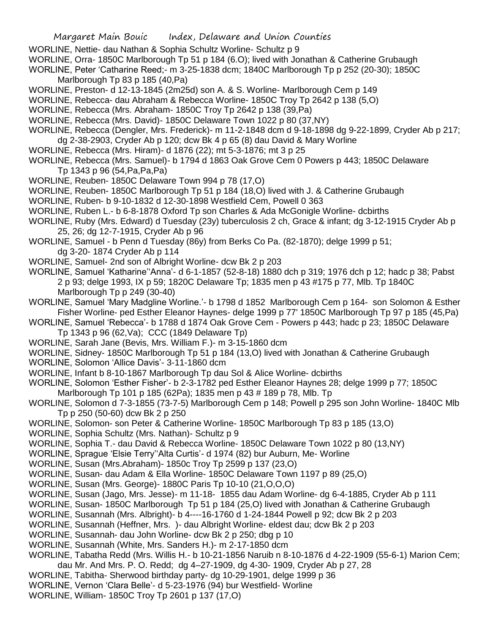- WORLINE, Nettie- dau Nathan & Sophia Schultz Worline- Schultz p 9
- WORLINE, Orra- 1850C Marlborough Tp 51 p 184 (6.O); lived with Jonathan & Catherine Grubaugh

WORLINE, Peter 'Catharine Reed;- m 3-25-1838 dcm; 1840C Marlborough Tp p 252 (20-30); 1850C Marlborough Tp 83 p 185 (40,Pa)

- WORLINE, Preston- d 12-13-1845 (2m25d) son A. & S. Worline- Marlborough Cem p 149
- WORLINE, Rebecca- dau Abraham & Rebecca Worline- 1850C Troy Tp 2642 p 138 (5,O)
- WORLINE, Rebecca (Mrs. Abraham- 1850C Troy Tp 2642 p 138 (39,Pa)
- WORLINE, Rebecca (Mrs. David)- 1850C Delaware Town 1022 p 80 (37,NY)
- WORLINE, Rebecca (Dengler, Mrs. Frederick)- m 11-2-1848 dcm d 9-18-1898 dg 9-22-1899, Cryder Ab p 217; dg 2-38-2903, Cryder Ab p 120; dcw Bk 4 p 65 (8) dau David & Mary Worline
- WORLINE, Rebecca (Mrs. Hiram)- d 1876 (22); mt 5-3-1876; mt 3 p 25
- WORLINE, Rebecca (Mrs. Samuel)- b 1794 d 1863 Oak Grove Cem 0 Powers p 443; 1850C Delaware Tp 1343 p 96 (54,Pa,Pa,Pa)
- WORLINE, Reuben- 1850C Delaware Town 994 p 78 (17,O)
- WORLINE, Reuben- 1850C Marlborough Tp 51 p 184 (18,O) lived with J. & Catherine Grubaugh
- WORLINE, Ruben- b 9-10-1832 d 12-30-1898 Westfield Cem, Powell 0 363
- WORLINE, Ruben L.- b 6-8-1878 Oxford Tp son Charles & Ada McGonigle Worline- dcbirths
- WORLINE, Ruby (Mrs. Edward) d Tuesday (23y) tuberculosis 2 ch, Grace & infant; dg 3-12-1915 Cryder Ab p 25, 26; dg 12-7-1915, Cryder Ab p 96
- WORLINE, Samuel b Penn d Tuesday (86y) from Berks Co Pa. (82-1870); delge 1999 p 51; dg 3-20- 1874 Cryder Ab p 114
- WORLINE, Samuel- 2nd son of Albright Worline- dcw Bk 2 p 203
- WORLINE, Samuel 'Katharine''Anna'- d 6-1-1857 (52-8-18) 1880 dch p 319; 1976 dch p 12; hadc p 38; Pabst 2 p 93; delge 1993, IX p 59; 1820C Delaware Tp; 1835 men p 43 #175 p 77, Mlb. Tp 1840C Marlborough Tp p 249 (30-40)
- WORLINE, Samuel 'Mary Madgline Worline.'- b 1798 d 1852 Marlborough Cem p 164- son Solomon & Esther Fisher Worline- ped Esther Eleanor Haynes- delge 1999 p 77' 1850C Marlborough Tp 97 p 185 (45,Pa)
- WORLINE, Samuel 'Rebecca'- b 1788 d 1874 Oak Grove Cem Powers p 443; hadc p 23; 1850C Delaware Tp 1343 p 96 (62,Va); CCC (1849 Delaware Tp)
- WORLINE, Sarah Jane (Bevis, Mrs. William F.)- m 3-15-1860 dcm
- WORLINE, Sidney- 1850C Marlborough Tp 51 p 184 (13,O) lived with Jonathan & Catherine Grubaugh
- WORLINE, Solomon 'Allice Davis'- 3-11-1860 dcm
- WORLINE, Infant b 8-10-1867 Marlborough Tp dau Sol & Alice Worline- dcbirths
- WORLINE, Solomon 'Esther Fisher'- b 2-3-1782 ped Esther Eleanor Haynes 28; delge 1999 p 77; 1850C Marlborough Tp 101 p 185 (62Pa); 1835 men p 43 # 189 p 78, Mlb. Tp
- WORLINE, Solomon d 7-3-1855 (73-7-5) Marlborough Cem p 148; Powell p 295 son John Worline- 1840C Mlb Tp p 250 (50-60) dcw Bk 2 p 250
- WORLINE, Solomon- son Peter & Catherine Worline- 1850C Marlborough Tp 83 p 185 (13,O)
- WORLINE, Sophia Schultz (Mrs. Nathan)- Schultz p 9
- WORLINE, Sophia T.- dau David & Rebecca Worline- 1850C Delaware Town 1022 p 80 (13,NY)
- WORLINE, Sprague 'Elsie Terry''Alta Curtis'- d 1974 (82) bur Auburn, Me- Worline
- WORLINE, Susan (Mrs.Abraham)- 1850c Troy Tp 2599 p 137 (23,O)
- WORLINE, Susan- dau Adam & Ella Worline- 1850C Delaware Town 1197 p 89 (25,O)
- WORLINE, Susan (Mrs. George)- 1880C Paris Tp 10-10 (21,O,O,O)
- WORLINE, Susan (Jago, Mrs. Jesse)- m 11-18- 1855 dau Adam Worline- dg 6-4-1885, Cryder Ab p 111
- WORLINE, Susan- 1850C Marlborough Tp 51 p 184 (25,O) lived with Jonathan & Catherine Grubaugh
- WORLINE, Susannah (Mrs. Albright)- b 4----16-1760 d 1-24-1844 Powell p 92; dcw Bk 2 p 203
- WORLINE, Susannah (Heffner, Mrs. )- dau Albright Worline- eldest dau; dcw Bk 2 p 203
- WORLINE, Susannah- dau John Worline- dcw Bk 2 p 250; dbg p 10
- WORLINE, Susannah (White, Mrs. Sanders H.)- m 2-17-1850 dcm
- WORLINE, Tabatha Redd (Mrs. Willis H.- b 10-21-1856 Naruib n 8-10-1876 d 4-22-1909 (55-6-1) Marion Cem; dau Mr. And Mrs. P. O. Redd; dg 4–27-1909, dg 4-30- 1909, Cryder Ab p 27, 28
- WORLINE, Tabitha- Sherwood birthday party- dg 10-29-1901, delge 1999 p 36
- WORLINE, Vernon 'Clara Belle'- d 5-23-1976 (94) bur Westfield- Worline
- WORLINE, William- 1850C Troy Tp 2601 p 137 (17,O)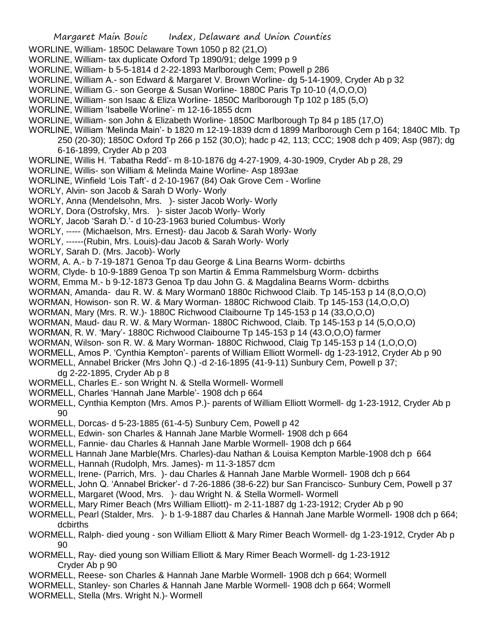- WORLINE, William- 1850C Delaware Town 1050 p 82 (21,O)
- WORLINE, William- tax duplicate Oxford Tp 1890/91; delge 1999 p 9
- WORLINE, William- b 5-5-1814 d 2-22-1893 Marlborough Cem; Powell p 286
- WORLINE, William A.- son Edward & Margaret V. Brown Worline- dg 5-14-1909, Cryder Ab p 32
- WORLINE, William G.- son George & Susan Worline- 1880C Paris Tp 10-10 (4,O,O,O)
- WORLINE, William- son Isaac & Eliza Worline- 1850C Marlborough Tp 102 p 185 (5,O)
- WORLINE, William 'Isabelle Worline'- m 12-16-1855 dcm
- WORLINE, William- son John & Elizabeth Worline- 1850C Marlborough Tp 84 p 185 (17,O)
- WORLINE, William 'Melinda Main'- b 1820 m 12-19-1839 dcm d 1899 Marlborough Cem p 164; 1840C Mlb. Tp 250 (20-30); 1850C Oxford Tp 266 p 152 (30,O); hadc p 42, 113; CCC; 1908 dch p 409; Asp (987); dg 6-16-1899, Cryder Ab p 203
- WORLINE, Willis H. 'Tabatha Redd'- m 8-10-1876 dg 4-27-1909, 4-30-1909, Cryder Ab p 28, 29
- WORLINE, Willis- son William & Melinda Maine Worline- Asp 1893ae
- WORLINE, Winfield 'Lois Taft'- d 2-10-1967 (84) Oak Grove Cem Worline
- WORLY, Alvin- son Jacob & Sarah D Worly- Worly
- WORLY, Anna (Mendelsohn, Mrs. )- sister Jacob Worly- Worly
- WORLY, Dora (Ostrofsky, Mrs. )- sister Jacob Worly- Worly
- WORLY, Jacob 'Sarah D.'- d 10-23-1963 buried Columbus- Worly
- WORLY, ----- (Michaelson, Mrs. Ernest)- dau Jacob & Sarah Worly- Worly
- WORLY, ------(Rubin, Mrs. Louis)-dau Jacob & Sarah Worly- Worly
- WORLY, Sarah D. (Mrs. Jacob)- Worly
- WORM, A. A.- b 7-19-1871 Genoa Tp dau George & Lina Bearns Worm- dcbirths
- WORM, Clyde- b 10-9-1889 Genoa Tp son Martin & Emma Rammelsburg Worm- dcbirths
- WORM, Emma M.- b 9-12-1873 Genoa Tp dau John G. & Magdalina Bearns Worm- dcbirths
- WORMAN, Amanda- dau R. W. & Mary Worman0 1880c Richwood Claib. Tp 145-153 p 14 (8,O,O,O)
- WORMAN, Howison- son R. W. & Mary Worman- 1880C Richwood Claib. Tp 145-153 (14,O,O,O)
- WORMAN, Mary (Mrs. R. W.)- 1880C Richwood Claibourne Tp 145-153 p 14 (33,O,O,O)
- WORMAN, Maud- dau R. W. & Mary Worman- 1880C Richwood, Claib. Tp 145-153 p 14 (5,O,O,O)
- WORMAN, R. W. 'Mary'- 1880C Richwood Claibourne Tp 145-153 p 14 (43.O,O,O) farmer
- WORMAN, Wilson- son R. W. & Mary Worman- 1880C Richwood, Claig Tp 145-153 p 14 (1,O,O,O)
- WORMELL, Amos P. 'Cynthia Kempton'- parents of William Elliott Wormell- dg 1-23-1912, Cryder Ab p 90
- WORMELL, Annabel Bricker (Mrs John Q.) -d 2-16-1895 (41-9-11) Sunbury Cem, Powell p 37;
	- dg 2-22-1895, Cryder Ab p 8
- WORMELL, Charles E.- son Wright N. & Stella Wormell- Wormell
- WORMELL, Charles 'Hannah Jane Marble'- 1908 dch p 664
- WORMELL, Cynthia Kempton (Mrs. Amos P.)- parents of William Elliott Wormell- dg 1-23-1912, Cryder Ab p 90
- WORMELL, Dorcas- d 5-23-1885 (61-4-5) Sunbury Cem, Powell p 42
- WORMELL, Edwin- son Charles & Hannah Jane Marble Wormell- 1908 dch p 664
- WORMELL, Fannie- dau Charles & Hannah Jane Marble Wormell- 1908 dch p 664
- WORMELL Hannah Jane Marble(Mrs. Charles)-dau Nathan & Louisa Kempton Marble-1908 dch p 664
- WORMELL, Hannah (Rudolph, Mrs. James)- m 11-3-1857 dcm
- WORMELL, Irene- (Parrich, Mrs. )- dau Charles & Hannah Jane Marble Wormell- 1908 dch p 664
- WORMELL, John Q. 'Annabel Bricker'- d 7-26-1886 (38-6-22) bur San Francisco- Sunbury Cem, Powell p 37
- WORMELL, Margaret (Wood, Mrs. )- dau Wright N. & Stella Wormell- Wormell
- WORMELL, Mary Rimer Beach (Mrs William Elliott)- m 2-11-1887 dg 1-23-1912; Cryder Ab p 90
- WORMELL, Pearl (Stalder, Mrs. )- b 1-9-1887 dau Charles & Hannah Jane Marble Wormell- 1908 dch p 664; dcbirths
- WORMELL, Ralph- died young son William Elliott & Mary Rimer Beach Wormell- dg 1-23-1912, Cryder Ab p 90
- WORMELL, Ray- died young son William Elliott & Mary Rimer Beach Wormell- dg 1-23-1912 Cryder Ab p 90
- WORMELL, Reese- son Charles & Hannah Jane Marble Wormell- 1908 dch p 664; Wormell
- WORMELL, Stanley- son Charles & Hannah Jane Marble Wormell- 1908 dch p 664; Wormell
- WORMELL, Stella (Mrs. Wright N.)- Wormell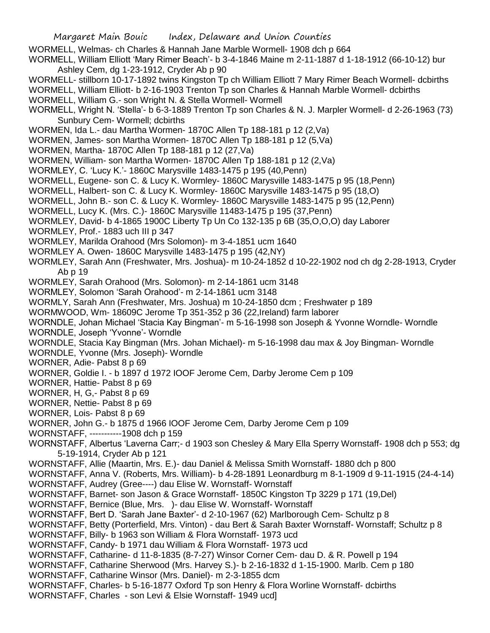WORMELL, Welmas- ch Charles & Hannah Jane Marble Wormell- 1908 dch p 664

WORMELL, William Elliott 'Mary Rimer Beach'- b 3-4-1846 Maine m 2-11-1887 d 1-18-1912 (66-10-12) bur Ashley Cem, dg 1-23-1912, Cryder Ab p 90

WORMELL- stillborn 10-17-1892 twins Kingston Tp ch William Elliott 7 Mary Rimer Beach Wormell- dcbirths WORMELL, William Elliott- b 2-16-1903 Trenton Tp son Charles & Hannah Marble Wormell- dcbirths

WORMELL, William G.- son Wright N. & Stella Wormell- Wormell

WORMELL, Wright N. 'Stella'- b 6-3-1889 Trenton Tp son Charles & N. J. Marpler Wormell- d 2-26-1963 (73) Sunbury Cem- Wormell; dcbirths

WORMEN, Ida L.- dau Martha Wormen- 1870C Allen Tp 188-181 p 12 (2,Va)

WORMEN, James- son Martha Wormen- 1870C Allen Tp 188-181 p 12 (5,Va)

WORMEN, Martha- 1870C Allen Tp 188-181 p 12 (27,Va)

WORMEN, William- son Martha Wormen- 1870C Allen Tp 188-181 p 12 (2,Va)

WORMLEY, C. 'Lucy K.'- 1860C Marysville 1483-1475 p 195 (40,Penn)

WORMELL, Eugene- son C. & Lucy K. Wormley- 1860C Marysville 1483-1475 p 95 (18,Penn)

WORMELL, Halbert- son C. & Lucy K. Wormley- 1860C Marysville 1483-1475 p 95 (18,O)

WORMELL, John B.- son C. & Lucy K. Wormley- 1860C Marysville 1483-1475 p 95 (12,Penn)

WORMELL, Lucy K. (Mrs. C.)- 1860C Marysville 11483-1475 p 195 (37,Penn)

WORMLEY, David- b 4-1865 1900C Liberty Tp Un Co 132-135 p 6B (35,O,O,O) day Laborer

WORMLEY, Prof.- 1883 uch III p 347

WORMLEY, Marilda Orahood (Mrs Solomon)- m 3-4-1851 ucm 1640

WORMLEY A. Owen- 1860C Marysville 1483-1475 p 195 (42,NY)

WORMLEY, Sarah Ann (Freshwater, Mrs. Joshua)- m 10-24-1852 d 10-22-1902 nod ch dg 2-28-1913, Cryder Ab p 19

WORMLEY, Sarah Orahood (Mrs. Solomon)- m 2-14-1861 ucm 3148

WORMLEY, Solomon 'Sarah Orahood'- m 2-14-1861 ucm 3148

WORMLY, Sarah Ann (Freshwater, Mrs. Joshua) m 10-24-1850 dcm ; Freshwater p 189

WORMWOOD, Wm- 18609C Jerome Tp 351-352 p 36 (22,Ireland) farm laborer

WORNDLE, Johan Michael 'Stacia Kay Bingman'- m 5-16-1998 son Joseph & Yvonne Worndle- Worndle WORNDLE, Joseph 'Yvonne'- Worndle

WORNDLE, Stacia Kay Bingman (Mrs. Johan Michael)- m 5-16-1998 dau max & Joy Bingman- Worndle

WORNDLE, Yvonne (Mrs. Joseph)- Worndle

WORNER, Adie- Pabst 8 p 69

WORNER, Goldie I. - b 1897 d 1972 IOOF Jerome Cem, Darby Jerome Cem p 109

WORNER, Hattie- Pabst 8 p 69

WORNER, H, G,- Pabst 8 p 69

WORNER, Nettie- Pabst 8 p 69

WORNER, Lois- Pabst 8 p 69

WORNER, John G.- b 1875 d 1966 IOOF Jerome Cem, Darby Jerome Cem p 109

WORNSTAFF, -----------1908 dch p 159

WORNSTAFF, Albertus 'Laverna Carr;- d 1903 son Chesley & Mary Ella Sperry Wornstaff- 1908 dch p 553; dg 5-19-1914, Cryder Ab p 121

WORNSTAFF, Allie (Maartin, Mrs. E.)- dau Daniel & Melissa Smith Wornstaff- 1880 dch p 800

WORNSTAFF, Anna V. (Roberts, Mrs. William)- b 4-28-1891 Leonardburg m 8-1-1909 d 9-11-1915 (24-4-14)

WORNSTAFF, Audrey (Gree----) dau Elise W. Wornstaff- Wornstaff

WORNSTAFF, Barnet- son Jason & Grace Wornstaff- 1850C Kingston Tp 3229 p 171 (19,Del)

WORNSTAFF, Bernice (Blue, Mrs. )- dau Elise W. Wornstaff- Wornstaff

WORNSTAFF, Bert D. 'Sarah Jane Baxter'- d 2-10-1967 (62) Marlborough Cem- Schultz p 8

WORNSTAFF, Betty (Porterfield, Mrs. Vinton) - dau Bert & Sarah Baxter Wornstaff- Wornstaff; Schultz p 8

WORNSTAFF, Billy- b 1963 son William & Flora Wornstaff- 1973 ucd

WORNSTAFF, Candy- b 1971 dau William & Flora Wornstaff- 1973 ucd

WORNSTAFF, Catharine- d 11-8-1835 (8-7-27) Winsor Corner Cem- dau D. & R. Powell p 194

WORNSTAFF, Catharine Sherwood (Mrs. Harvey S.)- b 2-16-1832 d 1-15-1900. Marlb. Cem p 180

WORNSTAFF, Catharine Winsor (Mrs. Daniel)- m 2-3-1855 dcm

WORNSTAFF, Charles- b 5-16-1877 Oxford Tp son Henry & Flora Worline Wornstaff- dcbirths

WORNSTAFF, Charles - son Levi & Elsie Wornstaff- 1949 ucd]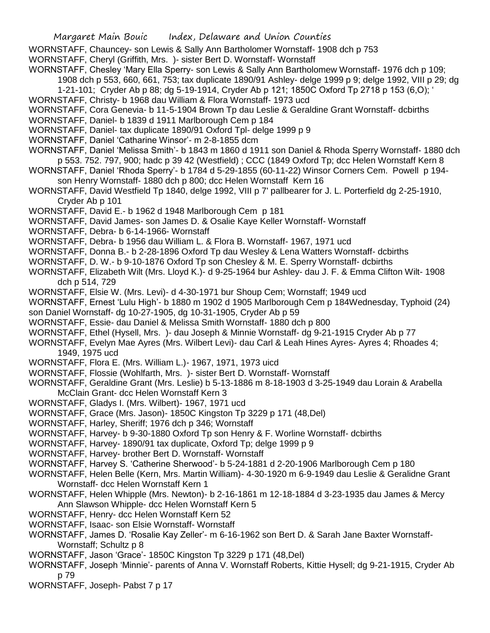WORNSTAFF, Chauncey- son Lewis & Sally Ann Bartholomer Wornstaff- 1908 dch p 753

WORNSTAFF, Cheryl (Griffith, Mrs. )- sister Bert D. Wornstaff- Wornstaff

- WORNSTAFF, Chesley 'Mary Ella Sperry- son Lewis & Sally Ann Bartholomew Wornstaff- 1976 dch p 109; 1908 dch p 553, 660, 661, 753; tax duplicate 1890/91 Ashley- delge 1999 p 9; delge 1992, VIII p 29; dg
	- 1-21-101; Cryder Ab p 88; dg 5-19-1914, Cryder Ab p 121; 1850C Oxford Tp 2718 p 153 (6,O); '
- WORNSTAFF, Christy- b 1968 dau William & Flora Wornstaff- 1973 ucd
- WORNSTAFF, Cora Genevia- b 11-5-1904 Brown Tp dau Leslie & Geraldine Grant Wornstaff- dcbirths
- WORNSTAFF, Daniel- b 1839 d 1911 Marlborough Cem p 184
- WORNSTAFF, Daniel- tax duplicate 1890/91 Oxford Tpl- delge 1999 p 9
- WORNSTAFF, Daniel 'Catharine Winsor'- m 2-8-1855 dcm
- WORNSTAFF, Daniel 'Melissa Smith'- b 1843 m 1860 d 1911 son Daniel & Rhoda Sperry Wornstaff- 1880 dch p 553. 752. 797, 900; hadc p 39 42 (Westfield) ; CCC (1849 Oxford Tp; dcc Helen Wornstaff Kern 8
- WORNSTAFF, Daniel 'Rhoda Sperry'- b 1784 d 5-29-1855 (60-11-22) Winsor Corners Cem. Powell p 194 son Henry Wornstaff- 1880 dch p 800; dcc Helen Wornstaff Kern 16
- WORNSTAFF, David Westfield Tp 1840, delge 1992, VIII p 7' pallbearer for J. L. Porterfield dg 2-25-1910, Cryder Ab p 101
- WORNSTAFF, David E.- b 1962 d 1948 Marlborough Cem p 181
- WORNSTAFF, David James- son James D. & Osalie Kaye Keller Wornstaff- Wornstaff
- WORNSTAFF, Debra- b 6-14-1966- Wornstaff
- WORNSTAFF, Debra- b 1956 dau William L. & Flora B. Wornstaff- 1967, 1971 ucd
- WORNSTAFF, Donna B.- b 2-28-1896 Oxford Tp dau Wesley & Lena Watters Wornstaff- dcbirths
- WORNSTAFF, D. W.- b 9-10-1876 Oxford Tp son Chesley & M. E. Sperry Wornstaff- dcbirths
- WORNSTAFF, Elizabeth Wilt (Mrs. Lloyd K.)- d 9-25-1964 bur Ashley- dau J. F. & Emma Clifton Wilt- 1908 dch p 514, 729
- WORNSTAFF, Elsie W. (Mrs. Levi)- d 4-30-1971 bur Shoup Cem; Wornstaff; 1949 ucd
- WORNSTAFF, Ernest 'Lulu High'- b 1880 m 1902 d 1905 Marlborough Cem p 184Wednesday, Typhoid (24)
- son Daniel Wornstaff- dg 10-27-1905, dg 10-31-1905, Cryder Ab p 59
- WORNSTAFF, Essie- dau Daniel & Melissa Smith Wornstaff- 1880 dch p 800
- WORNSTAFF, Ethel (Hysell, Mrs. )- dau Joseph & Minnie Wornstaff- dg 9-21-1915 Cryder Ab p 77
- WORNSTAFF, Evelyn Mae Ayres (Mrs. Wilbert Levi)- dau Carl & Leah Hines Ayres- Ayres 4; Rhoades 4; 1949, 1975 ucd
- WORNSTAFF, Flora E. (Mrs. William L.)- 1967, 1971, 1973 uicd
- WORNSTAFF, Flossie (Wohlfarth, Mrs. )- sister Bert D. Wornstaff- Wornstaff
- WORNSTAFF, Geraldine Grant (Mrs. Leslie) b 5-13-1886 m 8-18-1903 d 3-25-1949 dau Lorain & Arabella McClain Grant- dcc Helen Wornstaff Kern 3
- WORNSTAFF, Gladys I. (Mrs. Wilbert)- 1967, 1971 ucd
- WORNSTAFF, Grace (Mrs. Jason)- 1850C Kingston Tp 3229 p 171 (48,Del)
- WORNSTAFF, Harley, Sheriff; 1976 dch p 346; Wornstaff
- WORNSTAFF, Harvey- b 9-30-1880 Oxford Tp son Henry & F. Worline Wornstaff- dcbirths
- WORNSTAFF, Harvey- 1890/91 tax duplicate, Oxford Tp; delge 1999 p 9
- WORNSTAFF, Harvey- brother Bert D. Wornstaff- Wornstaff
- WORNSTAFF, Harvey S. 'Catherine Sherwood'- b 5-24-1881 d 2-20-1906 Marlborough Cem p 180
- WORNSTAFF, Helen Belle (Kern, Mrs. Martin William)- 4-30-1920 m 6-9-1949 dau Leslie & Geralidne Grant Wornstaff- dcc Helen Wornstaff Kern 1
- WORNSTAFF, Helen Whipple (Mrs. Newton)- b 2-16-1861 m 12-18-1884 d 3-23-1935 dau James & Mercy Ann Slawson Whipple- dcc Helen Wornstaff Kern 5
- WORNSTAFF, Henry- dcc Helen Wornstaff Kern 52
- WORNSTAFF, Isaac- son Elsie Wornstaff- Wornstaff
- WORNSTAFF, James D. 'Rosalie Kay Zeller'- m 6-16-1962 son Bert D. & Sarah Jane Baxter Wornstaff-Wornstaff; Schultz p 8
- WORNSTAFF, Jason 'Grace'- 1850C Kingston Tp 3229 p 171 (48,Del)
- WORNSTAFF, Joseph 'Minnie'- parents of Anna V. Wornstaff Roberts, Kittie Hysell; dg 9-21-1915, Cryder Ab p 79
- WORNSTAFF, Joseph- Pabst 7 p 17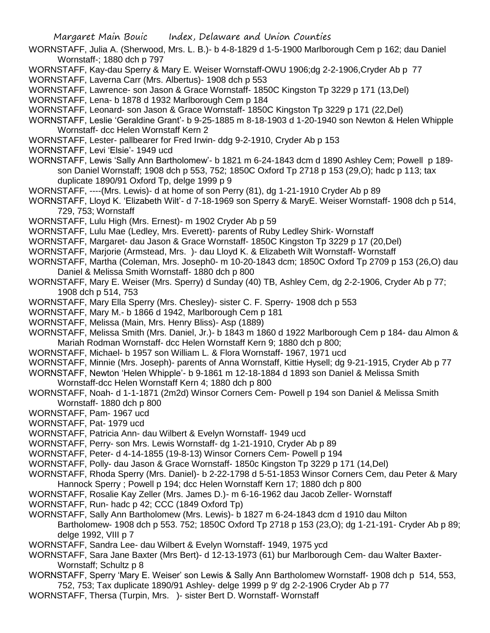- WORNSTAFF, Julia A. (Sherwood, Mrs. L. B.)- b 4-8-1829 d 1-5-1900 Marlborough Cem p 162; dau Daniel Wornstaff-; 1880 dch p 797
- WORNSTAFF, Kay-dau Sperry & Mary E. Weiser Wornstaff-OWU 1906;dg 2-2-1906,Cryder Ab p 77
- WORNSTAFF, Laverna Carr (Mrs. Albertus)- 1908 dch p 553
- WORNSTAFF, Lawrence- son Jason & Grace Wornstaff- 1850C Kingston Tp 3229 p 171 (13,Del)

WORNSTAFF, Lena- b 1878 d 1932 Marlborough Cem p 184

- WORNSTAFF, Leonard- son Jason & Grace Wornstaff- 1850C Kingston Tp 3229 p 171 (22,Del)
- WORNSTAFF, Leslie 'Geraldine Grant'- b 9-25-1885 m 8-18-1903 d 1-20-1940 son Newton & Helen Whipple Wornstaff- dcc Helen Wornstaff Kern 2
- WORNSTAFF, Lester- pallbearer for Fred Irwin- ddg 9-2-1910, Cryder Ab p 153
- WORNSTAFF, Levi 'Elsie'- 1949 ucd
- WORNSTAFF, Lewis 'Sally Ann Bartholomew'- b 1821 m 6-24-1843 dcm d 1890 Ashley Cem; Powell p 189 son Daniel Wornstaff; 1908 dch p 553, 752; 1850C Oxford Tp 2718 p 153 (29,O); hadc p 113; tax duplicate 1890/91 Oxford Tp, delge 1999 p 9
- WORNSTAFF, ----(Mrs. Lewis)- d at home of son Perry (81), dg 1-21-1910 Cryder Ab p 89
- WORNSTAFF, Lloyd K. 'Elizabeth Wilt'- d 7-18-1969 son Sperry & MaryE. Weiser Wornstaff- 1908 dch p 514, 729, 753; Wornstaff
- WORNSTAFF, Lulu High (Mrs. Ernest)- m 1902 Cryder Ab p 59
- WORNSTAFF, Lulu Mae (Ledley, Mrs. Everett)- parents of Ruby Ledley Shirk- Wornstaff
- WORNSTAFF, Margaret- dau Jason & Grace Wornstaff- 1850C Kingston Tp 3229 p 17 (20,Del)
- WORNSTAFF, Marjorie (Armstead, Mrs. )- dau Lloyd K. & Elizabeth Wilt Wornstaff- Wornstaff
- WORNSTAFF, Martha (Coleman, Mrs. Joseph0- m 10-20-1843 dcm; 1850C Oxford Tp 2709 p 153 (26,O) dau Daniel & Melissa Smith Wornstaff- 1880 dch p 800
- WORNSTAFF, Mary E. Weiser (Mrs. Sperry) d Sunday (40) TB, Ashley Cem, dg 2-2-1906, Cryder Ab p 77; 1908 dch p 514, 753
- WORNSTAFF, Mary Ella Sperry (Mrs. Chesley)- sister C. F. Sperry- 1908 dch p 553
- WORNSTAFF, Mary M.- b 1866 d 1942, Marlborough Cem p 181
- WORNSTAFF, Melissa (Main, Mrs. Henry Bliss)- Asp (1889)
- WORNSTAFF, Melissa Smith (Mrs. Daniel, Jr.)- b 1843 m 1860 d 1922 Marlborough Cem p 184- dau Almon & Mariah Rodman Wornstaff- dcc Helen Wornstaff Kern 9; 1880 dch p 800;
- WORNSTAFF, Michael- b 1957 son William L. & Flora Wornstaff- 1967, 1971 ucd
- WORNSTAFF, Minnie (Mrs. Joseph)- parents of Anna Wornstaff, Kittie Hysell; dg 9-21-1915, Cryder Ab p 77
- WORNSTAFF, Newton 'Helen Whipple'- b 9-1861 m 12-18-1884 d 1893 son Daniel & Melissa Smith Wornstaff-dcc Helen Wornstaff Kern 4; 1880 dch p 800
- WORNSTAFF, Noah- d 1-1-1871 (2m2d) Winsor Corners Cem- Powell p 194 son Daniel & Melissa Smith Wornstaff- 1880 dch p 800
- WORNSTAFF, Pam- 1967 ucd
- WORNSTAFF, Pat- 1979 ucd
- WORNSTAFF, Patricia Ann- dau Wilbert & Evelyn Wornstaff- 1949 ucd
- WORNSTAFF, Perry- son Mrs. Lewis Wornstaff- dg 1-21-1910, Cryder Ab p 89
- WORNSTAFF, Peter- d 4-14-1855 (19-8-13) Winsor Corners Cem- Powell p 194
- WORNSTAFF, Polly- dau Jason & Grace Wornstaff- 1850c Kingston Tp 3229 p 171 (14,Del)
- WORNSTAFF, Rhoda Sperry (Mrs. Daniel)- b 2-22-1798 d 5-51-1853 Winsor Corners Cem, dau Peter & Mary
- Hannock Sperry ; Powell p 194; dcc Helen Wornstaff Kern 17; 1880 dch p 800
- WORNSTAFF, Rosalie Kay Zeller (Mrs. James D.)- m 6-16-1962 dau Jacob Zeller- Wornstaff
- WORNSTAFF, Run- hadc p 42; CCC (1849 Oxford Tp)
- WORNSTAFF, Sally Ann Bartholomew (Mrs. Lewis)- b 1827 m 6-24-1843 dcm d 1910 dau Milton Bartholomew- 1908 dch p 553. 752; 1850C Oxford Tp 2718 p 153 (23,O); dg 1-21-191- Cryder Ab p 89; delge 1992, VIII p 7
- WORNSTAFF, Sandra Lee- dau Wilbert & Evelyn Wornstaff- 1949, 1975 ycd
- WORNSTAFF, Sara Jane Baxter (Mrs Bert)- d 12-13-1973 (61) bur Marlborough Cem- dau Walter Baxter-Wornstaff: Schultz p 8
- WORNSTAFF, Sperry 'Mary E. Weiser' son Lewis & Sally Ann Bartholomew Wornstaff- 1908 dch p 514, 553, 752, 753; Tax duplicate 1890/91 Ashley- delge 1999 p 9' dg 2-2-1906 Cryder Ab p 77
- WORNSTAFF, Thersa (Turpin, Mrs. )- sister Bert D. Wornstaff- Wornstaff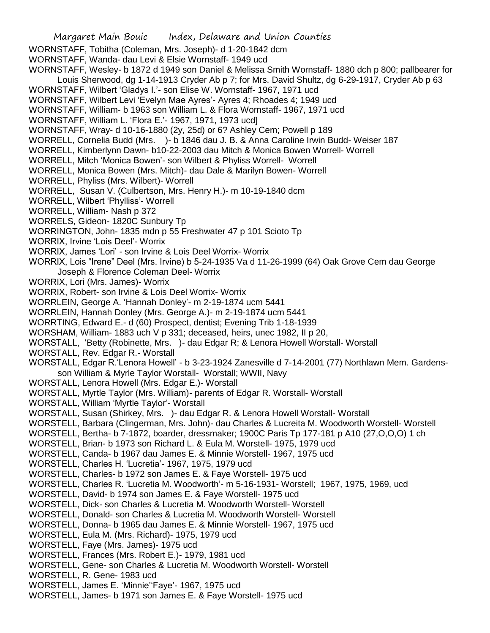Margaret Main Bouic Index, Delaware and Union Counties WORNSTAFF, Tobitha (Coleman, Mrs. Joseph)- d 1-20-1842 dcm WORNSTAFF, Wanda- dau Levi & Elsie Wornstaff- 1949 ucd WORNSTAFF, Wesley- b 1872 d 1949 son Daniel & Melissa Smith Wornstaff- 1880 dch p 800; pallbearer for Louis Sherwood, dg 1-14-1913 Cryder Ab p 7; for Mrs. David Shultz, dg 6-29-1917, Cryder Ab p 63 WORNSTAFF, Wilbert 'Gladys I.'- son Elise W. Wornstaff- 1967, 1971 ucd WORNSTAFF, Wilbert Levi 'Evelyn Mae Ayres'- Ayres 4; Rhoades 4; 1949 ucd WORNSTAFF, William- b 1963 son William L. & Flora Wornstaff- 1967, 1971 ucd WORNSTAFF, William L. 'Flora E.'- 1967, 1971, 1973 ucd] WORNSTAFF, Wray- d 10-16-1880 (2y, 25d) or 6? Ashley Cem; Powell p 189 WORRELL, Cornelia Budd (Mrs. )- b 1846 dau J. B. & Anna Caroline Irwin Budd- Weiser 187 WORRELL, Kimberlynn Dawn- b10-22-2003 dau Mitch & Monica Bowen Worrell- Worrell WORRELL, Mitch 'Monica Bowen'- son Wilbert & Phyliss Worrell- Worrell WORRELL, Monica Bowen (Mrs. Mitch)- dau Dale & Marilyn Bowen- Worrell WORRELL, Phyliss (Mrs. Wilbert)- Worrell WORRELL, Susan V. (Culbertson, Mrs. Henry H.)- m 10-19-1840 dcm WORRELL, Wilbert 'Phylliss'- Worrell WORRELL, William- Nash p 372 WORRELS, Gideon- 1820C Sunbury Tp WORRINGTON, John- 1835 mdn p 55 Freshwater 47 p 101 Scioto Tp WORRIX, Irvine 'Lois Deel'- Worrix WORRIX, James 'Lori' - son Irvine & Lois Deel Worrix- Worrix WORRIX, Lois "Irene" Deel (Mrs. Irvine) b 5-24-1935 Va d 11-26-1999 (64) Oak Grove Cem dau George Joseph & Florence Coleman Deel- Worrix WORRIX, Lori (Mrs. James)- Worrix WORRIX, Robert- son Irvine & Lois Deel Worrix- Worrix WORRLEIN, George A. 'Hannah Donley'- m 2-19-1874 ucm 5441 WORRLEIN, Hannah Donley (Mrs. George A.)- m 2-19-1874 ucm 5441 WORRTING, Edward E.- d (60) Prospect, dentist; Evening Trib 1-18-1939 WORSHAM, William- 1883 uch V p 331; deceased, heirs, unec 1982, II p 20, WORSTALL, 'Betty (Robinette, Mrs. )- dau Edgar R; & Lenora Howell Worstall- Worstall WORSTALL, Rev. Edgar R.- Worstall WORSTALL, Edgar R.'Lenora Howell' - b 3-23-1924 Zanesville d 7-14-2001 (77) Northlawn Mem. Gardensson William & Myrle Taylor Worstall- Worstall; WWII, Navy WORSTALL, Lenora Howell (Mrs. Edgar E.)- Worstall WORSTALL, Myrtle Taylor (Mrs. William)- parents of Edgar R. Worstall- Worstall WORSTALL, William 'Myrtle Taylor'- Worstall WORSTALL, Susan (Shirkey, Mrs. )- dau Edgar R. & Lenora Howell Worstall- Worstall WORSTELL, Barbara (Clingerman, Mrs. John)- dau Charles & Lucreita M. Woodworth Worstell- Worstell WORSTELL, Bertha- b 7-1872, boarder, dressmaker; 1900C Paris Tp 177-181 p A10 (27,O,O,O) 1 ch WORSTELL, Brian- b 1973 son Richard L. & Eula M. Worstell- 1975, 1979 ucd WORSTELL, Canda- b 1967 dau James E. & Minnie Worstell- 1967, 1975 ucd WORSTELL, Charles H. 'Lucretia'- 1967, 1975, 1979 ucd WORSTELL, Charles- b 1972 son James E. & Faye Worstell- 1975 ucd WORSTELL, Charles R. 'Lucretia M. Woodworth'- m 5-16-1931- Worstell; 1967, 1975, 1969, ucd WORSTELL, David- b 1974 son James E. & Faye Worstell- 1975 ucd WORSTELL, Dick- son Charles & Lucretia M. Woodworth Worstell- Worstell WORSTELL, Donald- son Charles & Lucretia M. Woodworth Worstell- Worstell WORSTELL, Donna- b 1965 dau James E. & Minnie Worstell- 1967, 1975 ucd WORSTELL, Eula M. (Mrs. Richard)- 1975, 1979 ucd WORSTELL, Faye (Mrs. James)- 1975 ucd WORSTELL, Frances (Mrs. Robert E.)- 1979, 1981 ucd WORSTELL, Gene- son Charles & Lucretia M. Woodworth Worstell- Worstell WORSTELL, R. Gene- 1983 ucd WORSTELL, James E. 'Minnie''Faye'- 1967, 1975 ucd WORSTELL, James- b 1971 son James E. & Faye Worstell- 1975 ucd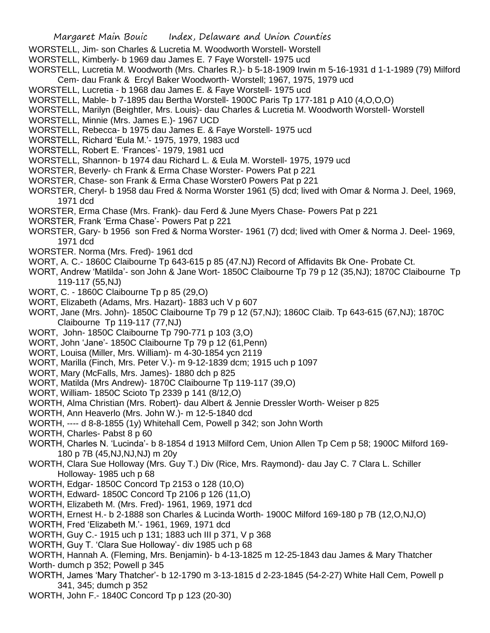- WORSTELL, Jim- son Charles & Lucretia M. Woodworth Worstell- Worstell
- WORSTELL, Kimberly- b 1969 dau James E. 7 Faye Worstell- 1975 ucd
- WORSTELL, Lucretia M. Woodworth (Mrs. Charles R.)- b 5-18-1909 Irwin m 5-16-1931 d 1-1-1989 (79) Milford Cem- dau Frank & Ercyl Baker Woodworth- Worstell; 1967, 1975, 1979 ucd
- WORSTELL, Lucretia b 1968 dau James E. & Faye Worstell- 1975 ucd
- WORSTELL, Mable- b 7-1895 dau Bertha Worstell- 1900C Paris Tp 177-181 p A10 (4,O,O,O)
- WORSTELL, Marilyn (Beightler, Mrs. Louis)- dau Charles & Lucretia M. Woodworth Worstell- Worstell
- WORSTELL, Minnie (Mrs. James E.)- 1967 UCD
- WORSTELL, Rebecca- b 1975 dau James E. & Faye Worstell- 1975 ucd
- WORSTELL, Richard 'Eula M.'- 1975, 1979, 1983 ucd
- WORSTELL, Robert E. 'Frances'- 1979, 1981 ucd
- WORSTELL, Shannon- b 1974 dau Richard L. & Eula M. Worstell- 1975, 1979 ucd
- WORSTER, Beverly- ch Frank & Erma Chase Worster- Powers Pat p 221
- WORSTER, Chase- son Frank & Erma Chase Worster0 Powers Pat p 221
- WORSTER, Cheryl- b 1958 dau Fred & Norma Worster 1961 (5) dcd; lived with Omar & Norma J. Deel, 1969, 1971 dcd
- WORSTER, Erma Chase (Mrs. Frank)- dau Ferd & June Myers Chase- Powers Pat p 221
- WORSTER, Frank 'Erma Chase'- Powers Pat p 221
- WORSTER, Gary- b 1956 son Fred & Norma Worster- 1961 (7) dcd; lived with Omer & Norma J. Deel- 1969, 1971 dcd
- WORSTER. Norma (Mrs. Fred)- 1961 dcd
- WORT, A. C.- 1860C Claibourne Tp 643-615 p 85 (47.NJ) Record of Affidavits Bk One- Probate Ct.
- WORT, Andrew 'Matilda'- son John & Jane Wort- 1850C Claibourne Tp 79 p 12 (35,NJ); 1870C Claibourne Tp 119-117 (55,NJ)
- WORT, C. 1860C Claibourne Tp p 85 (29,O)
- WORT, Elizabeth (Adams, Mrs. Hazart)- 1883 uch V p 607
- WORT, Jane (Mrs. John)- 1850C Claibourne Tp 79 p 12 (57,NJ); 1860C Claib. Tp 643-615 (67,NJ); 1870C Claibourne Tp 119-117 (77,NJ)
- WORT, John- 1850C Claibourne Tp 790-771 p 103 (3,O)
- WORT, John 'Jane'- 1850C Claibourne Tp 79 p 12 (61,Penn)
- WORT, Louisa (Miller, Mrs. William)- m 4-30-1854 ycn 2119
- WORT, Marilla (Finch, Mrs. Peter V.)- m 9-12-1839 dcm; 1915 uch p 1097
- WORT, Mary (McFalls, Mrs. James)- 1880 dch p 825
- WORT, Matilda (Mrs Andrew)- 1870C Claibourne Tp 119-117 (39,O)
- WORT, William- 1850C Scioto Tp 2339 p 141 (8/12,O)
- WORTH, Alma Christian (Mrs. Robert)- dau Albert & Jennie Dressler Worth- Weiser p 825
- WORTH, Ann Heaverlo (Mrs. John W.)- m 12-5-1840 dcd
- WORTH, ---- d 8-8-1855 (1y) Whitehall Cem, Powell p 342; son John Worth
- WORTH, Charles- Pabst 8 p 60
- WORTH, Charles N. 'Lucinda'- b 8-1854 d 1913 Milford Cem, Union Allen Tp Cem p 58; 1900C Milford 169- 180 p 7B (45,NJ,NJ,NJ) m 20y
- WORTH, Clara Sue Holloway (Mrs. Guy T.) Div (Rice, Mrs. Raymond)- dau Jay C. 7 Clara L. Schiller Holloway- 1985 uch p 68
- WORTH, Edgar- 1850C Concord Tp 2153 o 128 (10,O)
- WORTH, Edward- 1850C Concord Tp 2106 p 126 (11,O)
- WORTH, Elizabeth M. (Mrs. Fred)- 1961, 1969, 1971 dcd
- WORTH, Ernest H.- b 2-1888 son Charles & Lucinda Worth- 1900C Milford 169-180 p 7B (12,O,NJ,O)
- WORTH, Fred 'Elizabeth M.'- 1961, 1969, 1971 dcd
- WORTH, Guy C.- 1915 uch p 131; 1883 uch III p 371, V p 368
- WORTH, Guy T. 'Clara Sue Holloway'- div 1985 uch p 68
- WORTH, Hannah A. (Fleming, Mrs. Benjamin)- b 4-13-1825 m 12-25-1843 dau James & Mary Thatcher Worth- dumch p 352; Powell p 345
- WORTH, James 'Mary Thatcher'- b 12-1790 m 3-13-1815 d 2-23-1845 (54-2-27) White Hall Cem, Powell p 341, 345; dumch p 352
- WORTH, John F.- 1840C Concord Tp p 123 (20-30)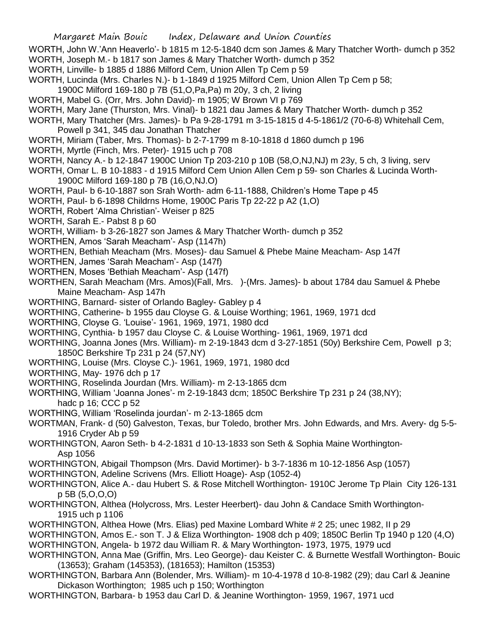- WORTH, John W.'Ann Heaverlo'- b 1815 m 12-5-1840 dcm son James & Mary Thatcher Worth- dumch p 352 WORTH, Joseph M.- b 1817 son James & Mary Thatcher Worth- dumch p 352
- WORTH, Linville- b 1885 d 1886 Milford Cem, Union Allen Tp Cem p 59
- WORTH, Lucinda (Mrs. Charles N.)- b 1-1849 d 1925 Milford Cem, Union Allen Tp Cem p 58;
- 1900C Milford 169-180 p 7B (51,O,Pa,Pa) m 20y, 3 ch, 2 living
- WORTH, Mabel G. (Orr, Mrs. John David)- m 1905; W Brown VI p 769
- WORTH, Mary Jane (Thurston, Mrs. Vinal)- b 1821 dau James & Mary Thatcher Worth- dumch p 352
- WORTH, Mary Thatcher (Mrs. James)- b Pa 9-28-1791 m 3-15-1815 d 4-5-1861/2 (70-6-8) Whitehall Cem, Powell p 341, 345 dau Jonathan Thatcher
- WORTH, Miriam (Taber, Mrs. Thomas)- b 2-7-1799 m 8-10-1818 d 1860 dumch p 196
- WORTH, Myrtle (Finch, Mrs. Peter)- 1915 uch p 708
- WORTH, Nancy A.- b 12-1847 1900C Union Tp 203-210 p 10B (58,O,NJ,NJ) m 23y, 5 ch, 3 living, serv
- WORTH, Omar L. B 10-1883 d 1915 Milford Cem Union Allen Cem p 59- son Charles & Lucinda Worth-1900C Milford 169-180 p 7B (16,O,NJ.O)
- WORTH, Paul- b 6-10-1887 son Srah Worth- adm 6-11-1888, Children's Home Tape p 45
- WORTH, Paul- b 6-1898 Childrns Home, 1900C Paris Tp 22-22 p A2 (1,O)
- WORTH, Robert 'Alma Christian'- Weiser p 825
- WORTH, Sarah E.- Pabst 8 p 60
- WORTH, William- b 3-26-1827 son James & Mary Thatcher Worth- dumch p 352
- WORTHEN, Amos 'Sarah Meacham'- Asp (1147h)
- WORTHEN, Bethiah Meacham (Mrs. Moses)- dau Samuel & Phebe Maine Meacham- Asp 147f
- WORTHEN, James 'Sarah Meacham'- Asp (147f)
- WORTHEN, Moses 'Bethiah Meacham'- Asp (147f)
- WORTHEN, Sarah Meacham (Mrs. Amos)(Fall, Mrs. )-(Mrs. James)- b about 1784 dau Samuel & Phebe Maine Meacham- Asp 147h
- WORTHING, Barnard- sister of Orlando Bagley- Gabley p 4
- WORTHING, Catherine- b 1955 dau Cloyse G. & Louise Worthing; 1961, 1969, 1971 dcd
- WORTHING, Cloyse G. 'Louise'- 1961, 1969, 1971, 1980 dcd
- WORTHING, Cynthia- b 1957 dau Cloyse C. & Louise Worthing- 1961, 1969, 1971 dcd
- WORTHING, Joanna Jones (Mrs. William)- m 2-19-1843 dcm d 3-27-1851 (50y) Berkshire Cem, Powell p 3; 1850C Berkshire Tp 231 p 24 (57,NY)
- WORTHING, Louise (Mrs. Cloyse C.)- 1961, 1969, 1971, 1980 dcd
- WORTHING, May- 1976 dch p 17
- WORTHING, Roselinda Jourdan (Mrs. William)- m 2-13-1865 dcm
- WORTHING, William 'Joanna Jones'- m 2-19-1843 dcm; 1850C Berkshire Tp 231 p 24 (38,NY);
- hadc p 16; CCC p 52
- WORTHING, William 'Roselinda jourdan'- m 2-13-1865 dcm
- WORTMAN, Frank- d (50) Galveston, Texas, bur Toledo, brother Mrs. John Edwards, and Mrs. Avery- dg 5-5- 1916 Cryder Ab p 59
- WORTHINGTON, Aaron Seth- b 4-2-1831 d 10-13-1833 son Seth & Sophia Maine Worthington-Asp 1056
- WORTHINGTON, Abigail Thompson (Mrs. David Mortimer)- b 3-7-1836 m 10-12-1856 Asp (1057)
- WORTHINGTON, Adeline Scrivens (Mrs. Elliott Hoage)- Asp (1052-4)
- WORTHINGTON, Alice A.- dau Hubert S. & Rose Mitchell Worthington- 1910C Jerome Tp Plain City 126-131 p 5B (5,O,O,O)
- WORTHINGTON, Althea (Holycross, Mrs. Lester Heerbert)- dau John & Candace Smith Worthington-1915 uch p 1106
- WORTHINGTON, Althea Howe (Mrs. Elias) ped Maxine Lombard White # 2 25; unec 1982, II p 29
- WORTHINGTON, Amos E.- son T. J & Eliza Worthington- 1908 dch p 409; 1850C Berlin Tp 1940 p 120 (4,O) WORTHINGTON, Angela- b 1972 dau William R. & Mary Worthington- 1973, 1975, 1979 ucd
- WORTHINGTON, Anna Mae (Griffin, Mrs. Leo George)- dau Keister C. & Burnette Westfall Worthington- Bouic (13653); Graham (145353), (181653); Hamilton (15353)
- WORTHINGTON, Barbara Ann (Bolender, Mrs. William)- m 10-4-1978 d 10-8-1982 (29); dau Carl & Jeanine Dickason Worthington; 1985 uch p 150; Worthington
- WORTHINGTON, Barbara- b 1953 dau Carl D. & Jeanine Worthington- 1959, 1967, 1971 ucd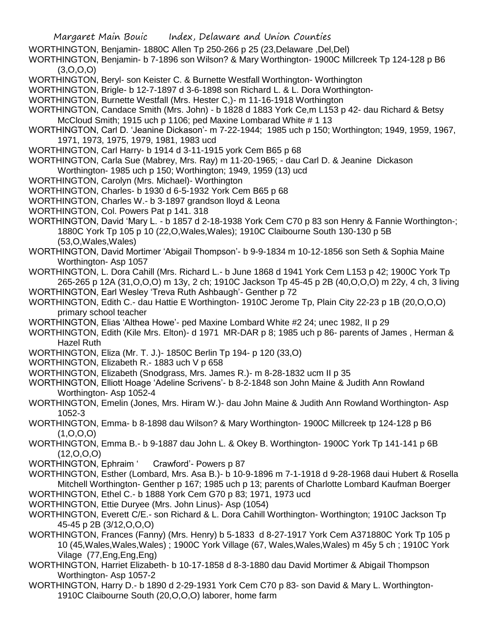- WORTHINGTON, Benjamin- 1880C Allen Tp 250-266 p 25 (23,Delaware ,Del,Del)
- WORTHINGTON, Benjamin- b 7-1896 son Wilson? & Mary Worthington- 1900C Millcreek Tp 124-128 p B6  $(3,0,0,0)$
- WORTHINGTON, Beryl- son Keister C. & Burnette Westfall Worthington- Worthington
- WORTHINGTON, Brigle- b 12-7-1897 d 3-6-1898 son Richard L. & L. Dora Worthington-
- WORTHINGTON, Burnette Westfall (Mrs. Hester C,)- m 11-16-1918 Worthington
- WORTHINGTON, Candace Smith (Mrs. John) b 1828 d 1883 York Ce,m L153 p 42- dau Richard & Betsy McCloud Smith; 1915 uch p 1106; ped Maxine Lombarad White # 1 13
- WORTHINGTON, Carl D. 'Jeanine Dickason'- m 7-22-1944; 1985 uch p 150; Worthington; 1949, 1959, 1967, 1971, 1973, 1975, 1979, 1981, 1983 ucd
- WORTHINGTON, Carl Harry- b 1914 d 3-11-1915 york Cem B65 p 68
- WORTHINGTON, Carla Sue (Mabrey, Mrs. Ray) m 11-20-1965; dau Carl D. & Jeanine Dickason Worthington- 1985 uch p 150; Worthington; 1949, 1959 (13) ucd
- WORTHINGTON, Carolyn (Mrs. Michael)- Worthington
- WORTHINGTON, Charles- b 1930 d 6-5-1932 York Cem B65 p 68
- WORTHINGTON, Charles W.- b 3-1897 grandson lloyd & Leona
- WORTHINGTON, Col. Powers Pat p 141. 318
- WORTHINGTON, David 'Mary L. b 1857 d 2-18-1938 York Cem C70 p 83 son Henry & Fannie Worthington-; 1880C York Tp 105 p 10 (22,O,Wales,Wales); 1910C Claibourne South 130-130 p 5B (53,O,Wales,Wales)
- WORTHINGTON, David Mortimer 'Abigail Thompson'- b 9-9-1834 m 10-12-1856 son Seth & Sophia Maine Worthington- Asp 1057
- WORTHINGTON, L. Dora Cahill (Mrs. Richard L.- b June 1868 d 1941 York Cem L153 p 42; 1900C York Tp 265-265 p 12A (31,O,O,O) m 13y, 2 ch; 1910C Jackson Tp 45-45 p 2B (40,O,O,O) m 22y, 4 ch, 3 living
- WORTHINGTON, Earl Wesley 'Treva Ruth Ashbaugh'- Genther p 72
- WORTHINGTON, Edith C.- dau Hattie E Worthington- 1910C Jerome Tp, Plain City 22-23 p 1B (20,O,O,O) primary school teacher
- WORTHINGTON, Elias 'Althea Howe'- ped Maxine Lombard White #2 24; unec 1982, II p 29
- WORTHINGTON, Edith (Kile Mrs. Elton)- d 1971 MR-DAR p 8; 1985 uch p 86- parents of James , Herman & Hazel Ruth
- WORTHINGTON, Eliza (Mr. T. J.)- 1850C Berlin Tp 194- p 120 (33,O)
- WORTHINGTON, Elizabeth R.- 1883 uch V p 658
- WORTHINGTON, Elizabeth (Snodgrass, Mrs. James R.)- m 8-28-1832 ucm II p 35
- WORTHINGTON, Elliott Hoage 'Adeline Scrivens'- b 8-2-1848 son John Maine & Judith Ann Rowland Worthington- Asp 1052-4
- WORTHINGTON, Emelin (Jones, Mrs. Hiram W.)- dau John Maine & Judith Ann Rowland Worthington- Asp 1052-3
- WORTHINGTON, Emma- b 8-1898 dau Wilson? & Mary Worthington- 1900C Millcreek tp 124-128 p B6  $(1, 0, 0, 0)$
- WORTHINGTON, Emma B.- b 9-1887 dau John L. & Okey B. Worthington- 1900C York Tp 141-141 p 6B  $(12,0,0,0)$
- WORTHINGTON, Ephraim ' Crawford'- Powers p 87
- WORTHINGTON, Esther (Lombard, Mrs. Asa B.)- b 10-9-1896 m 7-1-1918 d 9-28-1968 daui Hubert & Rosella Mitchell Worthington- Genther p 167; 1985 uch p 13; parents of Charlotte Lombard Kaufman Boerger WORTHINGTON, Ethel C.- b 1888 York Cem G70 p 83; 1971, 1973 ucd
- WORTHINGTON, Ettie Duryee (Mrs. John Linus)- Asp (1054)
- WORTHINGTON, Everett C/E.- son Richard & L. Dora Cahill Worthington- Worthington; 1910C Jackson Tp 45-45 p 2B (3/12,O,O,O)
- WORTHINGTON, Frances (Fanny) (Mrs. Henry) b 5-1833 d 8-27-1917 York Cem A371880C York Tp 105 p 10 (45,Wales,Wales,Wales) ; 1900C York Village (67, Wales,Wales,Wales) m 45y 5 ch ; 1910C York Vilage (77,Eng,Eng,Eng)
- WORTHINGTON, Harriet Elizabeth- b 10-17-1858 d 8-3-1880 dau David Mortimer & Abigail Thompson Worthington- Asp 1057-2
- WORTHINGTON, Harry D.- b 1890 d 2-29-1931 York Cem C70 p 83- son David & Mary L. Worthington-1910C Claibourne South (20,O,O,O) laborer, home farm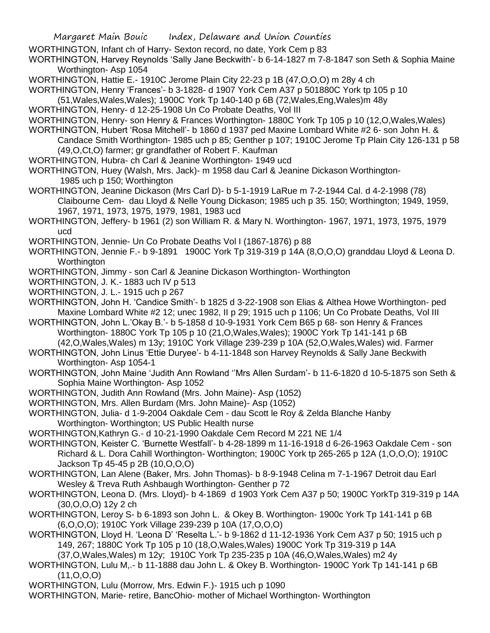WORTHINGTON, Infant ch of Harry- Sexton record, no date, York Cem p 83

WORTHINGTON, Harvey Reynolds 'Sally Jane Beckwith'- b 6-14-1827 m 7-8-1847 son Seth & Sophia Maine Worthington- Asp 1054

WORTHINGTON, Hattie E.- 1910C Jerome Plain City 22-23 p 1B (47,O,O,O) m 28y 4 ch

WORTHINGTON, Henry 'Frances'- b 3-1828- d 1907 York Cem A37 p 501880C York tp 105 p 10

(51,Wales,Wales,Wales); 1900C York Tp 140-140 p 6B (72,Wales,Eng,Wales)m 48y

WORTHINGTON, Henry- d 12-25-1908 Un Co Probate Deaths, Vol III

WORTHINGTON, Henry- son Henry & Frances Worthington- 1880C York Tp 105 p 10 (12, O, Wales, Wales)

WORTHINGTON, Hubert 'Rosa Mitchell'- b 1860 d 1937 ped Maxine Lombard White #2 6- son John H. & Candace Smith Worthington- 1985 uch p 85; Genther p 107; 1910C Jerome Tp Plain City 126-131 p 58 (49,O,Ct,O) farmer; gr grandfather of Robert F. Kaufman

WORTHINGTON, Hubra- ch Carl & Jeanine Worthington- 1949 ucd

WORTHINGTON, Huey (Walsh, Mrs. Jack)- m 1958 dau Carl & Jeanine Dickason Worthington-1985 uch p 150; Worthington

WORTHINGTON, Jeanine Dickason (Mrs Carl D)- b 5-1-1919 LaRue m 7-2-1944 Cal. d 4-2-1998 (78) Claibourne Cem- dau Lloyd & Nelle Young Dickason; 1985 uch p 35. 150; Worthington; 1949, 1959, 1967, 1971, 1973, 1975, 1979, 1981, 1983 ucd

WORTHINGTON, Jeffery- b 1961 (2) son William R. & Mary N. Worthington- 1967, 1971, 1973, 1975, 1979 ucd

WORTHINGTON, Jennie- Un Co Probate Deaths Vol I (1867-1876) p 88

WORTHINGTON, Jennie F.- b 9-1891 1900C York Tp 319-319 p 14A (8,O,O,O) granddau Lloyd & Leona D. **Worthington** 

WORTHINGTON, Jimmy - son Carl & Jeanine Dickason Worthington- Worthington

- WORTHINGTON, J. K.- 1883 uch IV p 513
- WORTHINGTON, J. L.- 1915 uch p 267

WORTHINGTON, John H. 'Candice Smith'- b 1825 d 3-22-1908 son Elias & Althea Howe Worthington- ped Maxine Lombard White #2 12; unec 1982, II p 29; 1915 uch p 1106; Un Co Probate Deaths, Vol III

WORTHINGTON, John L.'Okay B.'- b 5-1858 d 10-9-1931 York Cem B65 p 68- son Henry & Frances Worthington- 1880C York Tp 105 p 10 (21,O,Wales,Wales); 1900C York Tp 141-141 p 6B (42,O,Wales,Wales) m 13y; 1910C York Village 239-239 p 10A (52,O,Wales,Wales) wid. Farmer

WORTHINGTON, John Linus 'Ettie Duryee'- b 4-11-1848 son Harvey Reynolds & Sally Jane Beckwith Worthington- Asp 1054-1

WORTHINGTON, John Maine 'Judith Ann Rowland ''Mrs Allen Surdam'- b 11-6-1820 d 10-5-1875 son Seth & Sophia Maine Worthington- Asp 1052

WORTHINGTON, Judith Ann Rowland (Mrs. John Maine)- Asp (1052)

WORTHINGTON, Mrs. Allen Burdam (Mrs. John Maine)- Asp (1052)

WORTHINGTON, Julia- d 1-9-2004 Oakdale Cem - dau Scott le Roy & Zelda Blanche Hanby Worthington- Worthington; US Public Health nurse

WORTHINGTON,Kathryn G.- d 10-21-1990 Oakdale Cem Record M 221 NE 1/4

WORTHINGTON, Keister C. 'Burnette Westfall'- b 4-28-1899 m 11-16-1918 d 6-26-1963 Oakdale Cem - son Richard & L. Dora Cahill Worthington- Worthington; 1900C York tp 265-265 p 12A (1,O,O,O); 1910C Jackson Tp 45-45 p 2B (10,O,O,O)

WORTHINGTON, Lan Alene (Baker, Mrs. John Thomas)- b 8-9-1948 Celina m 7-1-1967 Detroit dau Earl Wesley & Treva Ruth Ashbaugh Worthington- Genther p 72

WORTHINGTON, Leona D. (Mrs. Lloyd)- b 4-1869 d 1903 York Cem A37 p 50; 1900C YorkTp 319-319 p 14A (30,O,O,O) 12y 2 ch

WORTHINGTON, Leroy S- b 6-1893 son John L. & Okey B. Worthington- 1900c York Tp 141-141 p 6B (6,O,O,O); 1910C York Village 239-239 p 10A (17,O,O,O)

WORTHINGTON, Lloyd H. 'Leona D' 'Reselta L.'- b 9-1862 d 11-12-1936 York Cem A37 p 50; 1915 uch p 149, 267; 1880C York Tp 105 p 10 (18,O,Wales,Wales) 1900C York Tp 319-319 p 14A

(37,O,Wales,Wales) m 12y; 1910C York Tp 235-235 p 10A (46,O,Wales,Wales) m2 4y

WORTHINGTON, Lulu M,.- b 11-1888 dau John L. & Okey B. Worthington- 1900C York Tp 141-141 p 6B (11,O,O,O)

WORTHINGTON, Lulu (Morrow, Mrs. Edwin F.)- 1915 uch p 1090

WORTHINGTON, Marie- retire, BancOhio- mother of Michael Worthington- Worthington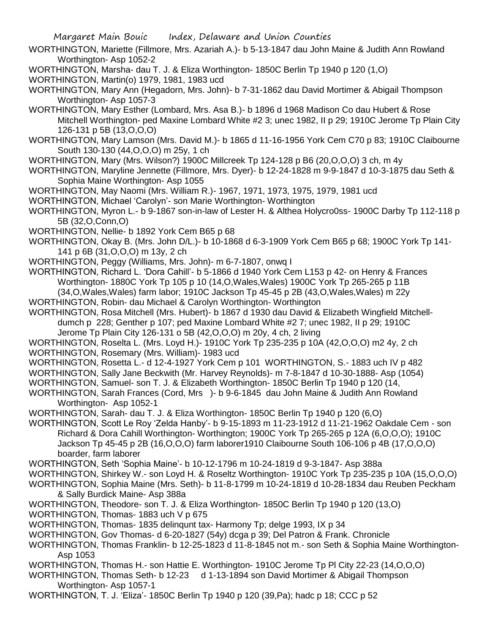- WORTHINGTON, Mariette (Fillmore, Mrs. Azariah A.)- b 5-13-1847 dau John Maine & Judith Ann Rowland Worthington- Asp 1052-2
- WORTHINGTON, Marsha- dau T. J. & Eliza Worthington- 1850C Berlin Tp 1940 p 120 (1,O)

WORTHINGTON, Martin(o) 1979, 1981, 1983 ucd

- WORTHINGTON, Mary Ann (Hegadorn, Mrs. John)- b 7-31-1862 dau David Mortimer & Abigail Thompson Worthington- Asp 1057-3
- WORTHINGTON, Mary Esther (Lombard, Mrs. Asa B.)- b 1896 d 1968 Madison Co dau Hubert & Rose Mitchell Worthington- ped Maxine Lombard White #2 3; unec 1982, II p 29; 1910C Jerome Tp Plain City 126-131 p 5B (13,O,O,O)
- WORTHINGTON, Mary Lamson (Mrs. David M.)- b 1865 d 11-16-1956 York Cem C70 p 83; 1910C Claibourne South 130-130 (44,O,O,O) m 25y, 1 ch
- WORTHINGTON, Mary (Mrs. Wilson?) 1900C Millcreek Tp 124-128 p B6 (20,O,O,O) 3 ch, m 4y
- WORTHINGTON, Maryline Jennette (Fillmore, Mrs. Dyer)- b 12-24-1828 m 9-9-1847 d 10-3-1875 dau Seth & Sophia Maine Worthington- Asp 1055
- WORTHINGTON, May Naomi (Mrs. William R.)- 1967, 1971, 1973, 1975, 1979, 1981 ucd
- WORTHINGTON, Michael 'Carolyn'- son Marie Worthington- Worthington
- WORTHINGTON, Myron L.- b 9-1867 son-in-law of Lester H. & Althea Holycro0ss- 1900C Darby Tp 112-118 p 5B (32,O,Conn,O)
- WORTHINGTON, Nellie- b 1892 York Cem B65 p 68
- WORTHINGTON, Okay B. (Mrs. John D/L.)- b 10-1868 d 6-3-1909 York Cem B65 p 68; 1900C York Tp 141- 141 p 6B (31,O,O,O) m 13y, 2 ch
- WORTHINGTON, Peggy (Williams, Mrs. John)- m 6-7-1807, onwq I
- WORTHINGTON, Richard L. 'Dora Cahill'- b 5-1866 d 1940 York Cem L153 p 42- on Henry & Frances Worthington- 1880C York Tp 105 p 10 (14,O,Wales,Wales) 1900C York Tp 265-265 p 11B  $(34,0,\text{Wales},\text{Wales})$  farm labor; 1910C Jackson Tp 45-45 p 2B  $(43,0,\text{Wales},\text{Wales})$  m 22y
- WORTHINGTON, Robin- dau Michael & Carolyn Worthington- Worthington
- WORTHINGTON, Rosa Mitchell (Mrs. Hubert)- b 1867 d 1930 dau David & Elizabeth Wingfield Mitchelldumch p 228; Genther p 107; ped Maxine Lombard White  $#2$  7; unec 1982, II p 29; 1910C Jerome Tp Plain City 126-131 o 5B (42,O,O,O) m 20y, 4 ch, 2 living
- WORTHINGTON, Roselta L. (Mrs. Loyd H.)- 1910C York Tp 235-235 p 10A (42,O,O,O) m2 4y, 2 ch
- WORTHINGTON, Rosemary (Mrs. William)- 1983 ucd
- WORTHINGTON, Rosetta L.- d 12-4-1927 York Cem p 101 WORTHINGTON, S.- 1883 uch IV p 482
- WORTHINGTON, Sally Jane Beckwith (Mr. Harvey Reynolds)- m 7-8-1847 d 10-30-1888- Asp (1054)
- WORTHINGTON, Samuel- son T. J. & Elizabeth Worthington- 1850C Berlin Tp 1940 p 120 (14,
- WORTHINGTON, Sarah Frances (Cord, Mrs )- b 9-6-1845 dau John Maine & Judith Ann Rowland Worthington- Asp 1052-1
- WORTHINGTON, Sarah- dau T. J. & Eliza Worthington- 1850C Berlin Tp 1940 p 120 (6,O)
- WORTHINGTON, Scott Le Roy 'Zelda Hanby'- b 9-15-1893 m 11-23-1912 d 11-21-1962 Oakdale Cem son Richard & Dora Cahill Worthington- Worthington; 1900C York Tp 265-265 p 12A (6,O,O,O); 1910C Jackson Tp 45-45 p 2B (16,O,O,O) farm laborer1910 Claibourne South 106-106 p 4B (17,O,O,O) boarder, farm laborer
- WORTHINGTON, Seth 'Sophia Maine'- b 10-12-1796 m 10-24-1819 d 9-3-1847- Asp 388a
- WORTHINGTON, Shirkey W.- son Loyd H. & Roseltz Worthington- 1910C York Tp 235-235 p 10A (15,O,O,O)
- WORTHINGTON, Sophia Maine (Mrs. Seth)- b 11-8-1799 m 10-24-1819 d 10-28-1834 dau Reuben Peckham & Sally Burdick Maine- Asp 388a
- WORTHINGTON, Theodore- son T. J. & Eliza Worthington- 1850C Berlin Tp 1940 p 120 (13,O) WORTHINGTON, Thomas- 1883 uch V p 675
- WORTHINGTON, Thomas- 1835 delinqunt tax- Harmony Tp; delge 1993, IX p 34
- WORTHINGTON, Gov Thomas- d 6-20-1827 (54y) dcga p 39; Del Patron & Frank. Chronicle
- WORTHINGTON, Thomas Franklin- b 12-25-1823 d 11-8-1845 not m.- son Seth & Sophia Maine Worthington-Asp 1053
- WORTHINGTON, Thomas H.- son Hattie E. Worthington- 1910C Jerome Tp Pl City 22-23 (14,O,O,O)
- WORTHINGTON, Thomas Seth- b 12-23 d 1-13-1894 son David Mortimer & Abigail Thompson Worthington- Asp 1057-1
- WORTHINGTON, T. J. 'Eliza'- 1850C Berlin Tp 1940 p 120 (39,Pa); hadc p 18; CCC p 52